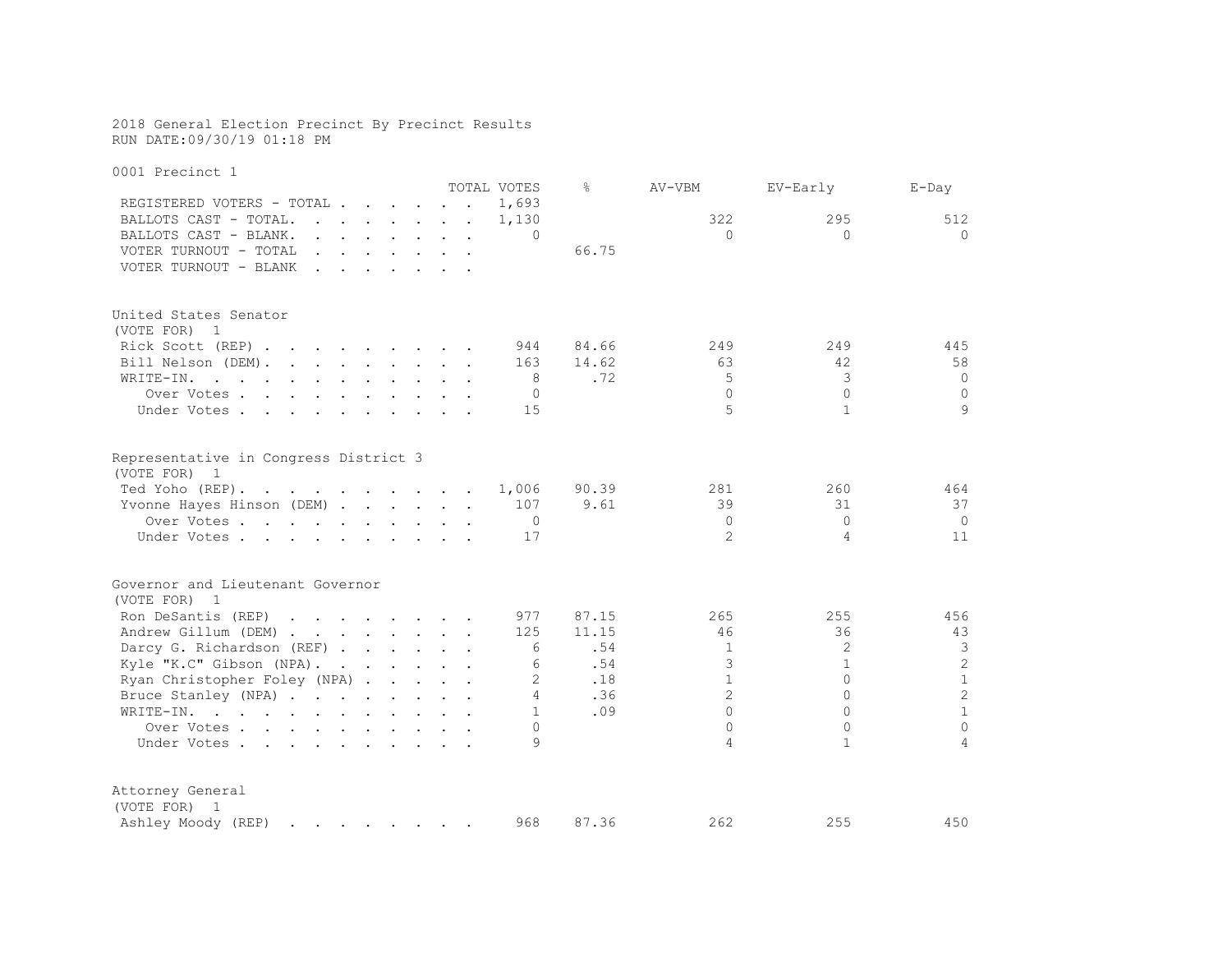### 2018 General Election Precinct By Precinct Results RUN DATE:09/30/19 01:18 PM

| 0001 Precinct 1                                                                                                              |  |                |           |                |                |                |
|------------------------------------------------------------------------------------------------------------------------------|--|----------------|-----------|----------------|----------------|----------------|
|                                                                                                                              |  | TOTAL VOTES    | $\approx$ | AV-VBM         | EV-Early       | $E$ -Day       |
| REGISTERED VOTERS - TOTAL                                                                                                    |  | 1,693          |           |                |                |                |
| BALLOTS CAST - TOTAL.<br>$\mathbf{r}$ , and $\mathbf{r}$ , and $\mathbf{r}$ , and $\mathbf{r}$                               |  | 1,130          |           | 322            | 295            | 512            |
| BALLOTS CAST - BLANK.<br>$\mathbf{r}$ , $\mathbf{r}$ , $\mathbf{r}$ , $\mathbf{r}$ , $\mathbf{r}$ , $\mathbf{r}$             |  | $\Omega$       |           | $\Omega$       | $\Omega$       | $\Omega$       |
| VOTER TURNOUT - TOTAL<br>the contract of the contract of the<br>$\ddot{\phantom{1}}$                                         |  |                | 66.75     |                |                |                |
| VOTER TURNOUT - BLANK<br>$\mathbf{r} = \mathbf{r} - \mathbf{r}$                                                              |  |                |           |                |                |                |
| United States Senator                                                                                                        |  |                |           |                |                |                |
| (VOTE FOR) 1                                                                                                                 |  |                |           |                |                |                |
| Rick Scott (REP)                                                                                                             |  | 944            | 84.66     | 249            | 249            | 445            |
| Bill Nelson (DEM).                                                                                                           |  | 163            | 14.62     | 63             | 42             | 58             |
| WRITE-IN.<br>the contract of the contract of the contract of the contract of the contract of the contract of the contract of |  | 8              | .72       | 5              | 3              | $\Omega$       |
| Over Votes                                                                                                                   |  | $\mathbf{0}$   |           | $\Omega$       | $\Omega$       | $\circ$        |
| Under Votes.<br>$\mathbf{r}$ , $\mathbf{r}$ , $\mathbf{r}$ , $\mathbf{r}$<br>$\sim$ 100 $\sim$                               |  | 15             |           | 5              | $\mathbf{1}$   | 9              |
| Representative in Congress District 3<br>(VOTE FOR)<br>$\overline{1}$                                                        |  |                |           |                |                |                |
| Ted Yoho (REP).                                                                                                              |  | 1,006          | 90.39     | 281            | 260            | 464            |
| Yvonne Hayes Hinson (DEM)                                                                                                    |  | 107            | 9.61      | 39             | 31             | 37             |
| Over Votes                                                                                                                   |  | 0              |           | $\Omega$       | $\Omega$       | $\mathbf 0$    |
| Under Votes                                                                                                                  |  | 17             |           | $\mathfrak{D}$ | $\overline{4}$ | 11             |
| Governor and Lieutenant Governor<br>(VOTE FOR)<br>$\overline{1}$                                                             |  |                |           |                |                |                |
| Ron DeSantis (REP)                                                                                                           |  | 977            | 87.15     | 265            | 255            | 456            |
| Andrew Gillum (DEM)                                                                                                          |  | 125            | 11.15     | 46             | 36             | 43             |
| Darcy G. Richardson (REF)                                                                                                    |  | 6              | .54       | $\mathbf{1}$   | 2              | 3              |
| Kyle "K.C" Gibson (NPA).                                                                                                     |  | 6              | .54       | 3              | $\mathbf{1}$   | $\overline{2}$ |
| Ryan Christopher Foley (NPA)                                                                                                 |  | $\overline{2}$ | .18       | $\mathbf{1}$   | $\Omega$       | $\mathbf{1}$   |
| Bruce Stanley (NPA)                                                                                                          |  | 4              | .36       | $\overline{2}$ | $\Omega$       | $\overline{2}$ |
| $\mathcal{A}$ . The contribution of the contribution of the contribution of $\mathcal{A}$<br>WRITE-IN.                       |  | $\mathbf{1}$   | .09       | $\bigcap$      | $\Omega$       | $\mathbf{1}$   |
| Over Votes                                                                                                                   |  | $\Omega$       |           | $\Omega$       | $\Omega$       | $\Omega$       |
| Under Votes                                                                                                                  |  | 9              |           | 4              | $\mathbf{1}$   | $\overline{a}$ |
| Attorney General<br>(VOTE FOR) 1                                                                                             |  |                |           |                |                |                |
| Ashley Moody (REP)<br>and the company of the company of the company of the company of the company of                         |  | 968            | 87.36     | 262            | 255            | 450            |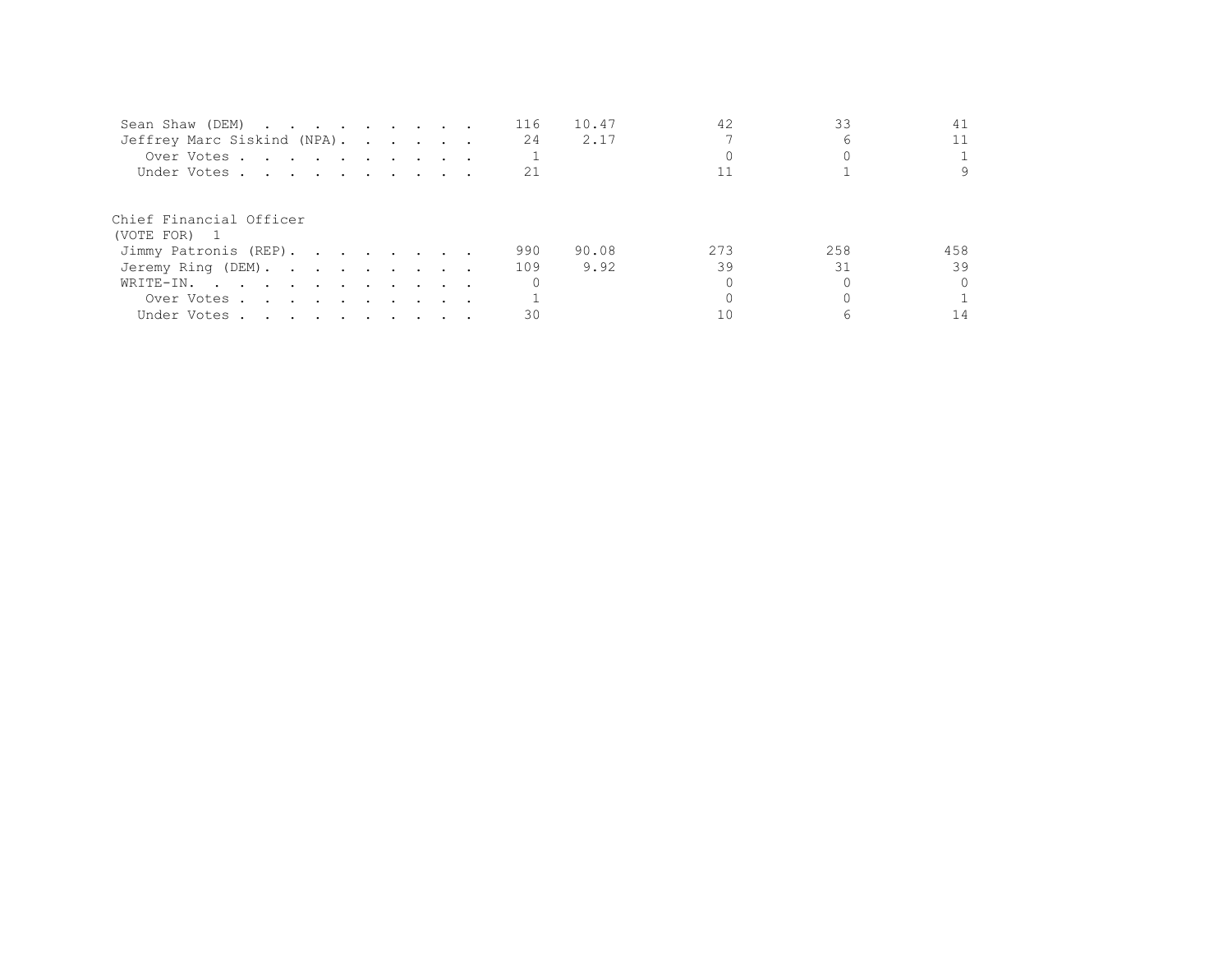| Sean Shaw (DEM)                         |  |  | 116 | 10.47 | 42  |     | 41       |
|-----------------------------------------|--|--|-----|-------|-----|-----|----------|
| Jeffrey Marc Siskind (NPA).             |  |  | 24  | 2.17  |     |     | 11       |
| Over Votes                              |  |  |     |       |     |     |          |
| Under Votes                             |  |  | 21  |       |     |     | 9        |
| Chief Financial Officer<br>(VOTE FOR) 1 |  |  |     |       |     |     |          |
| Jimmy Patronis (REP).                   |  |  | 990 | 90.08 | 273 | 258 | 458      |
| Jeremy Ring (DEM).                      |  |  | 109 | 9.92  | 39  | 31  | 39       |
| $\texttt{WRITE-IN.}$                    |  |  |     |       |     |     | $\Omega$ |
| Over Votes                              |  |  |     |       |     |     |          |
| Under Votes                             |  |  |     |       |     |     |          |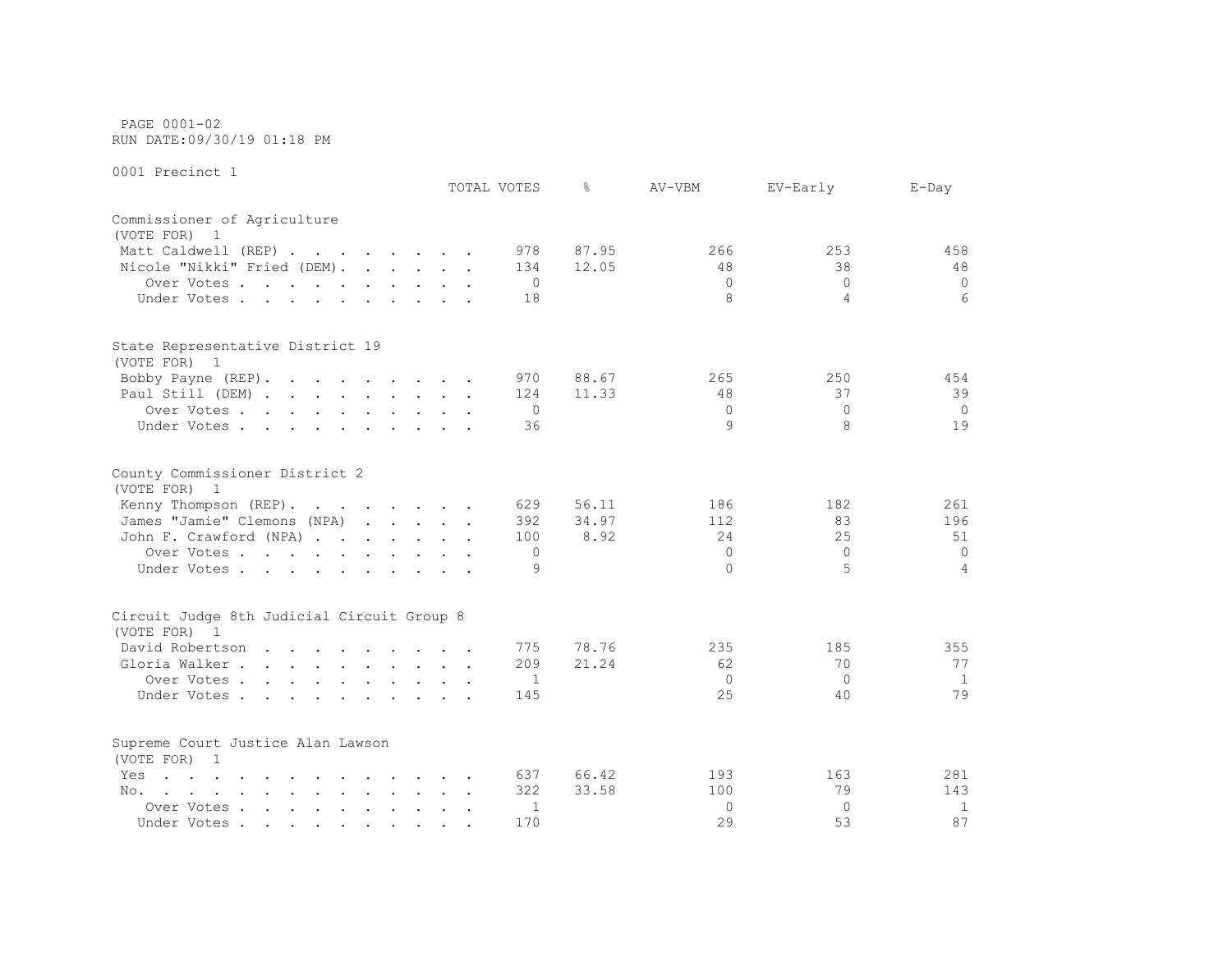PAGE 0001-02 RUN DATE:09/30/19 01:18 PM

|                                                                                                                                                                                                                                       | TOTAL VOTES    | $\frac{6}{5}$ | AV-VBM        | EV-Early       | $E$ -Day |
|---------------------------------------------------------------------------------------------------------------------------------------------------------------------------------------------------------------------------------------|----------------|---------------|---------------|----------------|----------|
| Commissioner of Agriculture                                                                                                                                                                                                           |                |               |               |                |          |
| (VOTE FOR)<br>$\overline{1}$                                                                                                                                                                                                          |                |               |               |                |          |
| Matt Caldwell (REP)                                                                                                                                                                                                                   | 978            | 87.95         | 266           | 253            | 458      |
| Nicole "Nikki" Fried (DEM).                                                                                                                                                                                                           | 134            | 12.05         | 48            | 38             | 48       |
| Over Votes.                                                                                                                                                                                                                           | $\circ$        |               | $\Omega$      | $\Omega$       | $\circ$  |
| Under Votes                                                                                                                                                                                                                           | 18             |               | 8             | $\overline{4}$ | 6        |
| State Representative District 19                                                                                                                                                                                                      |                |               |               |                |          |
| (VOTE FOR) 1                                                                                                                                                                                                                          |                |               |               |                |          |
| Bobby Payne (REP).                                                                                                                                                                                                                    | 970            | 88.67         | 265           | 250            | 454      |
| Paul Still (DEM)                                                                                                                                                                                                                      | 124            | 11.33         | 48            | 37             | 39       |
| Over Votes.                                                                                                                                                                                                                           | 0              |               | $\Omega$<br>9 | $\Omega$       | $\circ$  |
| Under Votes                                                                                                                                                                                                                           | 36             |               |               | 8              | 19       |
| County Commissioner District 2                                                                                                                                                                                                        |                |               |               |                |          |
| (VOTE FOR) 1                                                                                                                                                                                                                          |                |               |               |                |          |
| Kenny Thompson (REP).                                                                                                                                                                                                                 | 629            | 56.11         | 186           | 182            | 261      |
| James "Jamie" Clemons (NPA)                                                                                                                                                                                                           | 392            | 34.97         | 112           | 83             | 196      |
| John F. Crawford (NPA)                                                                                                                                                                                                                | 100            | 8.92          | 24            | 25             | 51       |
| Over Votes                                                                                                                                                                                                                            | $\circ$        |               | $\Omega$      | $\Omega$       | $\Omega$ |
| Under Votes                                                                                                                                                                                                                           | 9              |               | $\Omega$      | 5              | 4        |
| Circuit Judge 8th Judicial Circuit Group 8                                                                                                                                                                                            |                |               |               |                |          |
| (VOTE FOR) 1                                                                                                                                                                                                                          |                |               |               |                |          |
| David Robertson                                                                                                                                                                                                                       | 775            | 78.76         | 235           | 185            | 355      |
| Gloria Walker                                                                                                                                                                                                                         | 209            | 21.24         | 62            | 70             | 77       |
| Over Votes                                                                                                                                                                                                                            | $\overline{1}$ |               | $\Omega$      | $\Omega$       | 1        |
| Under Votes                                                                                                                                                                                                                           | 145            |               | 25            | 40             | 79       |
| Supreme Court Justice Alan Lawson<br>(VOTE FOR) 1                                                                                                                                                                                     |                |               |               |                |          |
| $\mathbf{r}$ , and $\mathbf{r}$ , and $\mathbf{r}$ , and $\mathbf{r}$ , and $\mathbf{r}$ , and $\mathbf{r}$<br>Yes                                                                                                                    | 637            | 66.42         | 193           | 163            | 281      |
| and the contract of the contract of the contract of the contract of the contract of the contract of the contract of the contract of the contract of the contract of the contract of the contract of the contract of the contra<br>No. | 322            | 33.58         | 100           | 79             | 143      |
| Over Votes                                                                                                                                                                                                                            | $\mathbf{1}$   |               | $\Omega$      | $\Omega$       | 1        |
| Under Votes                                                                                                                                                                                                                           | 170            |               | 29            | 53             | 87       |
|                                                                                                                                                                                                                                       |                |               |               |                |          |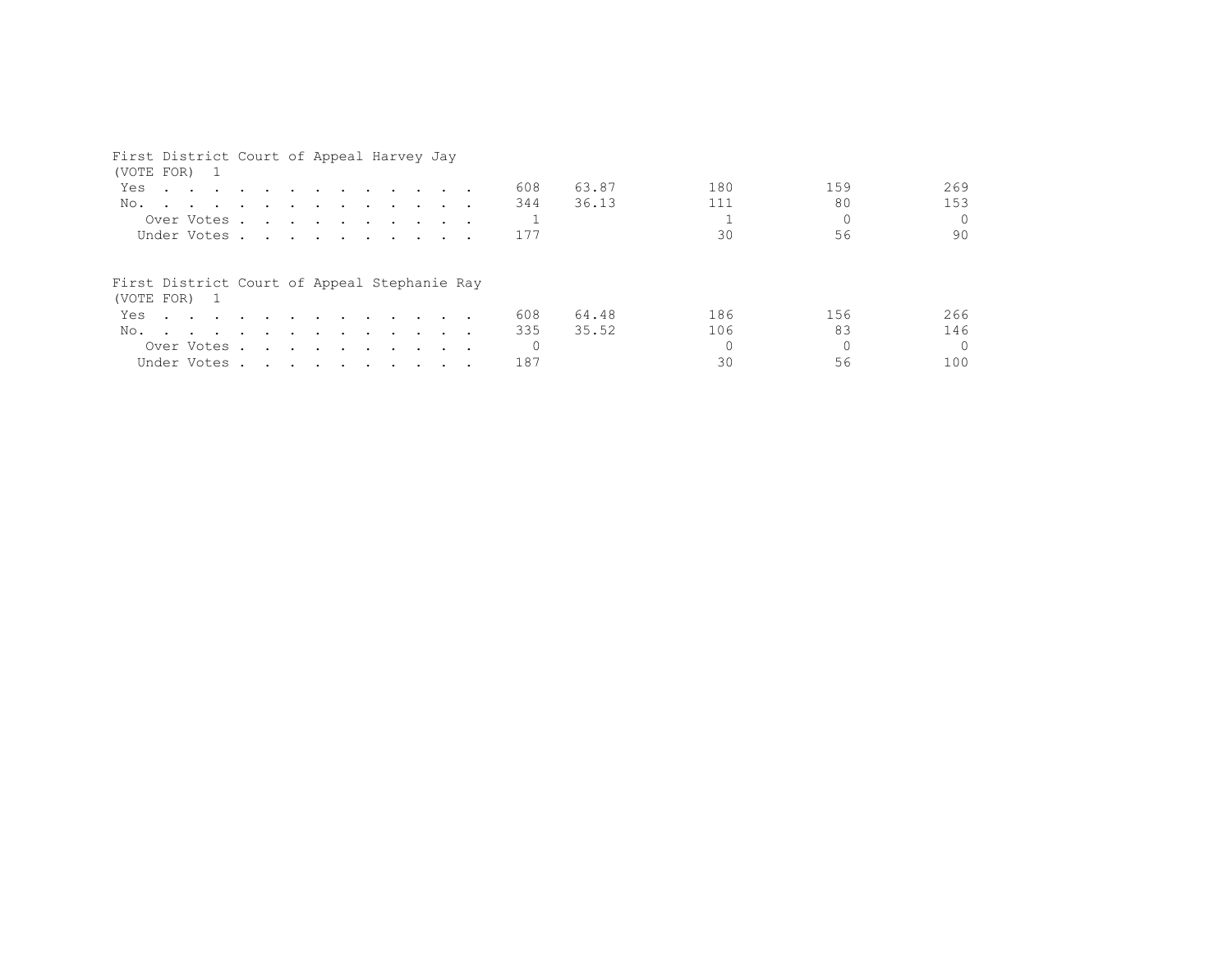| First District Court of Appeal Harvey Jay<br>(VOTE FOR) 1                                                          |  |  |  |  |  |          |       |     |          |          |
|--------------------------------------------------------------------------------------------------------------------|--|--|--|--|--|----------|-------|-----|----------|----------|
| Yes<br>$\mathbf{r}$ , and $\mathbf{r}$ , and $\mathbf{r}$ , and $\mathbf{r}$ , and $\mathbf{r}$ , and $\mathbf{r}$ |  |  |  |  |  | 608      | 63.87 | 180 | 159      | 269      |
| No.                                                                                                                |  |  |  |  |  | 344      | 36.13 | 111 | 80       | 153      |
| Over Votes                                                                                                         |  |  |  |  |  |          |       |     |          | $\Omega$ |
| Under Votes                                                                                                        |  |  |  |  |  | 177      |       | 30  | 56       | 90       |
| First District Court of Appeal Stephanie Ray<br>(VOTE FOR) 1                                                       |  |  |  |  |  |          |       |     |          |          |
| Yes.                                                                                                               |  |  |  |  |  | 608      | 64.48 | 186 | 156      | 266      |
| No.                                                                                                                |  |  |  |  |  | 335      | 35.52 | 106 | 83       | 146      |
| Over Votes                                                                                                         |  |  |  |  |  | $\Omega$ |       |     | $\Omega$ | $\cap$   |
| Under Votes                                                                                                        |  |  |  |  |  | 187      |       | 30  | 56       | 100      |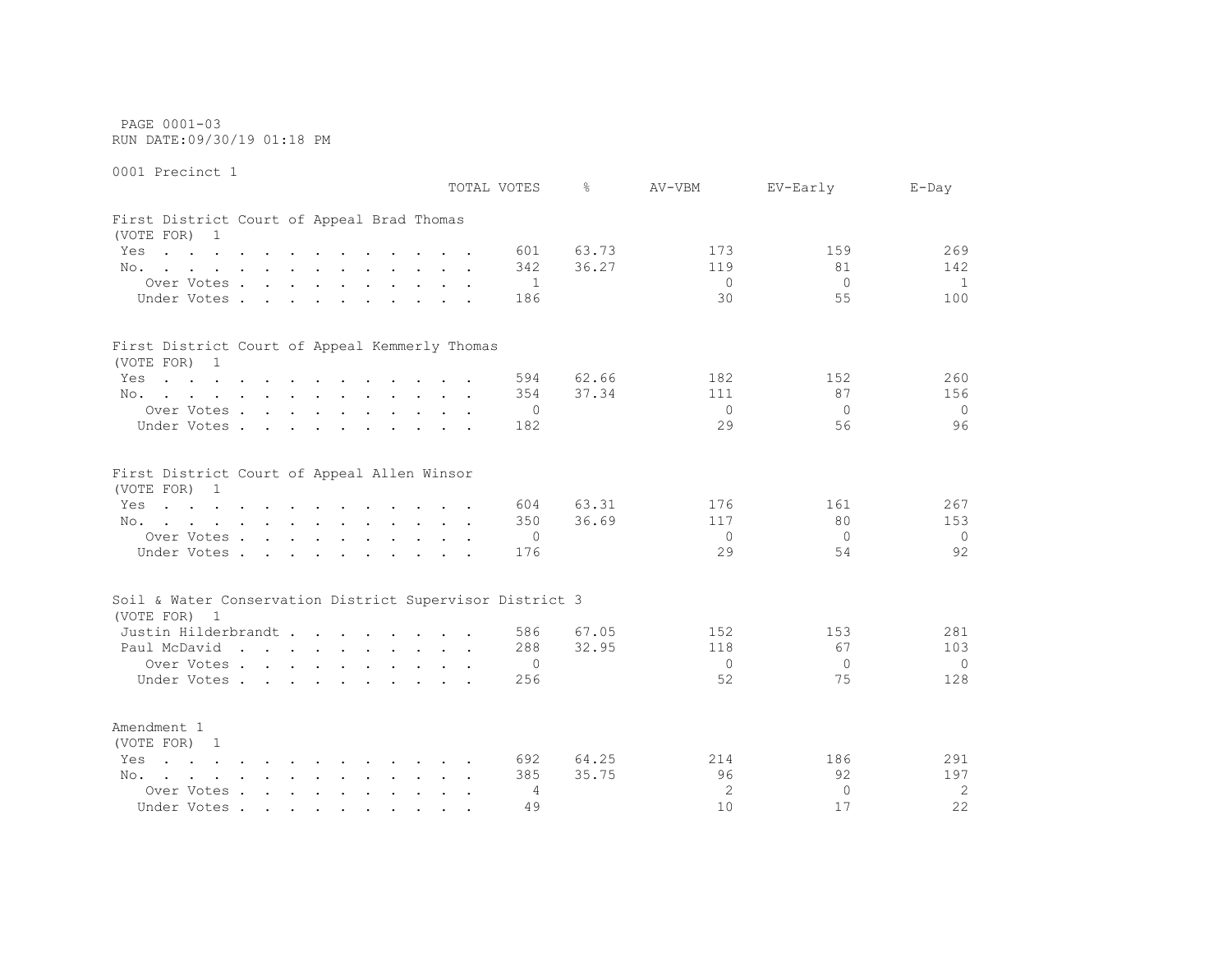PAGE 0001-03 RUN DATE:09/30/19 01:18 PM

0001 Precinct 1 TOTAL VOTES % AV-VBM EV-Early E-Day First District Court of Appeal Brad Thomas (VOTE FOR) 1 Yes . . . . . . . . . . . . 601 63.73 173 173 159 269 No. . . . . . . . . . . . 342 36.27 119 81 142 Over Votes . . . . . . . . . . 1 0 0 1 1 Under Votes . . . . . . . . . . 186 30 55 100 First District Court of Appeal Kemmerly Thomas (VOTE FOR) 1 Yes . . . . . . . . . . . . 594 62.66 182 182 152 260 No. . . . . . . . . . . . . 354 37.34 111 37 156 Over Votes . . . . . . . . . . 0 0 0 0 Under Votes . . . . . . . . . . 182 29 56 96 First District Court of Appeal Allen Winsor (VOTE FOR) 1 Yes . . . . . . . . . . . . 604 63.31 176 161 267 No. . . . . . . . . . . . 350 36.69 117 80 153 Over Votes . . . . . . . . . . 0 0 0 0 Under Votes . . . . . . . . . . 176 29 54 92 Soil & Water Conservation District Supervisor District 3 (VOTE FOR) 1 Justin Hilderbrandt . . . . . . . . 586 67.05 152 153 281 Paul McDavid . . . . . . . . . 288 32.95 118 67 103 Over Votes . . . . . . . . . . 0 0 0 0 Under Votes . . . . . . . . . 256 52 75 128 Amendment 1 (VOTE FOR) 1

Yes . . . . . . . . . . . . . 692 64.25 214 186 291 No. . . . . . . . . . . . 385 35.75 96 92 197 Over Votes . . . . . . . . . . . 4 2 0 2 2 Under Votes . . . . . . . . . . 49 10 17 22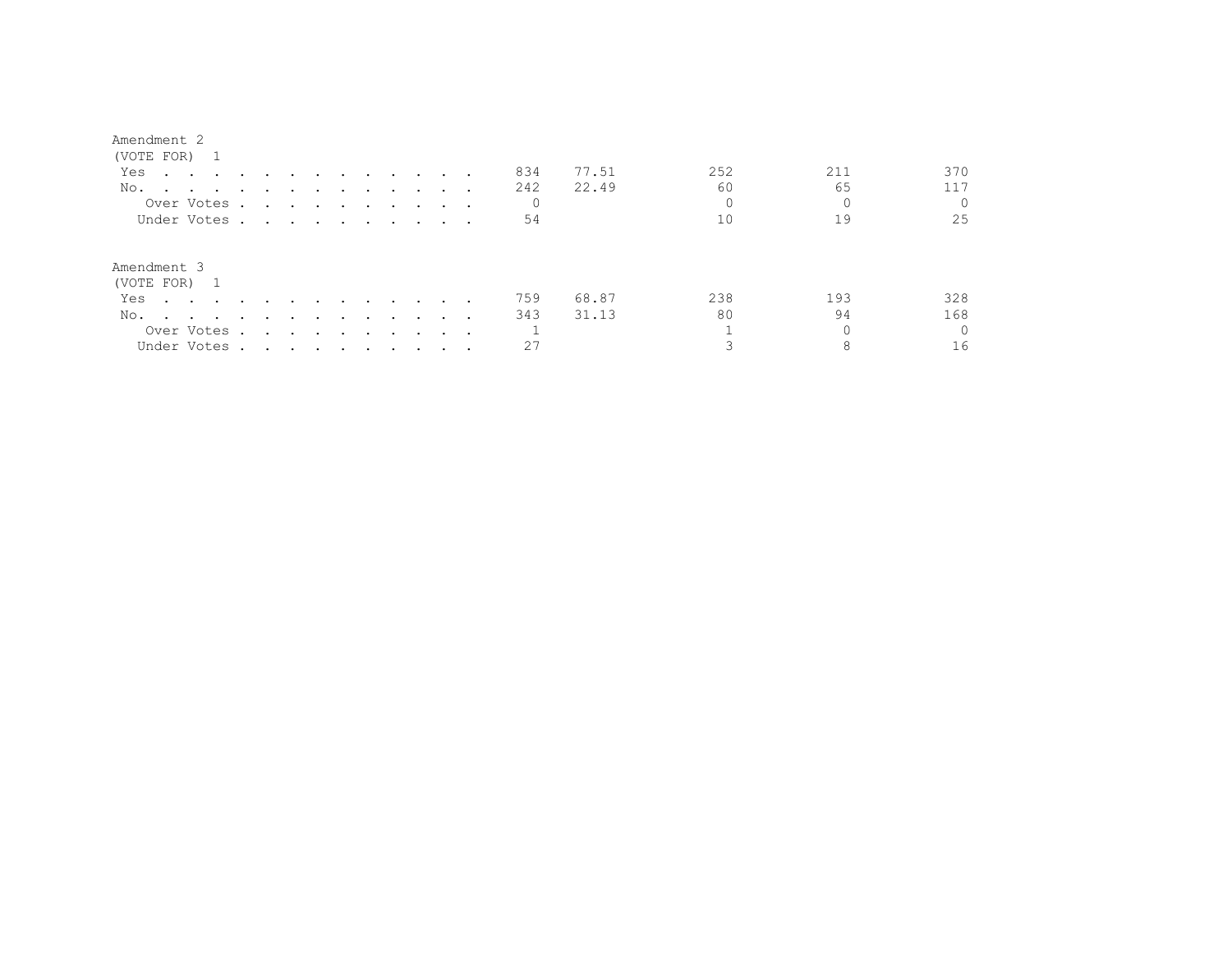| (VOTE FOR) 1                                                                                                                                                                                                                          |                                                                                                                 |                      |        |        |                                                                       |               |         |                      |     |       |     |     |          |
|---------------------------------------------------------------------------------------------------------------------------------------------------------------------------------------------------------------------------------------|-----------------------------------------------------------------------------------------------------------------|----------------------|--------|--------|-----------------------------------------------------------------------|---------------|---------|----------------------|-----|-------|-----|-----|----------|
| Yes<br>the contract of the contract of the contract of the contract of the contract of the contract of the contract of                                                                                                                |                                                                                                                 |                      | $\sim$ | $\sim$ | $\sim$                                                                | $\sim$ $\sim$ |         |                      | 834 | 77.51 | 252 | 211 | 370      |
| No.                                                                                                                                                                                                                                   |                                                                                                                 |                      |        |        |                                                                       |               |         |                      | 242 | 22.49 | 60  | 65  | 117      |
| Over Votes.                                                                                                                                                                                                                           | $\ddot{\phantom{0}}$                                                                                            |                      |        |        | $\mathbf{r}$ , and $\mathbf{r}$ , and $\mathbf{r}$ , and $\mathbf{r}$ |               | $\cdot$ | $\cdot$ $\cdot$      | 0   |       |     |     |          |
| Under Votes.                                                                                                                                                                                                                          | $\sim$ $\sim$ $\sim$ $\sim$ $\sim$                                                                              |                      |        |        | $\sim$ $\sim$ $\sim$ $\sim$                                           |               |         | $\cdot$ $\cdot$      | 54  |       | 10  | 19  | 25       |
| Amendment 3<br>(VOTE FOR) 1                                                                                                                                                                                                           |                                                                                                                 |                      |        |        |                                                                       |               |         |                      |     |       |     |     |          |
| Yes                                                                                                                                                                                                                                   |                                                                                                                 |                      |        |        | $\sim$                                                                | $\sim$        |         |                      | 759 | 68.87 | 238 | 193 | 328      |
| No.<br>and the contract of the contract of the contract of the contract of the contract of the contract of the contract of the contract of the contract of the contract of the contract of the contract of the contract of the contra |                                                                                                                 |                      |        | $\sim$ | $\sim$                                                                | $\sim$        | $\cdot$ |                      | 343 | 31.13 | 80  | 94  | 168      |
| Over Votes.                                                                                                                                                                                                                           | $\sim$                                                                                                          | $\sim$ $\sim$ $\sim$ |        | $\sim$ | $\sim$                                                                | $\sim$        | $\cdot$ | $\sim$ $\sim$ $\sim$ |     |       |     |     | $\Omega$ |
| Under Votes .                                                                                                                                                                                                                         | the contract of the contract of the contract of the contract of the contract of the contract of the contract of |                      |        |        |                                                                       |               |         |                      | 27  |       |     |     | 16       |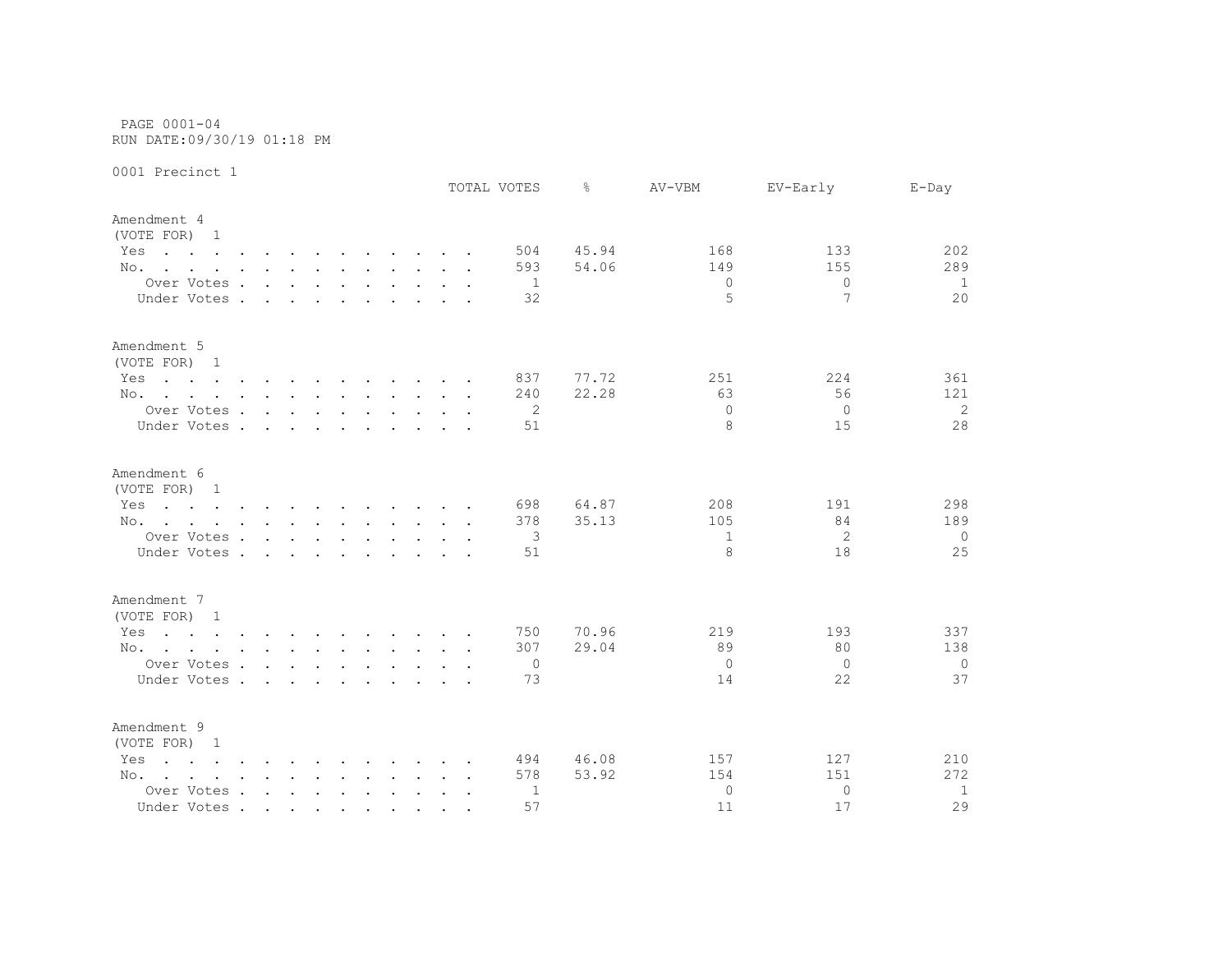PAGE 0001-04 RUN DATE:09/30/19 01:18 PM

|                                                                                                                        |                             |        |        |        |                                                           |  |                      | TOTAL VOTES    | ⊱     | AV-VBM       | EV-Early | $E$ -Day       |
|------------------------------------------------------------------------------------------------------------------------|-----------------------------|--------|--------|--------|-----------------------------------------------------------|--|----------------------|----------------|-------|--------------|----------|----------------|
| Amendment 4                                                                                                            |                             |        |        |        |                                                           |  |                      |                |       |              |          |                |
| (VOTE FOR) 1                                                                                                           |                             |        |        |        |                                                           |  |                      |                |       |              |          |                |
| Yes<br>the contract of the contract of the contract of the contract of the contract of the contract of the contract of |                             |        |        |        |                                                           |  |                      | 504            | 45.94 | 168          | 133      | 202            |
| No.                                                                                                                    |                             |        |        |        |                                                           |  |                      | 593            | 54.06 | 149          | 155      | 289            |
| Over Votes                                                                                                             |                             |        |        |        |                                                           |  |                      | $\overline{1}$ |       | $\mathbf{0}$ | $\Omega$ | 1              |
| Under Votes.                                                                                                           | $\sim$                      | $\sim$ | $\sim$ | $\sim$ |                                                           |  |                      | 32             |       | 5            | 7        | 20             |
| Amendment 5                                                                                                            |                             |        |        |        |                                                           |  |                      |                |       |              |          |                |
| (VOTE FOR) 1                                                                                                           |                             |        |        |        |                                                           |  |                      |                |       |              |          |                |
| Yes<br>the contract of the contract of the contract of the contract of the contract of the contract of the contract of |                             |        |        |        |                                                           |  |                      | 837            | 77.72 | 251          | 224      | 361            |
| No.                                                                                                                    |                             |        |        |        |                                                           |  |                      | 240            | 22.28 | 63           | 56       | 121            |
| Over Votes                                                                                                             |                             |        |        |        |                                                           |  |                      | 2              |       | $\Omega$     | $\Omega$ | 2              |
| Under Votes                                                                                                            |                             |        |        |        | $\mathbf{r}$ , $\mathbf{r}$ , $\mathbf{r}$ , $\mathbf{r}$ |  |                      | 51             |       | 8            | 15       | 28             |
| Amendment 6                                                                                                            |                             |        |        |        |                                                           |  |                      |                |       |              |          |                |
| (VOTE FOR) 1                                                                                                           |                             |        |        |        |                                                           |  |                      |                |       |              |          |                |
| the contract of the contract of the contract of the contract of the contract of the contract of the contract of<br>Yes |                             |        |        |        |                                                           |  |                      | 698            | 64.87 | 208          | 191      | 298            |
| No.                                                                                                                    |                             |        |        |        |                                                           |  |                      | 378            | 35.13 | 105          | 84       | 189            |
| Over Votes                                                                                                             |                             |        |        |        |                                                           |  |                      | 3              |       | $\mathbf{1}$ | 2        | $\circ$        |
| Under Votes.                                                                                                           | $\mathbf{r}$ . $\mathbf{r}$ |        | $\sim$ | $\sim$ |                                                           |  |                      | 51             |       | 8            | 18       | 25             |
| Amendment 7                                                                                                            |                             |        |        |        |                                                           |  |                      |                |       |              |          |                |
| (VOTE FOR) 1                                                                                                           |                             |        |        |        |                                                           |  |                      |                |       |              |          |                |
| Yes<br>the contract of the contract of the contract of the contract of the contract of the contract of the contract of |                             |        |        |        |                                                           |  |                      | 750            | 70.96 | 219          | 193      | 337            |
| No.                                                                                                                    |                             |        |        |        |                                                           |  |                      | 307            | 29.04 | 89           | 80       | 138            |
| Over Votes                                                                                                             |                             |        |        |        |                                                           |  |                      | $\overline{0}$ |       | $\circ$      | $\Omega$ | $\overline{0}$ |
| Under Votes                                                                                                            |                             |        |        |        |                                                           |  |                      | 73             |       | 14           | 22       | 37             |
| Amendment 9                                                                                                            |                             |        |        |        |                                                           |  |                      |                |       |              |          |                |
| (VOTE FOR) 1                                                                                                           |                             |        |        |        |                                                           |  |                      |                |       |              |          |                |
| the contract of the contract of the contract of the contract of the contract of the contract of the contract of<br>Yes |                             |        |        |        |                                                           |  |                      | 494            | 46.08 | 157          | 127      | 210            |
| No.                                                                                                                    |                             |        |        |        |                                                           |  |                      | 578            | 53.92 | 154          | 151      | 272            |
| Over Votes                                                                                                             |                             |        |        |        |                                                           |  | $\ddot{\phantom{a}}$ | 1              |       | $\mathbf{0}$ | $\Omega$ | 1              |
| Under Votes                                                                                                            |                             |        |        |        |                                                           |  |                      | 57             |       | 11           | 17       | 29             |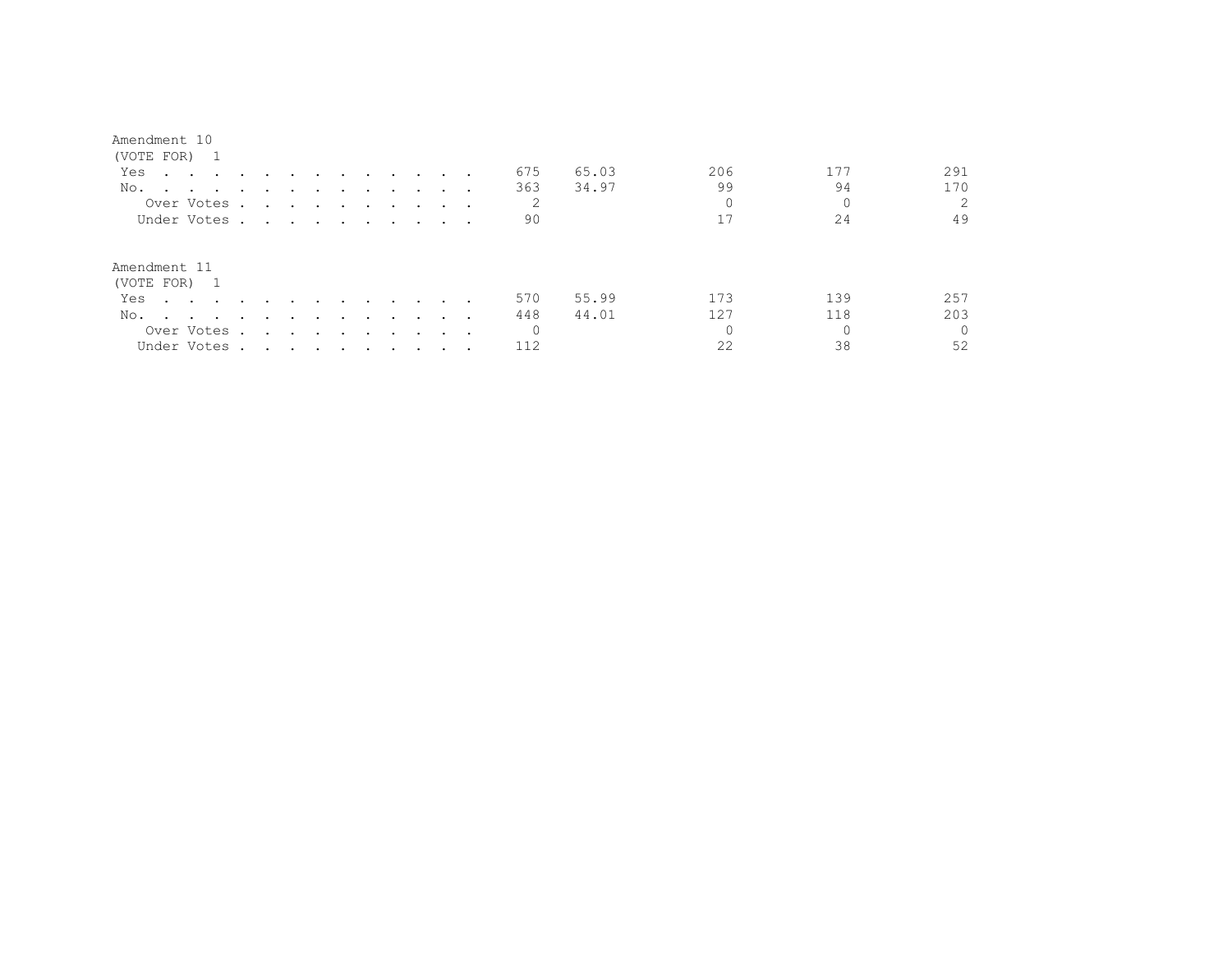| Amendment 10                               |                      |                                                                                                                 |               |                  |                         |                      |                             |                      |                             |        |          |       |          |     |          |
|--------------------------------------------|----------------------|-----------------------------------------------------------------------------------------------------------------|---------------|------------------|-------------------------|----------------------|-----------------------------|----------------------|-----------------------------|--------|----------|-------|----------|-----|----------|
| (VOTE FOR) 1                               |                      |                                                                                                                 |               |                  |                         |                      |                             |                      |                             |        |          |       |          |     |          |
| Yes<br>the contract of the contract of the |                      | and the state of the state                                                                                      |               |                  | $\ddot{\phantom{0}}$    | $\sim$               | $\sim$ $\sim$ $\sim$ $\sim$ |                      |                             |        | 675      | 65.03 | 206      | 177 | 291      |
| No.<br>$\sim$ $\sim$ $\sim$ $\sim$         | $\ddot{\phantom{a}}$ | $\bullet$                                                                                                       |               |                  |                         |                      | $\bullet$                   |                      |                             |        | 363      | 34.97 | 99       | 94  | 170      |
| Over Votes                                 |                      | $\sim$                                                                                                          | $\sim$        | $\cdot$          | $\sim 100$              | $\ddot{\phantom{0}}$ | $\ddot{\phantom{0}}$        | $\bullet$            | $\sim$ $\sim$               |        | 2        |       | $\Omega$ | 0   | 2        |
| Under Votes.                               |                      | the contract of the contract of the contract of the contract of the contract of                                 |               |                  |                         |                      |                             |                      | $\sim$ $\sim$ $\sim$ $\sim$ |        | 90       |       | 17       | 24  | 49       |
| Amendment 11<br>(VOTE FOR) 1               |                      |                                                                                                                 |               |                  |                         |                      |                             |                      |                             |        |          |       |          |     |          |
| Yes<br>$\sim$ $\sim$ $\sim$ $\sim$         | $\ddot{\phantom{a}}$ |                                                                                                                 |               |                  |                         | $\cdot$              | $\ddot{\phantom{0}}$        |                      |                             |        | 570      | 55.99 | 173      | 139 | 257      |
| No.<br>$\sim$<br><b>Contract Contract</b>  | $\cdot$              |                                                                                                                 |               |                  |                         | $\cdot$              |                             |                      |                             |        | 448      | 44.01 | 127      | 118 | 203      |
| Over Votes .                               |                      |                                                                                                                 | $\sim$ $\sim$ | $\sim$ 100 $\pm$ | $\sim 100$ km s $^{-1}$ | $\ddot{\phantom{0}}$ | $\cdot$                     | $\ddot{\phantom{1}}$ | $\sim 100$                  | $\sim$ | $\Omega$ |       |          |     | $\Omega$ |
| Under Votes.                               |                      | the contract of the contract of the contract of the contract of the contract of the contract of the contract of |               |                  |                         |                      |                             |                      |                             | $\sim$ | 112      |       | 22       | 38  | 52       |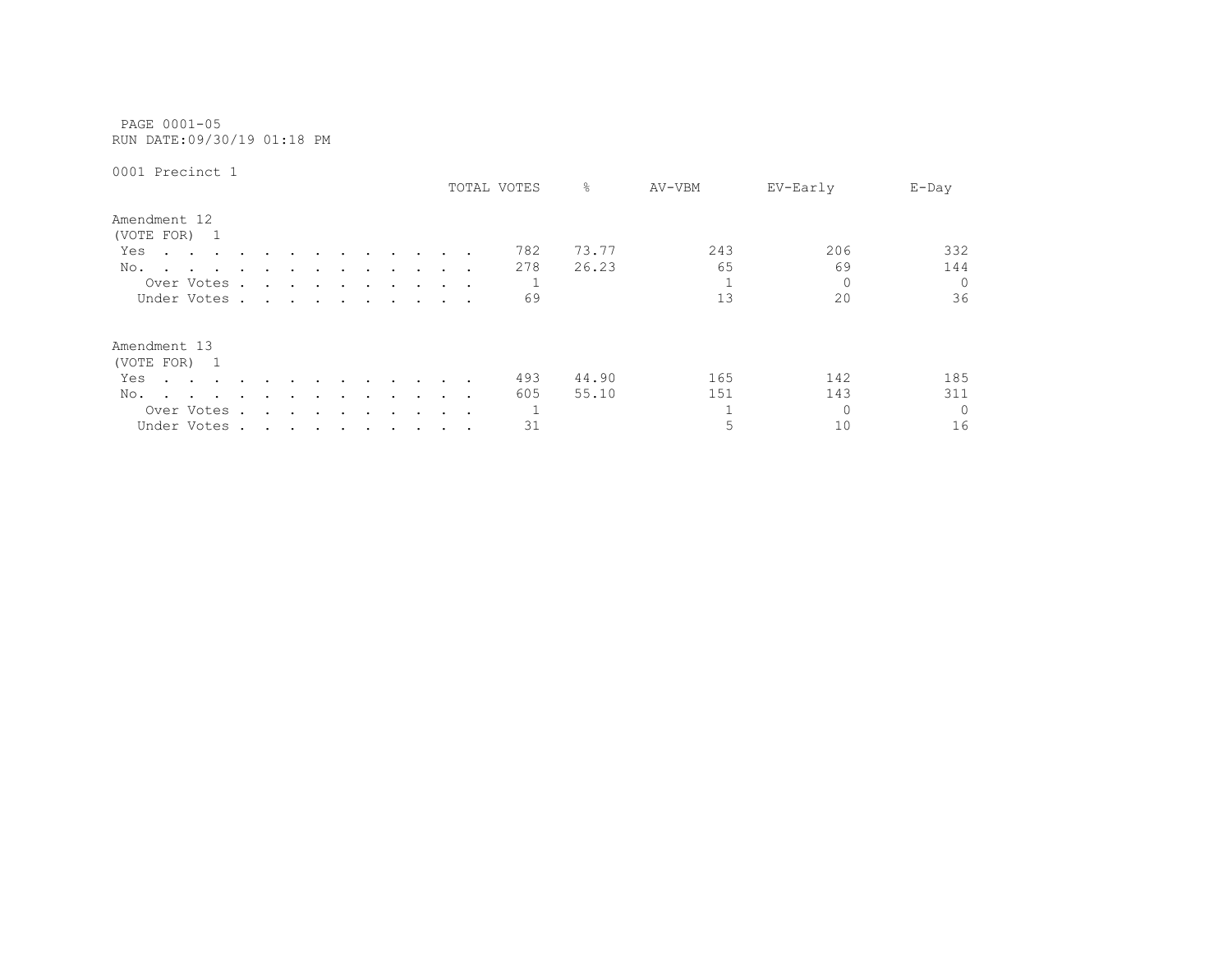PAGE 0001-05 RUN DATE:09/30/19 01:18 PM

|                                                        |        |                                                                                                                 |                      |                  |        |                      |               |                      |                              | TOTAL VOTES | 옹     | AV-VBM | EV-Early | $E$ -Day |
|--------------------------------------------------------|--------|-----------------------------------------------------------------------------------------------------------------|----------------------|------------------|--------|----------------------|---------------|----------------------|------------------------------|-------------|-------|--------|----------|----------|
| Amendment 12<br>(VOTE FOR)<br>$\overline{1}$           |        |                                                                                                                 |                      |                  |        |                      |               |                      |                              |             |       |        |          |          |
| Yes<br>$\cdot$ $\cdot$<br>$\sim$ $\sim$                | $\sim$ | $\ddot{\phantom{a}}$                                                                                            |                      |                  | $\sim$ | $\sim$               | $\sim$ $\sim$ | $\sim$ $\sim$ $\sim$ |                              | 782         | 73.77 | 243    | 206      | 332      |
| No.<br>$\sim$ $\sim$                                   |        |                                                                                                                 |                      |                  |        |                      |               |                      | $\cdot$ $\cdot$ $\cdot$      | 278         | 26.23 | 65     | 69       | 144      |
| Over Votes.                                            |        | $\ddot{\phantom{0}}$                                                                                            | $\sim$ $\sim$        | $\sim$ 100 $\mu$ | $\sim$ | $\ddot{\phantom{1}}$ | $\cdot$       | $\ddot{\phantom{1}}$ | $\sim$ 100 $\sim$ 100 $\sim$ |             |       |        | $\Omega$ | $\Omega$ |
| Under Votes.                                           |        | the contract of the contract of the contract of the contract of the contract of the contract of the contract of |                      |                  |        |                      |               |                      | $\cdot$ $\cdot$ $\cdot$      | 69          |       | 13     | 20       | 36       |
| Amendment 13                                           |        |                                                                                                                 |                      |                  |        |                      |               |                      |                              |             |       |        |          |          |
| (VOTE FOR) 1                                           |        |                                                                                                                 |                      |                  |        |                      |               |                      |                              |             |       |        |          |          |
| Yes<br>$\sim$ $\sim$ $\sim$ $\sim$ $\sim$              |        |                                                                                                                 |                      |                  |        |                      |               | $\sim$               |                              | 493         | 44.90 | 165    | 142      | 185      |
| No.<br>the contract of the contract of the contract of |        | $\ddot{\phantom{a}}$                                                                                            |                      | $\sim$ $\sim$    |        |                      |               |                      | $\cdot$ $\cdot$ $\cdot$      | 605         | 55.10 | 151    | 143      | 311      |
| Over Votes                                             | $\sim$ | $\ddot{\phantom{a}}$                                                                                            | $\ddot{\phantom{0}}$ | $\sim$           | $\sim$ | $\sim$ $\sim$        | $\cdot$       |                      | $\cdots$                     |             |       |        | $\Omega$ | $\Omega$ |
| Under Votes.                                           |        | the contract of the contract of the contract of the contract of the contract of the contract of the contract of |                      |                  |        |                      |               |                      |                              | 31          |       | 5      | 10       | 16       |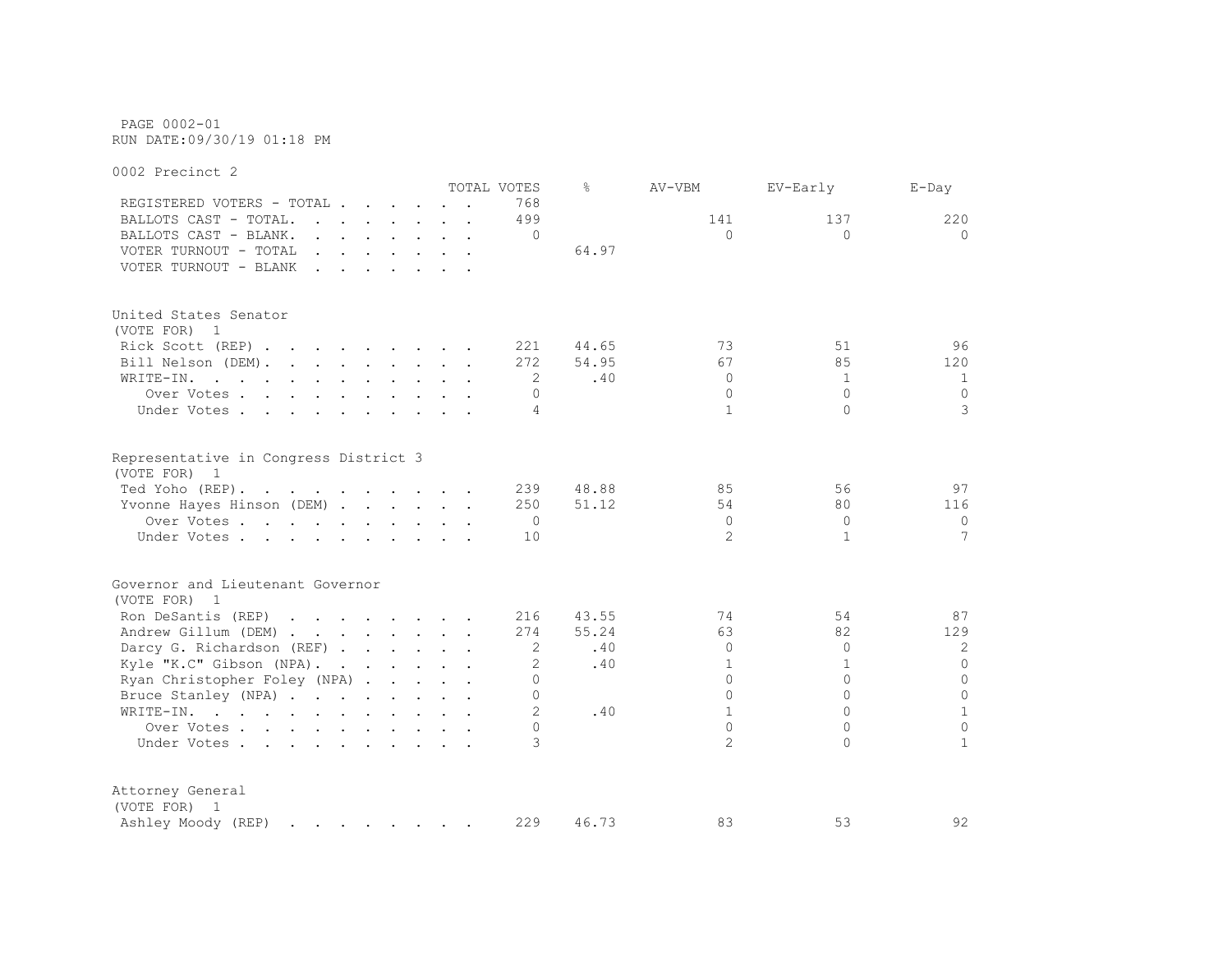PAGE 0002-01 RUN DATE:09/30/19 01:18 PM

0002 Precinct 2 TOTAL VOTES % AV-VBM EV-Early E-Day REGISTERED VOTERS - TOTAL . . . . . . 768 BALLOTS CAST - TOTAL. . . . . . . 499 141 137 220 BALLOTS CAST - BLANK. . . . . . . . 0 0 0 0 VOTER TURNOUT - TOTAL  $\ldots$  . . . . . . 64.97 VOTER TURNOUT - BLANK . . . . . . . United States Senator (VOTE FOR) 1 Rick Scott (REP) . . . . . . . 221 44.65 73 51 96 Bill Nelson (DEM). . . . . . . . 272 54.95 67 85 120 WRITE-IN. . . . . . . . . . . . 2 .40 0 1 1 1 Over Votes . . . . . . . . . . 0 0 0 0 Under Votes . . . . . . . . . . 4 1 0 3 Representative in Congress District 3 (VOTE FOR) 1 Ted Yoho (REP) . . . . . . . . . . 239 48.88 85 56 97 Yvonne Hayes Hinson (DEM) . . . . . 250 51.12 54 80 116 Over Votes . . . . . . . . . . 0 0 0 0 Under Votes . . . . . . . . . . 10 2 1 2 1 7 Governor and Lieutenant Governor (VOTE FOR) 1 Ron DeSantis (REP) . . . . . . . 216 43.55 74 54 87 Andrew Gillum (DEM) . . . . . . . 274 55.24 63 82 129 Darcy G. Richardson (REF) . . . . . 2 .40 0 0 2 2 Kyle "K.C" Gibson (NPA). . . . . . 2 .40 1 1 1 0 Ryan Christopher Foley (NPA) . . . . . 0 0 0 0 Bruce Stanley (NPA) . . . . . . . . 0 0 0 0 WRITE-IN. . . . . . . . . . . . 2 .40 1 0 1 Over Votes . . . . . . . . . . 0 0 0 0 Under Votes . . . . . . . . . . 3 2 0 1 Attorney General (VOTE FOR) 1 Ashley Moody (REP) . . . . . . . 229 46.73 83 53 92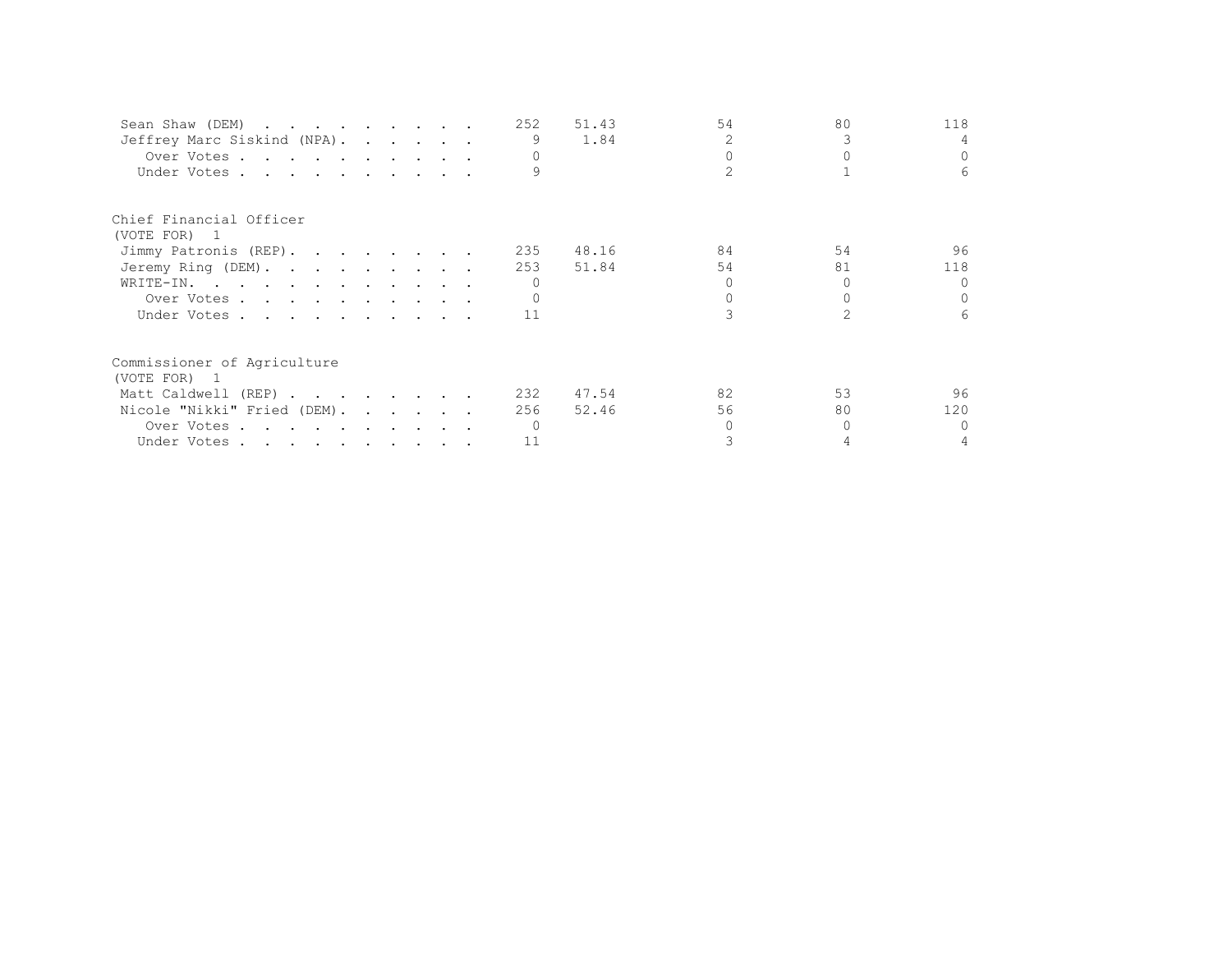| Sean Shaw (DEM)             |  |  | 252 | 51.43 | 54             | 80 | 118      |
|-----------------------------|--|--|-----|-------|----------------|----|----------|
| Jeffrey Marc Siskind (NPA). |  |  |     | 1.84  | $\mathfrak{D}$ |    |          |
| Over Votes                  |  |  |     |       |                |    | $\Omega$ |
| Under Votes                 |  |  |     |       |                |    | 6        |
| Chief Financial Officer     |  |  |     |       |                |    |          |
| (VOTE FOR) 1                |  |  |     |       |                |    |          |
| Jimmy Patronis (REP).       |  |  | 235 | 48.16 | 84             | 54 | 96       |
| Jeremy Ring (DEM).          |  |  | 253 | 51.84 | 54             | 81 | 118      |
| WRITE-IN.                   |  |  |     |       |                |    | $\Omega$ |
| Over Votes                  |  |  |     |       |                |    | $\Omega$ |
| Under Votes                 |  |  | 11  |       |                |    | 6        |
| Commissioner of Agriculture |  |  |     |       |                |    |          |
| (VOTE FOR) 1                |  |  |     |       |                |    |          |
| Matt Caldwell (REP)         |  |  | 232 | 47.54 | 82             | 53 | 96       |
| Nicole "Nikki" Fried (DEM). |  |  | 256 | 52.46 | 56             | 80 | 120      |
| Over Votes                  |  |  |     |       |                |    | $\Omega$ |
| Under Votes                 |  |  | 11  |       |                |    |          |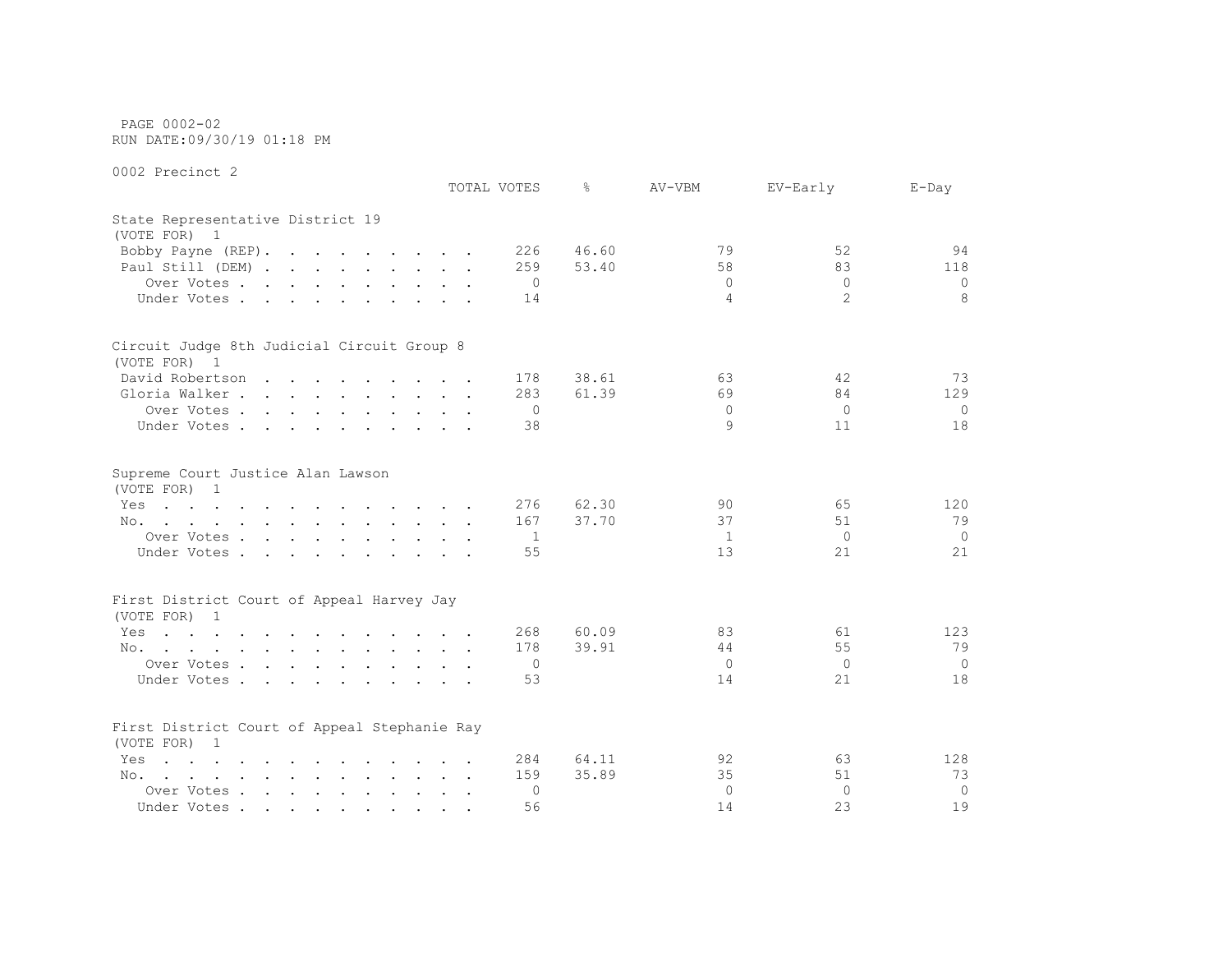PAGE 0002-02 RUN DATE:09/30/19 01:18 PM

|                                                                                                                        | TOTAL VOTES    | ⊱     | AV-VBM         | EV-Early       | $E$ -Day       |
|------------------------------------------------------------------------------------------------------------------------|----------------|-------|----------------|----------------|----------------|
| State Representative District 19<br>(VOTE FOR) 1                                                                       |                |       |                |                |                |
| Bobby Payne (REP).                                                                                                     | 226            | 46.60 | 79             | 52             | 94             |
| Paul Still (DEM)                                                                                                       | 259            | 53.40 | 58             | 83             | 118            |
| Over Votes                                                                                                             | $\circ$        |       | $\mathbf{0}$   | $\Omega$       | 0              |
| Under Votes                                                                                                            | 14             |       | 4              | $\overline{2}$ | 8              |
| Circuit Judge 8th Judicial Circuit Group 8                                                                             |                |       |                |                |                |
| (VOTE FOR) 1                                                                                                           |                |       |                |                |                |
| David Robertson                                                                                                        | 178            | 38.61 | 63             | 42             | 73             |
| Gloria Walker                                                                                                          | 283            | 61.39 | 69             | 84             | 129            |
| Over Votes                                                                                                             | $\circ$        |       | $\Omega$       | $\Omega$       | $\Omega$       |
| Under Votes                                                                                                            | 38             |       | 9              | 11             | 18             |
| Supreme Court Justice Alan Lawson<br>(VOTE FOR) 1                                                                      |                |       |                |                |                |
| the contract of the contract of the contract of the contract of the contract of the contract of the contract of<br>Yes | 276            | 62.30 | 90             | 65             | 120            |
| No.                                                                                                                    | 167            | 37.70 | 37             | 51             | 79             |
| Over Votes                                                                                                             | -1             |       | 1              | $\Omega$       | $\circ$        |
| Under Votes                                                                                                            | 55             |       | 13             | 21             | 21             |
| First District Court of Appeal Harvey Jay                                                                              |                |       |                |                |                |
| (VOTE FOR) 1                                                                                                           |                |       |                |                |                |
| Yes<br>the contract of the contract of the contract of the contract of                                                 | 268            | 60.09 | 83             | 61             | 123            |
| No.                                                                                                                    | 178            | 39.91 | 44             | 55             | 79             |
| Over Votes                                                                                                             | $\overline{0}$ |       | $\overline{0}$ | $\Omega$       | $\overline{0}$ |
| Under Votes                                                                                                            | 53             |       | 14             | 21             | 18             |
|                                                                                                                        |                |       |                |                |                |
| First District Court of Appeal Stephanie Ray<br>(VOTE FOR) 1                                                           |                |       |                |                |                |
| $\mathbf{r}$ , and $\mathbf{r}$ , and $\mathbf{r}$ , and $\mathbf{r}$ , and $\mathbf{r}$ , and $\mathbf{r}$<br>Yes     | 284            | 64.11 | 92             | 63             | 128            |
| No.                                                                                                                    | 159            | 35.89 | 35             | 51             | 73             |
| Over Votes                                                                                                             | 0              |       | $\Omega$       | $\Omega$       | $\overline{0}$ |
| Under Votes                                                                                                            | 56             |       | 14             | 23             | 19             |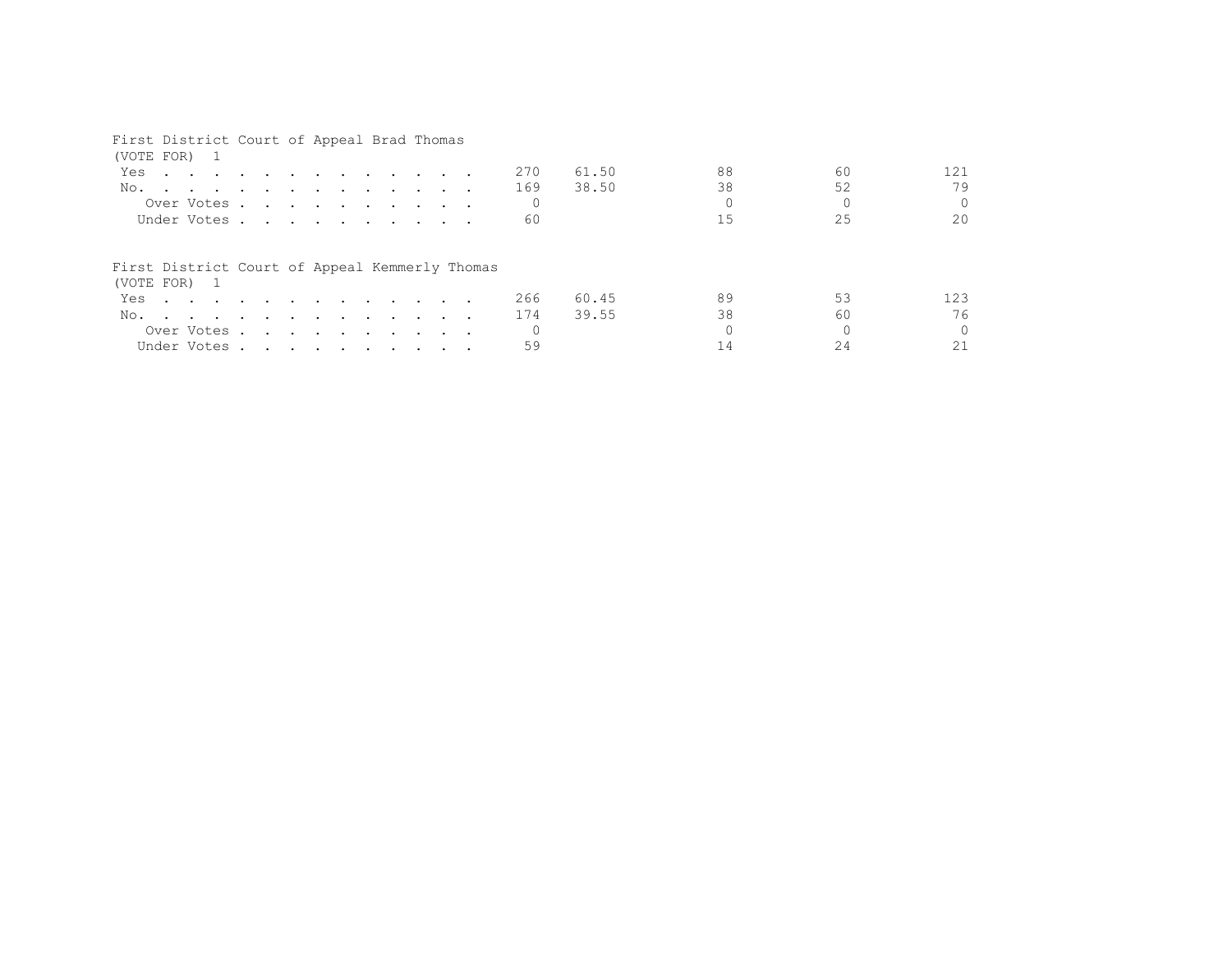### First District Court of Appeal Brad Thomas

| (VOTE FOR) 1                                                                                                                                                                                                                             |  |  |  |  |  |     |       |    |    |          |
|------------------------------------------------------------------------------------------------------------------------------------------------------------------------------------------------------------------------------------------|--|--|--|--|--|-----|-------|----|----|----------|
| Yes<br>$\mathbf{r}$ . The contract of the contract of the contract of the contract of the contract of the contract of the contract of the contract of the contract of the contract of the contract of the contract of the contract of th |  |  |  |  |  | 270 | 61.50 | 88 | 60 | 121      |
| No.                                                                                                                                                                                                                                      |  |  |  |  |  | 169 | 38.50 | 38 | 52 | 79       |
| Over Votes                                                                                                                                                                                                                               |  |  |  |  |  |     |       |    |    | 0        |
| Under Votes                                                                                                                                                                                                                              |  |  |  |  |  | 60  |       | 15 | 25 | 20       |
| First District Court of Appeal Kemmerly Thomas<br>(VOTE FOR) 1                                                                                                                                                                           |  |  |  |  |  |     |       |    |    |          |
| Yes                                                                                                                                                                                                                                      |  |  |  |  |  | 266 | 60.45 | 89 | 53 | 123      |
| No.                                                                                                                                                                                                                                      |  |  |  |  |  | 174 | 39.55 | 38 | 60 | 76       |
| Over Votes                                                                                                                                                                                                                               |  |  |  |  |  |     |       |    |    | $\Omega$ |
| Under Votes                                                                                                                                                                                                                              |  |  |  |  |  |     |       |    |    |          |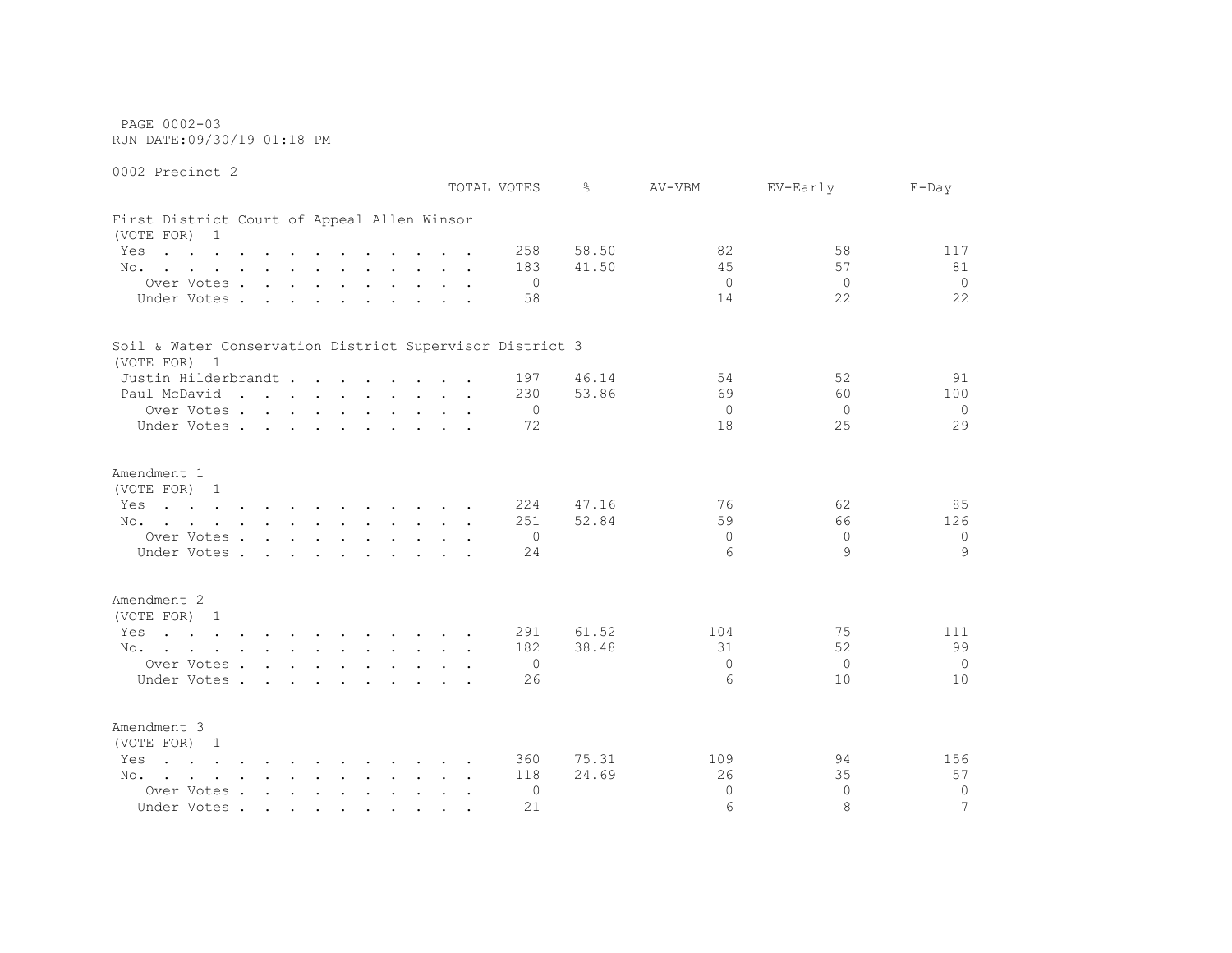PAGE 0002-03 RUN DATE:09/30/19 01:18 PM

0002 Precinct 2

 TOTAL VOTES % AV-VBM EV-Early E-Day First District Court of Appeal Allen Winsor (VOTE FOR) 1 Yes . . . . . . . . . . . . 258 58.50 82 58 58 117 No. . . . . . . . . . . . 183 41.50 45 57 81 Over Votes . . . . . . . . . . 0 0 0 0 Under Votes . . . . . . . . . . 58 14 22 22 Soil & Water Conservation District Supervisor District 3 (VOTE FOR) 1 Justin Hilderbrandt . . . . . . 197 46.14 54 52 52 91 Paul McDavid . . . . . . . . . 230 53.86 69 60 100 Over Votes . . . . . . . . . . 0 0 0 0 Under Votes . . . . . . . . . . 72 18 25 29 Amendment 1 (VOTE FOR) 1 Yes . . . . . . . . . . . 224 47.16 76 62 85 No. . . . . . . . . . . . 251 52.84 59 59 66 126 Over Votes . . . . . . . . . . 0 0 0 0 Under Votes . . . . . . . . . . 24 6 9 9 Amendment 2 (VOTE FOR) 1 Yes . . . . . . . . . . . . 291 61.52 104 105 75 111 No. . . . . . . . . . . . 182 38.48 31 32 3999 Over Votes . . . . . . . . . . 0 0 0 0 Under Votes . . . . . . . . . . 26 6 10 10 Amendment 3 (VOTE FOR) 1 Yes . . . . . . . . . . . 360 75.31 109 109 94 156 No. . . . . . . . . . . . 118 24.69 26 35 57 Over Votes . . . . . . . . . . 0 0 0 0 Under Votes . . . . . . . . . . 21 6 8 8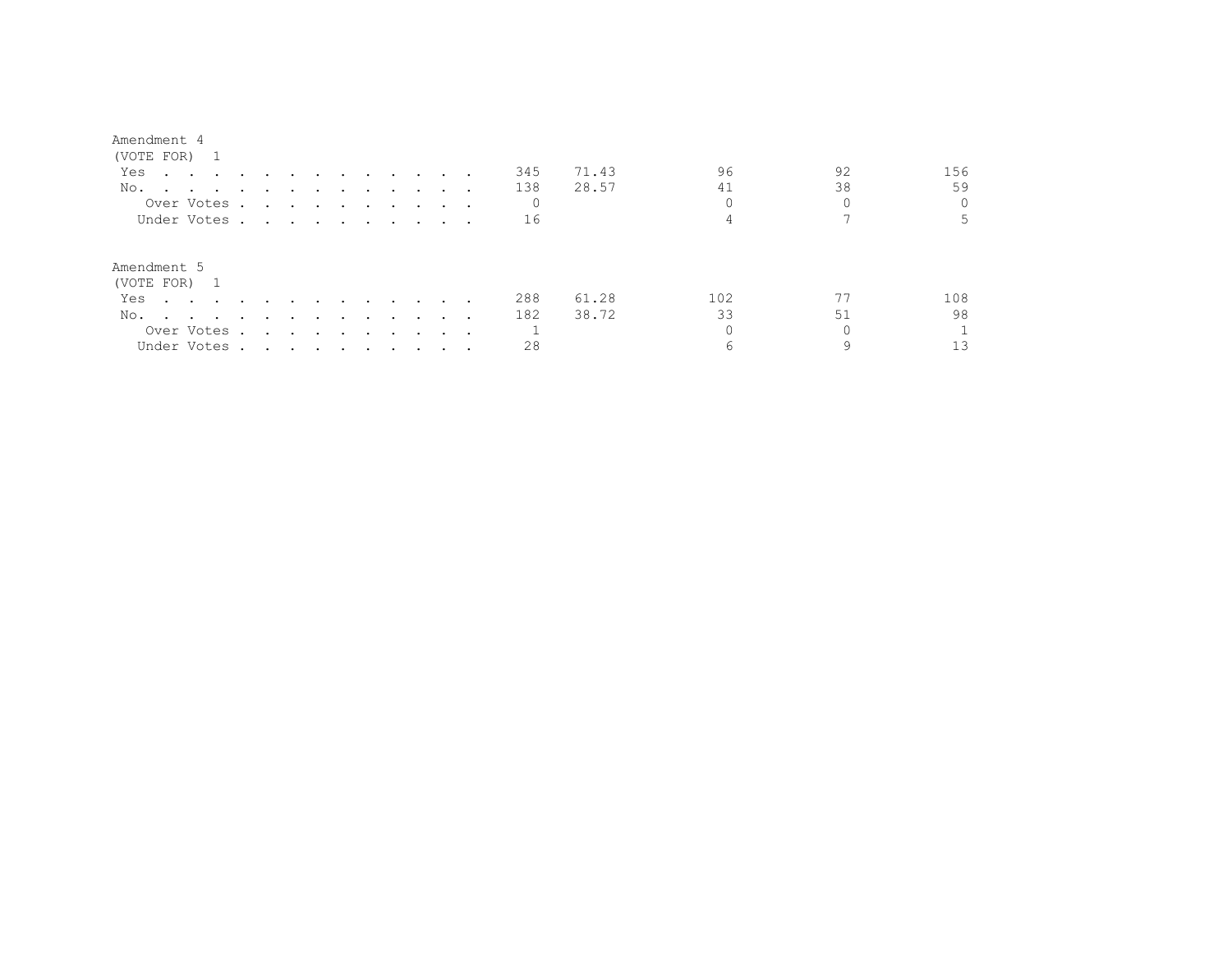| (VOTE FOR)                                                                                                             |                                                                                                                 |        |        |        |                                                                                                                 |                         |   |         |       |     |    |     |
|------------------------------------------------------------------------------------------------------------------------|-----------------------------------------------------------------------------------------------------------------|--------|--------|--------|-----------------------------------------------------------------------------------------------------------------|-------------------------|---|---------|-------|-----|----|-----|
| Yes<br>the contract of the contract of the contract of the contract of the contract of the contract of the contract of |                                                                                                                 |        |        |        | $\sim$ $\sim$ $\sim$ $\sim$ $\sim$                                                                              |                         |   | 345     | 71.43 | 96  | 92 | 156 |
| No.                                                                                                                    |                                                                                                                 |        |        |        |                                                                                                                 |                         |   | 138     | 28.57 | 41  | 38 | 59  |
| Over Votes.                                                                                                            | the contract of the contract of the contract of the contract of the contract of the contract of the contract of |        |        |        |                                                                                                                 |                         |   | $\circ$ |       |     |    |     |
| Under Votes                                                                                                            |                                                                                                                 |        |        |        |                                                                                                                 |                         |   | 16      |       |     |    |     |
| Amendment 5<br>(VOTE FOR) 1                                                                                            |                                                                                                                 |        |        |        |                                                                                                                 |                         |   |         |       |     |    |     |
| Yes<br>$\sim$ $\sim$ $\sim$ $\sim$ $\sim$ $\sim$                                                                       |                                                                                                                 |        |        |        | $\sim$ $\sim$ $\sim$                                                                                            | $\cdot$ $\cdot$ $\cdot$ |   | 288     | 61.28 | 102 |    | 108 |
| No.<br>the contract of the contract of the contract of the contract of the contract of                                 | $\sim$                                                                                                          | $\sim$ | $\sim$ | $\sim$ | $\sim$ $\sim$ $\sim$                                                                                            | $\sim$ $\sim$           |   | 182     | 38.72 | 33  | 51 | 98  |
| Over Votes .                                                                                                           | $\sim$                                                                                                          |        |        |        | the contract of the contract of the contract of the contract of the contract of the contract of the contract of |                         | . |         |       |     |    |     |
| Under Votes.                                                                                                           | the contract of the contract of the contract of the contract of the contract of the contract of the contract of |        |        |        |                                                                                                                 |                         |   | 28      |       |     | a  |     |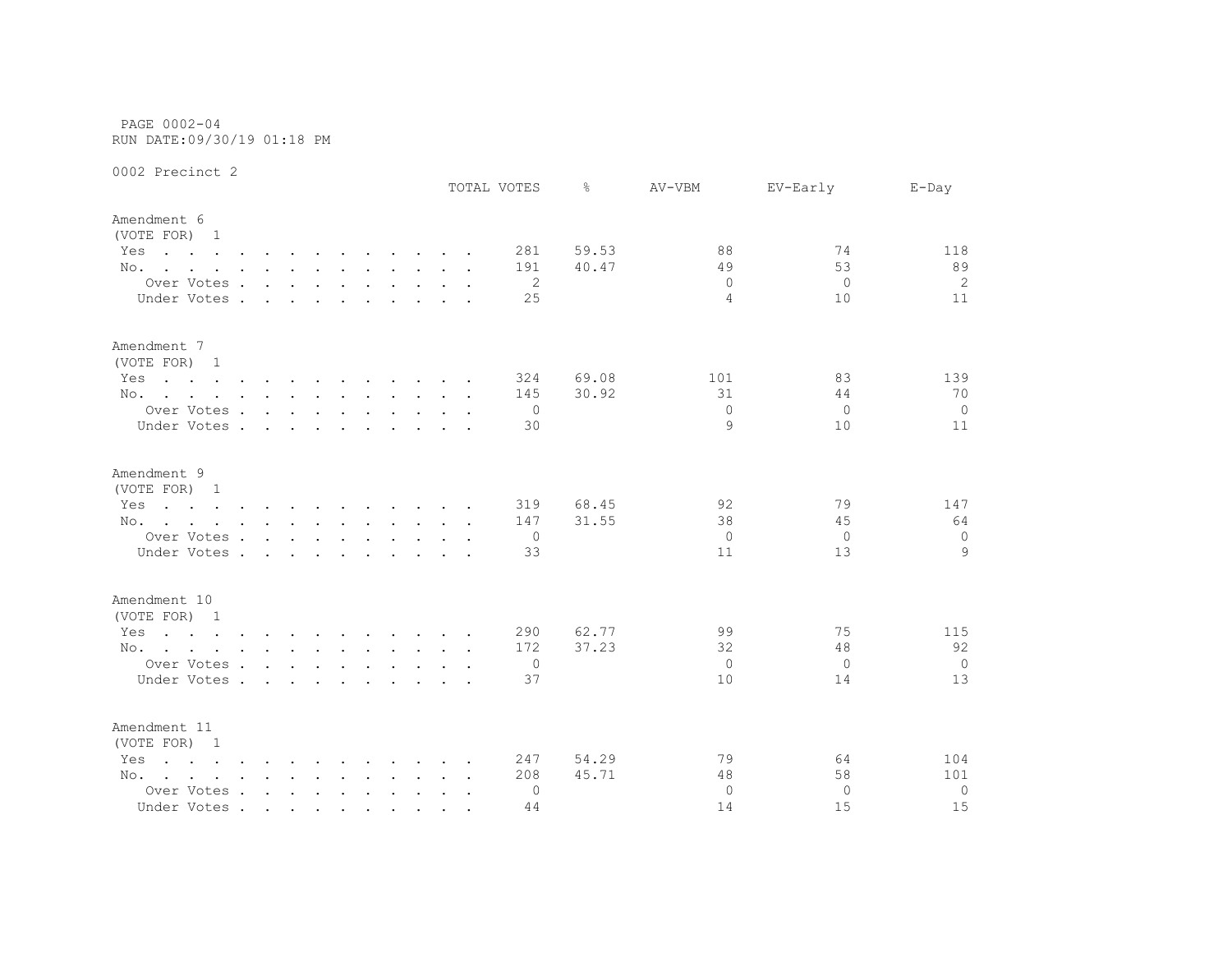PAGE 0002-04 RUN DATE:09/30/19 01:18 PM

|                                                                                                                                                                                                                                              |                                        |        |              |               |                                                           |  |  | TOTAL VOTES    | ⊱     | AV-VBM         | EV-Early | $E$ -Day       |
|----------------------------------------------------------------------------------------------------------------------------------------------------------------------------------------------------------------------------------------------|----------------------------------------|--------|--------------|---------------|-----------------------------------------------------------|--|--|----------------|-------|----------------|----------|----------------|
| Amendment 6<br>(VOTE FOR) 1                                                                                                                                                                                                                  |                                        |        |              |               |                                                           |  |  |                |       |                |          |                |
| Yes<br>the contract of the contract of the contract of the contract of the contract of the contract of the contract of                                                                                                                       |                                        |        |              |               |                                                           |  |  | 281            | 59.53 | 88             | 74       | 118            |
| No.                                                                                                                                                                                                                                          |                                        |        |              |               |                                                           |  |  | 191            | 40.47 | 49             | 53       | 89             |
| Over Votes                                                                                                                                                                                                                                   |                                        |        |              |               |                                                           |  |  | 2              |       | $\Omega$       | $\Omega$ | 2              |
| Under Votes .                                                                                                                                                                                                                                | $\sim$                                 | $\sim$ | $\mathbf{r}$ | $\sim$        |                                                           |  |  | 25             |       | $\overline{4}$ | 10       | 11             |
| Amendment 7<br>(VOTE FOR) 1                                                                                                                                                                                                                  |                                        |        |              |               |                                                           |  |  |                |       |                |          |                |
| Yes<br>the contract of the contract of the contract of the contract of                                                                                                                                                                       |                                        |        |              |               |                                                           |  |  | 324            | 69.08 | 101            | 83       | 139            |
| No.                                                                                                                                                                                                                                          |                                        |        |              |               |                                                           |  |  | 145            | 30.92 | 31             | 44       | 70             |
| Over Votes                                                                                                                                                                                                                                   |                                        |        |              |               |                                                           |  |  | $\overline{0}$ |       | $\Omega$       | $\Omega$ | $\overline{0}$ |
| Under Votes                                                                                                                                                                                                                                  |                                        |        |              |               | $\sim$ $\sim$ $\sim$ $\sim$ $\sim$                        |  |  | 30             |       | 9              | 10       | 11             |
| Amendment 9<br>(VOTE FOR) 1                                                                                                                                                                                                                  |                                        |        |              |               |                                                           |  |  |                |       |                |          |                |
| the contract of the contract of the contract of the contract of the contract of the contract of the contract of<br>Yes                                                                                                                       |                                        |        |              |               |                                                           |  |  | 319            | 68.45 | 92             | 79       | 147            |
| No.                                                                                                                                                                                                                                          |                                        |        |              |               |                                                           |  |  | 147            | 31.55 | 38             | 45       | 64             |
| Over Votes                                                                                                                                                                                                                                   |                                        |        |              |               |                                                           |  |  | 0              |       | $\Omega$       | $\Omega$ | 0              |
| Under Votes.                                                                                                                                                                                                                                 | $\mathbf{r}$ . The set of $\mathbf{r}$ |        | $\sim$       | $\sim$ $\sim$ | $\mathbf{r}$ , $\mathbf{r}$ , $\mathbf{r}$ , $\mathbf{r}$ |  |  | 33             |       | 11             | 13       | 9              |
| Amendment 10                                                                                                                                                                                                                                 |                                        |        |              |               |                                                           |  |  |                |       |                |          |                |
| (VOTE FOR) 1                                                                                                                                                                                                                                 |                                        |        |              |               |                                                           |  |  |                |       |                |          |                |
| the contract of the contract of the contract of the contract of the contract of the contract of the contract of<br>Yes                                                                                                                       |                                        |        |              |               |                                                           |  |  | 290            | 62.77 | 99             | 75       | 115            |
| No.                                                                                                                                                                                                                                          |                                        |        |              |               |                                                           |  |  | 172            | 37.23 | 32             | 48       | 92             |
| Over Votes                                                                                                                                                                                                                                   |                                        |        |              |               |                                                           |  |  | 0              |       | $\Omega$       | $\Omega$ | $\overline{0}$ |
| Under Votes                                                                                                                                                                                                                                  |                                        |        |              |               |                                                           |  |  | 37             |       | 10             | 14       | 13             |
| Amendment 11<br>(VOTE FOR) 1                                                                                                                                                                                                                 |                                        |        |              |               |                                                           |  |  |                |       |                |          |                |
| Yes<br>$\mathbf{r}$ . The state of the state of the state $\mathbf{r}$ is the state of the state of the state of the state of the state of the state of the state of the state of the state of the state of the state of the state of the st |                                        |        |              |               |                                                           |  |  | 247            | 54.29 | 79             | 64       | 104            |
| No.                                                                                                                                                                                                                                          |                                        |        |              |               |                                                           |  |  | 208            | 45.71 | 48             | 58       | 101            |
| Over Votes                                                                                                                                                                                                                                   |                                        |        |              |               |                                                           |  |  | 0              |       | $\Omega$       | $\Omega$ | $\circ$        |
| Under Votes                                                                                                                                                                                                                                  |                                        |        |              |               |                                                           |  |  | 44             |       | 14             | 15       | 15             |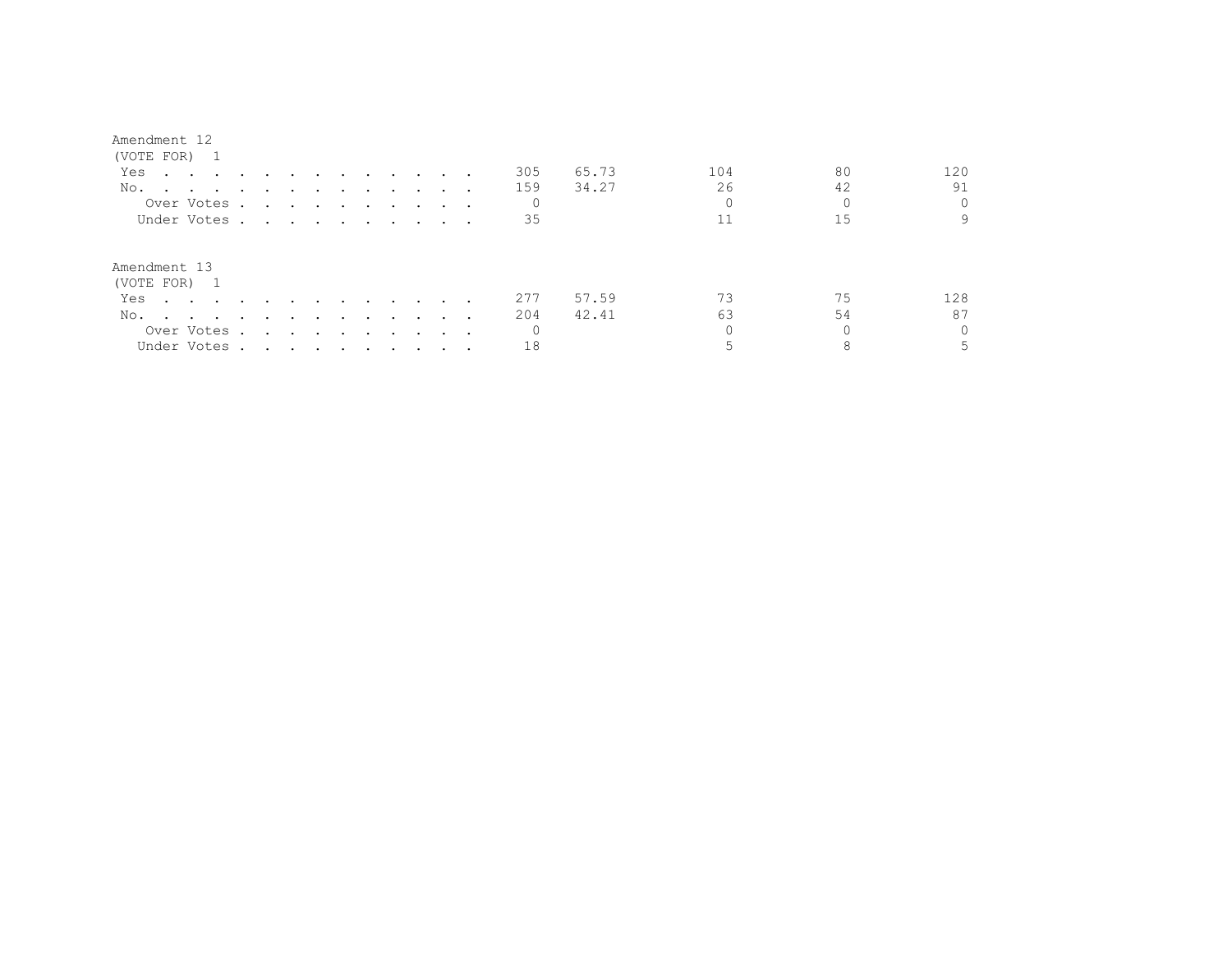| (VOTE FOR)                                                                                                             |                                                                                                                 |                      |                                                                                                                 |        |                                   |               |  |          |       |     |    |     |
|------------------------------------------------------------------------------------------------------------------------|-----------------------------------------------------------------------------------------------------------------|----------------------|-----------------------------------------------------------------------------------------------------------------|--------|-----------------------------------|---------------|--|----------|-------|-----|----|-----|
| Yes<br>the contract of the contract of the contract of the contract of the contract of the contract of the contract of |                                                                                                                 |                      |                                                                                                                 |        | and the state of the state of the |               |  | 305      | 65.73 | 104 | 80 | 120 |
| No.                                                                                                                    |                                                                                                                 |                      |                                                                                                                 |        |                                   |               |  | 159      | 34.27 | 26  | 42 | 91  |
| Over Votes.                                                                                                            |                                                                                                                 |                      | the contract of the contract of the contract of the contract of the contract of the contract of the contract of |        |                                   |               |  |          |       |     |    |     |
| Under Votes                                                                                                            |                                                                                                                 |                      |                                                                                                                 |        |                                   |               |  | 35       |       |     | 15 |     |
| Amendment 13<br>(VOTE FOR) 1                                                                                           |                                                                                                                 |                      |                                                                                                                 |        |                                   |               |  |          |       |     |    |     |
| Yes                                                                                                                    |                                                                                                                 |                      |                                                                                                                 |        | $\sim$ $\sim$ $\sim$              |               |  | 277      | 57.59 | 73  | 75 | 128 |
| No.<br>the contract of the contract of the contract of the contract of the contract of                                 | $\sim$                                                                                                          | $\sim$ $\sim$ $\sim$ |                                                                                                                 | $\sim$ | $\sim$ $\sim$ $\sim$              | $\sim$ $\sim$ |  | 204      | 42.41 | 63  | 54 | 87  |
| Over Votes .                                                                                                           | $\sim$                                                                                                          |                      | the contract of the contract of the contract of the contract of the contract of the contract of the contract of |        |                                   |               |  | $\Omega$ |       |     |    |     |
| Under Votes.                                                                                                           | the contract of the contract of the contract of the contract of the contract of the contract of the contract of |                      |                                                                                                                 |        |                                   |               |  | 18       |       |     |    |     |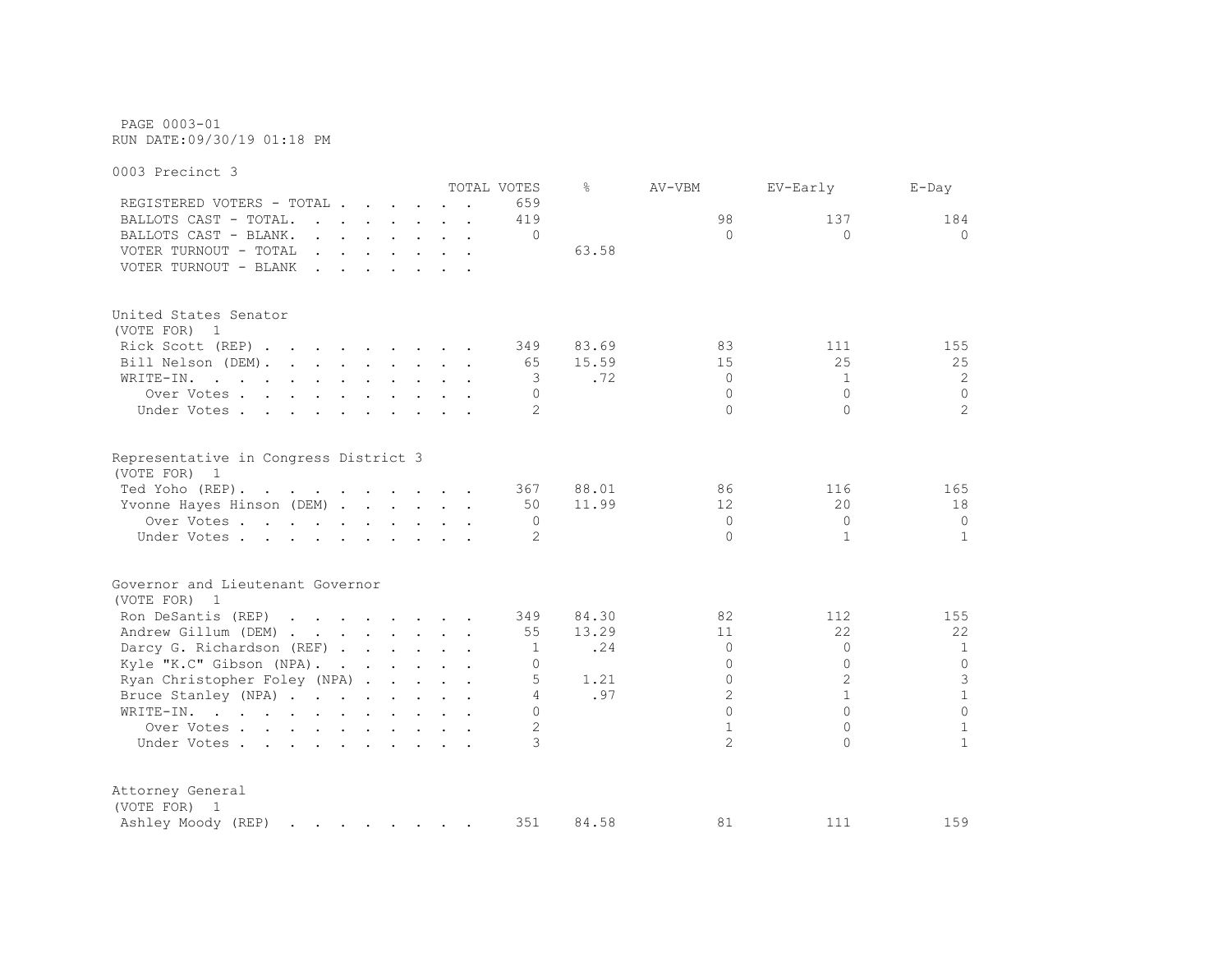PAGE 0003-01 RUN DATE:09/30/19 01:18 PM

0003 Precinct 3 TOTAL VOTES % AV-VBM EV-Early E-Day REGISTERED VOTERS - TOTAL . . . . . . 659 BALLOTS CAST - TOTAL. . . . . . 419 184 98 137 184 BALLOTS CAST - BLANK. . . . . . . . 0 0 0 0 VOTER TURNOUT - TOTAL . . . . . . . . 63.58 VOTER TURNOUT - BLANK . . . . . . . United States Senator (VOTE FOR) 1 Rick Scott (REP) . . . . . . . . 349 83.69 83 111 155 Bill Nelson (DEM). . . . . . . . . 65 15.59 15 15 25 25 25 WRITE-IN. . . . . . . . . . . . 3 .72 0 1 2 Over Votes . . . . . . . . . . 0 0 0 0 Under Votes . . . . . . . . . . . 2 0 0 2 2 Representative in Congress District 3 (VOTE FOR) 1 Ted Yoho (REP). . . . . . . . . . 367 88.01 86 116 165 Yvonne Hayes Hinson (DEM) . . . . . 50 11.99 12 20 18 Over Votes . . . . . . . . . . 0 0 0 0 Under Votes . . . . . . . . . . . 2 0 1 1 1 1 Governor and Lieutenant Governor (VOTE FOR) 1 Ron DeSantis (REP) . . . . . . . 349 84.30 82 112 155 Andrew Gillum (DEM) . . . . . . . 55 13.29 11 22 22 Darcy G. Richardson (REF) . . . . . 1 . 24 0 0 1 1 Kyle "K.C" Gibson (NPA). . . . . . . 0 0 0 0 Ryan Christopher Foley (NPA) . . . . 5 1.21 0 2 3 Bruce Stanley (NPA) . . . . . . . . 4 .97 2 1 1 1 WRITE-IN. . . . . . . . . . . . 0 0 0 0 Over Votes . . . . . . . . . . 2 1 0 1 Under Votes . . . . . . . . . . 3 2 0 1 Attorney General (VOTE FOR) 1 Ashley Moody (REP) . . . . . . . 351 84.58 81 111 159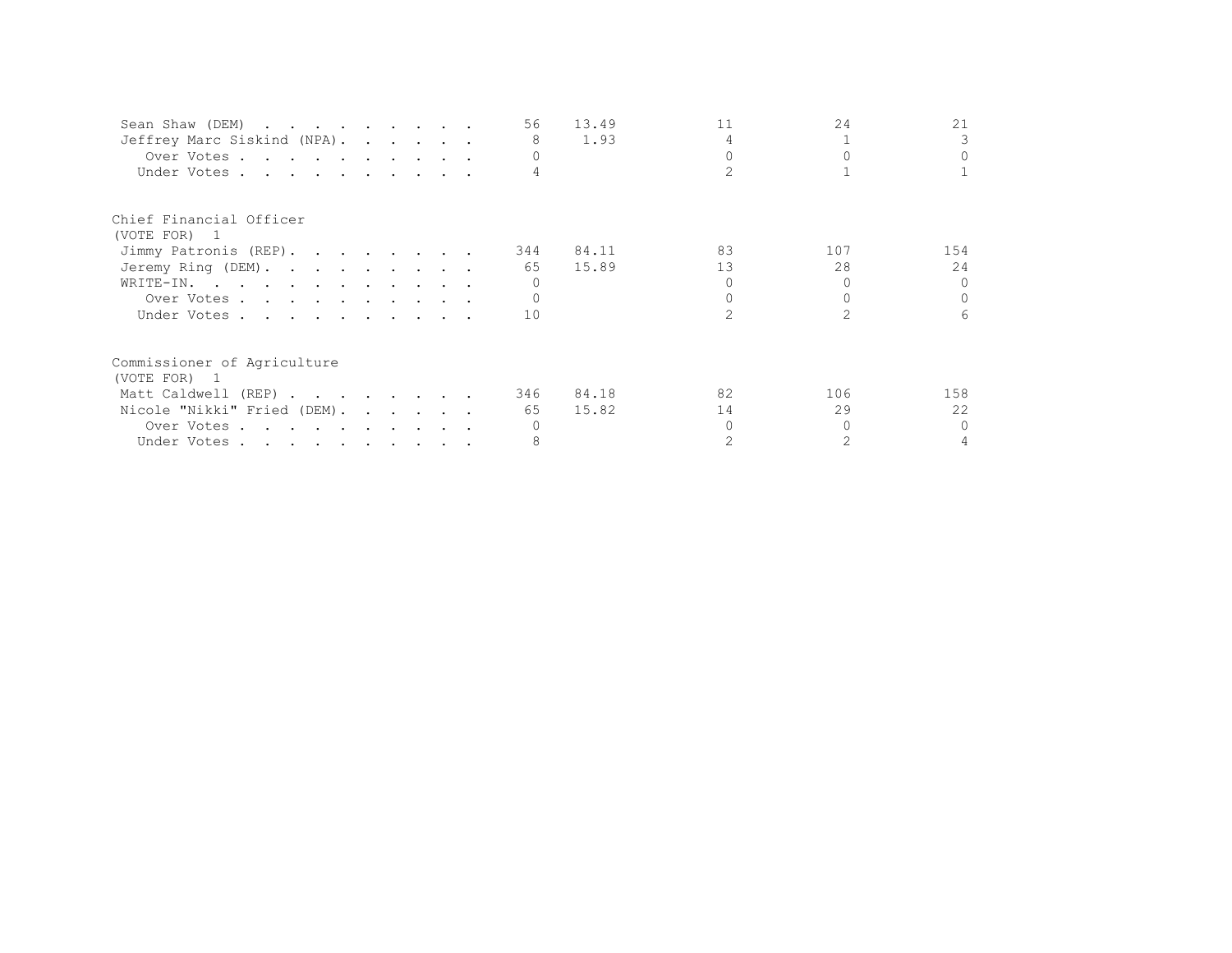| Sean Shaw (DEM)             |  |  | 56  | 13.49 | 11 | 24  | 21       |
|-----------------------------|--|--|-----|-------|----|-----|----------|
| Jeffrey Marc Siskind (NPA). |  |  | 8   | 1.93  |    |     |          |
| Over Votes                  |  |  |     |       |    |     | $\Omega$ |
| Under Votes                 |  |  |     |       |    |     |          |
| Chief Financial Officer     |  |  |     |       |    |     |          |
| (VOTE FOR) 1                |  |  |     |       |    |     |          |
| Jimmy Patronis (REP).       |  |  | 344 | 84.11 | 83 | 107 | 154      |
| Jeremy Ring (DEM).          |  |  | 65  | 15.89 | 13 | 28  | 24       |
| WRITE-IN.                   |  |  |     |       |    |     | $\cap$   |
| Over Votes                  |  |  |     |       |    |     | $\Omega$ |
| Under Votes                 |  |  | 10  |       |    |     | 6        |
| Commissioner of Agriculture |  |  |     |       |    |     |          |
| (VOTE FOR) 1                |  |  |     |       |    |     |          |
| Matt Caldwell (REP)         |  |  | 346 | 84.18 | 82 | 106 | 158      |
| Nicole "Nikki" Fried (DEM). |  |  | 65  | 15.82 | 14 | 29  | 22       |
| Over Votes                  |  |  |     |       |    |     | $\Omega$ |
| Under Votes                 |  |  |     |       |    |     |          |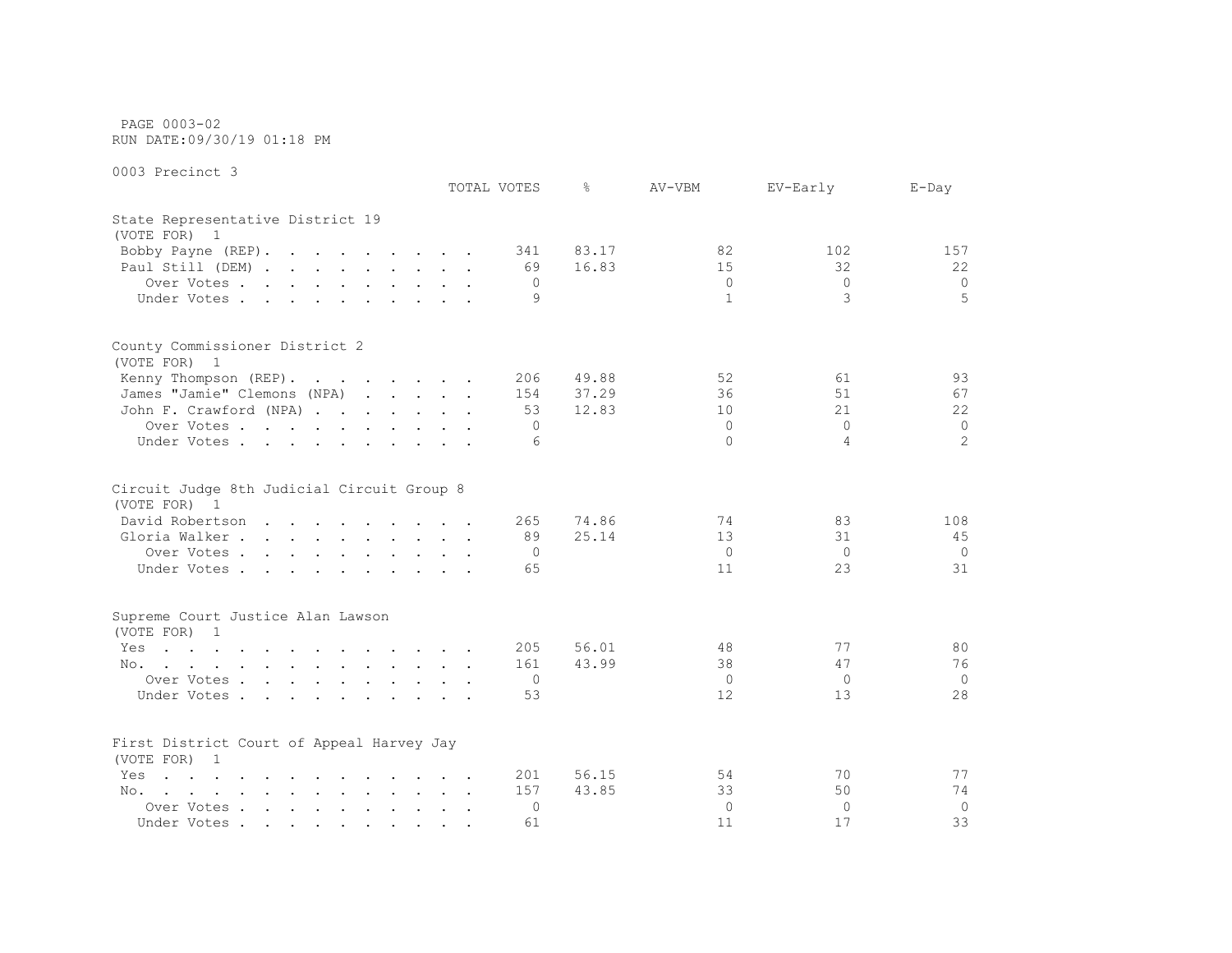PAGE 0003-02 RUN DATE:09/30/19 01:18 PM

|                                                                                                                             | TOTAL VOTES          | ⊱              | AV-VBM                    | EV-Early                         | $E$ -Day                    |
|-----------------------------------------------------------------------------------------------------------------------------|----------------------|----------------|---------------------------|----------------------------------|-----------------------------|
| State Representative District 19<br>(VOTE FOR) 1                                                                            |                      |                |                           |                                  |                             |
| Bobby Payne (REP).                                                                                                          | 341                  | 83.17          | 82                        | 102                              | 157                         |
| Paul Still (DEM)                                                                                                            | 69                   | 16.83          | 15                        | 32                               | 22                          |
| Over Votes                                                                                                                  | $\Omega$             |                | $\circ$                   | $\Omega$                         | $\circ$                     |
| Under Votes                                                                                                                 | 9                    |                | $\mathbf{1}$              | 3                                | 5                           |
| County Commissioner District 2<br>(VOTE FOR) 1                                                                              |                      |                |                           |                                  |                             |
| Kenny Thompson (REP).                                                                                                       | 206                  | 49.88          | 52                        | 61                               | 93                          |
| James "Jamie" Clemons (NPA)                                                                                                 | 154                  | 37.29          | 36                        | 51                               | 67                          |
| John F. Crawford (NPA)                                                                                                      | 53                   | 12.83          | 10                        | 21                               | 22                          |
| Over Votes                                                                                                                  | $\Omega$             |                | $\Omega$                  | $\Omega$                         | 0                           |
| Under Votes                                                                                                                 | 6                    |                | $\Omega$                  | 4                                | $\mathfrak{L}$              |
| Circuit Judge 8th Judicial Circuit Group 8<br>(VOTE FOR) 1<br>David Robertson<br>Gloria Walker<br>Over Votes<br>Under Votes | 265<br>89<br>0<br>65 | 74.86<br>25.14 | 74<br>13<br>$\circ$<br>11 | 83<br>31<br>$\overline{0}$<br>23 | 108<br>45<br>$\Omega$<br>31 |
| Supreme Court Justice Alan Lawson<br>(VOTE FOR) 1                                                                           |                      |                |                           |                                  |                             |
| Yes<br>the contract of the contract of the contract of the contract of the contract of the contract of the contract of      | 205                  | 56.01          | 48                        | 77                               | 80                          |
| No.                                                                                                                         | 161                  | 43.99          | 38                        | 47                               | 76                          |
| Over Votes                                                                                                                  | $\circ$              |                | $\Omega$                  | $\Omega$                         | $\Omega$                    |
| Under Votes.                                                                                                                | 53                   |                | 12                        | 13                               | 28                          |
| First District Court of Appeal Harvey Jay<br>(VOTE FOR) 1                                                                   |                      |                |                           |                                  |                             |
| the contract of the contract of the contract of the<br>Yes                                                                  | 201                  | 56.15          | 54                        | 70                               | 77                          |
| No.                                                                                                                         | 157                  | 43.85          | 33                        | 50                               | 74                          |
| Over Votes                                                                                                                  | $\Omega$             |                | $\mathbf{0}$              | $\Omega$                         | $\overline{0}$              |
| Under Votes                                                                                                                 | 61                   |                | 11                        | 17                               | 33                          |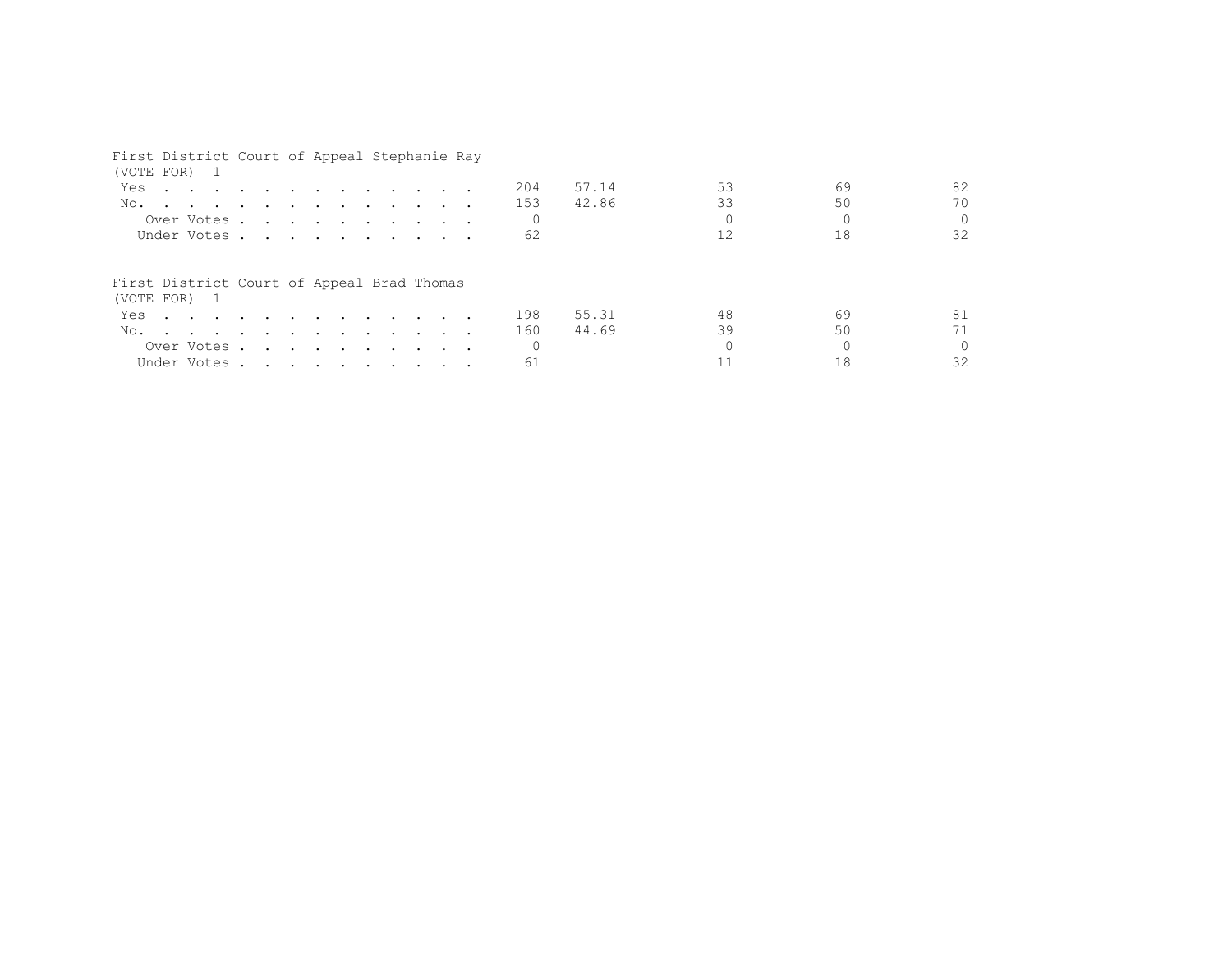| First District Court of Appeal Stephanie Ray<br>(VOTE FOR) 1 |  |                                                                                                                 |  |  |  |  |  |     |       |    |    |          |
|--------------------------------------------------------------|--|-----------------------------------------------------------------------------------------------------------------|--|--|--|--|--|-----|-------|----|----|----------|
| Yes                                                          |  | the contract of the contract of the contract of the contract of the contract of the contract of the contract of |  |  |  |  |  | 204 | 57.14 | 53 | 69 | 82       |
| No.                                                          |  |                                                                                                                 |  |  |  |  |  | 153 | 42.86 | 33 | 50 | 70       |
|                                                              |  | Over Votes                                                                                                      |  |  |  |  |  |     |       |    |    | $\Omega$ |
|                                                              |  | Under Votes                                                                                                     |  |  |  |  |  | 62  |       | 12 | 18 | 32       |
| First District Court of Appeal Brad Thomas<br>(VOTE FOR) 1   |  |                                                                                                                 |  |  |  |  |  |     |       |    |    |          |
| Yes                                                          |  | the contract of the contract of the contract of the contract of the contract of the contract of the contract of |  |  |  |  |  | 198 | 55.31 | 48 | 69 | 81       |
| No.                                                          |  |                                                                                                                 |  |  |  |  |  | 160 | 44.69 | 39 | 50 | 71       |
|                                                              |  | Over Votes.                                                                                                     |  |  |  |  |  |     |       |    |    | $\Omega$ |
|                                                              |  | Under Votes                                                                                                     |  |  |  |  |  | 61  |       |    | 18 | 32       |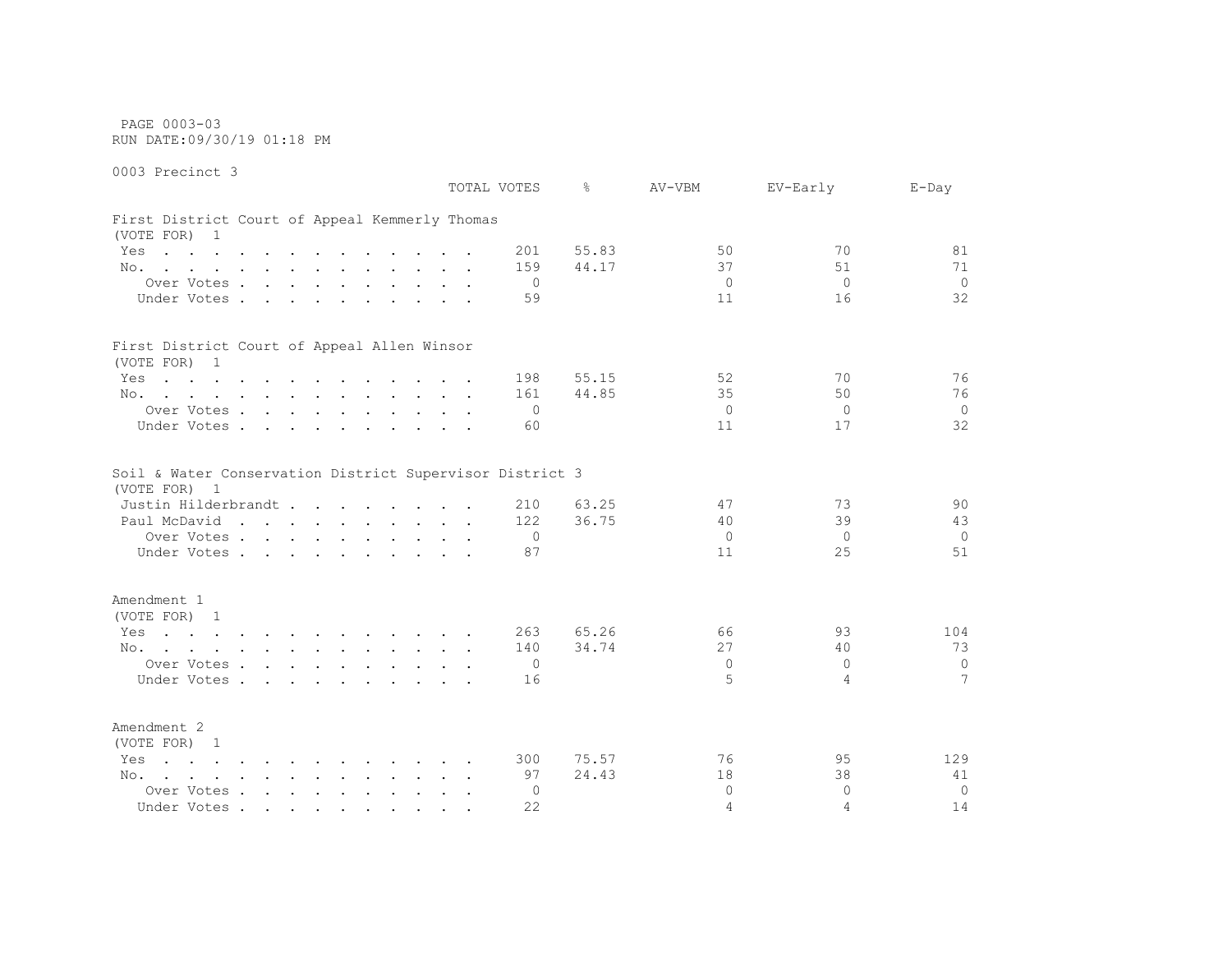PAGE 0003-03 RUN DATE:09/30/19 01:18 PM

0003 Precinct 3

 TOTAL VOTES % AV-VBM EV-Early E-Day First District Court of Appeal Kemmerly Thomas (VOTE FOR) 1 Yes . . . . . . . . . . . 201 55.83 50 50 70 81 No. . . . . . . . . . . . 159 44.17 37 51 51 71 Over Votes . . . . . . . . . . 0 0 0 0 Under Votes . . . . . . . . . . 59 11 16 32 First District Court of Appeal Allen Winsor (VOTE FOR) 1 Yes . . . . . . . . . . . . 198 55.15 52 52 70 56 76 No. . . . . . . . . . . . 161 44.85 35 35 50 76 Over Votes . . . . . . . . . . 0 0 0 0 Under Votes . . . . . . . . . . 60 11 17 32 Soil & Water Conservation District Supervisor District 3 (VOTE FOR) 1 Justin Hilderbrandt . . . . . . . . 210 63.25 47 73 90 Paul McDavid . . . . . . . . . 122 36.75 40 39 43 Over Votes . . . . . . . . . . 0 0 0 0 Under Votes . . . . . . . . . . 87 11 25 51 Amendment 1 (VOTE FOR) 1 Yes . . . . . . . . . . . 263 65.26 66 93 104 No. . . . . . . . . . . . 140 34.74 27 40 73 Over Votes . . . . . . . . . . 0 0 0 0 Under Votes . . . . . . . . . . . 16 5 4 Amendment 2 (VOTE FOR) 1 Yes . . . . . . . . . . . 300 75.57 306 76 95 129 No. . . . . . . . . . . . 97 24.43 18 38 41 Over Votes . . . . . . . . . . 0 0 0 0 Under Votes . . . . . . . . . . 22 4 4 4 14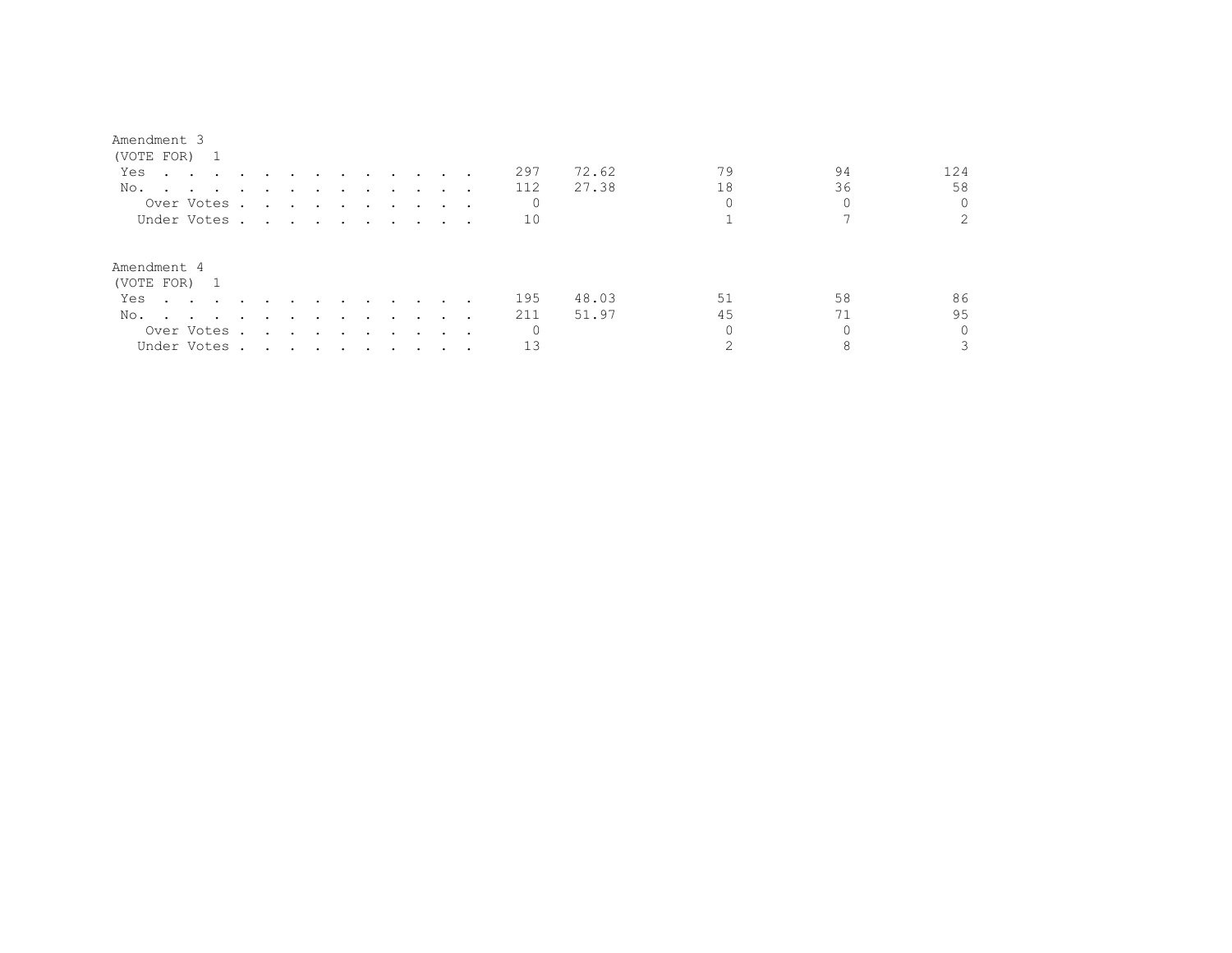| (VOTE FOR)                                                                  |        |        |                                                                          |                                                                                                                                                                                                                                      |  |  |     |       |    |    |                |  |
|-----------------------------------------------------------------------------|--------|--------|--------------------------------------------------------------------------|--------------------------------------------------------------------------------------------------------------------------------------------------------------------------------------------------------------------------------------|--|--|-----|-------|----|----|----------------|--|
| Yes<br>$\sim$ $\sim$ $\sim$ $\sim$                                          |        |        |                                                                          | $\sim$ $\sim$                                                                                                                                                                                                                        |  |  | 297 | 72.62 | 79 | 94 | 124            |  |
| No.<br>$\sim$ $\sim$<br>$\sim$<br>$\sim$ $\sim$<br>$\sim$                   | $\sim$ | $\sim$ |                                                                          | $\cdot$                                                                                                                                                                                                                              |  |  | 112 | 27.38 | 18 | 36 | 58             |  |
| Over Votes.                                                                 |        |        |                                                                          | <u>in the contract of the contract of the contract of the contract of the contract of the contract of the contract of the contract of the contract of the contract of the contract of the contract of the contract of the contra</u> |  |  |     |       |    |    |                |  |
| Under Votes                                                                 |        |        |                                                                          |                                                                                                                                                                                                                                      |  |  | 10  |       |    |    | $\mathfrak{D}$ |  |
| Amendment 4<br>(VOTE FOR)<br>$\overline{1}$                                 |        |        |                                                                          |                                                                                                                                                                                                                                      |  |  |     |       |    |    |                |  |
| Yes<br>$\sim$ $\sim$ $\sim$ $\sim$                                          |        |        |                                                                          |                                                                                                                                                                                                                                      |  |  | 195 | 48.03 | 51 | 58 | 86             |  |
| No.<br>المنابعة والمستنقل والمستنقل والمستنقل والمستنقل والمستنقل والمستنقل |        |        |                                                                          |                                                                                                                                                                                                                                      |  |  | 211 | 51.97 | 45 | 71 | 95             |  |
| Over Votes .                                                                |        |        |                                                                          | the contract of the contract of the contract of the contract of the contract of the contract of the contract of                                                                                                                      |  |  |     |       |    |    |                |  |
| Under Votes.                                                                |        |        | $\mathbf{r}$ , $\mathbf{r}$ , $\mathbf{r}$ , $\mathbf{r}$ , $\mathbf{r}$ |                                                                                                                                                                                                                                      |  |  | 13  |       |    |    |                |  |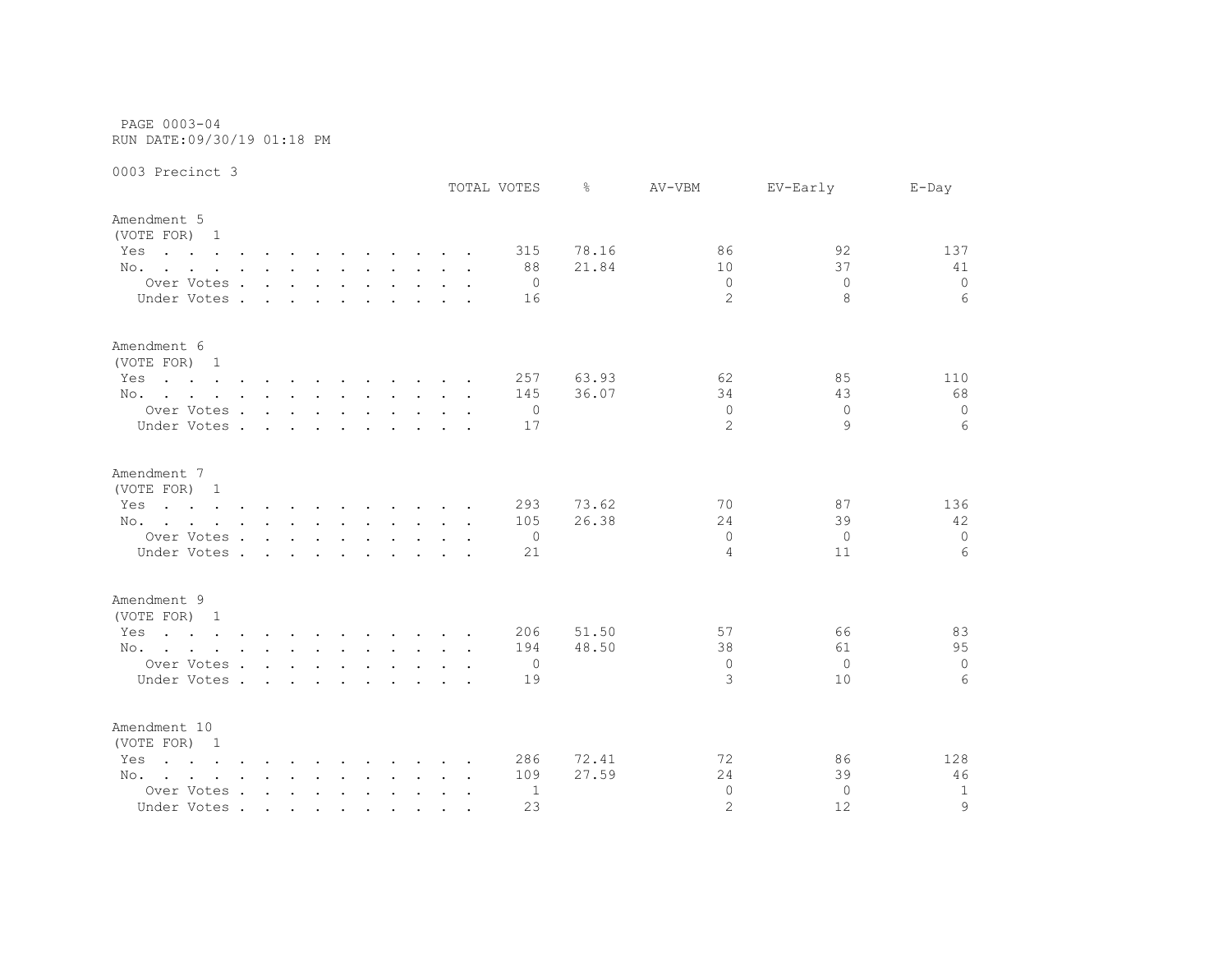PAGE 0003-04 RUN DATE:09/30/19 01:18 PM

|                                                                                                                        |                                                                                                                 |        |        |  |  | TOTAL VOTES | ⊱     | AV-VBM         | EV-Early | $E$ -Day        |
|------------------------------------------------------------------------------------------------------------------------|-----------------------------------------------------------------------------------------------------------------|--------|--------|--|--|-------------|-------|----------------|----------|-----------------|
| Amendment 5<br>(VOTE FOR) 1                                                                                            |                                                                                                                 |        |        |  |  |             |       |                |          |                 |
| Yes<br>the contract of the contract of the contract of the contract of the contract of the contract of the contract of |                                                                                                                 |        |        |  |  | 315         | 78.16 | 86             | 92       | 137             |
| No.                                                                                                                    |                                                                                                                 |        |        |  |  | 88          | 21.84 | 10             | 37       | 41              |
| Over Votes                                                                                                             |                                                                                                                 |        |        |  |  | $\Omega$    |       | $\Omega$       | $\Omega$ | $\circ$         |
| Under Votes .                                                                                                          | $\sim$ $\sim$ $\sim$                                                                                            | $\sim$ | $\sim$ |  |  | 16          |       | $\overline{2}$ | 8        | 6               |
| Amendment 6<br>(VOTE FOR) 1                                                                                            |                                                                                                                 |        |        |  |  |             |       |                |          |                 |
| Yes<br>the contract of the contract of the contract of the contract of the contract of the contract of the contract of |                                                                                                                 |        |        |  |  | 257         | 63.93 | 62             | 85       | 110             |
| No.                                                                                                                    |                                                                                                                 |        |        |  |  | 145         | 36.07 | 34             | 43       | 68              |
| Over Votes                                                                                                             |                                                                                                                 |        |        |  |  | 0           |       | $\Omega$       | $\Omega$ | $\circ$         |
| Under Votes                                                                                                            |                                                                                                                 |        |        |  |  | 17          |       | $\overline{2}$ | 9        | 6               |
| Amendment 7                                                                                                            |                                                                                                                 |        |        |  |  |             |       |                |          |                 |
| (VOTE FOR) 1                                                                                                           |                                                                                                                 |        |        |  |  |             |       |                |          |                 |
| the contract of the contract of the contract of the contract of the contract of the contract of the contract of<br>Yes |                                                                                                                 |        |        |  |  | 293         | 73.62 | 70             | 87       | 136             |
| No.                                                                                                                    |                                                                                                                 |        |        |  |  | 105         | 26.38 | 24             | 39       | 42              |
| Over Votes                                                                                                             |                                                                                                                 |        |        |  |  | 0           |       | $\Omega$       | $\circ$  | $\circ$         |
| Under Votes.                                                                                                           | the contract of the contract of the contract of the contract of the contract of the contract of the contract of |        |        |  |  | 21          |       | $\overline{4}$ | 11       | 6               |
| Amendment 9                                                                                                            |                                                                                                                 |        |        |  |  |             |       |                |          |                 |
| (VOTE FOR) 1                                                                                                           |                                                                                                                 |        |        |  |  |             |       |                |          |                 |
| the contract of the contract of the contract of the contract of the contract of the contract of the contract of<br>Yes |                                                                                                                 |        |        |  |  | 206         | 51.50 | 57             | 66       | 83              |
| No.                                                                                                                    |                                                                                                                 |        |        |  |  | 194         | 48.50 | 38             | 61       | 95              |
| Over Votes                                                                                                             |                                                                                                                 |        |        |  |  | 0           |       | $\Omega$       | $\Omega$ | $\circ$         |
| Under Votes                                                                                                            |                                                                                                                 |        |        |  |  | 19          |       | 3              | 10       | $6\overline{6}$ |
| Amendment 10<br>(VOTE FOR) 1                                                                                           |                                                                                                                 |        |        |  |  |             |       |                |          |                 |
| $\mathbf{r}$ , and $\mathbf{r}$ , and $\mathbf{r}$ , and $\mathbf{r}$ , and $\mathbf{r}$ , and $\mathbf{r}$<br>Yes     |                                                                                                                 |        |        |  |  | 286         | 72.41 | 72             | 86       | 128             |
| No.                                                                                                                    |                                                                                                                 |        |        |  |  | 109         | 27.59 | 24             | 39       | 46              |
| Over Votes                                                                                                             |                                                                                                                 |        |        |  |  | 1           |       | $\Omega$       | $\Omega$ | $\mathbf{1}$    |
| Under Votes                                                                                                            |                                                                                                                 |        |        |  |  | 23          |       | $\overline{2}$ | 12       | $\mathsf{Q}$    |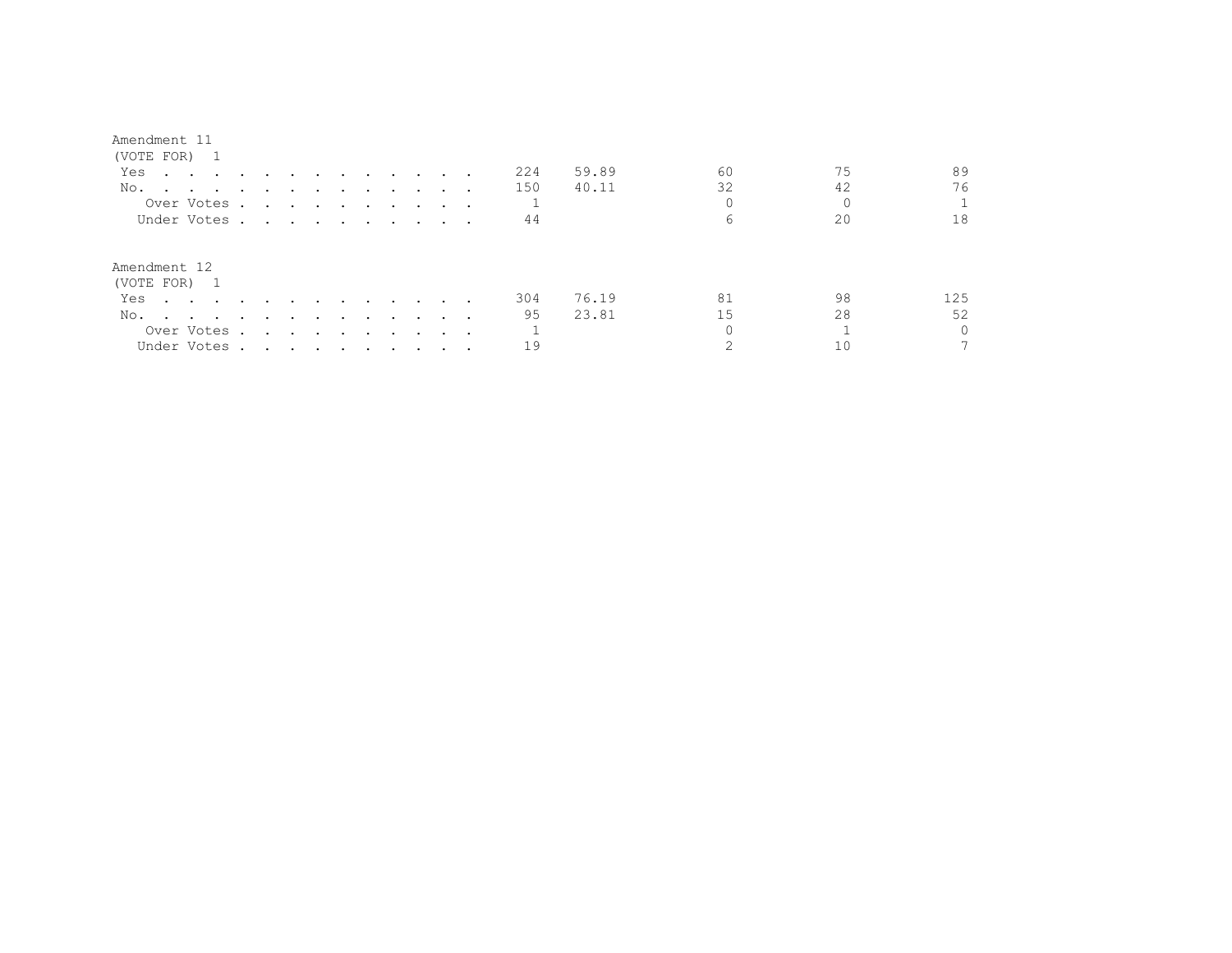| (VOTE FOR) 1                                                                    |                                                                                                                                                                                                                               |                                 |               |               |                                                                                                                                                             |               |  |     |       |    |    |          |
|---------------------------------------------------------------------------------|-------------------------------------------------------------------------------------------------------------------------------------------------------------------------------------------------------------------------------|---------------------------------|---------------|---------------|-------------------------------------------------------------------------------------------------------------------------------------------------------------|---------------|--|-----|-------|----|----|----------|
| Yes<br>$\mathbf{r}$ , and $\mathbf{r}$ , and $\mathbf{r}$ , and $\mathbf{r}$    |                                                                                                                                                                                                                               |                                 | $\sim$ $\sim$ | $\sim$ $\sim$ | $\sim$ $\sim$ $\sim$                                                                                                                                        |               |  | 224 | 59.89 | 60 | 75 | 89       |
| No.<br>$\sim$ $\sim$ $\sim$ $\sim$ $\sim$                                       |                                                                                                                                                                                                                               |                                 |               |               |                                                                                                                                                             |               |  | 150 | 40.11 | 32 | 42 | 76       |
| Over Votes .                                                                    |                                                                                                                                                                                                                               |                                 |               |               | $\begin{array}{cccccccccccccccccc} \bullet & \bullet & \bullet & \bullet & \bullet & \bullet & \bullet & \bullet & \bullet & \bullet & \bullet \end{array}$ |               |  |     |       |    |    |          |
| Under Votes                                                                     |                                                                                                                                                                                                                               |                                 |               |               |                                                                                                                                                             |               |  | 44  |       | 6  | 20 | 18       |
| Amendment 12<br>(VOTE FOR) 1                                                    |                                                                                                                                                                                                                               |                                 |               |               |                                                                                                                                                             |               |  |     |       |    |    |          |
| Yes<br>$\sim$ $\sim$ $\sim$ $\sim$ $\sim$                                       | $\sim$                                                                                                                                                                                                                        |                                 |               |               | $\sim$ $\sim$ $\sim$                                                                                                                                        |               |  | 304 | 76.19 | 81 | 98 | 125      |
| No.                                                                             |                                                                                                                                                                                                                               |                                 |               |               |                                                                                                                                                             | $\sim$ $\sim$ |  | 95  | 23.81 | 15 | 28 | 52       |
| the contract of the contract of the contract of the contract of the contract of | $\ddot{\phantom{a}}$                                                                                                                                                                                                          | $\sim$                          | $\sim$        | $\bullet$     | $\sim$ $\sim$ $\sim$                                                                                                                                        |               |  |     |       |    |    | $\Omega$ |
| Over Votes .                                                                    | $\sim$                                                                                                                                                                                                                        | <b>Contract Contract Street</b> |               | $\sim$        | $\sim$ $\sim$ $\sim$                                                                                                                                        |               |  |     |       |    |    |          |
| Under Votes .                                                                   | . The contribution of the contribution of the contribution of the contribution of the contribution of the contribution of the contribution of the contribution of the contribution of the contribution of the contribution of |                                 |               |               |                                                                                                                                                             |               |  | 19  |       |    |    |          |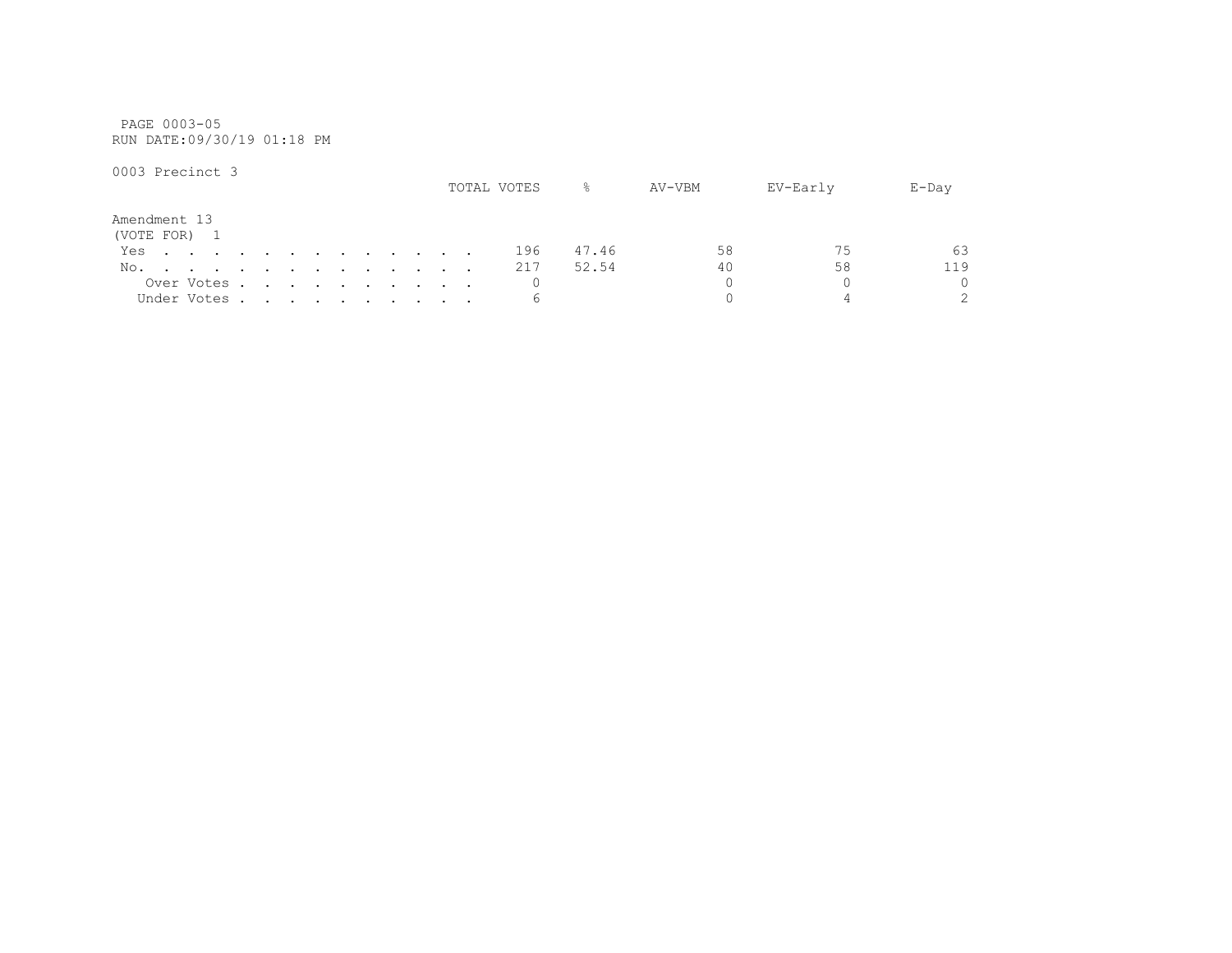PAGE 0003-05 RUN DATE:09/30/19 01:18 PM

|              |  |                                                                                                                 |  |  |  |  |  | TOTAL VOTES | ⊱     | AV-VBM | EV-Early | $E$ -Day      |
|--------------|--|-----------------------------------------------------------------------------------------------------------------|--|--|--|--|--|-------------|-------|--------|----------|---------------|
| Amendment 13 |  |                                                                                                                 |  |  |  |  |  |             |       |        |          |               |
| (VOTE FOR) 1 |  |                                                                                                                 |  |  |  |  |  |             |       |        |          |               |
| Yes.         |  |                                                                                                                 |  |  |  |  |  | 196         | 47.46 | 58     | 75       | 63            |
| No.          |  | the contract of the contract of the contract of the contract of the contract of the contract of the contract of |  |  |  |  |  | 217         | 52.54 | 40     | 58       | 119           |
|              |  | Over Votes                                                                                                      |  |  |  |  |  |             |       |        |          | $\Omega$      |
|              |  | Under Votes                                                                                                     |  |  |  |  |  |             |       |        |          | $\mathcal{P}$ |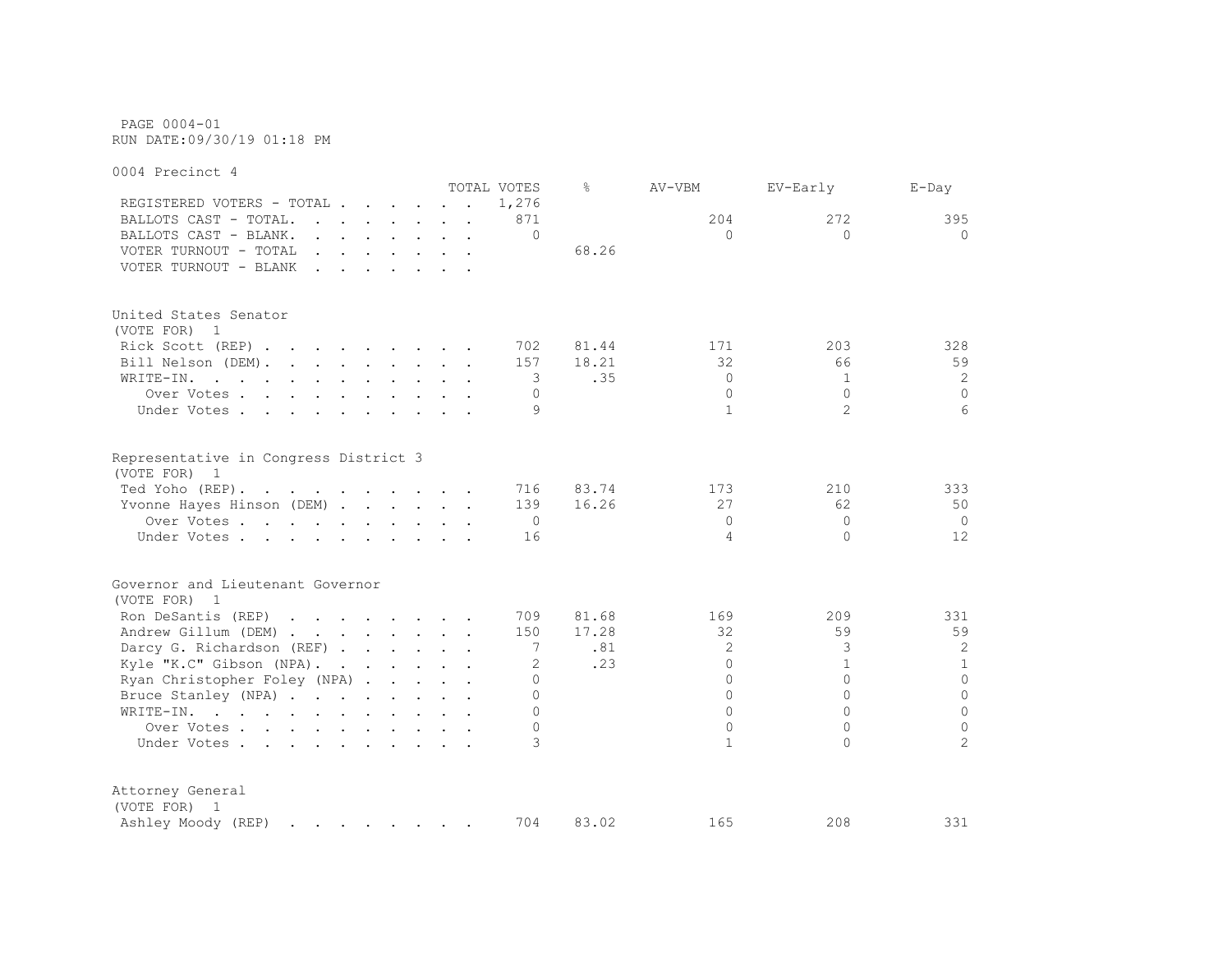PAGE 0004-01 RUN DATE:09/30/19 01:18 PM

0004 Precinct 4 TOTAL VOTES % AV-VBM EV-Early E-Day REGISTERED VOTERS - TOTAL . . . . . . 1,276 BALLOTS CAST - TOTAL. . . . . . 871 204 272 395 BALLOTS CAST - BLANK. . . . . . . . 0 0 0 0 VOTER TURNOUT - TOTAL . . . . . . . . 68.26 VOTER TURNOUT - BLANK . . . . . . . United States Senator (VOTE FOR) 1 Rick Scott (REP) . . . . . . . 702 81.44 171 203 328 Bill Nelson (DEM). . . . . . . . 157 18.21 32 66 59 WRITE-IN. . . . . . . . . . . 3 .35 0 1 2 Over Votes . . . . . . . . . . 0 0 0 0 Under Votes . . . . . . . . . . 9  $1$  2 6 Representative in Congress District 3 (VOTE FOR) 1 Ted Yoho (REP). . . . . . . . . 716 83.74 173 210 333 Yvonne Hayes Hinson (DEM) . . . . . 139 16.26 27 62 50 Over Votes . . . . . . . . . . 0 0 0 0 Under Votes . . . . . . . . . . 16 4 0 12 Governor and Lieutenant Governor (VOTE FOR) 1 Ron DeSantis (REP) . . . . . . . 709 81.68 169 209 331 Andrew Gillum (DEM) . . . . . . . 150 17.28 32 59 59 Darcy G. Richardson (REF) . . . . . 7 .81 2 3 3 2 2 Kyle "K.C" Gibson (NPA). . . . . . 2 .23 0 1 1 1 Ryan Christopher Foley (NPA) . . . . . 0 0 0 0 Bruce Stanley (NPA) . . . . . . . . 0 0 0 0 WRITE-IN. . . . . . . . . . . . 0 0 0 0 Over Votes . . . . . . . . . . 0 0 0 0 Under Votes . . . . . . . . . . 3 1 0 2 Attorney General (VOTE FOR) 1 Ashley Moody (REP) . . . . . . . 704 83.02 165 208 331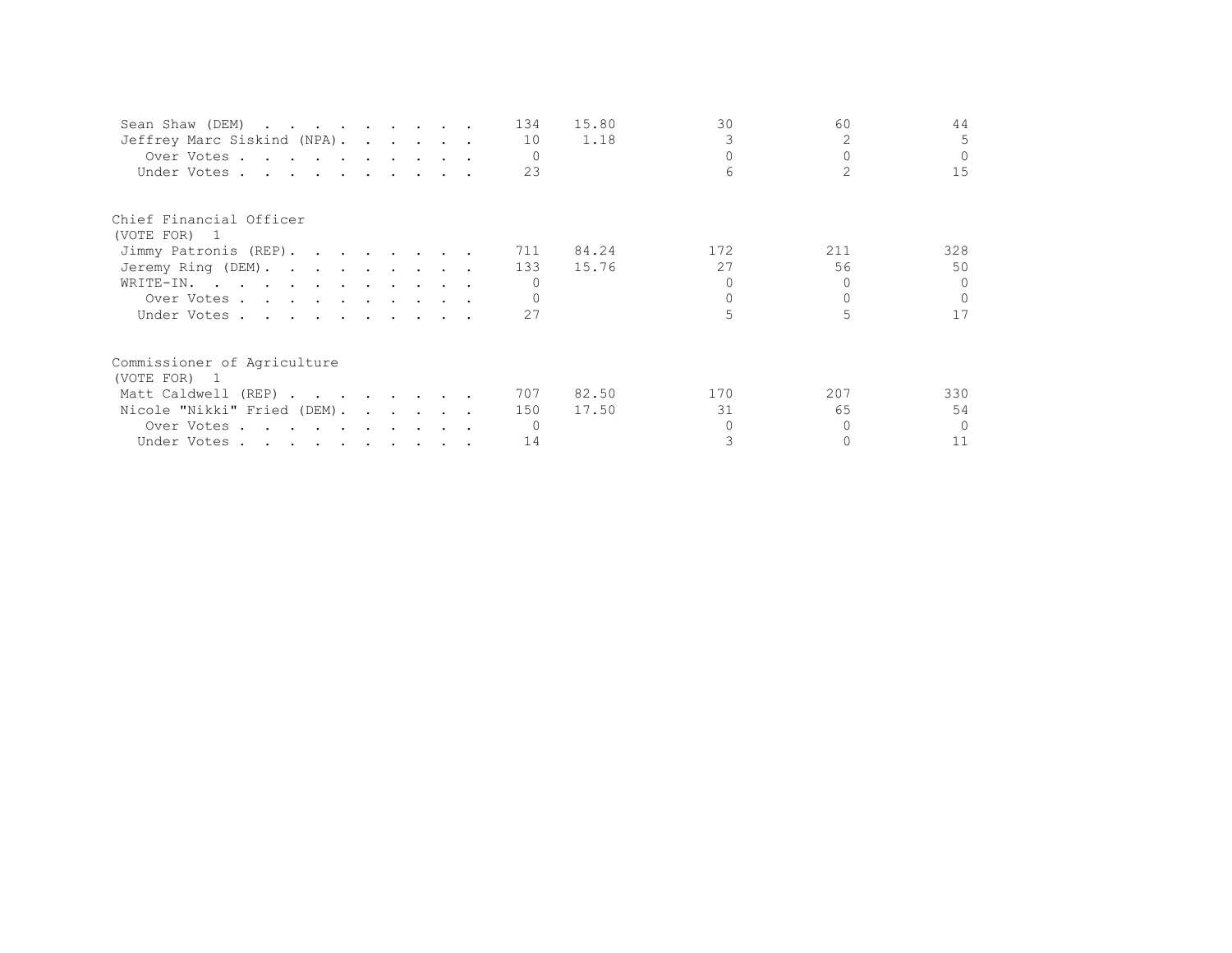| Sean Shaw (DEM)             |  |  | 134 | 15.80 | 30  | 60  | 44       |
|-----------------------------|--|--|-----|-------|-----|-----|----------|
| Jeffrey Marc Siskind (NPA). |  |  | 10  | 1.18  |     |     | 5.       |
| Over Votes                  |  |  |     |       |     |     | $\Omega$ |
| Under Votes                 |  |  | 23  |       |     |     | 15       |
| Chief Financial Officer     |  |  |     |       |     |     |          |
| (VOTE FOR) 1                |  |  |     |       |     |     |          |
| Jimmy Patronis (REP).       |  |  | 711 | 84.24 | 172 | 211 | 328      |
| Jeremy Ring (DEM).          |  |  | 133 | 15.76 | 27  | 56  | 50       |
| WRITE-IN.                   |  |  |     |       |     |     | $\cap$   |
| Over Votes                  |  |  |     |       |     |     | $\cap$   |
| Under Votes                 |  |  | 27  |       |     |     | 17       |
| Commissioner of Agriculture |  |  |     |       |     |     |          |
| (VOTE FOR) 1                |  |  |     |       |     |     |          |
| Matt Caldwell (REP)         |  |  | 707 | 82.50 | 170 | 207 | 330      |
| Nicole "Nikki" Fried (DEM). |  |  | 150 | 17.50 | 31  | 65  | 54       |
| Over Votes                  |  |  |     |       |     |     | $\Omega$ |
| Under Votes                 |  |  | 14  |       |     |     | 11       |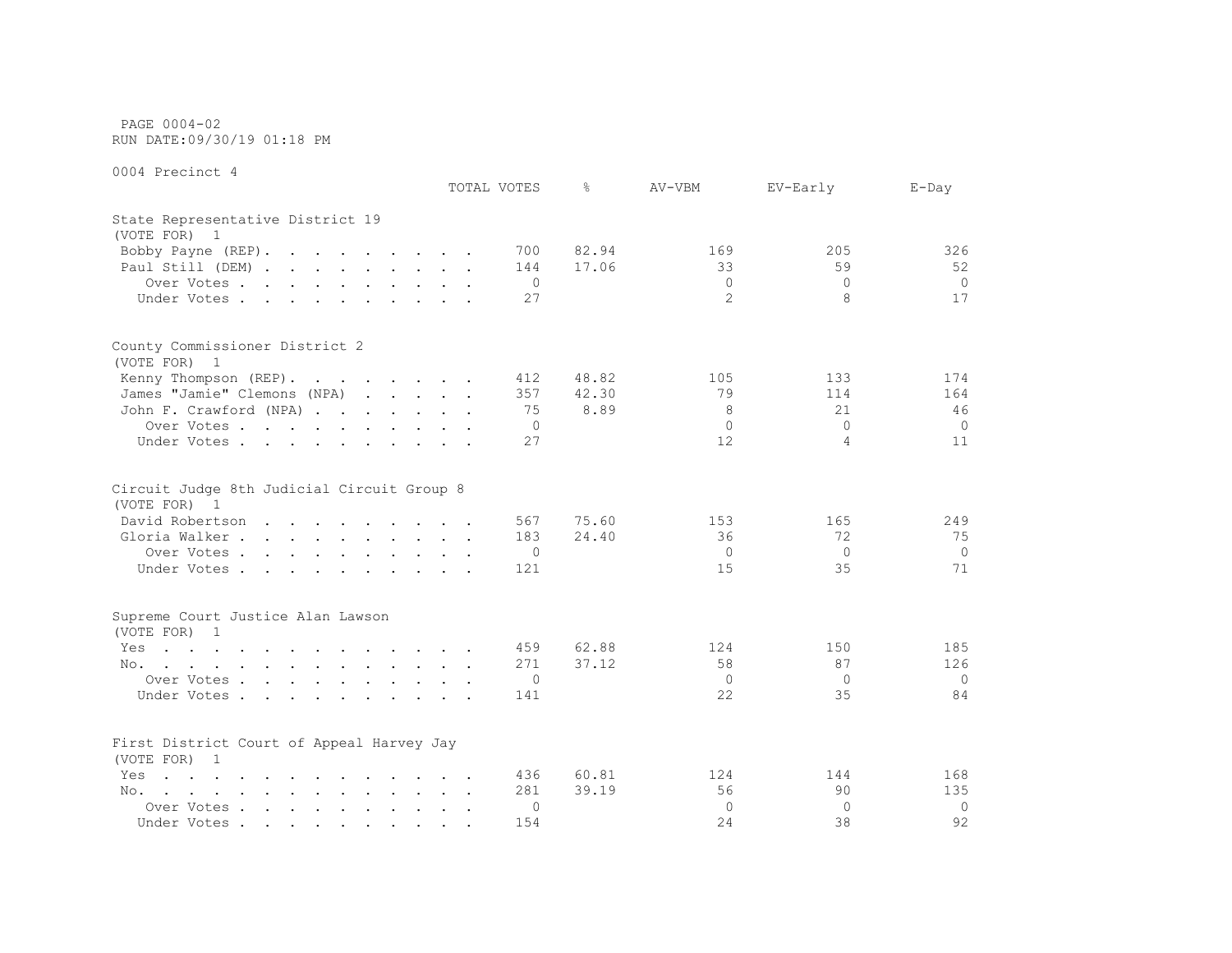PAGE 0004-02 RUN DATE:09/30/19 01:18 PM

|                                                                                                                                                                                                                                          | TOTAL VOTES |              | 옹     | AV-VBM         | EV-Early     | $E$ -Day |
|------------------------------------------------------------------------------------------------------------------------------------------------------------------------------------------------------------------------------------------|-------------|--------------|-------|----------------|--------------|----------|
| State Representative District 19<br>(VOTE FOR) 1                                                                                                                                                                                         |             |              |       |                |              |          |
| Bobby Payne (REP).                                                                                                                                                                                                                       |             | 700          | 82.94 | 169            | 205          | 326      |
| Paul Still (DEM)                                                                                                                                                                                                                         |             | 144          | 17.06 | 33             | 59           | 52       |
| Over Votes                                                                                                                                                                                                                               |             | $\mathbf{0}$ |       | $\mathbf{0}$   | $\mathbf{0}$ | $\circ$  |
| Under Votes                                                                                                                                                                                                                              |             | 27           |       | $\overline{2}$ | 8            | 17       |
|                                                                                                                                                                                                                                          |             |              |       |                |              |          |
| County Commissioner District 2<br>(VOTE FOR) 1                                                                                                                                                                                           |             |              |       |                |              |          |
| Kenny Thompson (REP).                                                                                                                                                                                                                    |             | 412          | 48.82 | 105            | 133          | 174      |
| James "Jamie" Clemons (NPA)                                                                                                                                                                                                              |             | 357          | 42.30 | 79             | 114          | 164      |
| John F. Crawford (NPA)                                                                                                                                                                                                                   |             | 75           | 8.89  | 8              | 21           | 46       |
| Over Votes                                                                                                                                                                                                                               |             | $\Omega$     |       | $\Omega$       | $\Omega$     | $\Omega$ |
| Under Votes                                                                                                                                                                                                                              |             | 27           |       | 12             | $\Delta$     | 11       |
|                                                                                                                                                                                                                                          |             |              |       |                |              |          |
| Circuit Judge 8th Judicial Circuit Group 8<br>(VOTE FOR) 1                                                                                                                                                                               |             |              |       |                |              |          |
| David Robertson                                                                                                                                                                                                                          |             | 567          | 75.60 | 153            | 165          | 249      |
| Gloria Walker                                                                                                                                                                                                                            |             | 183          | 24.40 | 36             | 72           | 75       |
| Over Votes                                                                                                                                                                                                                               |             | $\circ$      |       | $\Omega$       | $\Omega$     | $\Omega$ |
| Under Votes                                                                                                                                                                                                                              |             | 121          |       | 15             | 35           | 71       |
|                                                                                                                                                                                                                                          |             |              |       |                |              |          |
| Supreme Court Justice Alan Lawson<br>(VOTE FOR) 1                                                                                                                                                                                        |             |              |       |                |              |          |
| the contract of the contract of the contract of the<br>Yes                                                                                                                                                                               |             | 459          | 62.88 | 124            | 150          | 185      |
| No.                                                                                                                                                                                                                                      |             | 271          | 37.12 | 58             | 87           | 126      |
| Over Votes                                                                                                                                                                                                                               |             | $\circ$      |       | $\Omega$       | $\Omega$     | $\Omega$ |
| Under Votes.                                                                                                                                                                                                                             |             | 141          |       | 22             | 35           | 84       |
| First District Court of Appeal Harvey Jay<br>(VOTE FOR) 1                                                                                                                                                                                |             |              |       |                |              |          |
| $\mathbf{r}$ . The contract of the contract of the contract of the contract of the contract of the contract of the contract of the contract of the contract of the contract of the contract of the contract of the contract of th<br>Yes |             | 436          | 60.81 | 124            | 144          | 168      |
| the contract of the contract of the contract of the contract of the contract of the contract of the contract of<br>No.                                                                                                                   |             | 281          | 39.19 | 56             | 90           | 135      |
| Over Votes                                                                                                                                                                                                                               |             | $\Omega$     |       | $\Omega$       | $\Omega$     | $\Omega$ |
| Under Votes                                                                                                                                                                                                                              |             | 154          |       | 2.4            | 38           | 92       |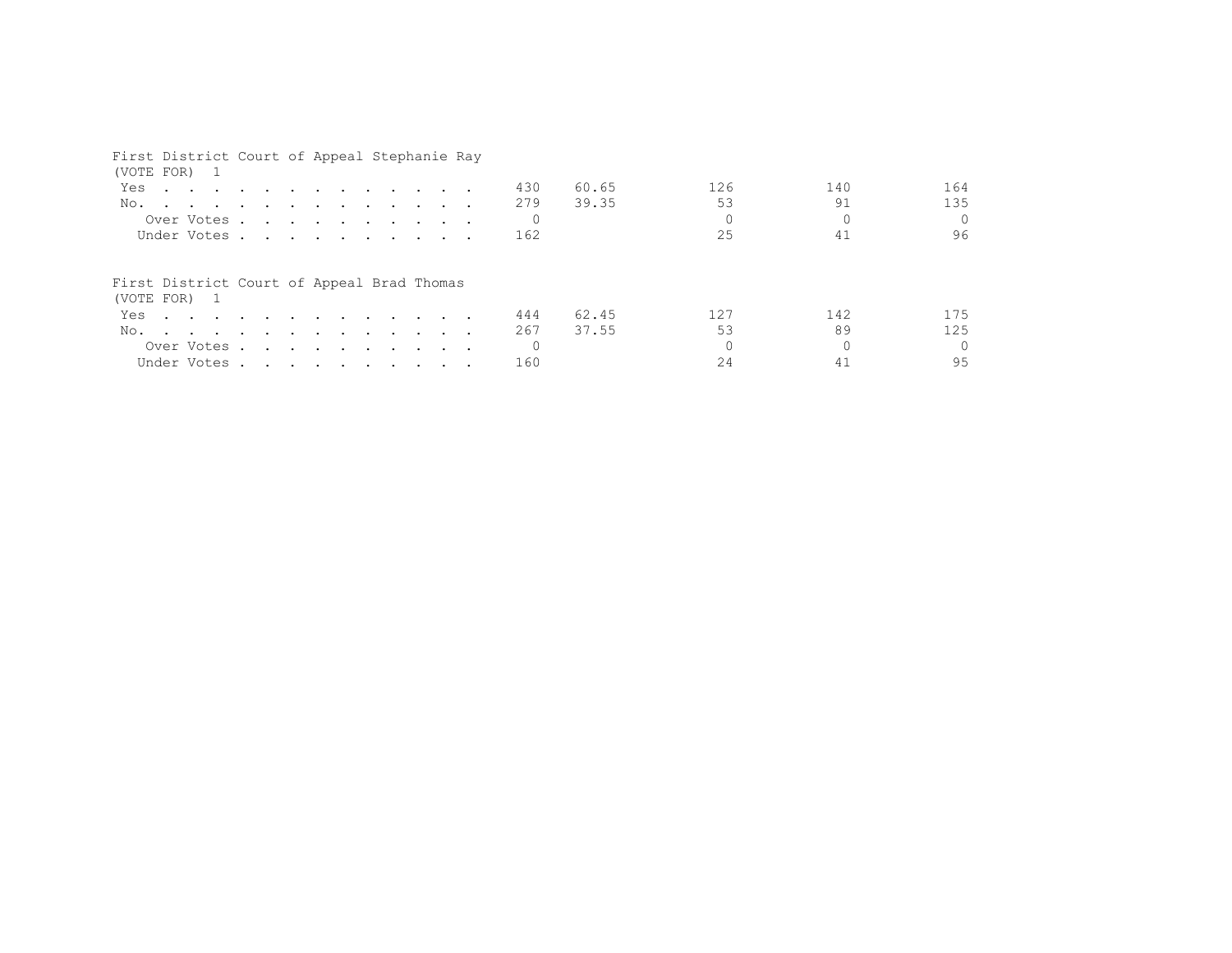| First District Court of Appeal Stephanie Ray<br>(VOTE FOR) 1                                                       |  |  |  |  |          |       |     |     |          |
|--------------------------------------------------------------------------------------------------------------------|--|--|--|--|----------|-------|-----|-----|----------|
| Yes<br>$\mathbf{r}$ , and $\mathbf{r}$ , and $\mathbf{r}$ , and $\mathbf{r}$ , and $\mathbf{r}$ , and $\mathbf{r}$ |  |  |  |  | 430      | 60.65 | 126 | 140 | 164      |
| No.                                                                                                                |  |  |  |  | 279      | 39.35 | 53  | 91  | 135      |
| Over Votes                                                                                                         |  |  |  |  |          |       |     |     | $\Omega$ |
| Under Votes                                                                                                        |  |  |  |  | 162      |       | 25  | 41  | 96       |
| First District Court of Appeal Brad Thomas<br>(VOTE FOR) 1                                                         |  |  |  |  |          |       |     |     |          |
| Yes.                                                                                                               |  |  |  |  | 444      | 62.45 | 127 | 142 | 175      |
| No.                                                                                                                |  |  |  |  | 267      | 37.55 | 53  | 89  | 125      |
| Over Votes                                                                                                         |  |  |  |  | $\Omega$ |       |     |     | $\cap$   |
| Under Votes                                                                                                        |  |  |  |  | 160      |       | 24  |     | 95       |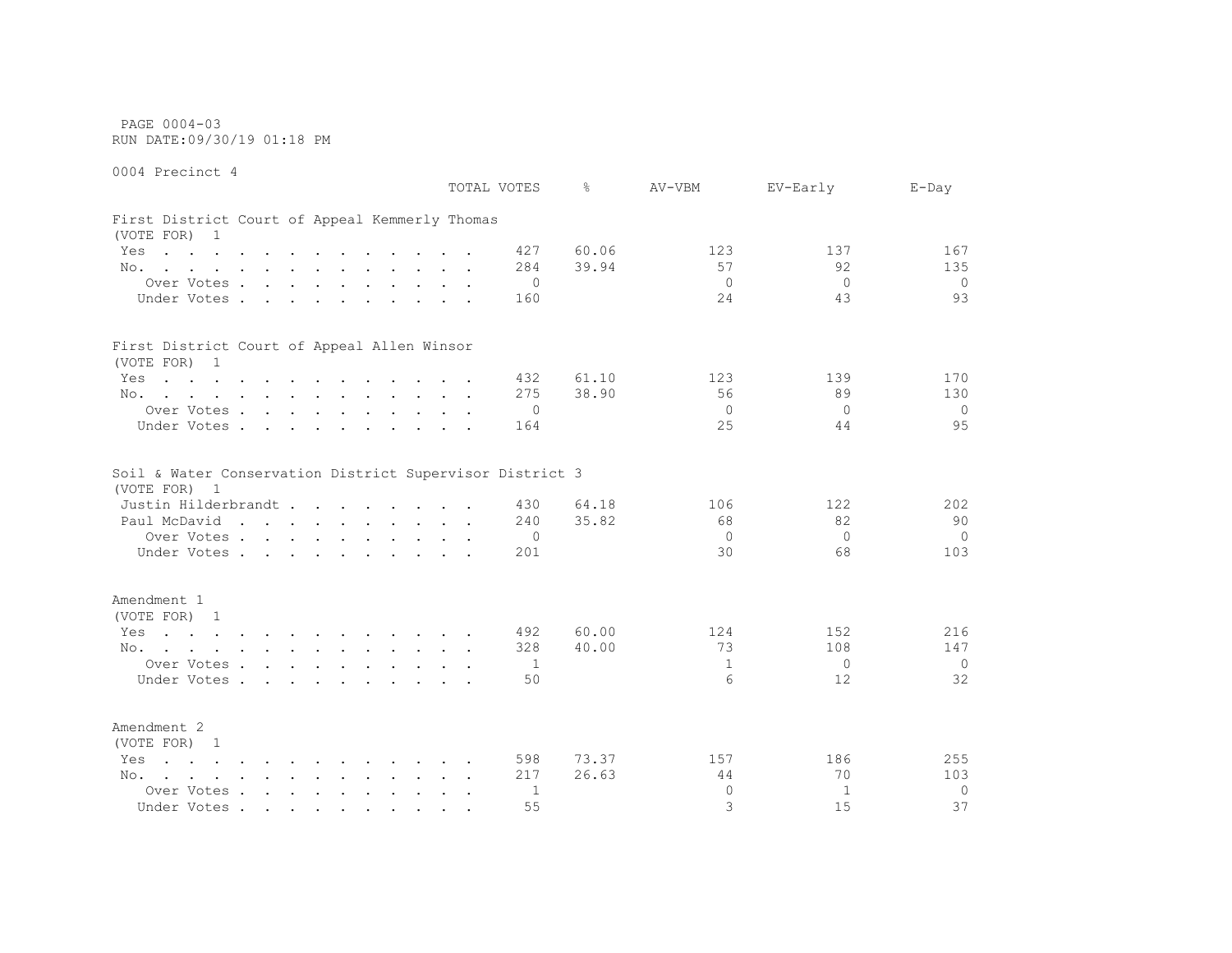PAGE 0004-03 RUN DATE:09/30/19 01:18 PM

0004 Precinct 4 TOTAL VOTES % AV-VBM EV-Early E-Day First District Court of Appeal Kemmerly Thomas (VOTE FOR) 1 Yes . . . . . . . . . . . . 427 60.06 123 137 167 No. . . . . . . . . . . . 284 39.94 57 92 135 Over Votes . . . . . . . . . . 0 0 0 0 Under Votes . . . . . . . . . 160 24 43 93 First District Court of Appeal Allen Winsor (VOTE FOR) 1 Yes . . . . . . . . . . . . 432 61.10 123 139 170 No. . . . . . . . . . . . . 275 38.90 56 89 130 Over Votes . . . . . . . . . . 0 0 0 0 Under Votes . . . . . . . . . 164 25 44 95 Soil & Water Conservation District Supervisor District 3 (VOTE FOR) 1 Justin Hilderbrandt . . . . . . . . 430 64.18 106 122 202 Paul McDavid . . . . . . . . . 240 35.82 68 82 90 Over Votes . . . . . . . . . . 0 0 0 0 Under Votes . . . . . . . . . . 201 30 68 103 Amendment 1 (VOTE FOR) 1 Yes . . . . . . . . . . . . 492 60.00 124 152 216 No. . . . . . . . . . . . 328 40.00 13 108 147 Over Votes . . . . . . . . . . 1 1 0 0 Under Votes . . . . . . . . . . 50 6 12 32 Amendment 2 (VOTE FOR) 1 Yes . . . . . . . . . . . . 598 73.37 157 186 255 No. . . . . . . . . . . . 217 26.63 44 70 103 Over Votes . . . . . . . . . . 1 0 1 0 Under Votes . . . . . . . . . . 55 37 37 37 37 37 37 37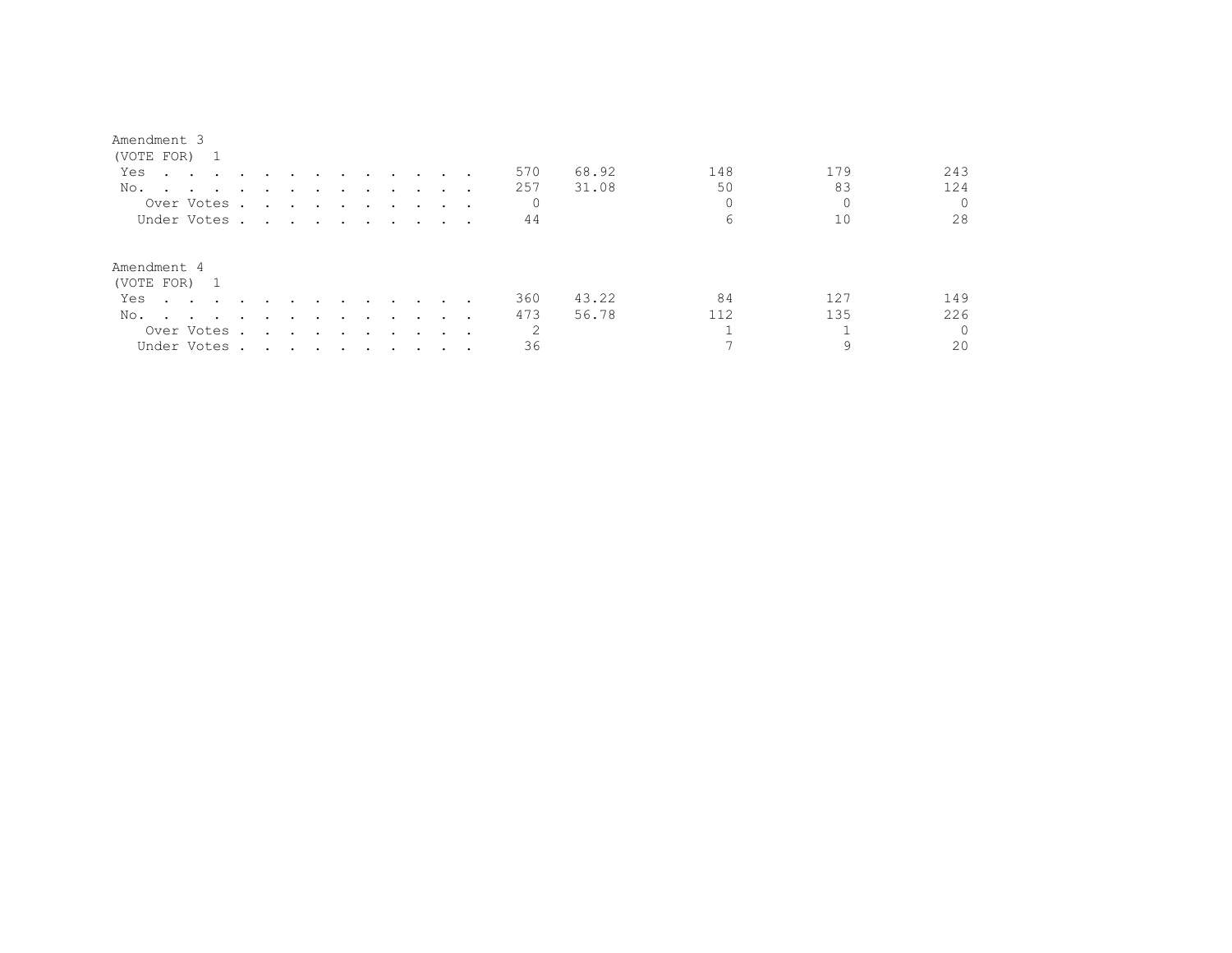| (VOTE FOR) 1                                                                                                                                                                                                                          |                                                                                                                 |        |        |               |                                                                                                                 |                               |               |                                 |     |       |     |     |          |
|---------------------------------------------------------------------------------------------------------------------------------------------------------------------------------------------------------------------------------------|-----------------------------------------------------------------------------------------------------------------|--------|--------|---------------|-----------------------------------------------------------------------------------------------------------------|-------------------------------|---------------|---------------------------------|-----|-------|-----|-----|----------|
| Yes<br>$\mathbf{r}$ , and $\mathbf{r}$ , and $\mathbf{r}$ , and $\mathbf{r}$                                                                                                                                                          |                                                                                                                 |        |        |               |                                                                                                                 | and the state of the state of |               |                                 | 570 | 68.92 | 148 | 179 | 243      |
| No.<br>$\sim$ $\sim$ $\sim$ $\sim$ $\sim$                                                                                                                                                                                             |                                                                                                                 |        |        |               |                                                                                                                 |                               |               |                                 | 257 | 31.08 | 50  | 83  | 124      |
| Over Votes.                                                                                                                                                                                                                           | the contract of the contract of the contract of the contract of the contract of the contract of the contract of |        |        |               |                                                                                                                 |                               |               |                                 |     |       |     |     |          |
| Under Votes                                                                                                                                                                                                                           |                                                                                                                 |        |        |               |                                                                                                                 |                               |               |                                 | 44  |       | 6   | 10  | 28       |
| Amendment 4<br>(VOTE FOR) 1                                                                                                                                                                                                           |                                                                                                                 |        |        |               |                                                                                                                 |                               |               |                                 |     |       |     |     |          |
| Yes<br>$\sim$ $\sim$ $\sim$ $\sim$ $\sim$ $\sim$                                                                                                                                                                                      |                                                                                                                 |        |        | $\sim$ $\sim$ | $\sim$ $\sim$ $\sim$                                                                                            |                               |               | $\cdot$ $\cdot$ $\cdot$ $\cdot$ | 360 | 43.22 | 84  | 127 | 149      |
| No.<br>and the contract of the contract of the contract of the contract of the contract of the contract of the contract of the contract of the contract of the contract of the contract of the contract of the contract of the contra | $\sim$                                                                                                          | $\sim$ | $\sim$ | $\sim$        | $\sim$ $\sim$ $\sim$                                                                                            |                               | $\sim$ $\sim$ |                                 | 473 | 56.78 | 112 | 135 | 226      |
| Over Votes .                                                                                                                                                                                                                          |                                                                                                                 |        |        |               | the contract of the contract of the contract of the contract of the contract of the contract of the contract of |                               |               |                                 | 2   |       |     |     | $\Omega$ |
| Under Votes.                                                                                                                                                                                                                          | the contract of the contract of the contract of the contract of the contract of the contract of the contract of |        |        |               |                                                                                                                 |                               |               |                                 | 36  |       |     | 9   | 20       |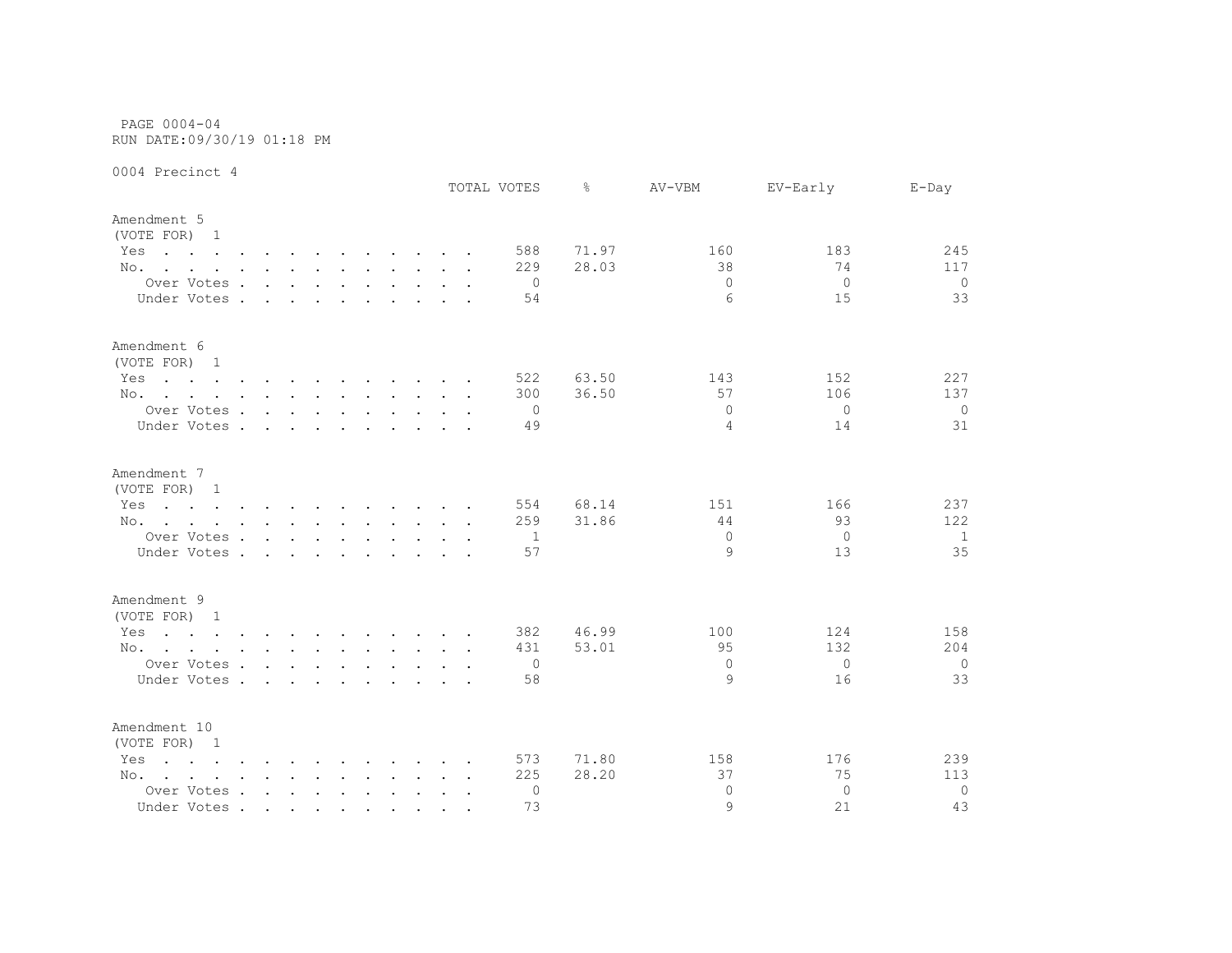PAGE 0004-04 RUN DATE:09/30/19 01:18 PM

|                                                                                                                        |                      |        |                      |        |                                    |  |        | TOTAL VOTES | ⊱     | AV-VBM         | EV-Early | $E$ -Day     |
|------------------------------------------------------------------------------------------------------------------------|----------------------|--------|----------------------|--------|------------------------------------|--|--------|-------------|-------|----------------|----------|--------------|
| Amendment 5<br>(VOTE FOR) 1                                                                                            |                      |        |                      |        |                                    |  |        |             |       |                |          |              |
| Yes<br>the contract of the contract of the contract of the contract of the contract of the contract of the contract of |                      |        |                      |        |                                    |  |        | 588         | 71.97 | 160            | 183      | 245          |
| No.                                                                                                                    |                      |        |                      |        |                                    |  |        | 229         | 28.03 | 38             | 74       | 117          |
| Over Votes                                                                                                             |                      |        |                      |        |                                    |  |        | 0           |       | $\Omega$       | $\Omega$ | $\circ$      |
| Under Votes.                                                                                                           | $\sim$               | $\sim$ | $\ddot{\phantom{a}}$ | $\sim$ |                                    |  |        | 54          |       | 6              | 15       | 33           |
| Amendment 6<br>(VOTE FOR) 1                                                                                            |                      |        |                      |        |                                    |  |        |             |       |                |          |              |
| Yes<br>the contract of the contract of the contract of the contract of the contract of the contract of the contract of |                      |        |                      |        |                                    |  |        | 522         | 63.50 | 143            | 152      | 227          |
| No.                                                                                                                    |                      |        |                      |        |                                    |  |        | 300         | 36.50 | 57             | 106      | 137          |
| Over Votes                                                                                                             |                      |        |                      |        |                                    |  |        | 0           |       | $\circ$        | $\Omega$ | $\circ$      |
| Under Votes                                                                                                            |                      |        |                      |        | $\sim$ $\sim$ $\sim$ $\sim$ $\sim$ |  |        | 49          |       | $\overline{4}$ | 14       | 31           |
| Amendment 7                                                                                                            |                      |        |                      |        |                                    |  |        |             |       |                |          |              |
| (VOTE FOR) 1                                                                                                           |                      |        |                      |        |                                    |  |        |             |       |                |          |              |
| Yes<br>the contract of the contract of the contract of the contract of the contract of the contract of the contract of |                      |        |                      |        |                                    |  |        | 554         | 68.14 | 151            | 166      | 237          |
| No.                                                                                                                    |                      |        |                      |        |                                    |  |        | 259         | 31.86 | 44             | 93       | 122          |
| Over Votes                                                                                                             |                      |        |                      |        |                                    |  |        | -1          |       | $\mathbf{0}$   | 0        | 1            |
| Under Votes.                                                                                                           | $\sim$ $\sim$ $\sim$ |        | $\sim$               | $\sim$ |                                    |  |        | 57          |       | 9              | 13       | 35           |
| Amendment 9                                                                                                            |                      |        |                      |        |                                    |  |        |             |       |                |          |              |
| (VOTE FOR) 1                                                                                                           |                      |        |                      |        |                                    |  |        |             |       |                |          |              |
| the contract of the contract of the contract of the contract of the contract of the contract of the contract of<br>Yes |                      |        |                      |        |                                    |  |        | 382         | 46.99 | 100            | 124      | 158          |
| No.                                                                                                                    |                      |        |                      |        |                                    |  |        | 431         | 53.01 | 95             | 132      | 204          |
| Over Votes                                                                                                             |                      |        |                      |        |                                    |  |        | 0           |       | $\Omega$       | $\Omega$ | $\mathbf{0}$ |
| Under Votes                                                                                                            |                      |        |                      |        |                                    |  |        | 58          |       | 9              | 16       | 33           |
| Amendment 10<br>(VOTE FOR) 1                                                                                           |                      |        |                      |        |                                    |  |        |             |       |                |          |              |
| Yes<br>$\mathbf{r}$ , and $\mathbf{r}$ , and $\mathbf{r}$ , and $\mathbf{r}$ , and $\mathbf{r}$ , and $\mathbf{r}$     |                      |        |                      |        |                                    |  |        | 573         | 71.80 | 158            | 176      | 239          |
| No.                                                                                                                    |                      |        |                      |        |                                    |  |        | 225         | 28.20 | 37             | 75       | 113          |
| Over Votes                                                                                                             |                      |        |                      |        |                                    |  | $\sim$ | 0           |       | $\Omega$       | $\Omega$ | $\mathbf 0$  |
| Under Votes                                                                                                            |                      |        |                      |        |                                    |  |        | 73          |       | $\circ$        | 21       | 43           |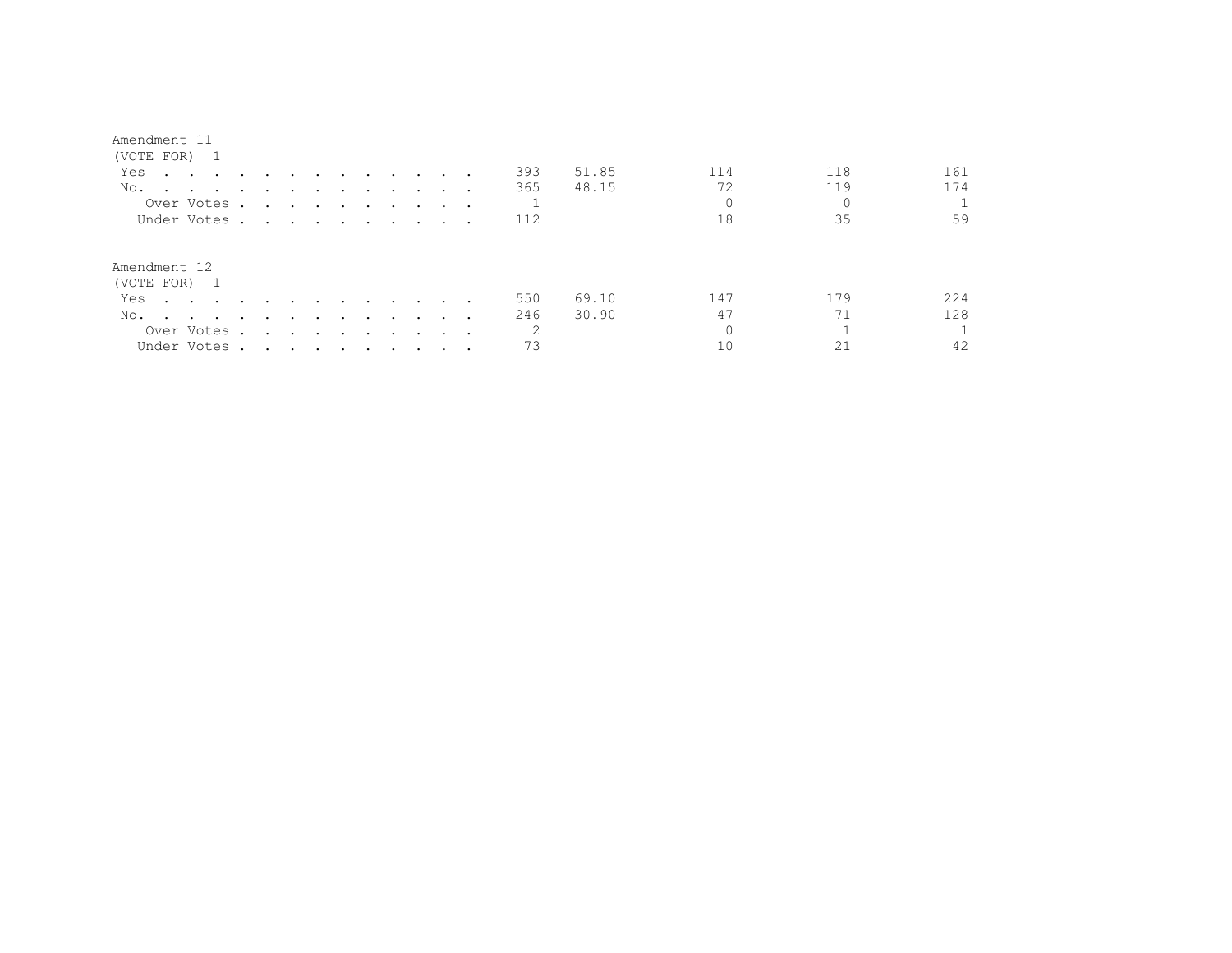| (VOTE FOR) 1                                                                                                                                                                                                                          |                                                                                                                                                                                                                               |                                                           |               |        |                                   |                         |               |  |                |       |          |     |     |
|---------------------------------------------------------------------------------------------------------------------------------------------------------------------------------------------------------------------------------------|-------------------------------------------------------------------------------------------------------------------------------------------------------------------------------------------------------------------------------|-----------------------------------------------------------|---------------|--------|-----------------------------------|-------------------------|---------------|--|----------------|-------|----------|-----|-----|
| Yes<br>$\mathbf{r}$ , and $\mathbf{r}$ , and $\mathbf{r}$ , and $\mathbf{r}$                                                                                                                                                          |                                                                                                                                                                                                                               |                                                           | $\sim$ $\sim$ | $\sim$ | and the state of the state of the |                         |               |  | 393            | 51.85 | 114      | 118 | 161 |
| No.                                                                                                                                                                                                                                   |                                                                                                                                                                                                                               |                                                           |               |        | $\cdot$                           |                         |               |  | 365            | 48.15 | 72       | 119 | 174 |
| Over Votes.                                                                                                                                                                                                                           |                                                                                                                                                                                                                               |                                                           |               |        |                                   |                         |               |  |                |       | $\Omega$ |     |     |
| Under Votes .                                                                                                                                                                                                                         | the contract of the contract of the contract of the contract of the contract of the contract of the contract of                                                                                                               |                                                           |               |        |                                   |                         |               |  | 112            |       | 18       | 35  | 59  |
| Amendment 12<br>(VOTE FOR) 1                                                                                                                                                                                                          |                                                                                                                                                                                                                               |                                                           |               |        |                                   |                         |               |  |                |       |          |     |     |
| Yes<br>$\sim$ $\sim$ $\sim$ $\sim$ $\sim$ $\sim$                                                                                                                                                                                      | $\sim$                                                                                                                                                                                                                        |                                                           |               | $\sim$ | $\sim$                            | $\sim 100$ km s $^{-1}$ | $\sim$        |  | 550            | 69.10 | 147      | 179 | 224 |
| No.<br>and the contract of the contract of the contract of the contract of the contract of the contract of the contract of the contract of the contract of the contract of the contract of the contract of the contract of the contra | $\cdot$                                                                                                                                                                                                                       | $\overline{\phantom{a}}$                                  | $\sim$ $\sim$ | $\sim$ | $\sim 100$ km s $^{-1}$           | $\sim$ $\sim$           | $\sim$ $\sim$ |  | 246            | 30.90 | 47       | 71  | 128 |
| Over Votes .                                                                                                                                                                                                                          |                                                                                                                                                                                                                               | $\mathbf{r}$ , $\mathbf{r}$ , $\mathbf{r}$ , $\mathbf{r}$ |               | $\sim$ | $\sim$                            | $\sim$ $\sim$           |               |  | $\mathfrak{D}$ |       | $\Omega$ |     |     |
| Under Votes .                                                                                                                                                                                                                         | . The contract of the contract of the contract of the contract of the contract of the contract of the contract of the contract of the contract of the contract of the contract of the contract of the contract of the contrac |                                                           |               |        |                                   |                         |               |  | 73             |       | 10       |     | 42  |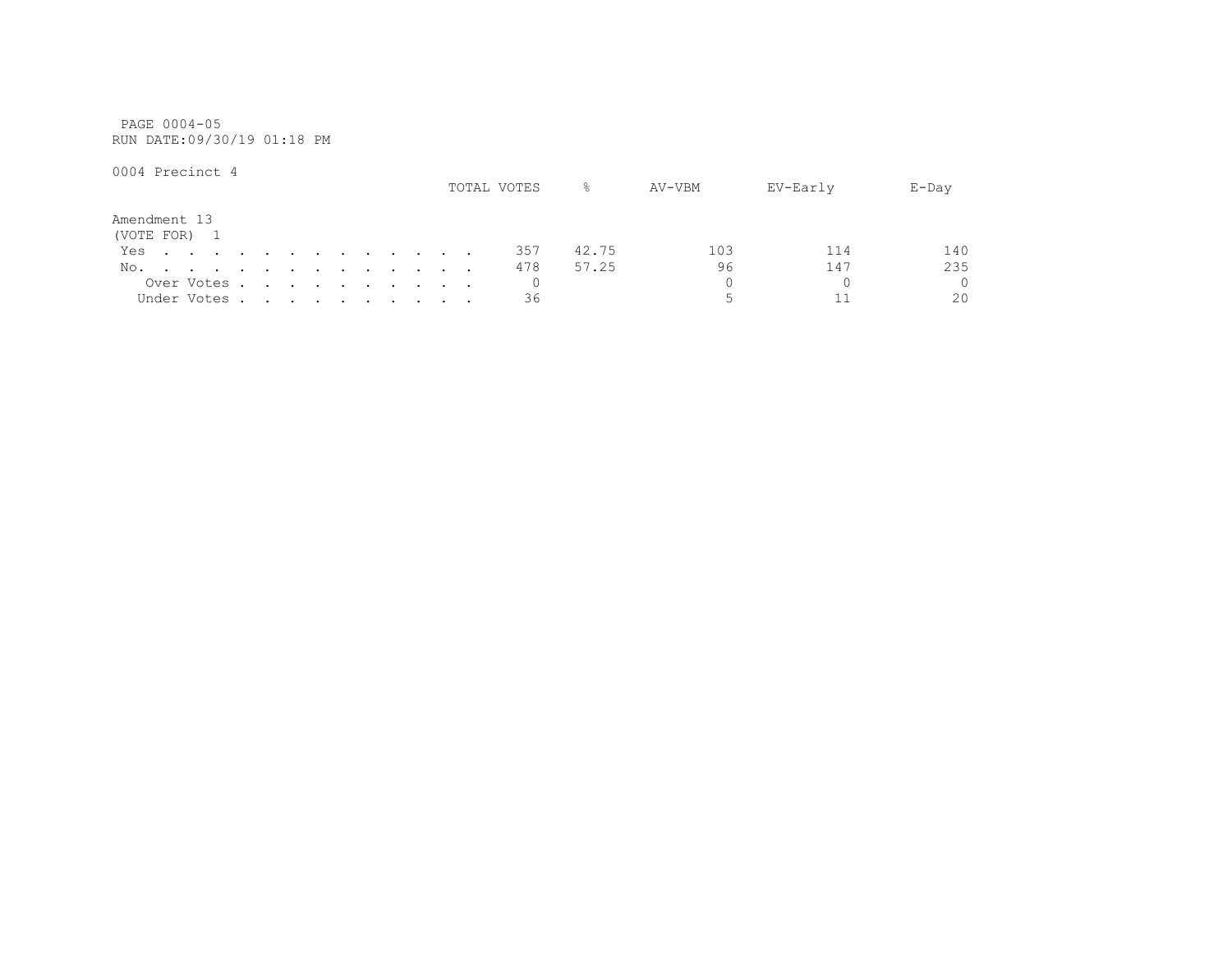PAGE 0004-05 RUN DATE:09/30/19 01:18 PM

|              |  |             |  |  |  |  |  | TOTAL VOTES | $\approx$ | AV-VBM | EV-Early | $E$ -Day |
|--------------|--|-------------|--|--|--|--|--|-------------|-----------|--------|----------|----------|
| Amendment 13 |  |             |  |  |  |  |  |             |           |        |          |          |
| (VOTE FOR) 1 |  |             |  |  |  |  |  |             |           |        |          |          |
| Yes          |  |             |  |  |  |  |  | 357         | 42.75     | 103    | 114      | 140      |
| No.          |  |             |  |  |  |  |  | 478         | 57.25     | 96     | 147      | 235      |
|              |  | Over Votes  |  |  |  |  |  |             |           |        |          | $\Omega$ |
|              |  | Under Votes |  |  |  |  |  | 36          |           |        |          | 20       |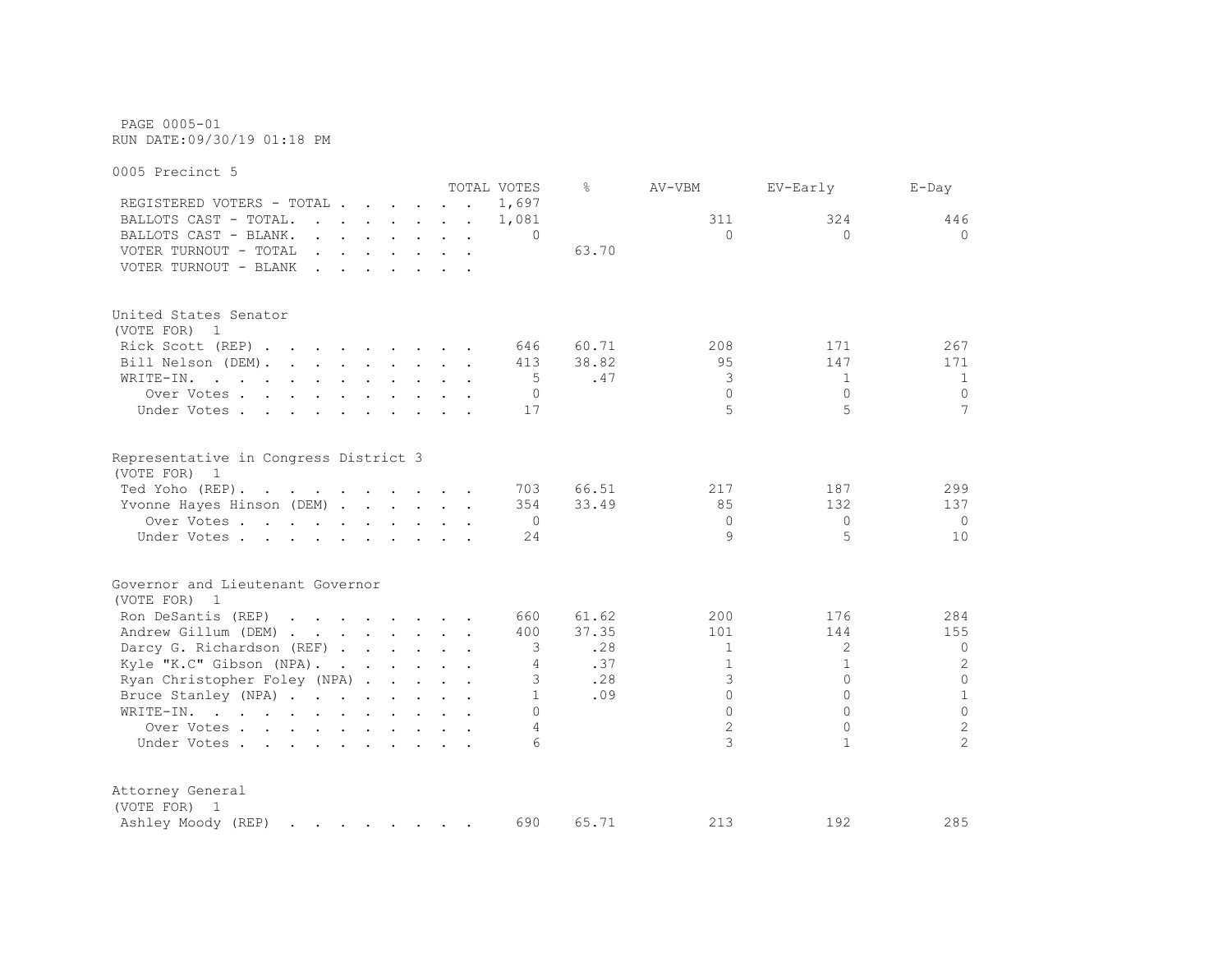PAGE 0005-01 RUN DATE:09/30/19 01:18 PM

0005 Precinct 5 TOTAL VOTES % AV-VBM EV-Early E-Day REGISTERED VOTERS - TOTAL . . . . . 1,697 BALLOTS CAST - TOTAL. . . . . . . 1,081 311 324 446 BALLOTS CAST - BLANK. . . . . . . . 0 0 0 0 VOTER TURNOUT - TOTAL . . . . . . . 63.70 VOTER TURNOUT - BLANK . . . . . . . United States Senator (VOTE FOR) 1 Rick Scott (REP) . . . . . . . . 646 60.71 208 171 267 Bill Nelson (DEM). . . . . . . . . 413 38.82 95 147 171 WRITE-IN. . . . . . . . . . . . 5 .47 3 1 1 1 Over Votes . . . . . . . . . . 0 0 0 0 Under Votes . . . . . . . . . . 17 5 5 5 7 7 Representative in Congress District 3 (VOTE FOR) 1 Ted Yoho (REP). . . . . . . . . 703 66.51 217 187 299 Yvonne Hayes Hinson (DEM) . . . . . 354 33.49 85 132 137 Over Votes . . . . . . . . . . 0 0 0 0 Under Votes . . . . . . . . . . 24 9 5 10 Governor and Lieutenant Governor (VOTE FOR) 1 Ron DeSantis (REP) . . . . . . . 660 61.62 200 176 284 Andrew Gillum (DEM) . . . . . . . 400 37.35 101 144 155 Darcy G. Richardson (REF) . . . . . 3 .28 1 2 0<br>
Kyle "K.C" Gibson (NPA) . . . . . . . 4 .37 1 1 1 2 Kyle "K.C" Gibson (NPA). . . . . . 4 .37 1 1 1 Ryan Christopher Foley (NPA) . . . . 3 .28 3 0 0 0 Bruce Stanley (NPA) . . . . . . . . 1 . 09 0 0 1 WRITE-IN. . . . . . . . . . . . 0 0 0 0 Over Votes . . . . . . . . . . . 4 2 0 2<br>Inder Votes . . . . . . . . . . 4 2 0 2 Under Votes . . . . . . . . . . . 6 3 3 1 Attorney General (VOTE FOR) 1 Ashley Moody (REP) . . . . . . . 690 65.71 213 192 285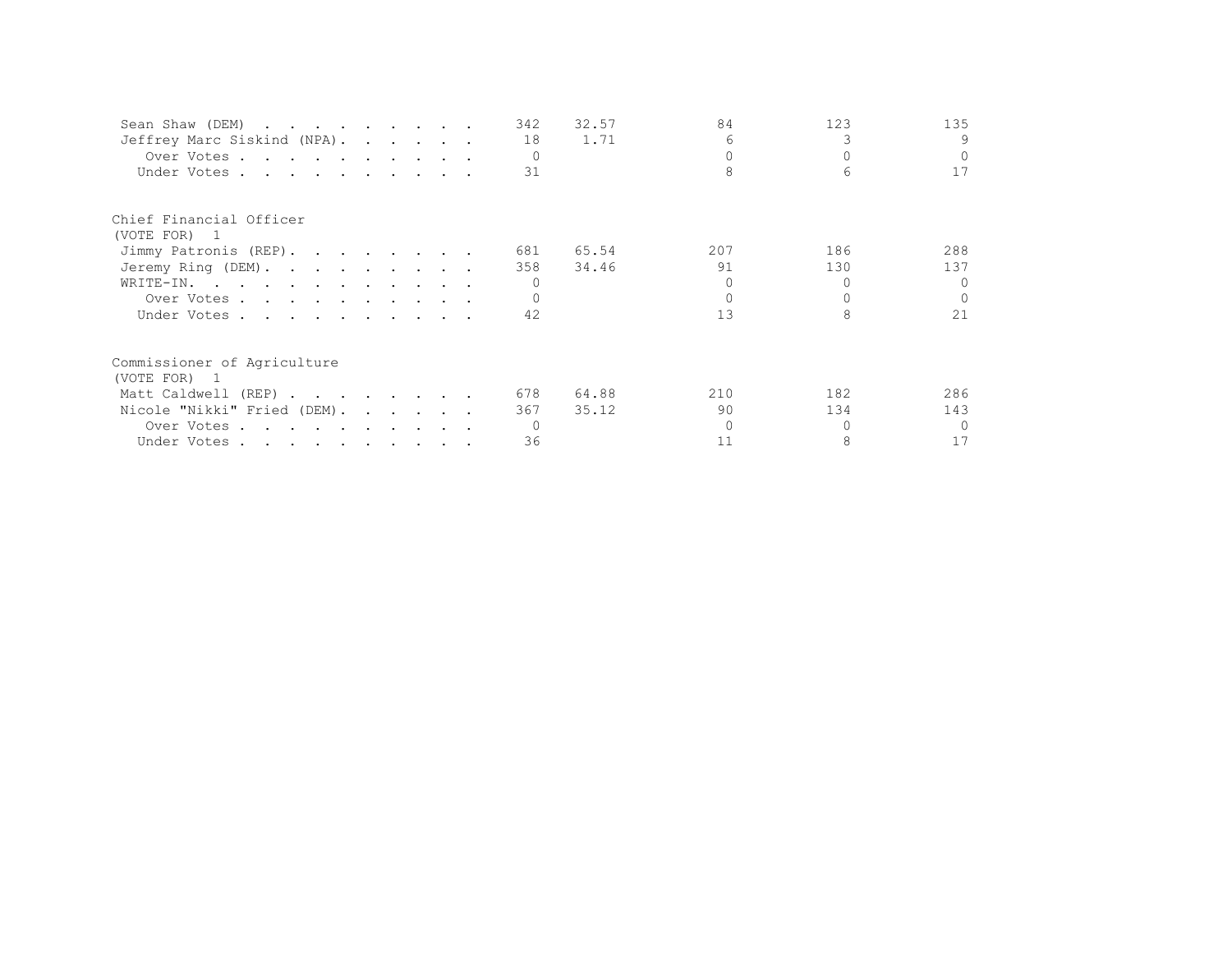| Sean Shaw (DEM)             |  |  | 342      | 32.57 | 84  | 123 | 135      |
|-----------------------------|--|--|----------|-------|-----|-----|----------|
| Jeffrey Marc Siskind (NPA). |  |  | 18       | 1.71  | 6   |     | 9        |
| Over Votes                  |  |  | $\Omega$ |       |     |     | $\Omega$ |
| Under Votes                 |  |  | 31       |       |     |     | 17       |
| Chief Financial Officer     |  |  |          |       |     |     |          |
| (VOTE FOR) 1                |  |  |          |       |     |     |          |
| Jimmy Patronis (REP).       |  |  | 681      | 65.54 | 207 | 186 | 288      |
| Jeremy Ring (DEM).          |  |  | 358      | 34.46 | 91  | 130 | 137      |
| WRITE-IN.                   |  |  |          |       |     |     | $\cap$   |
| Over Votes                  |  |  |          |       |     |     | $\Omega$ |
| Under Votes                 |  |  | 42       |       | 13  |     | 21       |
| Commissioner of Agriculture |  |  |          |       |     |     |          |
| (VOTE FOR) 1                |  |  |          |       |     |     |          |
| Matt Caldwell (REP)         |  |  | 678      | 64.88 | 210 | 182 | 286      |
| Nicole "Nikki" Fried (DEM). |  |  | 367      | 35.12 | 90  | 134 | 143      |
| Over Votes                  |  |  |          |       |     |     | $\cap$   |
| Under Votes                 |  |  | 36       |       |     | 8   | 17       |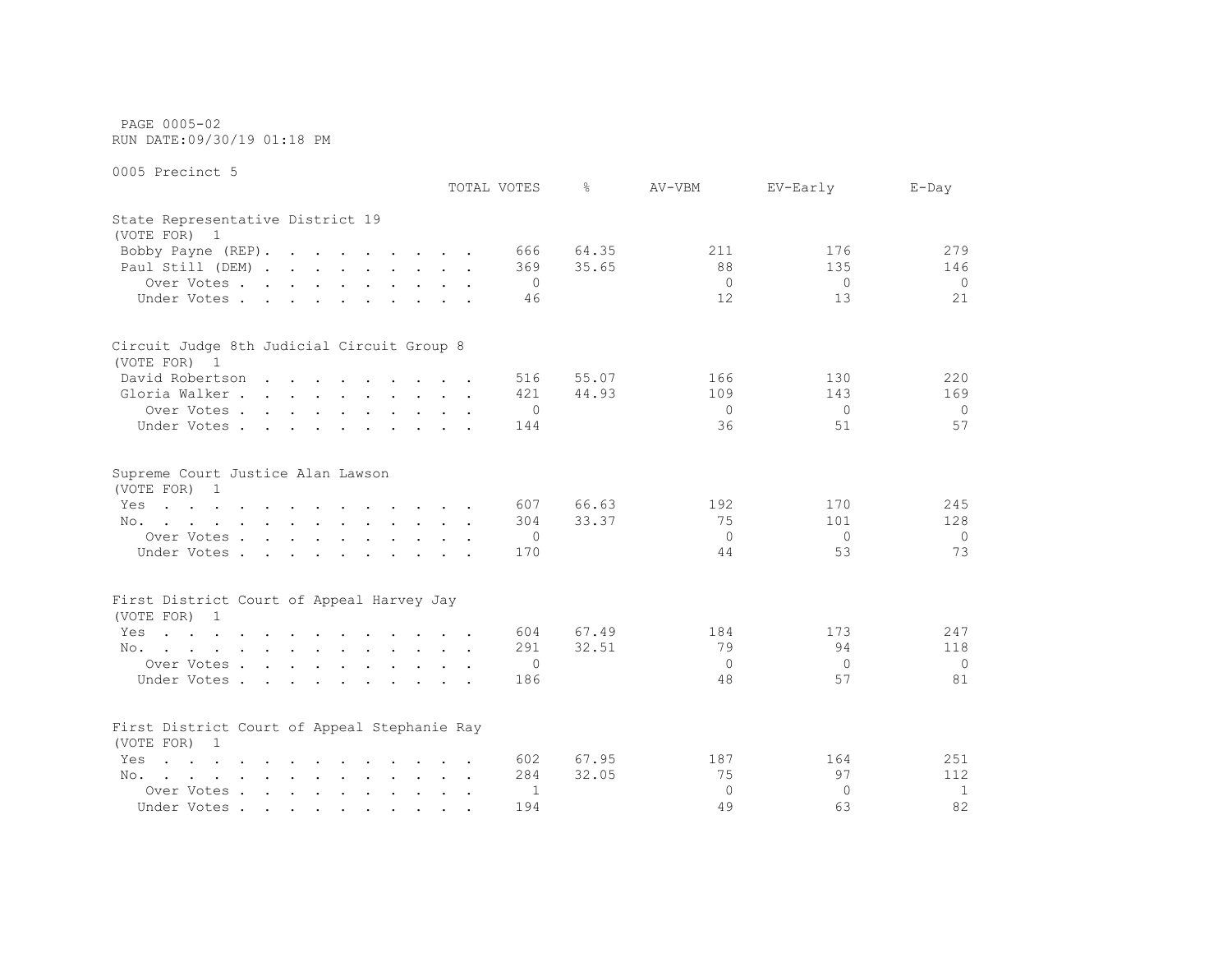PAGE 0005-02 RUN DATE:09/30/19 01:18 PM

|                                                                                                                        |               | TOTAL VOTES    | ⊱     | AV-VBM   | EV-Early       | $E$ -Day     |
|------------------------------------------------------------------------------------------------------------------------|---------------|----------------|-------|----------|----------------|--------------|
| State Representative District 19<br>(VOTE FOR) 1                                                                       |               |                |       |          |                |              |
| Bobby Payne (REP).                                                                                                     |               | 666            | 64.35 | 211      | 176            | 279          |
| Paul Still (DEM)                                                                                                       |               | 369            | 35.65 | 88       | 135            | 146          |
| Over Votes                                                                                                             |               | 0              |       | $\circ$  | $\Omega$       | $\Omega$     |
| Under Votes                                                                                                            |               | 46             |       | 12       | 13             | 21           |
| Circuit Judge 8th Judicial Circuit Group 8                                                                             |               |                |       |          |                |              |
| (VOTE FOR) 1                                                                                                           |               |                |       |          |                |              |
| David Robertson                                                                                                        |               | 516            | 55.07 | 166      | 130            | 220          |
| Gloria Walker                                                                                                          |               | 421            | 44.93 | 109      | 143            | 169          |
| Over Votes                                                                                                             |               | $\overline{0}$ |       | $\Omega$ | $\Omega$       | $\Omega$     |
| Under Votes                                                                                                            |               | 144            |       | 36       | 51             | 57           |
| Supreme Court Justice Alan Lawson<br>(VOTE FOR) 1                                                                      |               |                |       |          |                |              |
| the contract of the contract of the contract of the contract of the contract of the contract of the contract of<br>Yes |               | 607            | 66.63 | 192      | 170            | 245          |
| No.                                                                                                                    |               | 304            | 33.37 | 75       | 101            | 128          |
| Over Votes                                                                                                             |               | 0              |       | $\Omega$ | $\circ$        | 0            |
| Under Votes                                                                                                            |               | 170            |       | 44       | 53             | 73           |
| First District Court of Appeal Harvey Jay                                                                              |               |                |       |          |                |              |
| (VOTE FOR) 1                                                                                                           |               |                |       |          |                |              |
| Yes<br>the contract of the contract of the contract of the contract of the contract of the contract of the contract of |               | 604            | 67.49 | 184      | 173            | 247          |
| the contract of the contract of the contract of the contract of the contract of the contract of the contract of<br>No. |               | 291            | 32.51 | 79       | 94             | 118          |
| Over Votes                                                                                                             |               | 0              |       | $\Omega$ | $\overline{0}$ | $\mathbf 0$  |
| Under Votes                                                                                                            |               | 186            |       | 48       | 57             | 81           |
| First District Court of Appeal Stephanie Ray<br>(VOTE FOR) 1                                                           |               |                |       |          |                |              |
| Yes<br>$\mathbf{r}$ , and $\mathbf{r}$ , and $\mathbf{r}$ , and $\mathbf{r}$ , and $\mathbf{r}$ , and $\mathbf{r}$     |               | 602            | 67.95 | 187      | 164            | 251          |
| No.<br>the contract of the contract of the contract of the contract of the contract of the contract of the contract of |               | 284            | 32.05 | 75       | 97             | 112          |
| Over Votes                                                                                                             | $\sim$ $\sim$ | 1              |       | $\Omega$ | $\Omega$       | $\mathbf{1}$ |
| Under Votes                                                                                                            | $\bullet$ .   | 194            |       | 49       | 63             | 82           |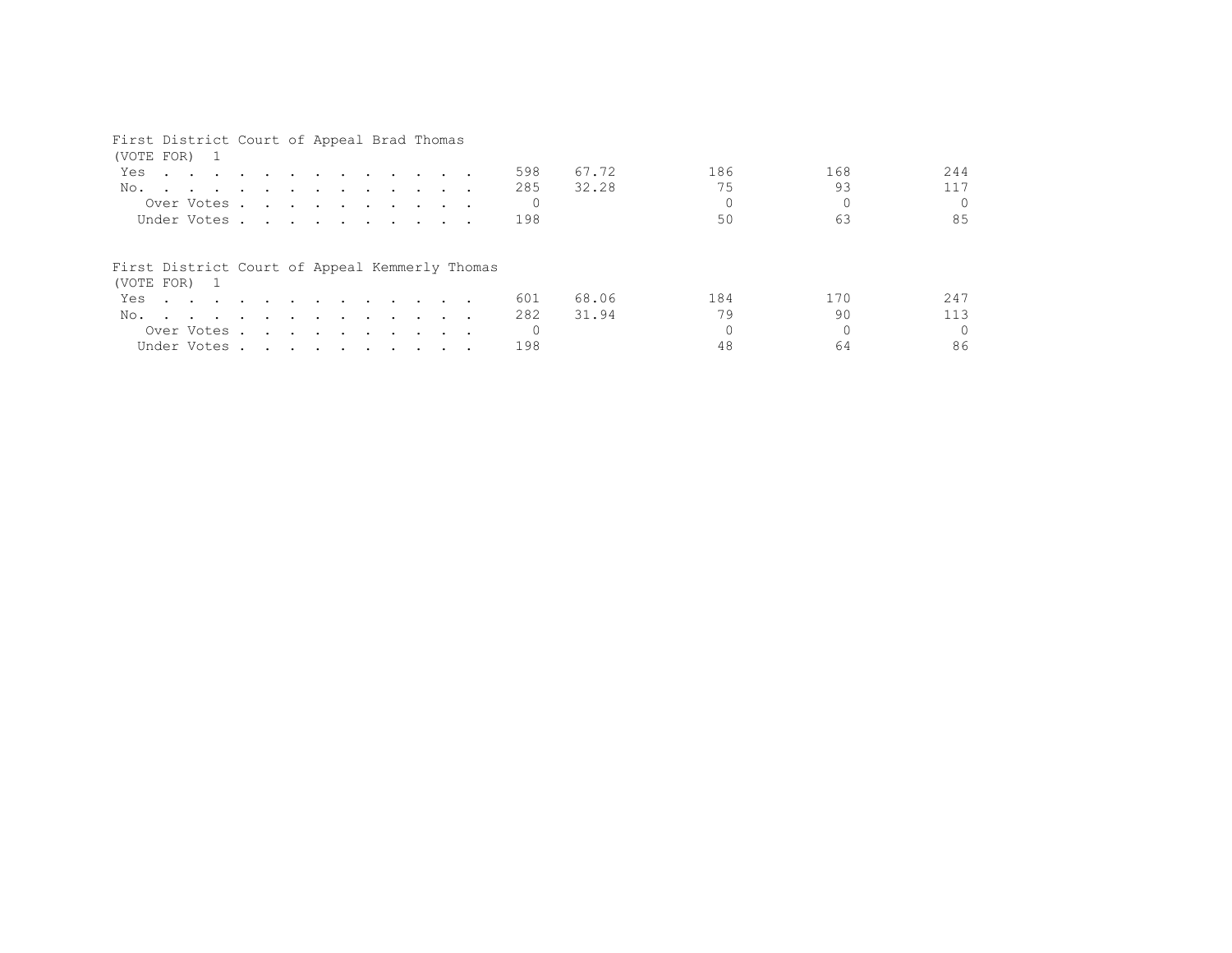## First District Court of Appeal Brad Thomas

| (VOTE FOR) 1                                                                                                           |  |  |  |  |  |     |       |     |     |          |
|------------------------------------------------------------------------------------------------------------------------|--|--|--|--|--|-----|-------|-----|-----|----------|
| Yes<br>the contract of the contract of the contract of the contract of the contract of the contract of the contract of |  |  |  |  |  | 598 | 67.72 | 186 | 168 | 244      |
| No.                                                                                                                    |  |  |  |  |  | 285 | 32.28 | 75  | 93  | 117      |
| Over Votes                                                                                                             |  |  |  |  |  |     |       |     |     | $\Omega$ |
| Under Votes                                                                                                            |  |  |  |  |  | 198 |       | 50  | 63  | 85       |
| First District Court of Appeal Kemmerly Thomas<br>(VOTE FOR) 1                                                         |  |  |  |  |  |     |       |     |     |          |
| Yes                                                                                                                    |  |  |  |  |  | 601 | 68.06 | 184 | 170 | 247      |
| No.                                                                                                                    |  |  |  |  |  | 282 | 31.94 | 79  | 90  | 113      |
| Over Votes                                                                                                             |  |  |  |  |  |     |       |     |     | $\Omega$ |
| Under Votes                                                                                                            |  |  |  |  |  | 198 |       | 48  | 64  | 86       |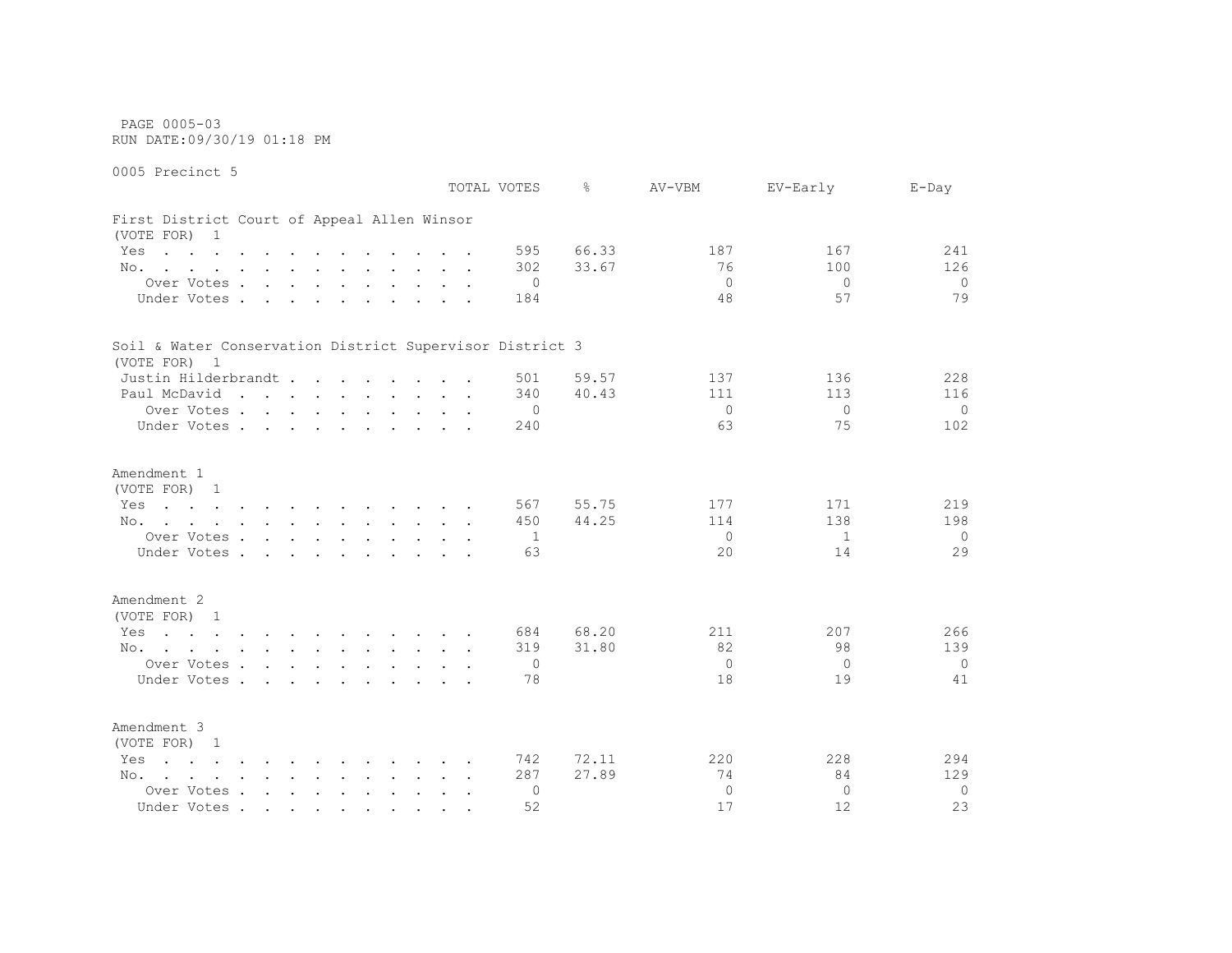PAGE 0005-03 RUN DATE:09/30/19 01:18 PM

0005 Precinct 5 TOTAL VOTES % AV-VBM EV-Early E-Day First District Court of Appeal Allen Winsor (VOTE FOR) 1 Yes . . . . . . . . . . . . 595 66.33 187 167 241 No. . . . . . . . . . . . 302 33.67 306 100 126 Over Votes . . . . . . . . . . 0 0 0 0 Under Votes . . . . . . . . . . 184 48 57 57 79 Soil & Water Conservation District Supervisor District 3 (VOTE FOR) 1 Justin Hilderbrandt . . . . . . . . 501 59.57 137 136 228 Paul McDavid . . . . . . . . . 340 40.43 111 113 113 116 Over Votes . . . . . . . . . . 0 0 0 0 Under Votes . . . . . . . . . 240 63 75 102 Amendment 1 (VOTE FOR) 1 Yes . . . . . . . . . . . . 567 55.75 177 171 219 No. . . . . . . . . . . . . 450 44.25 114 138 198 Over Votes . . . . . . . . . . 1 0 1 0 Under Votes . . . . . . . . . . 63 20 14 29 Amendment 2 (VOTE FOR) 1 Yes . . . . . . . . . . . . 684 68.20 211 207 266 No. . . . . . . . . . . . 319 31.80 82 98 139 Over Votes . . . . . . . . . . 0 0 0 0 Under Votes . . . . . . . . . . 78 18 19 19 19 Amendment 3 (VOTE FOR) 1 Yes . . . . . . . . . . . . 742 72.11 220 228 294 No. . . . . . . . . . . . 287 27.89 27.89 74 84 129 Over Votes . . . . . . . . . . 0 0 0 0 Under Votes . . . . . . . . . . 52 17 12 23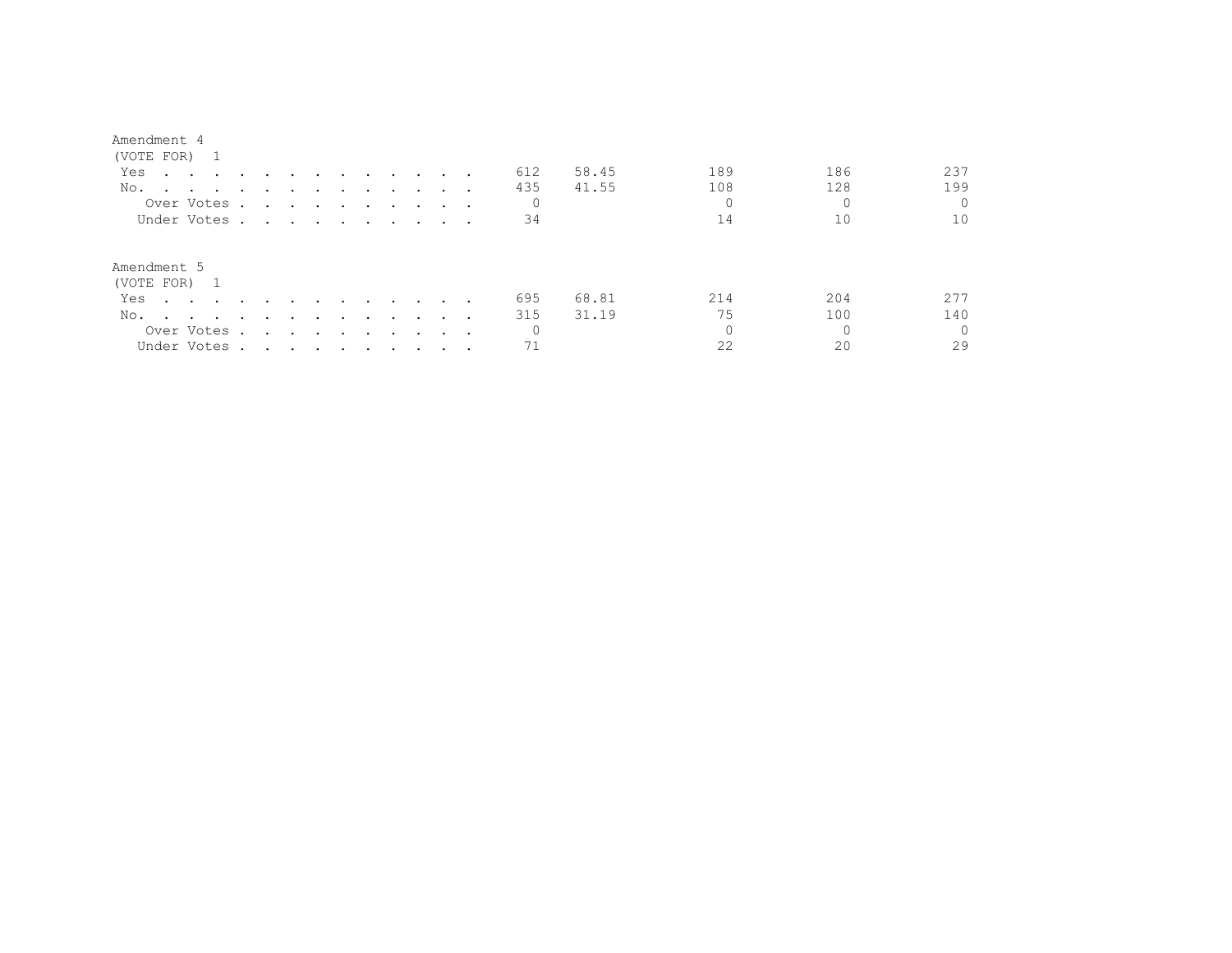| (VOTE FOR)                                                                                                             |                                                                                                                                                                                                                                      |               |        |                      |                      |                                                                                                                 |               |  |     |       |     |     |          |
|------------------------------------------------------------------------------------------------------------------------|--------------------------------------------------------------------------------------------------------------------------------------------------------------------------------------------------------------------------------------|---------------|--------|----------------------|----------------------|-----------------------------------------------------------------------------------------------------------------|---------------|--|-----|-------|-----|-----|----------|
| Yes<br>the contract of the contract of the contract of the contract of the contract of the contract of the contract of |                                                                                                                                                                                                                                      |               |        | $\sim$               |                      | and the state of the state of the                                                                               |               |  | 612 | 58.45 | 189 | 186 | 237      |
| No.<br>$\sim$ $\sim$ $\sim$ $\sim$ $\sim$ $\sim$                                                                       |                                                                                                                                                                                                                                      | $\cdot$       |        |                      | $\bullet$            |                                                                                                                 |               |  | 435 | 41.55 | 108 | 128 | 199      |
| Over Votes.                                                                                                            | $\sim$                                                                                                                                                                                                                               |               |        |                      |                      |                                                                                                                 |               |  | 0   |       |     |     | $\Omega$ |
| Under Votes.                                                                                                           | <u>in the community of the community of the community of the community of the community of the community of the community of the community of the community of the community of the community of the community of the community </u> |               |        |                      |                      |                                                                                                                 |               |  | 34  |       | 14  |     | 10       |
| Amendment 5<br>(VOTE FOR) 1                                                                                            |                                                                                                                                                                                                                                      |               |        |                      |                      |                                                                                                                 |               |  |     |       |     |     |          |
| Yes<br>the contract of the contract of the contract of the contract of the contract of the contract of the contract of |                                                                                                                                                                                                                                      |               |        | $\ddot{\phantom{1}}$ | $\sim$ $\sim$ $\sim$ |                                                                                                                 | $\sim$        |  | 695 | 68.81 | 214 | 204 | 277      |
| No.<br>the contract of the contract of the contract of the contract of the contract of the contract of the contract of | $\ddot{\phantom{0}}$                                                                                                                                                                                                                 | $\sim$ $\sim$ | $\sim$ | $\sim$               | $\sim$ $\sim$ $\sim$ |                                                                                                                 | $\sim$ $\sim$ |  | 315 | 31.19 | 75  | 100 | 140      |
| Over Votes .                                                                                                           | $\sim$                                                                                                                                                                                                                               |               |        |                      |                      | the contract of the contract of the contract of the contract of the contract of the contract of the contract of |               |  | 0   |       |     |     | $\Omega$ |
| Under Votes.                                                                                                           | . The state of the state of the state of the state of the state of the state of the state of the state of the state of the state of the state of the state of the state of the state of the state of the state of the state o        |               |        |                      |                      |                                                                                                                 |               |  |     |       | 22  | 20  | 29       |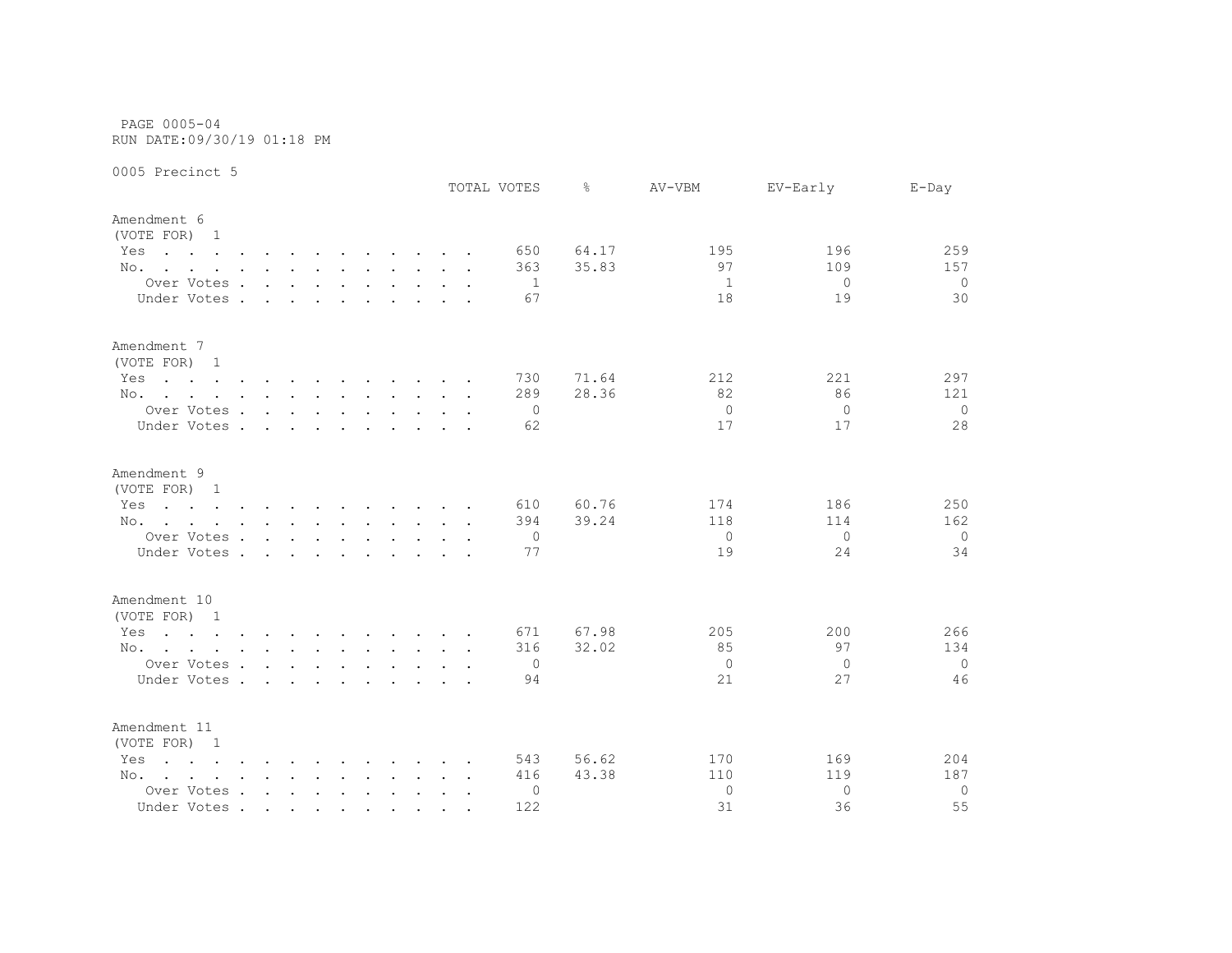PAGE 0005-04 RUN DATE:09/30/19 01:18 PM

|                                                                                                                        |                                 |        |        |               |                                            |  |                      | TOTAL VOTES  | ⊱     | AV-VBM         | EV-Early     | $E$ -Day       |
|------------------------------------------------------------------------------------------------------------------------|---------------------------------|--------|--------|---------------|--------------------------------------------|--|----------------------|--------------|-------|----------------|--------------|----------------|
| Amendment 6<br>(VOTE FOR) 1                                                                                            |                                 |        |        |               |                                            |  |                      |              |       |                |              |                |
| Yes<br>the contract of the contract of the contract of the contract of the contract of the contract of the contract of |                                 |        |        |               |                                            |  |                      | 650          | 64.17 | 195            | 196          | 259            |
| No.                                                                                                                    |                                 |        |        |               |                                            |  |                      | 363          | 35.83 | 97             | 109          | 157            |
| Over Votes.                                                                                                            | $\sim$ $\sim$ $\sim$ $\sim$     |        |        |               | and the contract of the contract of        |  |                      | -1           |       | -1             | $\Omega$     | $\circ$        |
| Under Votes .                                                                                                          | $\mathbf{r}$                    |        |        | $\sim$        |                                            |  |                      | 67           |       | 18             | 19           | 30             |
| Amendment 7<br>(VOTE FOR) 1                                                                                            |                                 |        |        |               |                                            |  |                      |              |       |                |              |                |
| Yes<br>the contract of the contract of the contract of the contract of the contract of the contract of the contract of |                                 |        |        |               |                                            |  |                      | 730          | 71.64 | 212            | 221          | 297            |
| No.                                                                                                                    |                                 |        |        |               |                                            |  |                      | 289          | 28.36 | 82             | 86           | 121            |
| Over Votes                                                                                                             |                                 |        |        |               |                                            |  |                      | $\mathbf{0}$ |       | $\overline{0}$ | $\Omega$     | $\overline{0}$ |
| Under Votes.                                                                                                           | <b>Contract Contract Street</b> |        |        | $\sim$ $\sim$ | $\mathbf{a}$ , $\mathbf{a}$ , $\mathbf{a}$ |  |                      | 62           |       | 17             | 17           | 28             |
| Amendment 9                                                                                                            |                                 |        |        |               |                                            |  |                      |              |       |                |              |                |
| (VOTE FOR) 1                                                                                                           |                                 |        |        |               |                                            |  |                      |              |       |                |              |                |
| Yes<br>the contract of the contract of the contract of the contract of the contract of the contract of the contract of |                                 |        |        |               |                                            |  |                      | 610          | 60.76 | 174            | 186          | 250            |
| No.                                                                                                                    |                                 |        |        |               |                                            |  |                      | 394          | 39.24 | 118            | 114          | 162            |
| Over Votes                                                                                                             |                                 |        |        |               |                                            |  |                      | $\mathbf{0}$ |       | $\overline{0}$ | $\Omega$     | $\circ$        |
| Under Votes.                                                                                                           | $\sim$                          | $\sim$ | $\sim$ | $\sim$ $\sim$ |                                            |  |                      | 77           |       | 19             | 24           | 34             |
| Amendment 10                                                                                                           |                                 |        |        |               |                                            |  |                      |              |       |                |              |                |
| (VOTE FOR) 1                                                                                                           |                                 |        |        |               |                                            |  |                      |              |       |                |              |                |
| Yes<br>the contract of the contract of the contract of the contract of the contract of the contract of the contract of |                                 |        |        |               |                                            |  |                      | 671          | 67.98 | 205            | 200          | 266            |
| No.                                                                                                                    |                                 |        |        |               |                                            |  |                      | 316          | 32.02 | 85             | 97           | 134            |
| Over Votes                                                                                                             |                                 |        |        |               |                                            |  |                      | 0            |       | $\Omega$       | $\mathbf{0}$ | $\overline{0}$ |
| Under Votes                                                                                                            |                                 |        |        |               |                                            |  |                      | 94           |       | 21             | 27           | 46             |
| Amendment 11<br>(VOTE FOR) 1                                                                                           |                                 |        |        |               |                                            |  |                      |              |       |                |              |                |
| Yes<br>$\mathbf{r}$ , and $\mathbf{r}$ , and $\mathbf{r}$ , and $\mathbf{r}$ , and $\mathbf{r}$ , and $\mathbf{r}$     |                                 |        |        |               |                                            |  |                      | 543          | 56.62 | 170            | 169          | 204            |
| No.<br>the contract of the contract of the contract of the contract of the contract of the contract of the contract of |                                 |        |        |               |                                            |  |                      | 416          | 43.38 | 110            | 119          | 187            |
| Over Votes                                                                                                             |                                 |        |        |               |                                            |  | $\ddot{\phantom{0}}$ | 0            |       | $\circ$        | $\Omega$     | $\circ$        |
| Under Votes                                                                                                            |                                 |        |        |               |                                            |  |                      | 122          |       | 31             | 36           | 55             |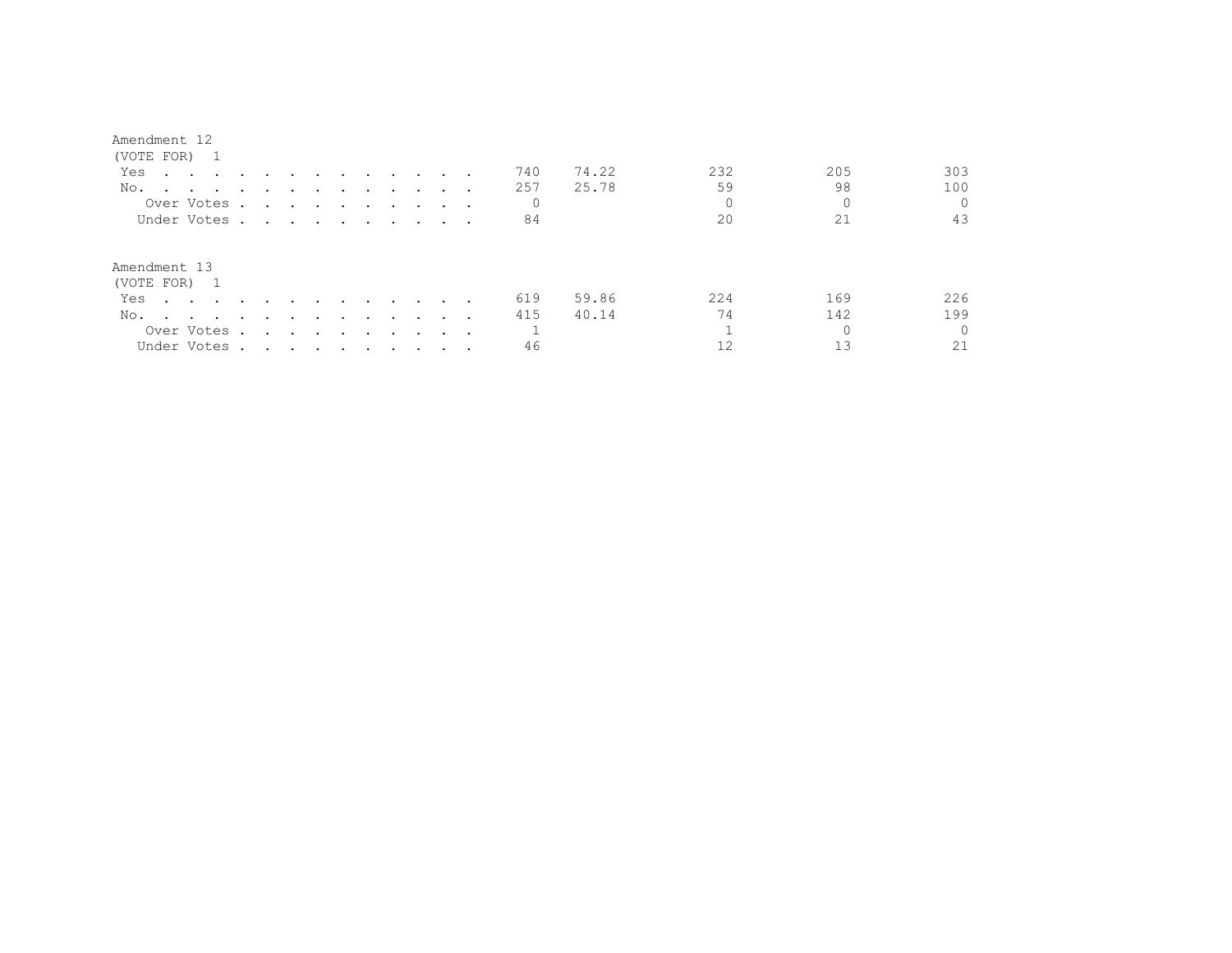| Amendment |  |
|-----------|--|
|-----------|--|

| (VOTE FOR) 1                                      |                                                                                                                 |                                             |                          |                                                                                                                 |           |                  |        |                      |                 |     |       |     |     |          |
|---------------------------------------------------|-----------------------------------------------------------------------------------------------------------------|---------------------------------------------|--------------------------|-----------------------------------------------------------------------------------------------------------------|-----------|------------------|--------|----------------------|-----------------|-----|-------|-----|-----|----------|
| Yes                                               | the contract of the contract of the contract of the contract of the contract of the contract of the contract of |                                             |                          |                                                                                                                 |           | $\sim$           |        |                      |                 | 740 | 74.22 | 232 | 205 | 303      |
| No.                                               | the contract of the contract of the                                                                             | $\ddot{\phantom{0}}$                        | $\cdot$                  |                                                                                                                 |           | $\bullet$        |        | $\ddot{\phantom{0}}$ | $\cdot$ $\cdot$ | 257 | 25.78 | 59  | 98  | 100      |
| Over Votes .                                      |                                                                                                                 | $\ddot{\phantom{a}}$                        |                          | the contract of the contract of the contract of the contract of the contract of the contract of the contract of |           |                  |        |                      |                 | 0   |       | 0   |     |          |
| Under Votes                                       |                                                                                                                 |                                             |                          |                                                                                                                 |           |                  |        |                      |                 | 84  |       | 20  | 21  | 43       |
| Amendment 13<br>(VOTE FOR) 1                      |                                                                                                                 |                                             |                          |                                                                                                                 |           |                  |        |                      |                 |     |       |     |     |          |
| Yes<br>and the state of the state of the state of |                                                                                                                 | $\ddot{\phantom{0}}$                        | $\overline{\phantom{a}}$ |                                                                                                                 |           | $\sim$           |        | $\cdot$              |                 | 619 | 59.86 | 224 | 169 | 226      |
| No.                                               | and the state of the state of the state of the state of the state of the state of the state of the state of the | $\sim$                                      |                          |                                                                                                                 |           |                  | $\sim$ |                      |                 | 415 | 40.14 | 74  | 142 | 199      |
| Over Votes .                                      |                                                                                                                 | and the second control of the second second | $\sim$                   |                                                                                                                 | $\bullet$ | $\sim$<br>$\sim$ | $\sim$ | $\cdot$              |                 |     |       |     |     | $\Omega$ |
| Under Votes                                       |                                                                                                                 |                                             |                          |                                                                                                                 |           |                  |        |                      |                 | 46  |       |     |     | 21       |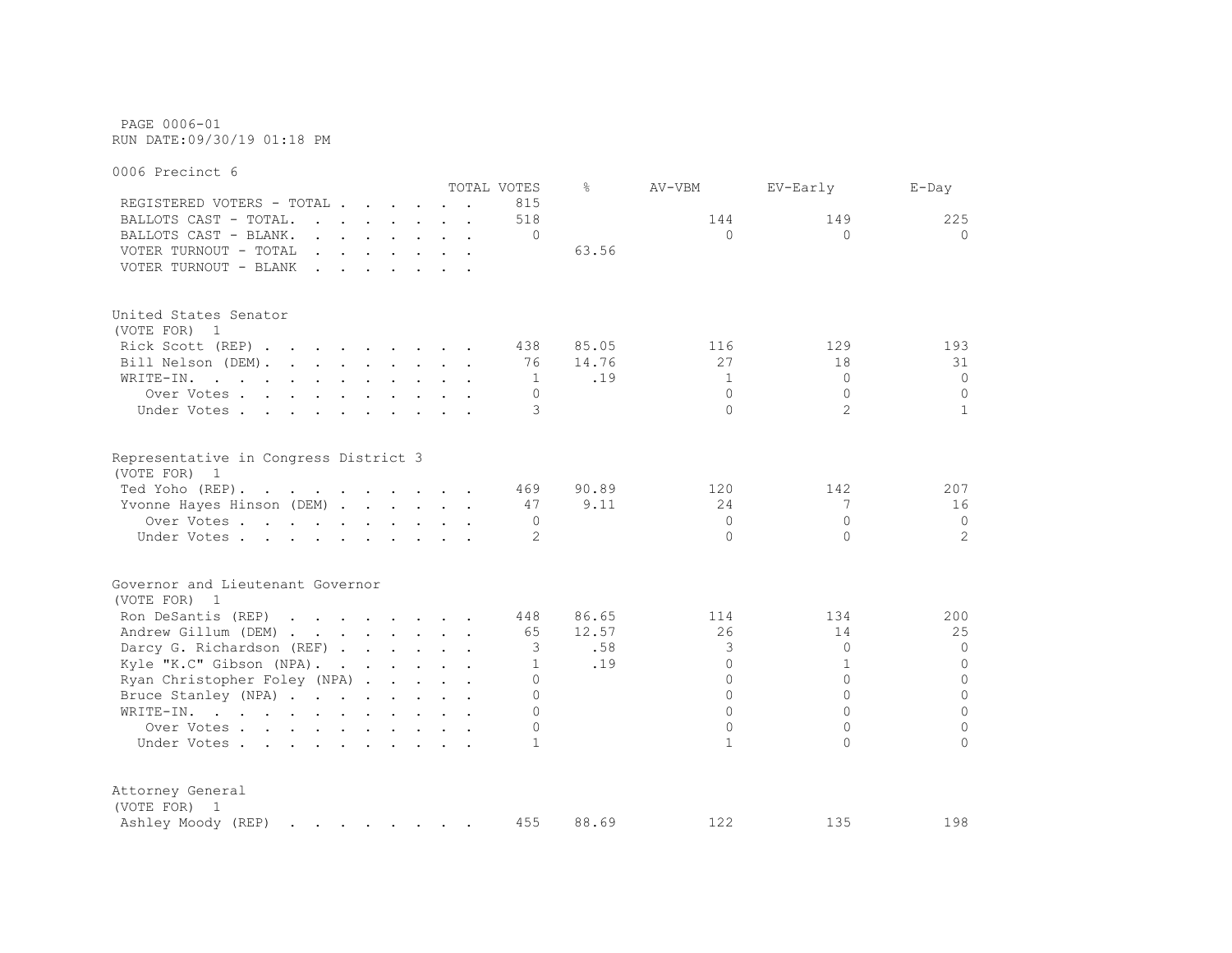PAGE 0006-01 RUN DATE:09/30/19 01:18 PM

0006 Precinct 6 TOTAL VOTES % AV-VBM EV-Early E-Day REGISTERED VOTERS - TOTAL . . . . . . 815 BALLOTS CAST - TOTAL. . . . . . 518 144 149 225 BALLOTS CAST - BLANK. . . . . . . . 0 0 0 0 VOTER TURNOUT - TOTAL . . . . . . . 63.56 VOTER TURNOUT - BLANK . . . . . . . United States Senator (VOTE FOR) 1 Rick Scott (REP) . . . . . . . . 438 85.05 116 129 193 Bill Nelson (DEM). . . . . . . . 76 14.76 27 18 31 WRITE-IN. . . . . . . . . . . . 1 .19 1 0 0 0 Over Votes . . . . . . . . . . 0 0 0 0 Under Votes . . . . . . . . . . 3 0 2 1 Representative in Congress District 3 (VOTE FOR) 1 Ted Yoho (REP). . . . . . . . . . 469 90.89 120 142 207 Yvonne Hayes Hinson (DEM) . . . . . 47 9.11 24 7 16 Over Votes . . . . . . . . . . 0 0 0 0 Under Votes . . . . . . . . . . . 2 0 0 2 2 Governor and Lieutenant Governor (VOTE FOR) 1 Ron DeSantis (REP) . . . . . . . 448 86.65 114 134 200 Andrew Gillum (DEM) . . . . . . . 65 12.57 26 14 25 Darcy G. Richardson (REF) . . . . . 3 .58 3 0 0 0 0 Kyle "K.C" Gibson (NPA). . . . . . 1 .19 0 1 0 0 Ryan Christopher Foley (NPA) . . . . . 0 0 0 0 Bruce Stanley (NPA) . . . . . . . . 0 0 0 0 WRITE-IN. . . . . . . . . . . . 0 0 0 0 Over Votes . . . . . . . . . . 0 0 0 0 Under Votes . . . . . . . . . . . 1 1 0 0 Attorney General (VOTE FOR) 1 Ashley Moody (REP) . . . . . . . 455 88.69 122 135 198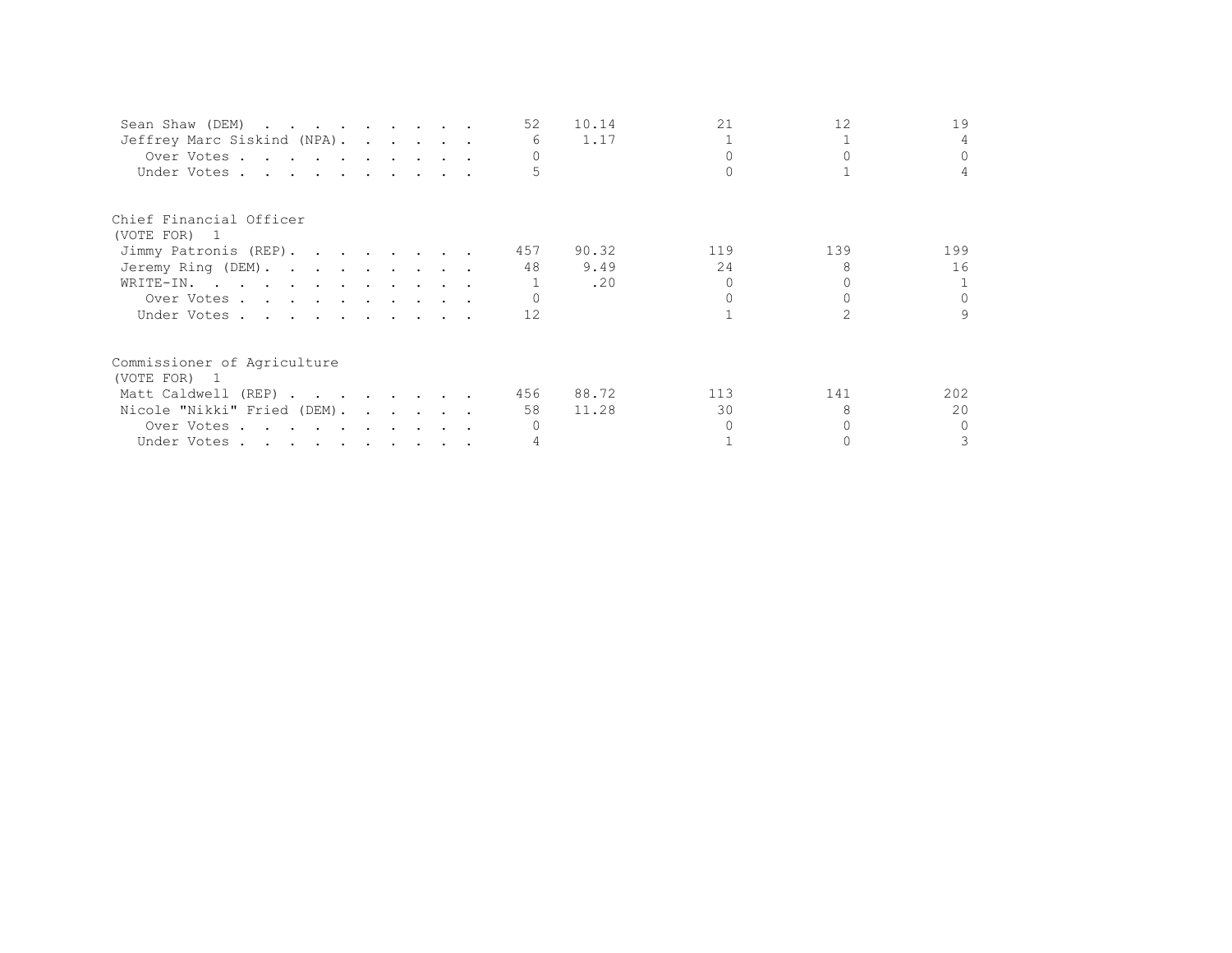| Sean Shaw (DEM)             |  |  | 52  | 10.14 | 21  | 12  | 19           |
|-----------------------------|--|--|-----|-------|-----|-----|--------------|
| Jeffrey Marc Siskind (NPA). |  |  | 6   | 1.17  |     |     |              |
| Over Votes                  |  |  |     |       |     |     | $\Omega$     |
| Under Votes                 |  |  |     |       |     |     |              |
| Chief Financial Officer     |  |  |     |       |     |     |              |
| (VOTE FOR) 1                |  |  |     |       |     |     |              |
| Jimmy Patronis (REP).       |  |  | 457 | 90.32 | 119 | 139 | 199          |
| Jeremy Ring (DEM).          |  |  | 48  | 9.49  | 24  |     | 16           |
| WRITE-IN.                   |  |  |     | .20   |     |     |              |
| Over Votes                  |  |  |     |       |     |     | $\Omega$     |
| Under Votes                 |  |  | 12  |       |     |     | $\mathsf{Q}$ |
| Commissioner of Agriculture |  |  |     |       |     |     |              |
| (VOTE FOR) 1                |  |  |     |       |     |     |              |
| Matt Caldwell (REP)         |  |  | 456 | 88.72 | 113 | 141 | 202          |
| Nicole "Nikki" Fried (DEM). |  |  | 58  | 11.28 | 30  |     | 20           |
| Over Votes                  |  |  |     |       |     |     | $\Omega$     |
| Under Votes                 |  |  |     |       |     |     |              |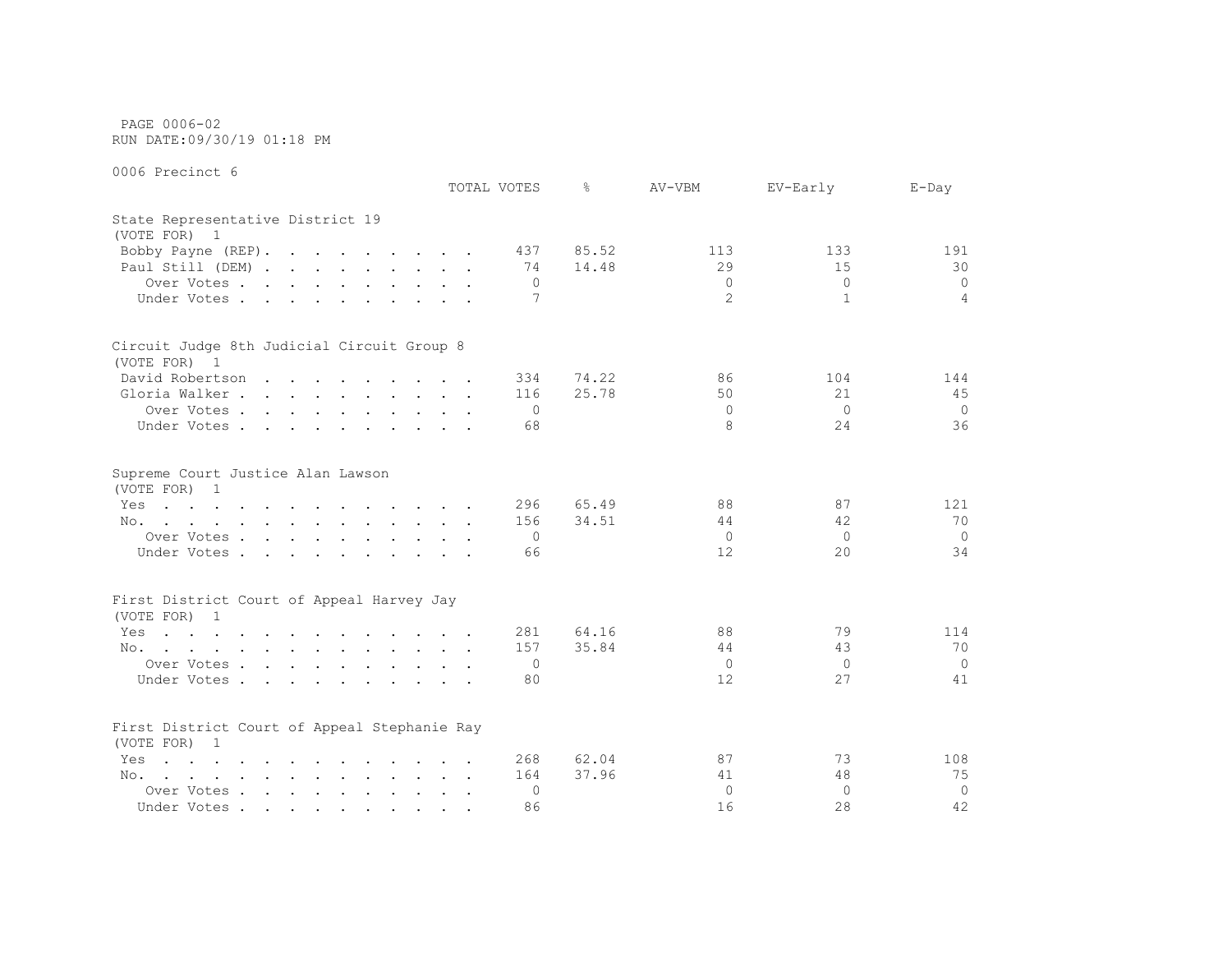PAGE 0006-02 RUN DATE:09/30/19 01:18 PM

|                                                                                                                                                                                                                                                | TOTAL VOTES | ⊱                                                  | AV-VBM                                   | EV-Early                   | $E$ -Day                    |
|------------------------------------------------------------------------------------------------------------------------------------------------------------------------------------------------------------------------------------------------|-------------|----------------------------------------------------|------------------------------------------|----------------------------|-----------------------------|
| State Representative District 19<br>(VOTE FOR) 1                                                                                                                                                                                               |             |                                                    |                                          |                            |                             |
| Bobby Payne (REP).                                                                                                                                                                                                                             |             | 85.52<br>437                                       | 113                                      | 133                        | 191                         |
| Paul Still (DEM)                                                                                                                                                                                                                               |             | 14.48<br>74                                        | 29                                       | 15                         | 30                          |
| Over Votes                                                                                                                                                                                                                                     |             | 0                                                  | $\mathbf{0}$                             | $\overline{0}$             | $\circ$                     |
| Under Votes                                                                                                                                                                                                                                    |             | 7                                                  | $\overline{2}$                           | $\mathbf{1}$               | $\overline{4}$              |
| Circuit Judge 8th Judicial Circuit Group 8                                                                                                                                                                                                     |             |                                                    |                                          |                            |                             |
| (VOTE FOR) 1                                                                                                                                                                                                                                   |             |                                                    |                                          |                            |                             |
| David Robertson                                                                                                                                                                                                                                |             | 74.22<br>334                                       | 86                                       | 104                        | 144                         |
| Gloria Walker                                                                                                                                                                                                                                  |             | 25.78<br>116                                       | 50                                       | 21                         | 45                          |
| Over Votes                                                                                                                                                                                                                                     |             | $\overline{0}$                                     | $\Omega$                                 | $\Omega$                   | $\Omega$                    |
| Under Votes                                                                                                                                                                                                                                    |             | 68                                                 | 8                                        | 24                         | 36                          |
| Supreme Court Justice Alan Lawson<br>(VOTE FOR) 1<br>the contract of the contract of the contract of the contract of the contract of the contract of the contract of<br>Yes<br>No.<br>Over Votes<br>Under Votes                                |             | 296<br>65.49<br>34.51<br>156<br>$\mathbf{0}$<br>66 | 88<br>44<br>$\circ$<br>$12 \overline{ }$ | 87<br>42<br>$\Omega$<br>20 | 121<br>70<br>$\Omega$<br>34 |
| First District Court of Appeal Harvey Jay                                                                                                                                                                                                      |             |                                                    |                                          |                            |                             |
| (VOTE FOR) 1                                                                                                                                                                                                                                   |             |                                                    |                                          |                            |                             |
| the contract of the contract of the contract of the contract of<br>Yes                                                                                                                                                                         |             | 64.16<br>281                                       | 88                                       | 79                         | 114                         |
| No.                                                                                                                                                                                                                                            |             | 35.84<br>157                                       | 44                                       | 43                         | 70                          |
| Over Votes                                                                                                                                                                                                                                     |             | 0                                                  | $\overline{0}$                           | $\overline{0}$             | $\Omega$                    |
| Under Votes                                                                                                                                                                                                                                    |             | 80                                                 | $12 \overline{ }$                        | 27                         | 41                          |
| First District Court of Appeal Stephanie Ray<br>(VOTE FOR) 1                                                                                                                                                                                   |             |                                                    |                                          |                            |                             |
| $\mathbf{r}$ , and $\mathbf{r}$ , and $\mathbf{r}$ , and $\mathbf{r}$ , and $\mathbf{r}$ , and $\mathbf{r}$<br>Yes                                                                                                                             |             | 62.04<br>268                                       | 87                                       | 73                         | 108                         |
| No.<br>$\mathcal{L}(\mathbf{r})$ . The contribution of the contribution of the contribution of the contribution of the contribution of the contribution of the contribution of the contribution of the contribution of the contribution of the |             | 37.96<br>164                                       | 41                                       | 48                         | 75                          |
| Over Votes                                                                                                                                                                                                                                     |             | $\Omega$                                           | $\Omega$                                 | $\Omega$                   | $\overline{0}$              |
| Under Votes                                                                                                                                                                                                                                    |             | 86                                                 | 16                                       | 28                         | 42                          |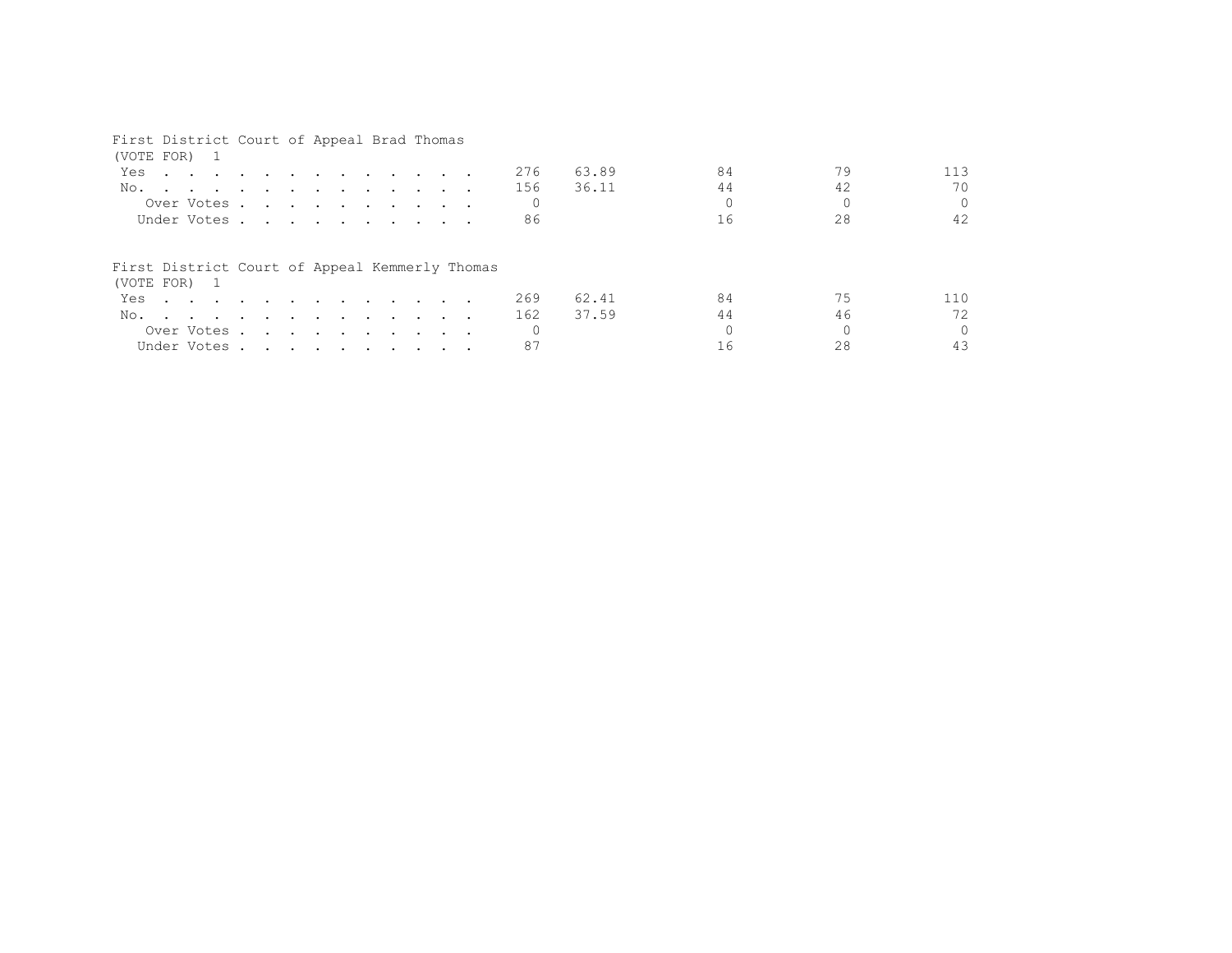## First District Court of Appeal Brad Thomas

| (VOTE FOR) 1                                                   |                                                                                                                                                                                                                                      |  |  |  |  |  |     |       |    |    |          |
|----------------------------------------------------------------|--------------------------------------------------------------------------------------------------------------------------------------------------------------------------------------------------------------------------------------|--|--|--|--|--|-----|-------|----|----|----------|
| Yes                                                            | <u>in the second contract of the second contract of the second contract of the second contract of the second contract of the second contract of the second contract of the second contract of the second contract of the second </u> |  |  |  |  |  | 276 | 63.89 | 84 | 79 | 113      |
| No.                                                            |                                                                                                                                                                                                                                      |  |  |  |  |  | 156 | 36.11 | 44 | 42 | 70       |
|                                                                | Over Votes                                                                                                                                                                                                                           |  |  |  |  |  |     |       |    |    | $\Omega$ |
| Under Votes                                                    |                                                                                                                                                                                                                                      |  |  |  |  |  | 86  |       | 16 | 28 | 42       |
| First District Court of Appeal Kemmerly Thomas<br>(VOTE FOR) 1 |                                                                                                                                                                                                                                      |  |  |  |  |  |     |       |    |    |          |
| Yes                                                            |                                                                                                                                                                                                                                      |  |  |  |  |  | 269 | 62.41 | 84 | 75 | 110      |
| No.                                                            |                                                                                                                                                                                                                                      |  |  |  |  |  | 162 | 37.59 | 44 | 46 | 72       |
| Over Votes                                                     |                                                                                                                                                                                                                                      |  |  |  |  |  |     |       |    |    | $\Omega$ |
| Under Votes                                                    |                                                                                                                                                                                                                                      |  |  |  |  |  | 87  |       |    |    |          |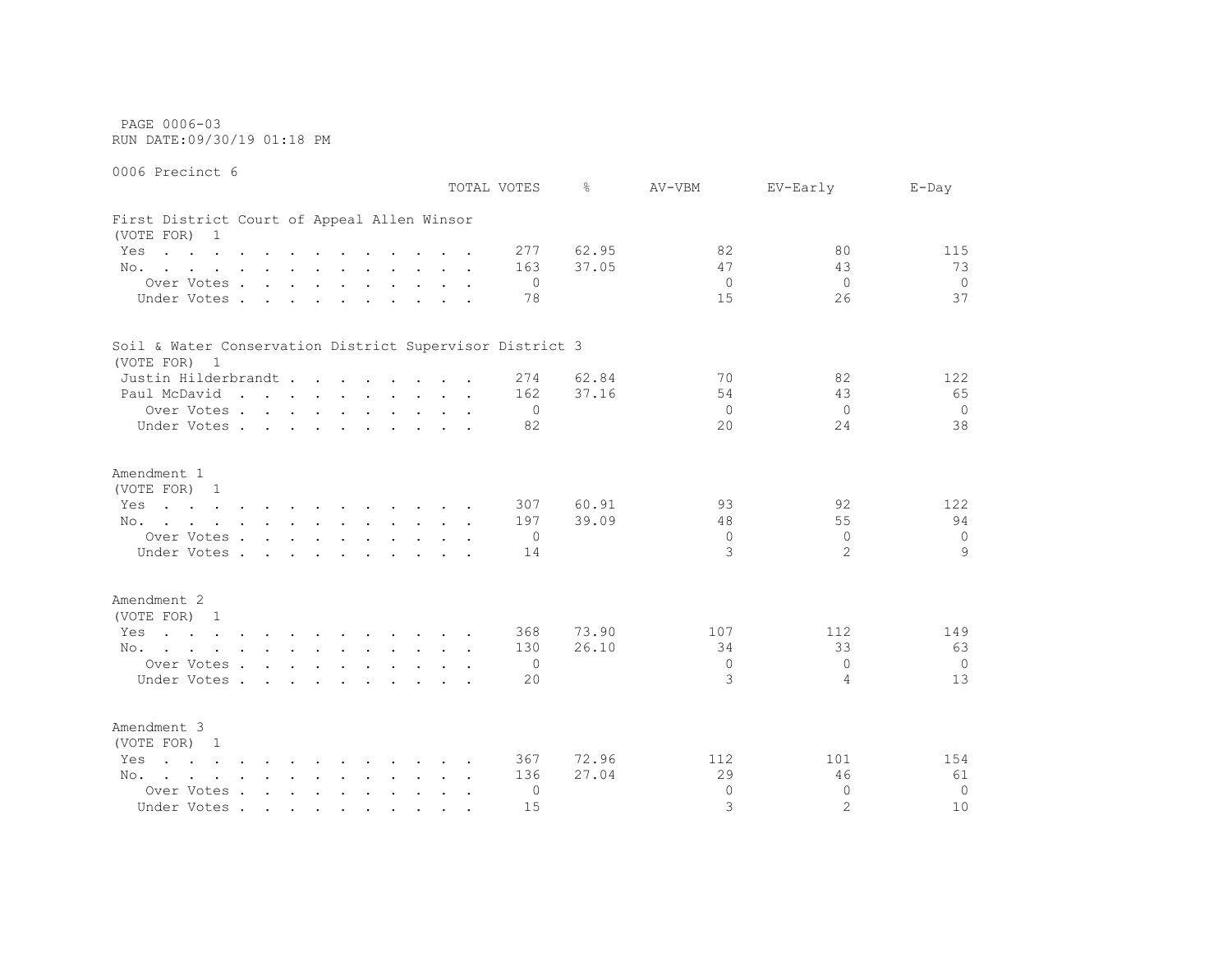PAGE 0006-03 RUN DATE:09/30/19 01:18 PM

0006 Precinct 6

 TOTAL VOTES % AV-VBM EV-Early E-Day First District Court of Appeal Allen Winsor (VOTE FOR) 1 Yes . . . . . . . . . . . 277 62.95 82 80 115 No. . . . . . . . . . . . 163 37.05 47 43 73 Over Votes . . . . . . . . . . 0 0 0 0 Under Votes . . . . . . . . . . 78 15 26 37 Soil & Water Conservation District Supervisor District 3 (VOTE FOR) 1 Justin Hilderbrandt . . . . . . 274 62.84 70 82 122 Paul McDavid . . . . . . . . . 162 37.16 54 54 43 65 Over Votes . . . . . . . . . . 0 0 0 0 Under Votes . . . . . . . . . . 82 20 24 38 Amendment 1 (VOTE FOR) 1 Yes . . . . . . . . . . . 307 60.91 93 92 122 No. . . . . . . . . . . . 197 39.09 48 55 94 Over Votes . . . . . . . . . . 0 0 0 0 Under Votes . . . . . . . . . . 14 3 2 9 Amendment 2 (VOTE FOR) 1 Yes . . . . . . . . . . . . 368 73.90 107 112 149 No. . . . . . . . . . . . 130 26.10 34 33 63 Over Votes . . . . . . . . . . 0 0 0 0 Under Votes . . . . . . . . . . 20 3 4 13 Amendment 3 (VOTE FOR) 1 Yes . . . . . . . . . . . . 367 72.96 112 101 154 No. . . . . . . . . . . . 136 27.04 29 46 61 Over Votes . . . . . . . . . . 0 0 0 0 Under Votes . . . . . . . . . . 15 3 2 10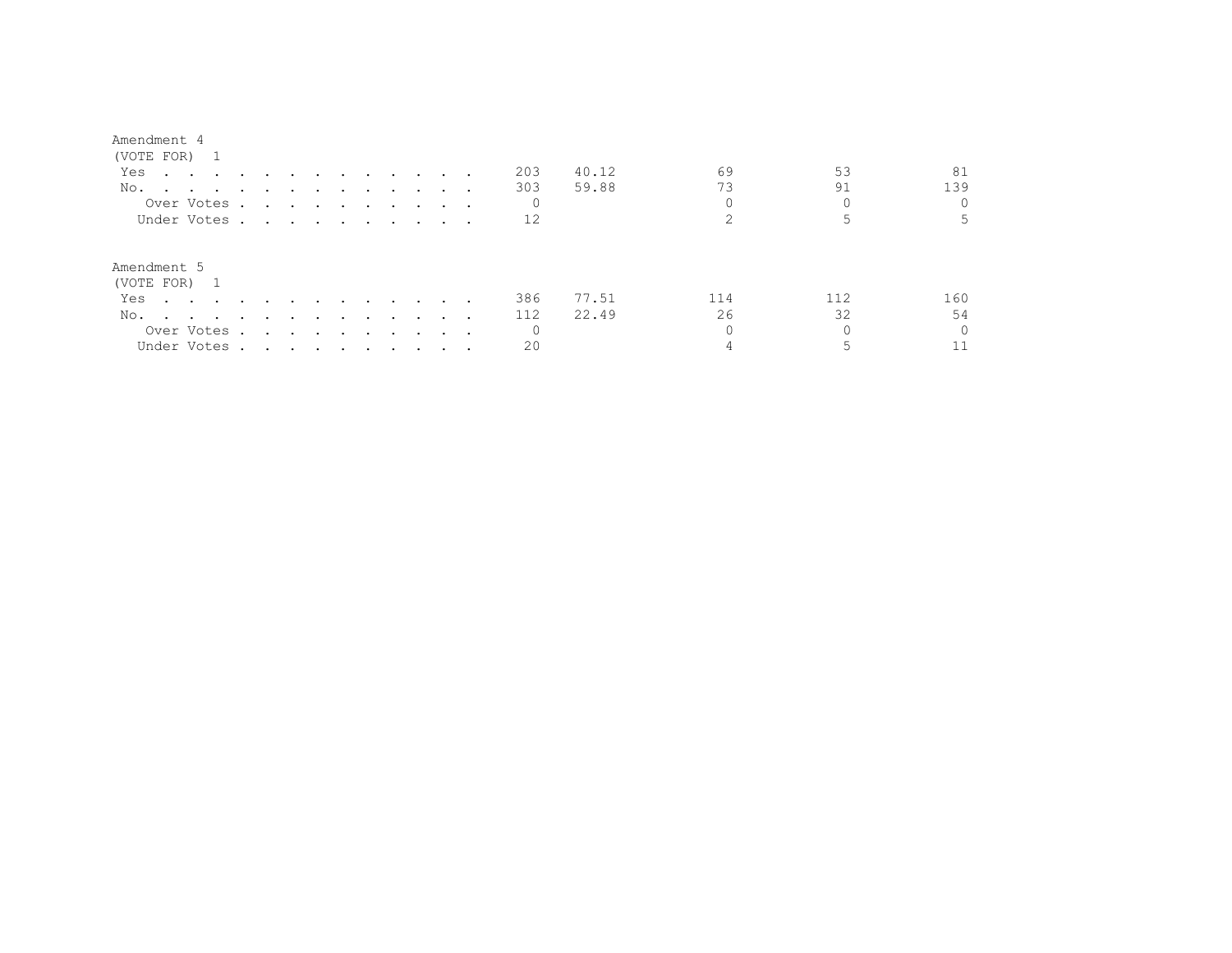| (VOTE FOR) 1                                                                                                           |                                                                                                                                                                                                                               |                                                                                                                 |        |                                    |               |                             |              |       |     |     |     |
|------------------------------------------------------------------------------------------------------------------------|-------------------------------------------------------------------------------------------------------------------------------------------------------------------------------------------------------------------------------|-----------------------------------------------------------------------------------------------------------------|--------|------------------------------------|---------------|-----------------------------|--------------|-------|-----|-----|-----|
| Yes<br>the contract of the contract of the contract of the contract of the contract of the contract of the contract of |                                                                                                                                                                                                                               |                                                                                                                 |        | $\sim$ $\sim$ $\sim$ $\sim$ $\sim$ |               |                             | 203          | 40.12 | 69  | 53  | 81  |
| No.                                                                                                                    |                                                                                                                                                                                                                               |                                                                                                                 |        |                                    |               |                             | 303          | 59.88 | 73  | 91  | 139 |
| Over Votes.                                                                                                            | the contract of the contract of the contract of the contract of the contract of the contract of the contract of                                                                                                               |                                                                                                                 |        |                                    |               |                             | $\mathbf{0}$ |       |     |     |     |
| Under Votes.                                                                                                           | the contract of the contract of the contract of the contract of the contract of the contract of the contract of                                                                                                               |                                                                                                                 |        |                                    |               | $\sim$ $\sim$ $\sim$ $\sim$ | 12           |       |     |     |     |
| Amendment 5<br>(VOTE FOR) 1                                                                                            |                                                                                                                                                                                                                               |                                                                                                                 |        |                                    |               |                             |              |       |     |     |     |
| Yes<br>$\sim$ $\sim$ $\sim$ $\sim$ $\sim$ $\sim$                                                                       |                                                                                                                                                                                                                               |                                                                                                                 |        | $\sim$ $\sim$ $\sim$               |               | $\cdots$                    | 386          | 77.51 | 114 | 112 | 160 |
| No.<br>the contract of the contract of the contract of the contract of the contract of the contract of the contract of | $\ddot{\phantom{a}}$                                                                                                                                                                                                          | $\sim$ $\sim$                                                                                                   | $\sim$ | $\sim$ $\sim$ $\sim$               | $\sim$ $\sim$ |                             | 112          | 22.49 | 26  | 32  | 54  |
| Over Votes .                                                                                                           | $\sim$                                                                                                                                                                                                                        | the contract of the contract of the contract of the contract of the contract of the contract of the contract of |        |                                    |               | $\sim$ $\sim$ $\sim$ $\sim$ | $\mathbf{0}$ |       |     |     |     |
| Under Votes.                                                                                                           | . The state of the state of the state of the state of the state of the state of the state of the state of the state of the state of the state of the state of the state of the state of the state of the state of the state o |                                                                                                                 |        |                                    |               |                             | 20           |       |     |     |     |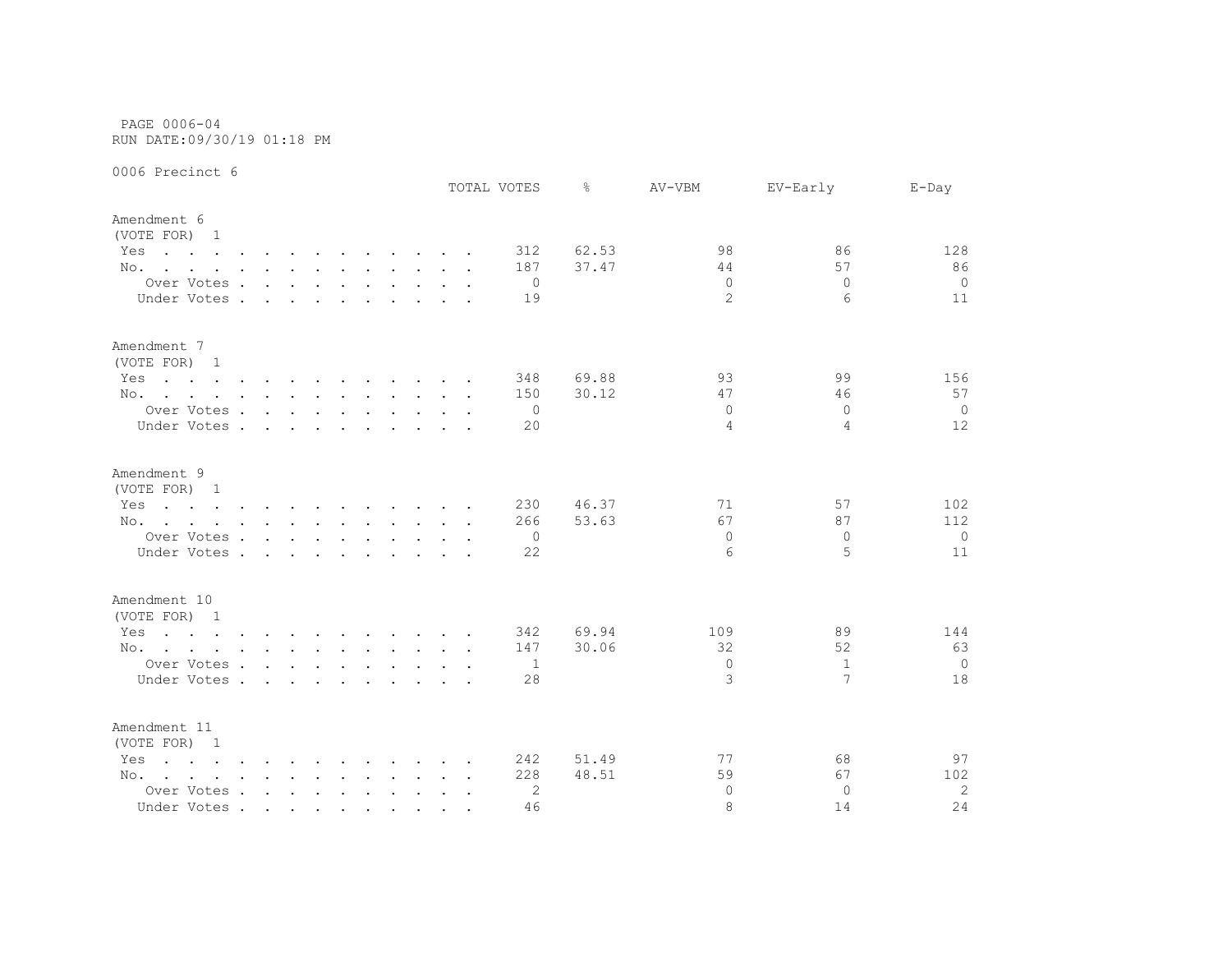PAGE 0006-04 RUN DATE:09/30/19 01:18 PM

|                                                                                                                        |                             |  |                                        |                   |  | TOTAL VOTES | ⊱     | AV-VBM         | EV-Early     | $E-Day$        |
|------------------------------------------------------------------------------------------------------------------------|-----------------------------|--|----------------------------------------|-------------------|--|-------------|-------|----------------|--------------|----------------|
| Amendment 6<br>(VOTE FOR) 1                                                                                            |                             |  |                                        |                   |  |             |       |                |              |                |
| Yes<br>the contract of the contract of the contract of the contract of the contract of the contract of the contract of |                             |  |                                        |                   |  | 312         | 62.53 | 98             | 86           | 128            |
| No.                                                                                                                    |                             |  |                                        |                   |  | 187         | 37.47 | 44             | 57           | 86             |
| Over Votes                                                                                                             |                             |  |                                        |                   |  | $\Omega$    |       | $\Omega$       | $\Omega$     | $\overline{0}$ |
| Under Votes.                                                                                                           | $\sim$ $\sim$ $\sim$ $\sim$ |  | $\mathbf{r}$ . The set of $\mathbf{r}$ | $\sim$ 100 $\sim$ |  | 19          |       | $\overline{2}$ | 6            | 11             |
| Amendment 7<br>(VOTE FOR) 1                                                                                            |                             |  |                                        |                   |  |             |       |                |              |                |
| Yes<br>the contract of the contract of the contract of the contract of the contract of the contract of the contract of |                             |  |                                        |                   |  | 348         | 69.88 | 93             | 99           | 156            |
| No.                                                                                                                    |                             |  |                                        |                   |  | 150         | 30.12 | 47             | 46           | 57             |
| Over Votes                                                                                                             |                             |  |                                        |                   |  | 0           |       | $\Omega$       | $\Omega$     | $\overline{0}$ |
| Under Votes                                                                                                            |                             |  |                                        |                   |  | 20          |       | $\overline{4}$ | 4            | 12             |
| Amendment 9                                                                                                            |                             |  |                                        |                   |  |             |       |                |              |                |
| (VOTE FOR) 1                                                                                                           |                             |  |                                        |                   |  |             |       |                |              |                |
| the contract of the contract of the contract of the contract of the contract of the contract of the contract of<br>Yes |                             |  |                                        |                   |  | 230         | 46.37 | 71             | 57           | 102            |
| No.                                                                                                                    |                             |  |                                        |                   |  | 266         | 53.63 | 67             | 87           | 112            |
| Over Votes                                                                                                             |                             |  |                                        |                   |  | 0           |       | 0              | 0            | 0              |
| Under Votes                                                                                                            |                             |  |                                        |                   |  | 22          |       | 6              | 5            | 11             |
| Amendment 10                                                                                                           |                             |  |                                        |                   |  |             |       |                |              |                |
| (VOTE FOR) 1                                                                                                           |                             |  |                                        |                   |  |             |       |                |              |                |
| the contract of the contract of the contract of the contract of the contract of the contract of the contract of<br>Yes |                             |  |                                        |                   |  | 342         | 69.94 | 109            | 89           | 144            |
| No.                                                                                                                    |                             |  |                                        |                   |  | 147         | 30.06 | 32             | 52           | 63             |
| Over Votes                                                                                                             |                             |  |                                        |                   |  | -1          |       | $\mathbf{0}$   | $\mathbf{1}$ | $\overline{0}$ |
| Under Votes                                                                                                            |                             |  |                                        |                   |  | 28          |       | 3              | 7            | 18             |
| Amendment 11<br>(VOTE FOR) 1                                                                                           |                             |  |                                        |                   |  |             |       |                |              |                |
| $\mathbf{r}$ , and $\mathbf{r}$ , and $\mathbf{r}$ , and $\mathbf{r}$ , and $\mathbf{r}$ , and $\mathbf{r}$<br>Yes     |                             |  |                                        |                   |  | 242         | 51.49 | 77             | 68           | 97             |
| No.                                                                                                                    |                             |  |                                        |                   |  | 228         | 48.51 | 59             | 67           | 102            |
| Over Votes                                                                                                             |                             |  |                                        |                   |  | 2           |       | $\Omega$       | $\Omega$     | 2              |
| Under Votes                                                                                                            |                             |  |                                        |                   |  | 46          |       | 8              | 14           | 24             |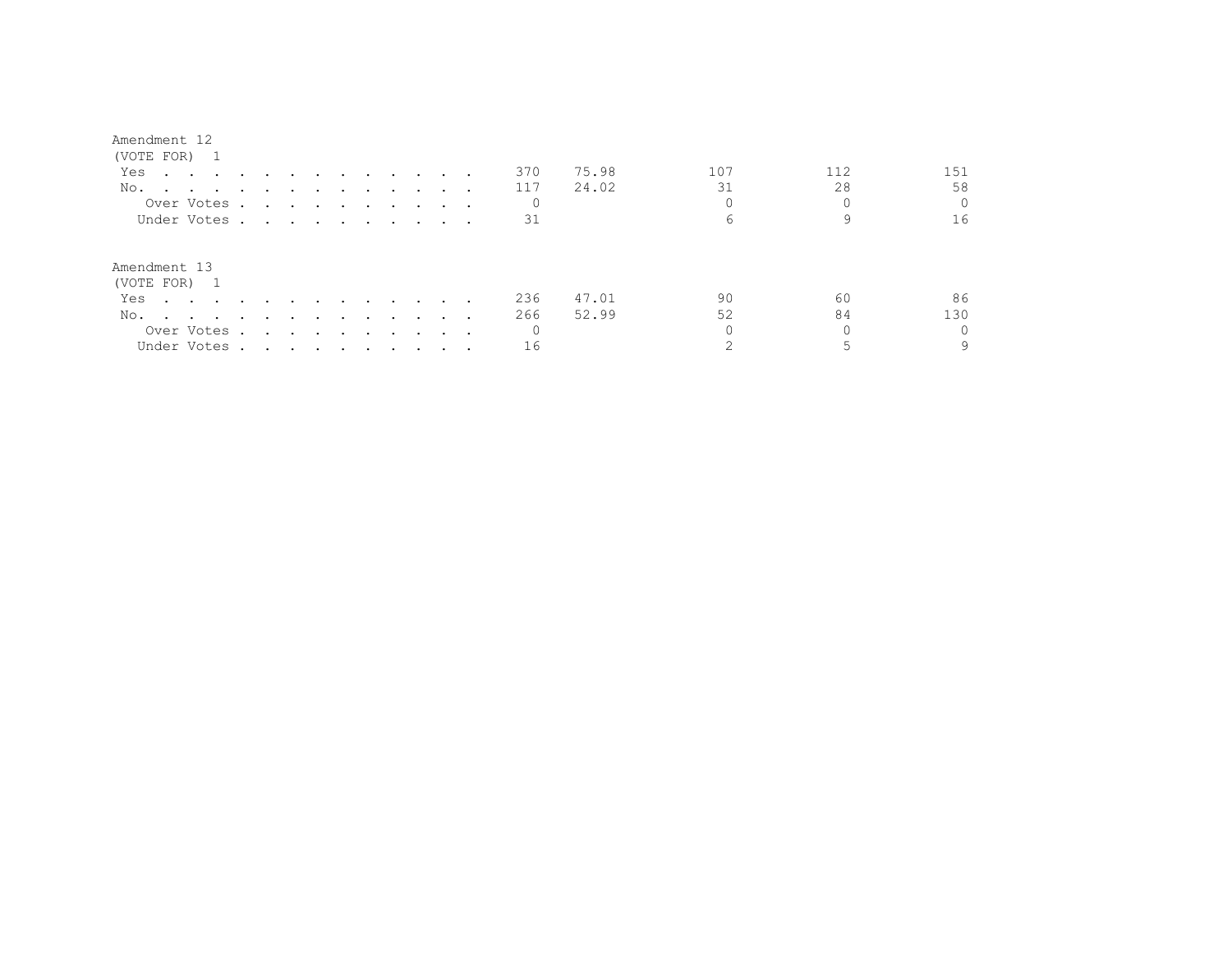| (VOTE FOR) 1                                                                           |  |        |                                     |                      |               |                                                                                                                 |                      |                 |                             |        |              |       |     |     |          |
|----------------------------------------------------------------------------------------|--|--------|-------------------------------------|----------------------|---------------|-----------------------------------------------------------------------------------------------------------------|----------------------|-----------------|-----------------------------|--------|--------------|-------|-----|-----|----------|
| Yes<br>$\mathbf{r}$ , and $\mathbf{r}$ , and $\mathbf{r}$ , and $\mathbf{r}$           |  |        |                                     | $\sim$ $\sim$ $\sim$ |               | and the state of the state of the                                                                               |                      |                 |                             |        | 370          | 75.98 | 107 | 112 | 151      |
| No.                                                                                    |  |        |                                     |                      |               |                                                                                                                 |                      |                 |                             |        | 117          | 24.02 | 31  | 28  | 58       |
| Over Votes.                                                                            |  |        |                                     |                      |               | $\mathbf{r}$ , and $\mathbf{r}$ , and $\mathbf{r}$ , and $\mathbf{r}$                                           |                      |                 | $\sim$ $\sim$ $\sim$ $\sim$ |        | 0            |       |     |     | $\Omega$ |
| Under Votes.                                                                           |  |        |                                     |                      |               | $\mathbf{r}$ , and $\mathbf{r}$ , and $\mathbf{r}$ , and $\mathbf{r}$                                           |                      |                 |                             |        | 31           |       | 6   |     | 16       |
| Amendment 13                                                                           |  |        |                                     |                      |               |                                                                                                                 |                      |                 |                             |        |              |       |     |     |          |
| (VOTE FOR) 1                                                                           |  |        |                                     |                      |               |                                                                                                                 |                      |                 |                             |        |              |       |     |     |          |
| Yes<br>$\sim$ $\sim$ $\sim$ $\sim$ $\sim$                                              |  |        |                                     |                      | $\sim$ $\sim$ | $\sim$ $\sim$ $\sim$                                                                                            |                      | $\sim$          |                             |        | 236          | 47.01 | 90  | 60  | 86       |
| No.<br>the contract of the contract of the contract of the contract of the contract of |  |        |                                     | $\sim$ $\sim$        | $\sim$        | $\sim$ $\sim$ $\sim$                                                                                            |                      | $\cdot$ $\cdot$ |                             |        | 266          | 52.99 | 52  | 84  | 130      |
| Over Votes .                                                                           |  | $\sim$ | and the contract of the contract of |                      | $\sim$        | $\sim$ $\sim$                                                                                                   | $\ddot{\phantom{0}}$ | $\sim$ $\sim$   | $\sim$ $\sim$               | $\sim$ | $\mathbf{0}$ |       |     |     | $\Omega$ |
| Under Votes.                                                                           |  |        |                                     |                      |               | the contract of the contract of the contract of the contract of the contract of the contract of the contract of |                      |                 |                             |        | 16           |       |     |     | 9        |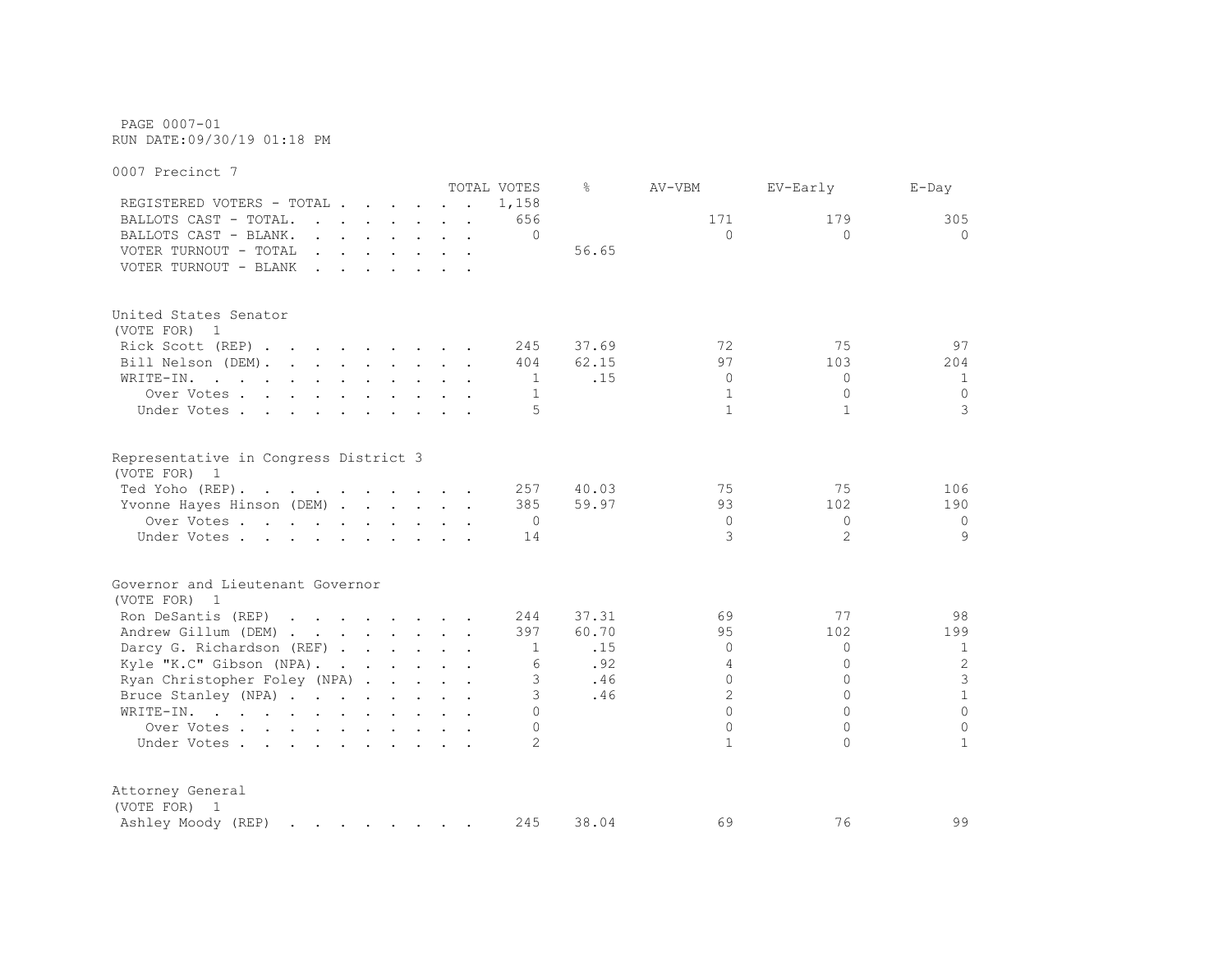PAGE 0007-01 RUN DATE:09/30/19 01:18 PM

0007 Precinct 7 TOTAL VOTES % AV-VBM EV-Early E-Day REGISTERED VOTERS - TOTAL . . . . . . 1,158 BALLOTS CAST - TOTAL. . . . . . . 656 171 179 305 BALLOTS CAST - BLANK. . . . . . . . 0 0 0 0 VOTER TURNOUT - TOTAL . . . . . . . 56.65 VOTER TURNOUT - BLANK . . . . . . . United States Senator (VOTE FOR) 1 Rick Scott (REP) . . . . . . . . 245 37.69 72 75 97 Bill Nelson (DEM). . . . . . . . . 404 62.15 97 103 204 WRITE-IN. . . . . . . . . . . . 1 .15 0 0 0 1 Over Votes . . . . . . . . . . 1 1 0 0 0 0 Under Votes . . . . . . . . . . . 5 1 1 1 3 Representative in Congress District 3 (VOTE FOR) 1 Ted Yoho (REP) . . . . . . . . . . 257 40.03 75 75 106 Yvonne Hayes Hinson (DEM) . . . . . 385 59.97 93 102 190 Over Votes . . . . . . . . . . 0 0 0 0 Under Votes . . . . . . . . . . 14 3 2 9 Governor and Lieutenant Governor (VOTE FOR) 1 Ron DeSantis (REP) . . . . . . 244 37.31 69 77 98 Andrew Gillum (DEM) . . . . . . . 397 60.70 95 102 199 Darcy G. Richardson (REF) . . . . . 1 .15 0 0 0 1 Kyle "K.C" Gibson (NPA). . . . . . 6 . 92 4 0 2 Ryan Christopher Foley (NPA) . . . . 3 .46 0 0 3 3 Bruce Stanley (NPA) . . . . . . . 3 .46 2 0 1 WRITE-IN. . . . . . . . . . . . 0 0 0 0 Over Votes . . . . . . . . . . 0 0 0 0 Under Votes . . . . . . . . . . . 2 1 0 1 Attorney General (VOTE FOR) 1 Ashley Moody (REP) . . . . . . . 245 38.04 69 76 99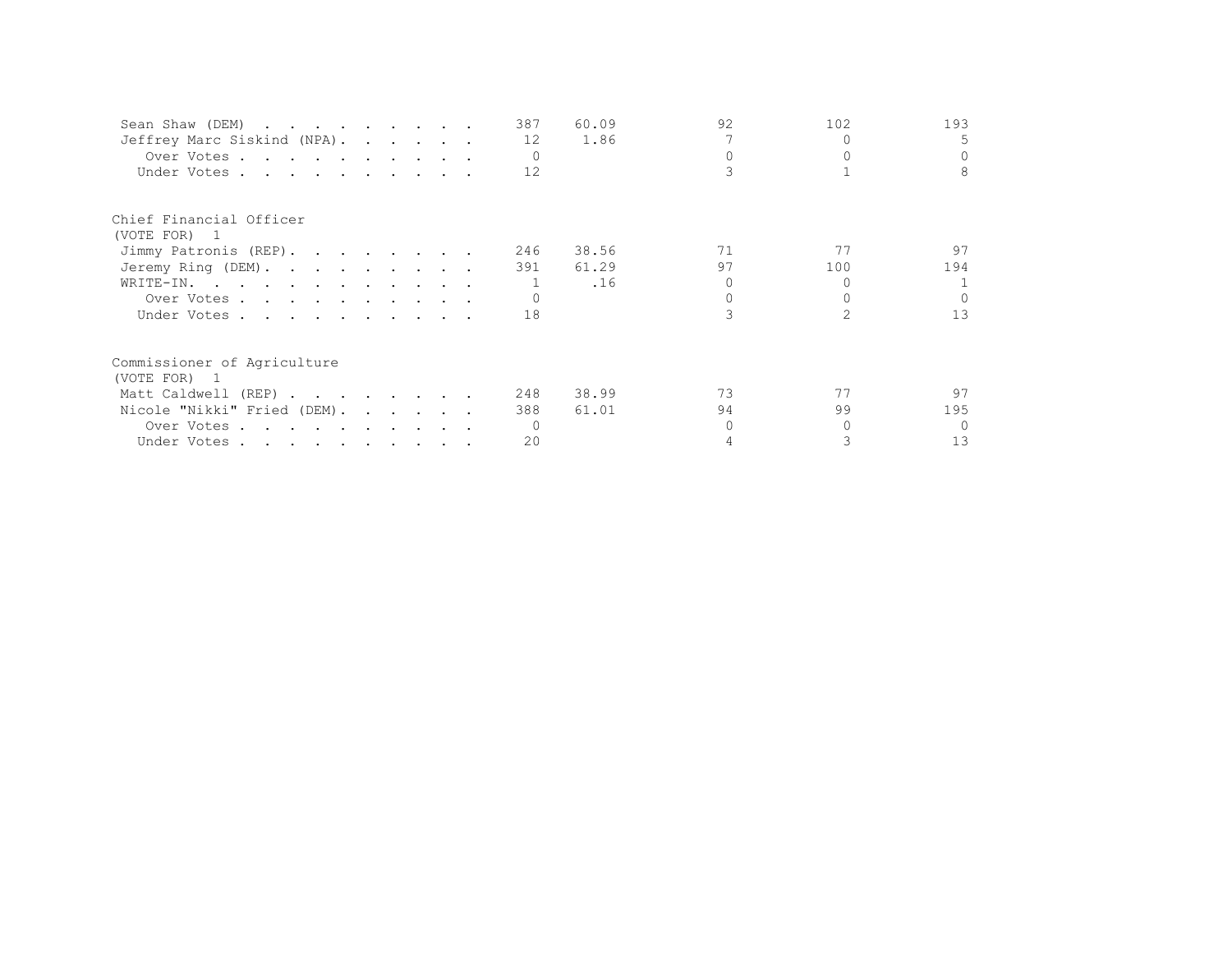| Sean Shaw (DEM)             |  |  | 387      | 60.09 | 92 | 102 | 193    |
|-----------------------------|--|--|----------|-------|----|-----|--------|
| Jeffrey Marc Siskind (NPA). |  |  | 12       | 1.86  |    |     | 5.     |
| Over Votes                  |  |  | $\Omega$ |       |    |     |        |
| Under Votes                 |  |  | 12       |       |    |     | 8      |
| Chief Financial Officer     |  |  |          |       |    |     |        |
| (VOTE FOR) 1                |  |  |          |       |    |     |        |
| Jimmy Patronis (REP).       |  |  | 246      | 38.56 | 71 | 77  | 97     |
| Jeremy Ring (DEM).          |  |  | 391      | 61.29 | 97 | 100 | 194    |
| WRITE-IN.                   |  |  |          | .16   |    |     |        |
| Over Votes                  |  |  |          |       |    |     |        |
| Under Votes                 |  |  | 18       |       |    |     | 13     |
| Commissioner of Agriculture |  |  |          |       |    |     |        |
| (VOTE FOR) 1                |  |  |          |       |    |     |        |
| Matt Caldwell (REP)         |  |  | 248      | 38.99 | 73 | 77  | 97     |
| Nicole "Nikki" Fried (DEM). |  |  | 388      | 61.01 | 94 | 99  | 195    |
| Over Votes                  |  |  |          |       |    |     | $\cap$ |
| Under Votes                 |  |  | 20       |       |    |     | 13     |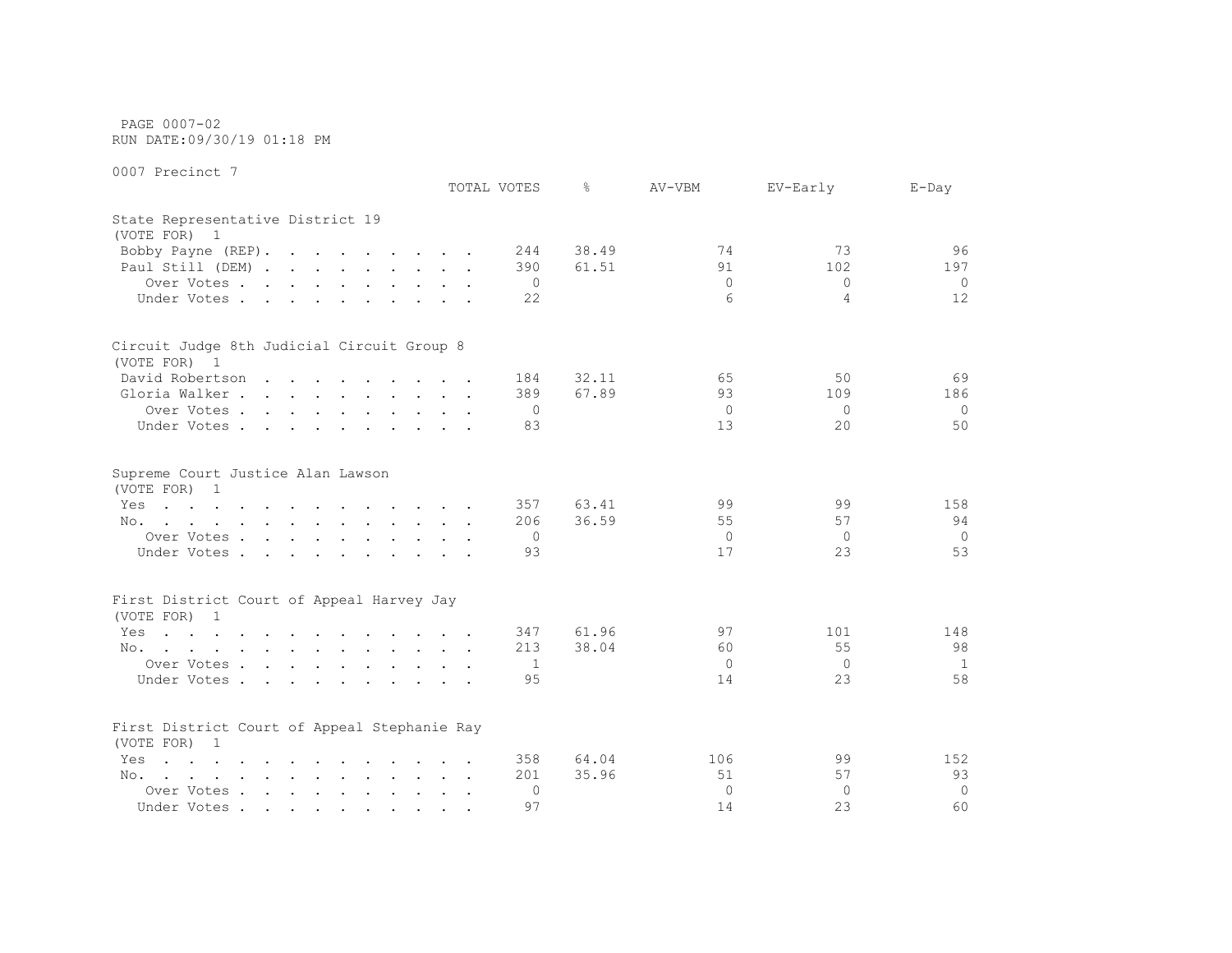PAGE 0007-02 RUN DATE:09/30/19 01:18 PM

|                                                                                                                        | TOTAL VOTES | ⊱            | AV-VBM           | EV-Early    | $E$ -Day       |
|------------------------------------------------------------------------------------------------------------------------|-------------|--------------|------------------|-------------|----------------|
| State Representative District 19<br>(VOTE FOR) 1                                                                       |             |              |                  |             |                |
| Bobby Payne (REP).                                                                                                     |             | 38.49<br>244 | 74               | 73          | 96             |
| Paul Still (DEM)                                                                                                       |             | 61.51<br>390 | 91               | 102         | 197            |
| Over Votes                                                                                                             |             | 0            | $\Omega$         | $\Omega$    | $\Omega$       |
| Under Votes                                                                                                            |             | 22           | $6 \overline{6}$ | 4           | 12             |
| Circuit Judge 8th Judicial Circuit Group 8                                                                             |             |              |                  |             |                |
| (VOTE FOR) 1                                                                                                           |             |              |                  |             |                |
| David Robertson                                                                                                        |             | 32.11<br>184 | 65               | 50          | 69             |
| Gloria Walker                                                                                                          |             | 67.89<br>389 | 93               | 109         | 186            |
| Over Votes                                                                                                             |             | $\circ$      | $\circ$          | $\Omega$    | $\Omega$       |
| Under Votes                                                                                                            |             | 83           | 13               | 20          | 50             |
| Supreme Court Justice Alan Lawson<br>(VOTE FOR) 1                                                                      |             |              |                  |             |                |
| the contract of the contract of the contract of the contract of the contract of the contract of the contract of<br>Yes |             | 357<br>63.41 | 99               | 99          | 158            |
| No.                                                                                                                    |             | 206<br>36.59 | 55               | 57          | 94             |
| Over Votes                                                                                                             |             | 0            | $\overline{0}$   | $\circ$     | $\mathbf 0$    |
| Under Votes                                                                                                            |             | 93           | 17               | 23          | 53             |
| First District Court of Appeal Harvey Jay                                                                              |             |              |                  |             |                |
| (VOTE FOR) 1                                                                                                           |             |              |                  |             |                |
| Yes<br>the contract of the contract of the contract of the contract of the contract of the contract of the contract of |             | 61.96<br>347 | 97               | 101         | 148            |
| the contract of the contract of the contract of the contract of the contract of the contract of the contract of<br>No. |             | 38.04<br>213 | 60               | 55          | 98             |
| Over Votes                                                                                                             |             | 1            | $\mathbf{0}$     | $\circ$     | $\mathbf{1}$   |
| Under Votes                                                                                                            |             | 95           | 14               | 23          | 58             |
| First District Court of Appeal Stephanie Ray<br>(VOTE FOR) 1                                                           |             |              |                  |             |                |
| $\mathbf{r}$ , and $\mathbf{r}$ , and $\mathbf{r}$ , and $\mathbf{r}$ , and $\mathbf{r}$ , and $\mathbf{r}$<br>Yes     |             | 64.04<br>358 | 106              | 99          | 152            |
| No.<br>the contract of the contract of the contract of the contract of the contract of the contract of the contract of |             | 35.96<br>201 | 51               | 57          | 93             |
| Over Votes                                                                                                             |             | $\Omega$     | $\Omega$         | $\mathbf 0$ | $\overline{0}$ |
| Under Votes                                                                                                            |             | 97           | 14               | 23          | 60             |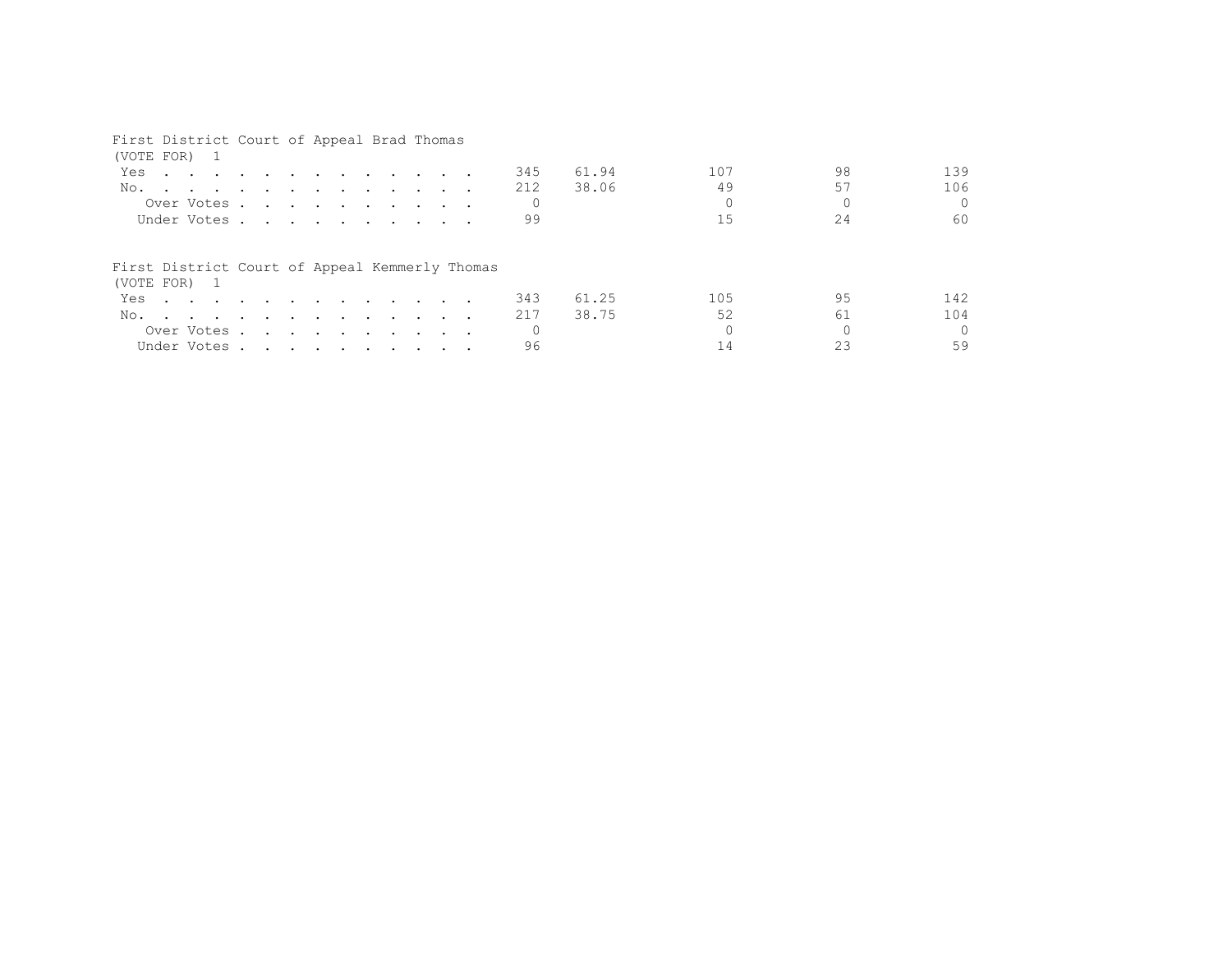## First District Court of Appeal Brad Thomas

| (VOTE FOR) 1                                   |                                                                                                                                                                                                                                      |  |  |  |  |  |     |       |     |    |          |
|------------------------------------------------|--------------------------------------------------------------------------------------------------------------------------------------------------------------------------------------------------------------------------------------|--|--|--|--|--|-----|-------|-----|----|----------|
| Yes                                            | <u>in the contract of the contract of the contract of the contract of the contract of the contract of the contract of the contract of the contract of the contract of the contract of the contract of the contract of the contra</u> |  |  |  |  |  | 345 | 61.94 | 107 | 98 | 139      |
| No.                                            |                                                                                                                                                                                                                                      |  |  |  |  |  | 212 | 38.06 | 49  | 57 | 106      |
|                                                | Over Votes                                                                                                                                                                                                                           |  |  |  |  |  |     |       |     |    | $\Omega$ |
|                                                | Under Votes                                                                                                                                                                                                                          |  |  |  |  |  | 99  |       |     | 24 | 60       |
| First District Court of Appeal Kemmerly Thomas |                                                                                                                                                                                                                                      |  |  |  |  |  |     |       |     |    |          |
| (VOTE FOR) 1                                   |                                                                                                                                                                                                                                      |  |  |  |  |  |     |       |     |    |          |
| Yes                                            |                                                                                                                                                                                                                                      |  |  |  |  |  | 343 | 61.25 | 105 | 95 | 142      |
| No.                                            |                                                                                                                                                                                                                                      |  |  |  |  |  | 217 | 38.75 | 52  | 61 | 104      |
|                                                | Over Votes                                                                                                                                                                                                                           |  |  |  |  |  |     |       |     |    | $\Omega$ |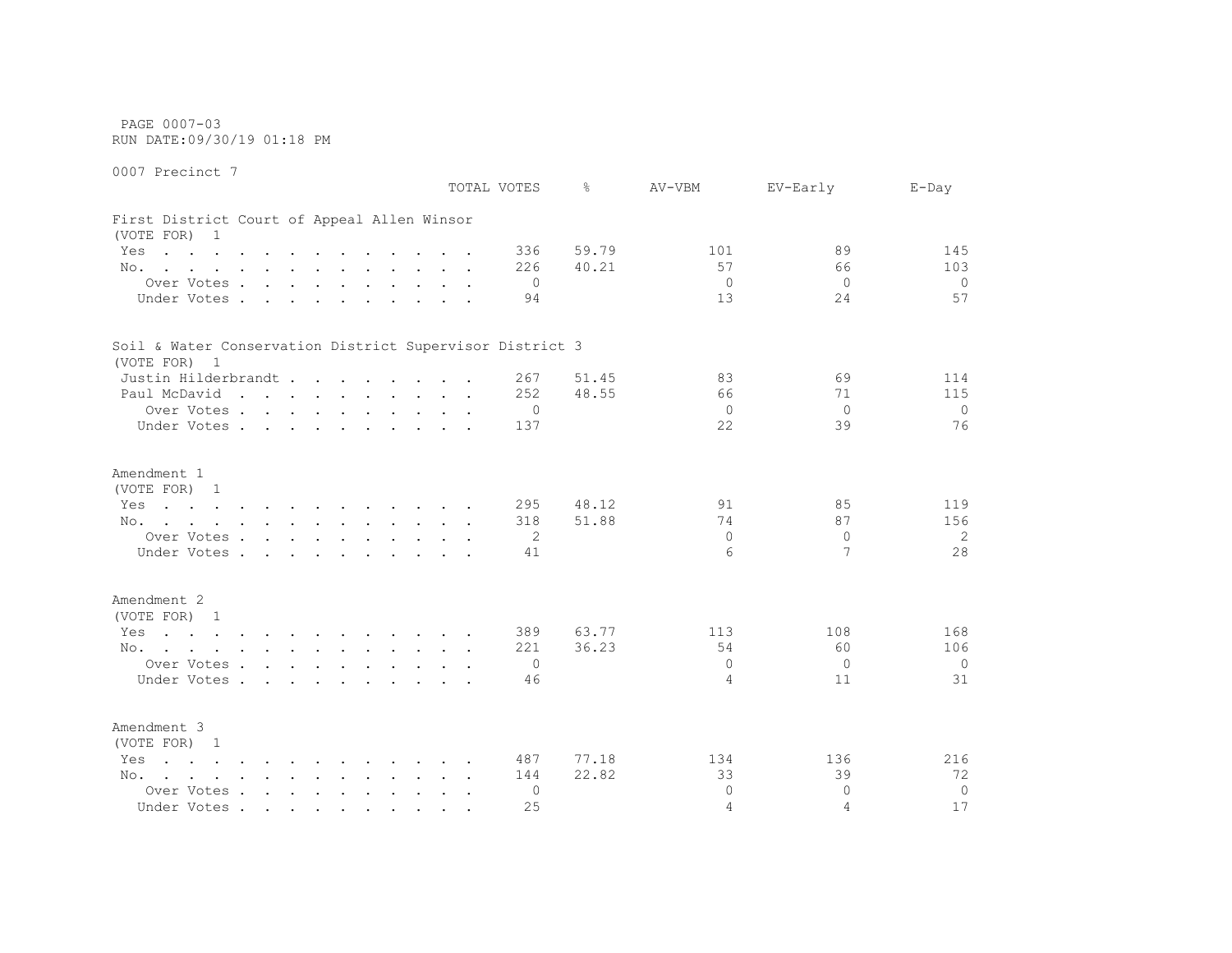PAGE 0007-03 RUN DATE:09/30/19 01:18 PM

0007 Precinct 7 TOTAL VOTES % AV-VBM EV-Early E-Day First District Court of Appeal Allen Winsor (VOTE FOR) 1 Yes . . . . . . . . . . . . 336 59.79 101 101 89 145 No. . . . . . . . . . . . 226 40.21 57 66 103 Over Votes . . . . . . . . . . 0 0 0 0 Under Votes . . . . . . . . . . 94 13 24 57 Soil & Water Conservation District Supervisor District 3 (VOTE FOR) 1 Justin Hilderbrandt . . . . . . 267 51.45 83 69 114 Paul McDavid . . . . . . . . . 252 48.55 66 71 115 Over Votes . . . . . . . . . . 0 0 0 0 Under Votes . . . . . . . . . . 137 22 39 39 76 Amendment 1 (VOTE FOR) 1 Yes . . . . . . . . . . . 295 48.12 91 85 119 No. . . . . . . . . . . . 318 51.88 74 87 156 Over Votes . . . . . . . . . . 2 0 0 2 2 Under Votes . . . . . . . . . . 41 6 7 28 Amendment 2 (VOTE FOR) 1 Yes . . . . . . . . . . . . 389 63.77 113 108 168 No. . . . . . . . . . . . 221 36.23 54 60 106 Over Votes . . . . . . . . . . 0 0 0 0 Under Votes . . . . . . . . . . 46 4 11 31 Amendment 3 (VOTE FOR) 1 Yes . . . . . . . . . . . 487 77.18 134 136 216 No. . . . . . . . . . . . 144 22.82 33 39 39 72 Over Votes . . . . . . . . . . 0 0 0 0

Under Votes . . . . . . . . . . 25 4 4 4 17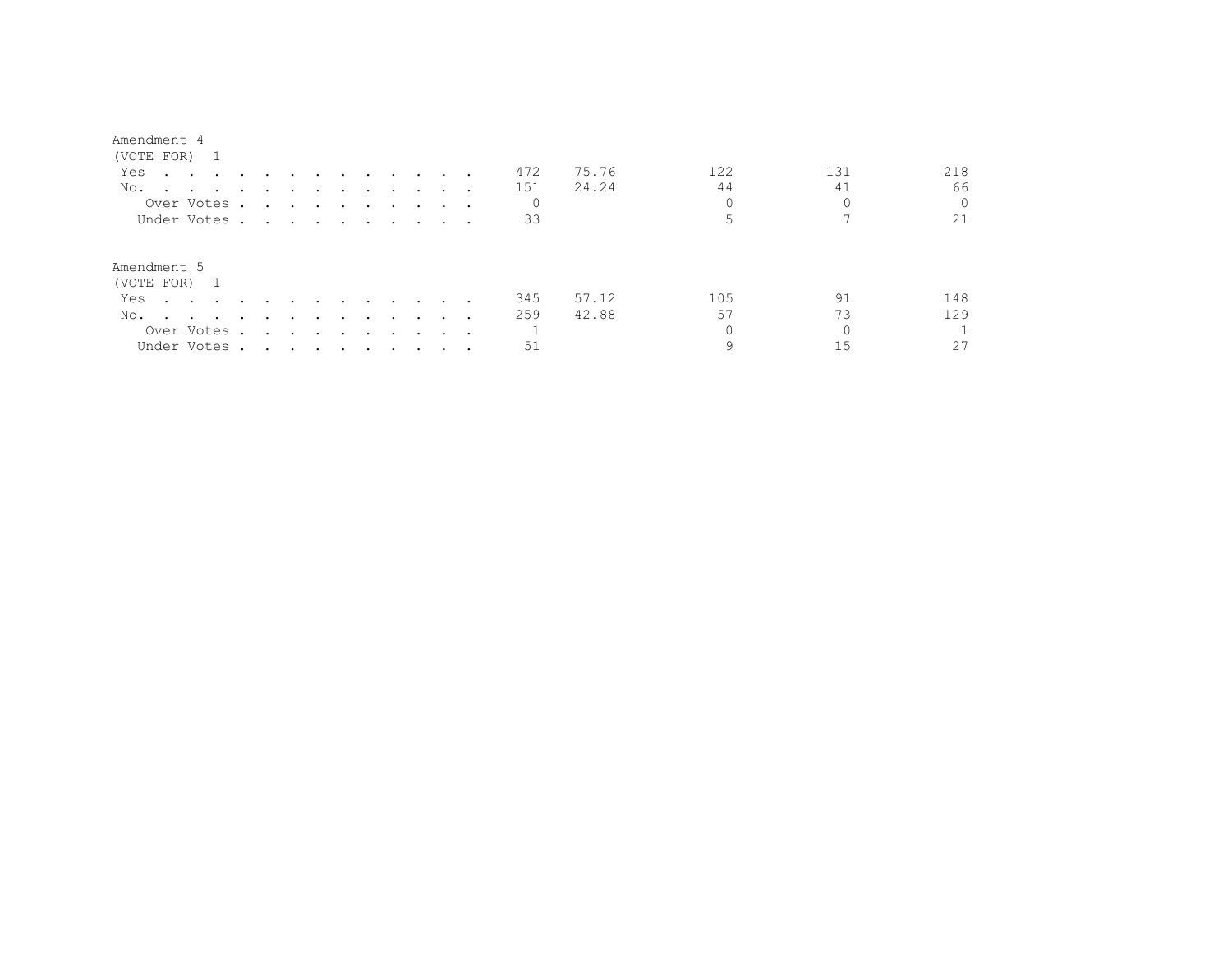| (VOTE FOR) 1                                                                                                           |                                                                                                                                                                                                                               |                                                                                                                 |                      |        |                         |                         |                 |  |     |       |     |     |          |
|------------------------------------------------------------------------------------------------------------------------|-------------------------------------------------------------------------------------------------------------------------------------------------------------------------------------------------------------------------------|-----------------------------------------------------------------------------------------------------------------|----------------------|--------|-------------------------|-------------------------|-----------------|--|-----|-------|-----|-----|----------|
| Yes<br>$\mathbf{r}$ , and $\mathbf{r}$ , and $\mathbf{r}$ , and $\mathbf{r}$                                           |                                                                                                                                                                                                                               |                                                                                                                 | $\sim$ $\sim$ $\sim$ |        |                         |                         |                 |  | 472 | 75.76 | 122 | 131 | 218      |
| No.                                                                                                                    |                                                                                                                                                                                                                               |                                                                                                                 |                      |        |                         |                         |                 |  | 151 | 24.24 | 44  | 41  | 66       |
| Over Votes.                                                                                                            |                                                                                                                                                                                                                               | the contract of the contract of the contract of the contract of the contract of the contract of the contract of |                      |        |                         |                         |                 |  | 0   |       |     |     | $\Omega$ |
| Under Votes.                                                                                                           | $\mathbf{r}$ , and $\mathbf{r}$ , and $\mathbf{r}$ , and $\mathbf{r}$                                                                                                                                                         |                                                                                                                 |                      |        |                         |                         |                 |  | 33  |       |     |     | 21       |
| Amendment 5<br>(VOTE FOR) 1                                                                                            |                                                                                                                                                                                                                               |                                                                                                                 |                      |        |                         |                         |                 |  |     |       |     |     |          |
| Yes<br>$\sim$ $\sim$ $\sim$ $\sim$ $\sim$                                                                              |                                                                                                                                                                                                                               |                                                                                                                 |                      | $\sim$ | $\sim$ $\sim$ $\sim$    |                         | $\cdot$ $\cdot$ |  | 345 | 57.12 | 105 | 91  | 148      |
| No.<br>the contract of the contract of the contract of the contract of the contract of the contract of the contract of | $\sim$                                                                                                                                                                                                                        |                                                                                                                 | $\sim$ $\sim$        | $\sim$ | $\sim 100$ km s $^{-1}$ | $\sim 100$ km s $^{-1}$ | $\sim$ $\sim$   |  | 259 | 42.88 | 57  | 73  | 129      |
| Over Votes .                                                                                                           | $\sim$                                                                                                                                                                                                                        | the contract of the contract of the contract of the contract of the contract of the contract of the contract of |                      |        |                         |                         |                 |  |     |       |     |     |          |
| Under Votes.                                                                                                           | . The contribution of the contribution of the contribution of the contribution of the contribution of the contribution of the contribution of the contribution of the contribution of the contribution of the contribution of |                                                                                                                 |                      |        |                         |                         |                 |  | 51  |       |     |     | 27       |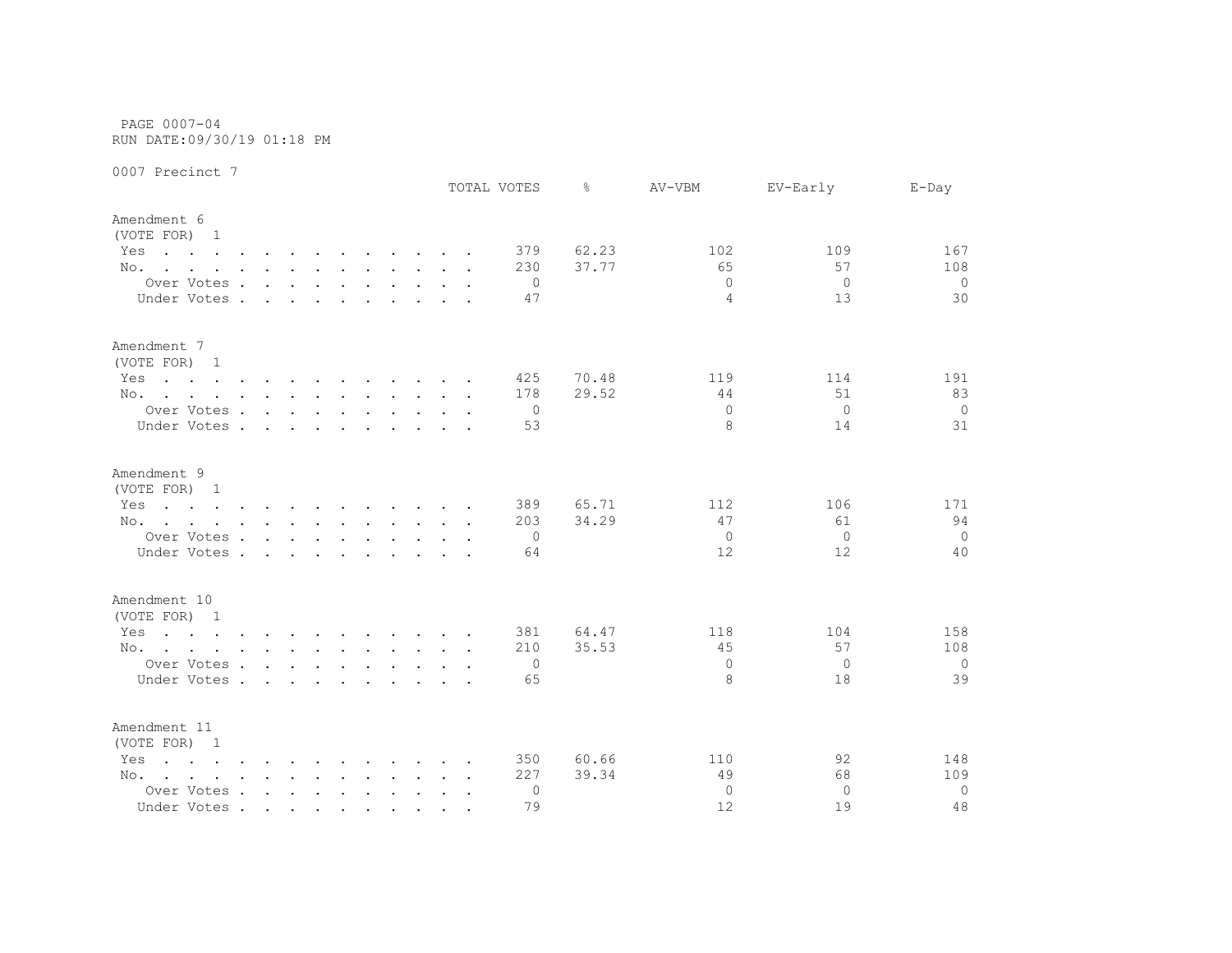PAGE 0007-04 RUN DATE:09/30/19 01:18 PM

|                                                                                                                        |                                        |        |                      |               |                                                                                                                                                                                                                                |  |        | TOTAL VOTES    | ⊱     | AV-VBM         | EV-Early     | $E$ -Day       |
|------------------------------------------------------------------------------------------------------------------------|----------------------------------------|--------|----------------------|---------------|--------------------------------------------------------------------------------------------------------------------------------------------------------------------------------------------------------------------------------|--|--------|----------------|-------|----------------|--------------|----------------|
| Amendment 6<br>(VOTE FOR) 1                                                                                            |                                        |        |                      |               |                                                                                                                                                                                                                                |  |        |                |       |                |              |                |
| Yes<br>the contract of the contract of the contract of the contract of the contract of the contract of the contract of |                                        |        |                      |               |                                                                                                                                                                                                                                |  |        | 379            | 62.23 | 102            | 109          | 167            |
| No.                                                                                                                    |                                        |        |                      |               |                                                                                                                                                                                                                                |  |        | 230            | 37.77 | 65             | 57           | 108            |
| Over Votes                                                                                                             |                                        |        |                      |               | and the contract of the contract of the contract of the contract of the contract of the contract of the contract of the contract of the contract of the contract of the contract of the contract of the contract of the contra |  |        | $\Omega$       |       | $\Omega$       | $\circ$      | $\circ$        |
| Under Votes .                                                                                                          | $\sim$                                 | $\sim$ | $\ddot{\phantom{a}}$ | $\sim$        |                                                                                                                                                                                                                                |  |        | 47             |       | $\overline{4}$ | 13           | 30             |
| Amendment 7<br>(VOTE FOR) 1                                                                                            |                                        |        |                      |               |                                                                                                                                                                                                                                |  |        |                |       |                |              |                |
| Yes<br>the contract of the contract of the contract of the contract of the contract of the contract of the contract of |                                        |        |                      |               |                                                                                                                                                                                                                                |  |        | 425            | 70.48 | 119            | 114          | 191            |
| No.                                                                                                                    |                                        |        |                      |               |                                                                                                                                                                                                                                |  |        | 178            | 29.52 | 44             | 51           | 83             |
| Over Votes                                                                                                             |                                        |        |                      |               |                                                                                                                                                                                                                                |  |        | $\overline{0}$ |       | $\Omega$       | $\Omega$     | $\overline{0}$ |
| Under Votes                                                                                                            |                                        |        |                      | $\sim$ $\sim$ | $\sim$ $\sim$ $\sim$ $\sim$ $\sim$                                                                                                                                                                                             |  |        | 53             |       | 8              | 14           | 31             |
| Amendment 9                                                                                                            |                                        |        |                      |               |                                                                                                                                                                                                                                |  |        |                |       |                |              |                |
| (VOTE FOR) 1                                                                                                           |                                        |        |                      |               |                                                                                                                                                                                                                                |  |        |                |       |                |              |                |
| Yes<br>the contract of the contract of the contract of the contract of the contract of the contract of the contract of |                                        |        |                      |               |                                                                                                                                                                                                                                |  |        | 389            | 65.71 | 112            | 106          | 171            |
| No.                                                                                                                    |                                        |        |                      |               |                                                                                                                                                                                                                                |  |        | 203            | 34.29 | 47             | 61           | 94             |
| Over Votes                                                                                                             |                                        |        |                      |               |                                                                                                                                                                                                                                |  |        | 0              |       | 0              | $\Omega$     | $\overline{0}$ |
| Under Votes.                                                                                                           | $\mathbf{r}$ . The set of $\mathbf{r}$ |        | $\sim$               | $\sim$        |                                                                                                                                                                                                                                |  |        | 64             |       | 12             | 12           | 40             |
| Amendment 10                                                                                                           |                                        |        |                      |               |                                                                                                                                                                                                                                |  |        |                |       |                |              |                |
| (VOTE FOR) 1                                                                                                           |                                        |        |                      |               |                                                                                                                                                                                                                                |  |        |                |       |                |              |                |
| Yes<br>the contract of the contract of the contract of the contract of the contract of the contract of the contract of |                                        |        |                      |               |                                                                                                                                                                                                                                |  |        | 381            | 64.47 | 118            | 104          | 158            |
| No.                                                                                                                    |                                        |        |                      |               |                                                                                                                                                                                                                                |  |        | 210            | 35.53 | 45             | 57           | 108            |
| Over Votes                                                                                                             |                                        |        |                      |               |                                                                                                                                                                                                                                |  |        | 0              |       | $\Omega$       | $\mathbf{0}$ | $\overline{0}$ |
| Under Votes                                                                                                            |                                        |        |                      |               |                                                                                                                                                                                                                                |  |        | 65             |       | 8              | 18           | 39             |
| Amendment 11<br>(VOTE FOR) 1                                                                                           |                                        |        |                      |               |                                                                                                                                                                                                                                |  |        |                |       |                |              |                |
| Yes<br>$\mathbf{r}$ , and $\mathbf{r}$ , and $\mathbf{r}$ , and $\mathbf{r}$ , and $\mathbf{r}$ , and $\mathbf{r}$     |                                        |        |                      |               |                                                                                                                                                                                                                                |  |        | 350            | 60.66 | 110            | 92           | 148            |
| No.                                                                                                                    |                                        |        |                      |               |                                                                                                                                                                                                                                |  |        | 227            | 39.34 | 49             | 68           | 109            |
| Over Votes                                                                                                             |                                        |        |                      |               |                                                                                                                                                                                                                                |  | $\sim$ | 0              |       | $\Omega$       | $\Omega$     | $\circ$        |
| Under Votes                                                                                                            |                                        |        |                      |               |                                                                                                                                                                                                                                |  |        | 79             |       | 12             | 19           | 48             |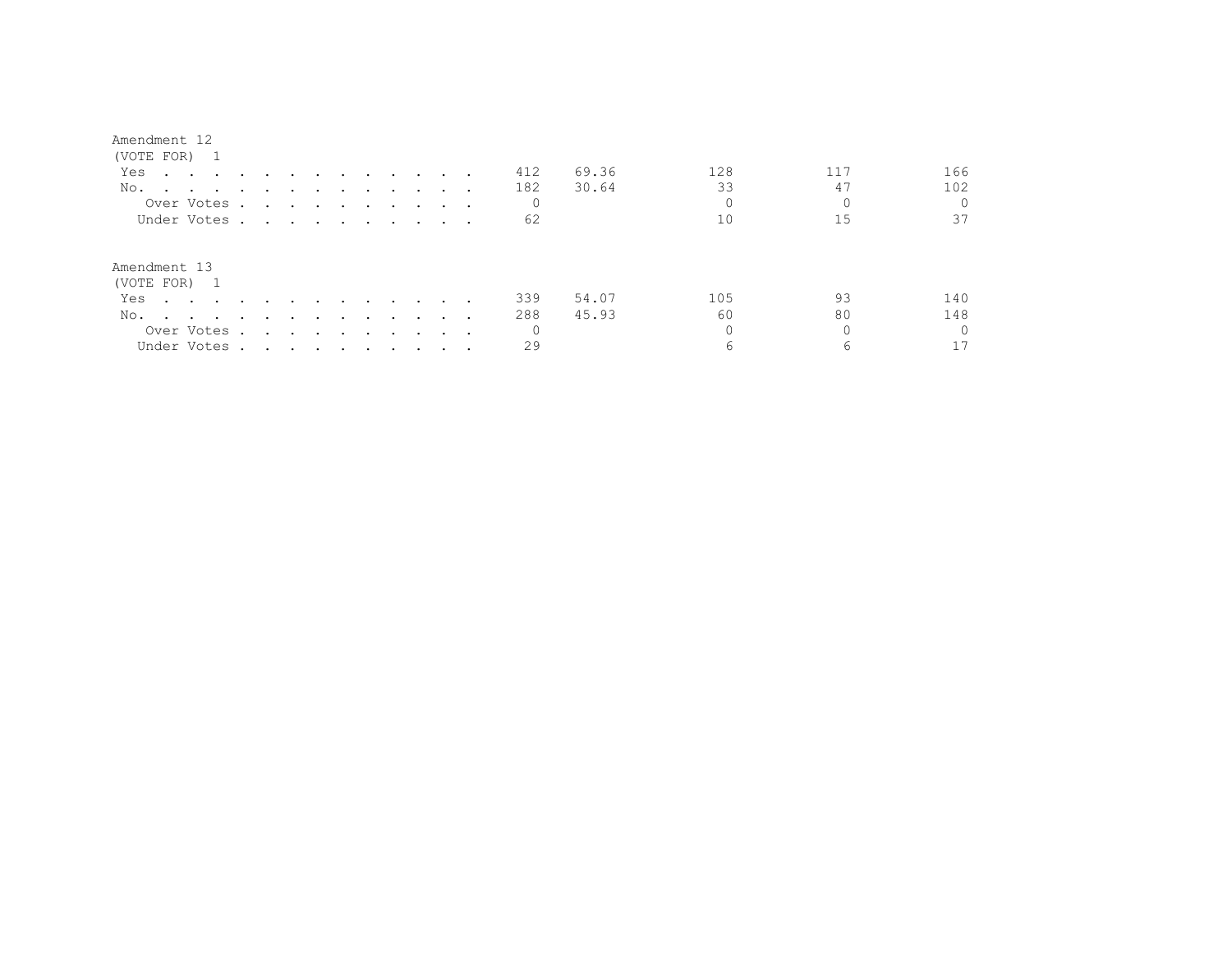| (VOTE FOR)                                                                                                             |                                                                                                                 |                                                                                                                 |               |                                                                                                                 |               |                          |                                 |          |       |     |     |     |
|------------------------------------------------------------------------------------------------------------------------|-----------------------------------------------------------------------------------------------------------------|-----------------------------------------------------------------------------------------------------------------|---------------|-----------------------------------------------------------------------------------------------------------------|---------------|--------------------------|---------------------------------|----------|-------|-----|-----|-----|
| Yes<br>$\mathbf{r}$ , and $\mathbf{r}$ , and $\mathbf{r}$ , and $\mathbf{r}$                                           |                                                                                                                 | $\sim$                                                                                                          | $\sim$ $\sim$ | and the state of the state of the state of the state of the state of the state of the state of the state of the |               |                          |                                 | 412      | 69.36 | 128 | 117 | 166 |
| No.                                                                                                                    |                                                                                                                 |                                                                                                                 |               |                                                                                                                 |               |                          |                                 | 182      | 30.64 | 33  | 47  | 102 |
| Over Votes.                                                                                                            | $\sim$                                                                                                          | the contract of the contract of the contract of the contract of the contract of the contract of the contract of |               |                                                                                                                 |               |                          | $\cdot$ $\cdot$ $\cdot$ $\cdot$ |          |       |     |     |     |
| Under Votes.                                                                                                           | the contract of the contract of the contract of the contract of the contract of the contract of the contract of |                                                                                                                 |               |                                                                                                                 |               |                          |                                 | 62       |       | 10  | 15  | 37  |
| Amendment 13<br>(VOTE FOR) 1                                                                                           |                                                                                                                 |                                                                                                                 |               |                                                                                                                 |               |                          |                                 |          |       |     |     |     |
| Yes                                                                                                                    |                                                                                                                 |                                                                                                                 |               | $\sim$ $\sim$                                                                                                   | $\sim$ $\sim$ | $\sim$ $\sim$            |                                 | 339      | 54.07 | 105 | 93  | 140 |
| No.<br>the contract of the contract of the contract of the contract of the contract of the contract of the contract of | $\sim$                                                                                                          | $\sim$                                                                                                          | $\sim$        | $\sim$ $\sim$ $\sim$                                                                                            |               | $\overline{\phantom{a}}$ |                                 | 288      | 45.93 | 60  | 80  | 148 |
| Over Votes .                                                                                                           | $\sim$                                                                                                          | and the state of the state of the state of the state of the state of the state of the state of the state of the |               | $\sim$ $\sim$ $\sim$                                                                                            |               |                          | $\sim$ $\sim$ $\sim$ $\sim$     | $\Omega$ |       |     |     |     |
| Under Votes.                                                                                                           | the contract of the contract of the contract of the contract of the contract of the contract of the contract of |                                                                                                                 |               |                                                                                                                 |               |                          |                                 | 29       |       |     | 6   |     |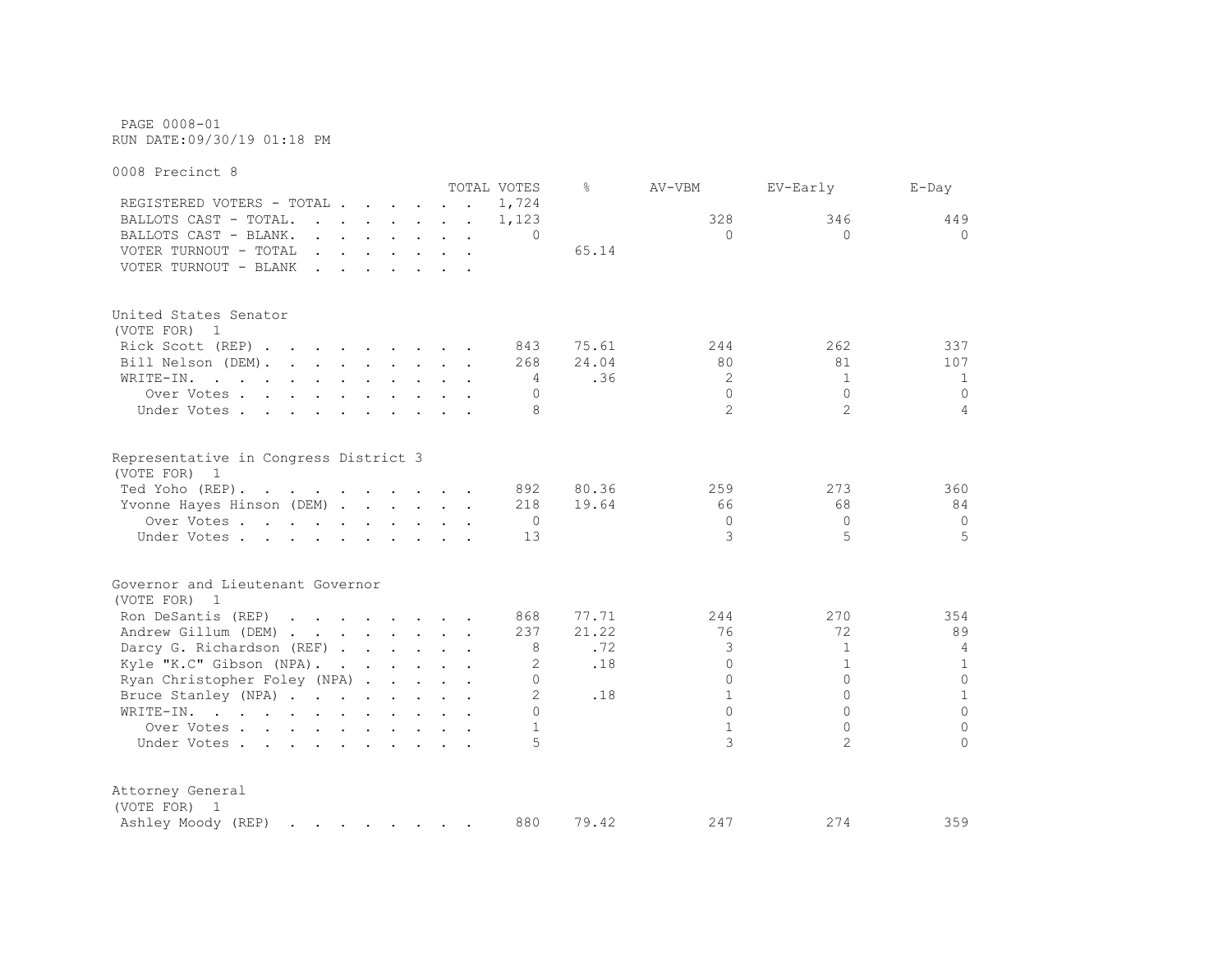PAGE 0008-01 RUN DATE:09/30/19 01:18 PM

0008 Precinct 8 TOTAL VOTES % AV-VBM EV-Early E-Day REGISTERED VOTERS - TOTAL . . . . . . 1,724 BALLOTS CAST - TOTAL. . . . . . 1,123 328 346 449 BALLOTS CAST - BLANK. . . . . . . . 0 0 0 0 VOTER TURNOUT - TOTAL . . . . . . . . 65.14 VOTER TURNOUT - BLANK . . . . . . . United States Senator (VOTE FOR) 1 Rick Scott (REP) . . . . . . . 843 75.61 244 262 337 Bill Nelson (DEM). . . . . . . . 268 24.04 80 81 107 WRITE-IN. . . . . . . . . . . . 4 .36 2 1 1 1 Over Votes . . . . . . . . . . 0 0 0 0 Under Votes . . . . . . . . . . 8 2 2 2 4 Representative in Congress District 3 (VOTE FOR) 1 Ted Yoho (REP) . . . . . . . . . . 892 80.36 259 273 360 Yvonne Hayes Hinson (DEM) . . . . . 218 19.64 66 68 68 84 Over Votes . . . . . . . . . . 0 0 0 0 Under Votes . . . . . . . . . . 13 3 5 5 5 5 Governor and Lieutenant Governor (VOTE FOR) 1 Ron DeSantis (REP) . . . . . . 868 77.71 244 270 354 Andrew Gillum (DEM) . . . . . . . 237 21.22 76 72 89 Darcy G. Richardson (REF) . . . . . 8 .72 3 1 4 Kyle "K.C" Gibson (NPA). . . . . . 2 .18 0 1 1 1 1 Ryan Christopher Foley (NPA) . . . . . 0 0 0 0 Bruce Stanley (NPA) . . . . . . . . 2 .18 1 0 1 WRITE-IN. . . . . . . . . . . . 0 0 0 0 Over Votes . . . . . . . . . . 1 1 0 0 Under Votes . . . . . . . . . . . 5 3 3 Attorney General (VOTE FOR) 1 Ashley Moody (REP) . . . . . . . 880 79.42 247 274 274 359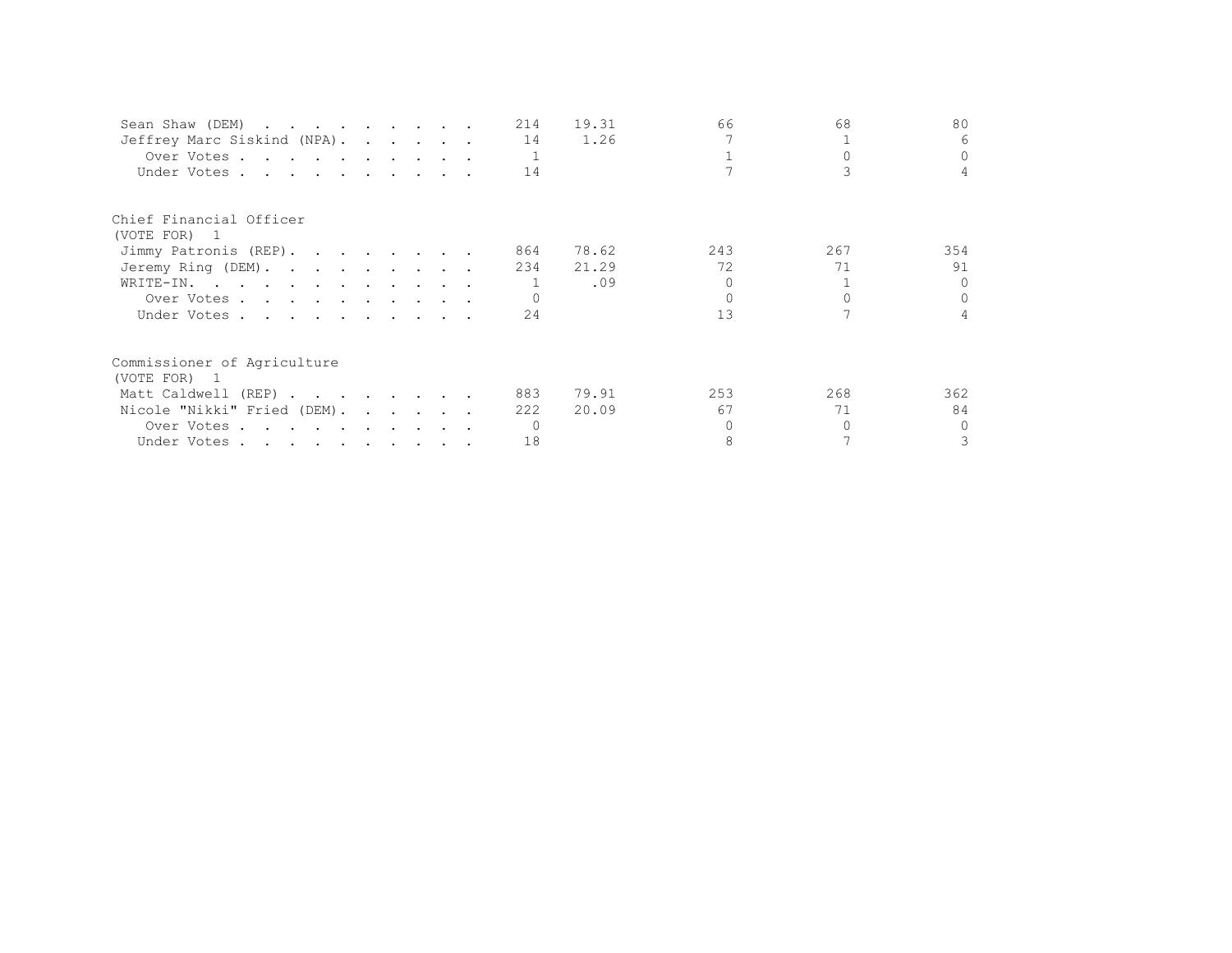| Sean Shaw (DEM)             |  |  | 214 | 19.31 | 66  | 68  | 80             |
|-----------------------------|--|--|-----|-------|-----|-----|----------------|
| Jeffrey Marc Siskind (NPA). |  |  | 14  | 1.26  |     |     | 6              |
| Over Votes                  |  |  |     |       |     |     | $\Omega$       |
| Under Votes                 |  |  | 14  |       |     |     | $\overline{4}$ |
| Chief Financial Officer     |  |  |     |       |     |     |                |
| (VOTE FOR) 1                |  |  |     |       |     |     |                |
| Jimmy Patronis (REP).       |  |  | 864 | 78.62 | 243 | 267 | 354            |
| Jeremy Ring (DEM).          |  |  | 234 | 21.29 | 72  | 71  | 91             |
| WRITE-IN.                   |  |  |     | .09   |     |     | $\cap$         |
| Over Votes                  |  |  |     |       |     |     | $\Omega$       |
| Under Votes                 |  |  | 24  |       | 13  |     | $\overline{4}$ |
| Commissioner of Agriculture |  |  |     |       |     |     |                |
| (VOTE FOR) 1                |  |  |     |       |     |     |                |
| Matt Caldwell (REP)         |  |  | 883 | 79.91 | 253 | 268 | 362            |
| Nicole "Nikki" Fried (DEM). |  |  | 222 | 20.09 | 67  | 71  | 84             |
| Over Votes                  |  |  |     |       |     |     | $\Omega$       |
| Under Votes                 |  |  | 18  |       |     |     | 3              |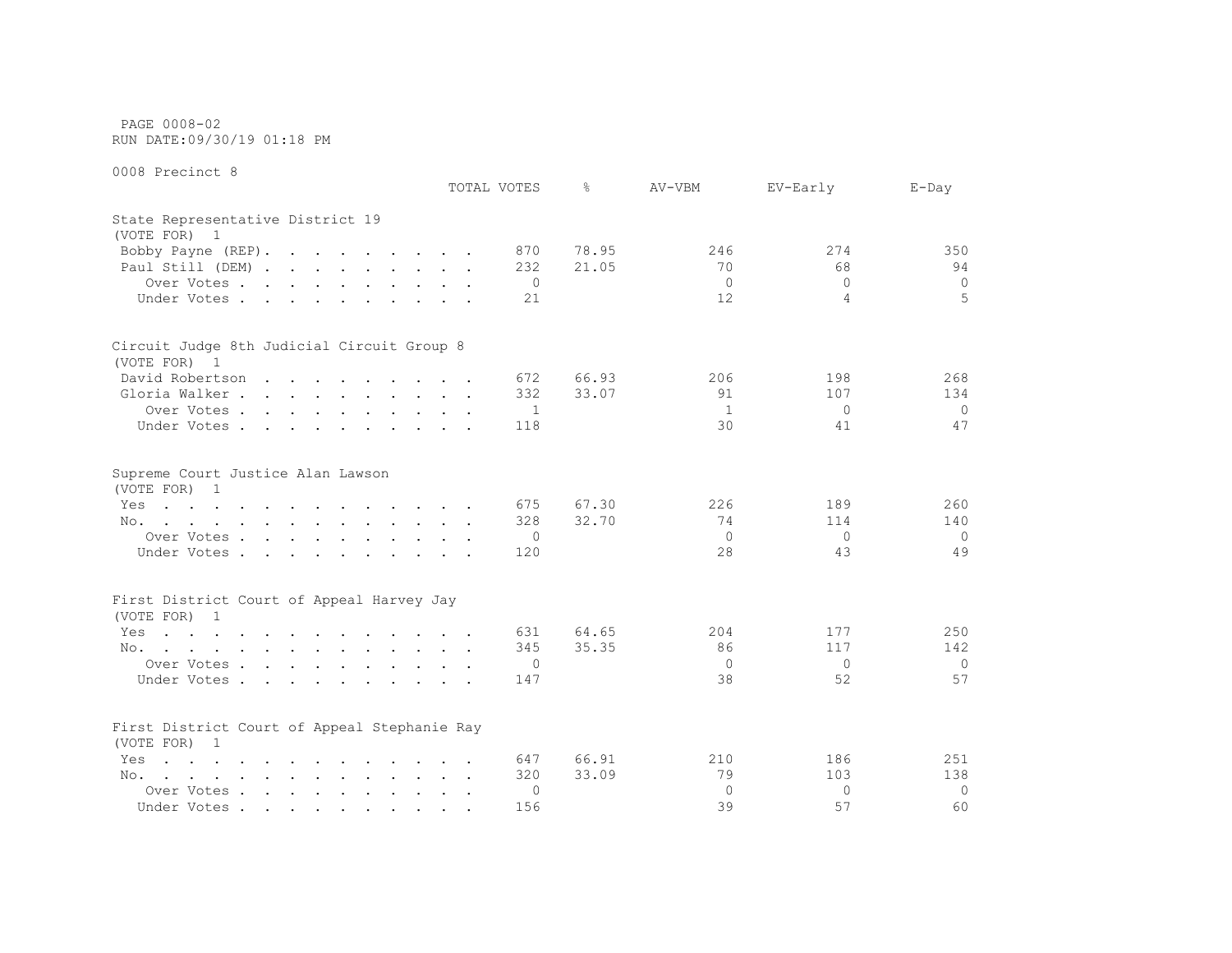PAGE 0008-02 RUN DATE:09/30/19 01:18 PM

|                                                                                                                                                                                                                                       | TOTAL VOTES  | g.    | AV-VBM       | EV-Early       | $E$ -Day       |
|---------------------------------------------------------------------------------------------------------------------------------------------------------------------------------------------------------------------------------------|--------------|-------|--------------|----------------|----------------|
| State Representative District 19<br>(VOTE FOR) 1                                                                                                                                                                                      |              |       |              |                |                |
| Bobby Payne (REP).                                                                                                                                                                                                                    | 870          | 78.95 | 246          | 274            | 350            |
| Paul Still (DEM)                                                                                                                                                                                                                      | 232          | 21.05 | 70           | 68             | 94             |
| Over Votes                                                                                                                                                                                                                            | $\circ$      |       | $\mathbf{0}$ | $\Omega$       | $\mathbf 0$    |
| Under Votes<br>$\sim$<br>$\sim$<br>$\cdots$                                                                                                                                                                                           | 21           |       | 12           | $\overline{4}$ | 5              |
| Circuit Judge 8th Judicial Circuit Group 8                                                                                                                                                                                            |              |       |              |                |                |
| (VOTE FOR) 1                                                                                                                                                                                                                          |              |       |              |                |                |
| David Robertson                                                                                                                                                                                                                       | 672          | 66.93 | 206          | 198            | 268            |
| Gloria Walker                                                                                                                                                                                                                         | 332          | 33.07 | 91           | 107            | 134            |
| Over Votes<br>$\mathbf{r}$ , $\mathbf{r}$ , $\mathbf{r}$ , $\mathbf{r}$<br>$\sim$                                                                                                                                                     | $\mathbf{1}$ |       | $\mathbf{1}$ | $\Omega$       | $\Omega$       |
| Under Votes                                                                                                                                                                                                                           | 118          |       | 30           | 41             | 47             |
| Supreme Court Justice Alan Lawson<br>(VOTE FOR)<br>1                                                                                                                                                                                  |              |       |              |                |                |
| Yes<br>the contract of the contract of the contract of the contract of the contract of the contract of the contract of                                                                                                                | 675          | 67.30 | 226          | 189            | 260            |
| No.                                                                                                                                                                                                                                   | 328          | 32.70 | 74           | 114            | 140            |
| Over Votes                                                                                                                                                                                                                            | $\circ$      |       | $\mathbf{0}$ | $\mathbf{0}$   | $\overline{0}$ |
| Under Votes<br>$\mathbf{r}$ , $\mathbf{r}$ , $\mathbf{r}$<br>$\sim$                                                                                                                                                                   | 120          |       | 28           | 43             | 49             |
| First District Court of Appeal Harvey Jay<br>(VOTE FOR)<br>$\overline{1}$                                                                                                                                                             |              |       |              |                |                |
| Yes<br>and the company of the company of the company of the company of the company of the company of the company of the company of the company of the company of the company of the company of the company of the company of the comp | 631          | 64.65 | 204          | 177            | 250            |
| No.                                                                                                                                                                                                                                   | 345          | 35.35 | 86           | 117            | 142            |
| Over Votes                                                                                                                                                                                                                            | $\circ$      |       | $\mathbf{0}$ | $\Omega$       | $\mathbf 0$    |
| Under Votes                                                                                                                                                                                                                           | 147          |       | 38           | 52             | 57             |
| First District Court of Appeal Stephanie Ray<br>(VOTE FOR)<br>- 1                                                                                                                                                                     |              |       |              |                |                |
| Yes<br><b><i>Contract Contract Contract</i></b><br><b>Contract Contract Contract</b><br>$\ddot{\phantom{a}}$<br><b>Contract Contract</b><br>$\sim$ $\sim$                                                                             | 647          | 66.91 | 210          | 186            | 251            |
| No.                                                                                                                                                                                                                                   | 320          | 33.09 | 79           | 103            | 138            |
| Over Votes.<br>$\mathbf{r}$ , $\mathbf{r}$ , $\mathbf{r}$ , $\mathbf{r}$ , $\mathbf{r}$ , $\mathbf{r}$                                                                                                                                | $\Omega$     |       | $\circ$      | $\Omega$       | $\Omega$       |
| Under Votes<br>$\sim$                                                                                                                                                                                                                 | 156          |       | 39           | 57             | 60             |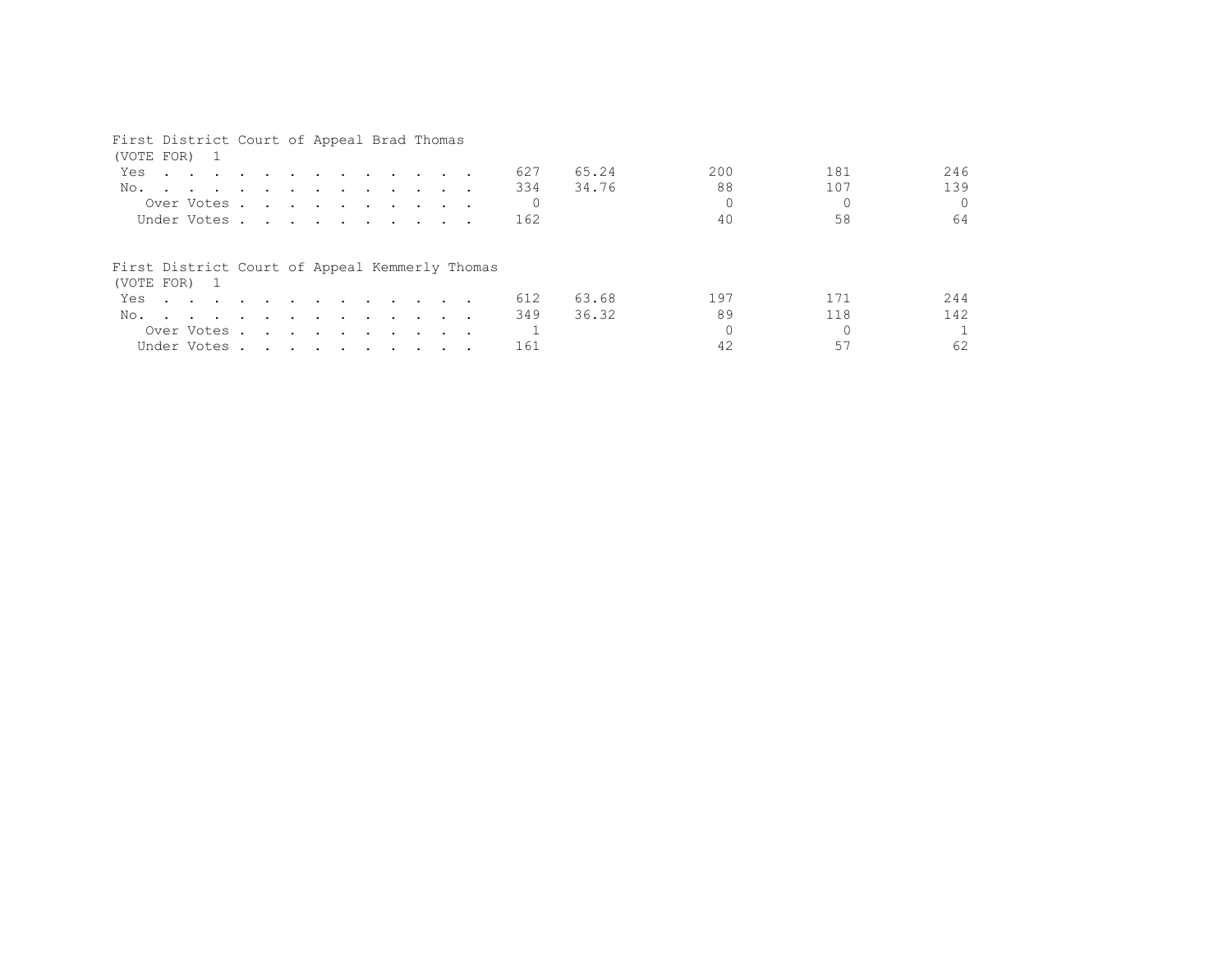## First District Court of Appeal Brad Thomas

| (VOTE FOR) 1                                                   |                                                                                                                                                                                                                                      |  |  |  |  |  |     |       |     |     |          |
|----------------------------------------------------------------|--------------------------------------------------------------------------------------------------------------------------------------------------------------------------------------------------------------------------------------|--|--|--|--|--|-----|-------|-----|-----|----------|
| Yes                                                            | <u>in the second contract of the second contract of the second contract of the second contract of the second contract of the second contract of the second contract of the second contract of the second contract of the second </u> |  |  |  |  |  | 627 | 65.24 | 200 | 181 | 246      |
| No.                                                            |                                                                                                                                                                                                                                      |  |  |  |  |  | 334 | 34.76 | 88  | 107 | 139      |
| Over Votes.                                                    |                                                                                                                                                                                                                                      |  |  |  |  |  |     |       |     |     | $\Omega$ |
| Under Votes                                                    |                                                                                                                                                                                                                                      |  |  |  |  |  | 162 |       | 40  | 58  | 64       |
|                                                                |                                                                                                                                                                                                                                      |  |  |  |  |  |     |       |     |     |          |
| First District Court of Appeal Kemmerly Thomas<br>(VOTE FOR) 1 |                                                                                                                                                                                                                                      |  |  |  |  |  |     |       |     |     |          |
| Yes                                                            |                                                                                                                                                                                                                                      |  |  |  |  |  | 612 | 63.68 | 197 | 171 | 244      |
| No.                                                            |                                                                                                                                                                                                                                      |  |  |  |  |  | 349 | 36.32 | 89  | 118 | 142      |
| Over Votes                                                     |                                                                                                                                                                                                                                      |  |  |  |  |  |     |       |     |     |          |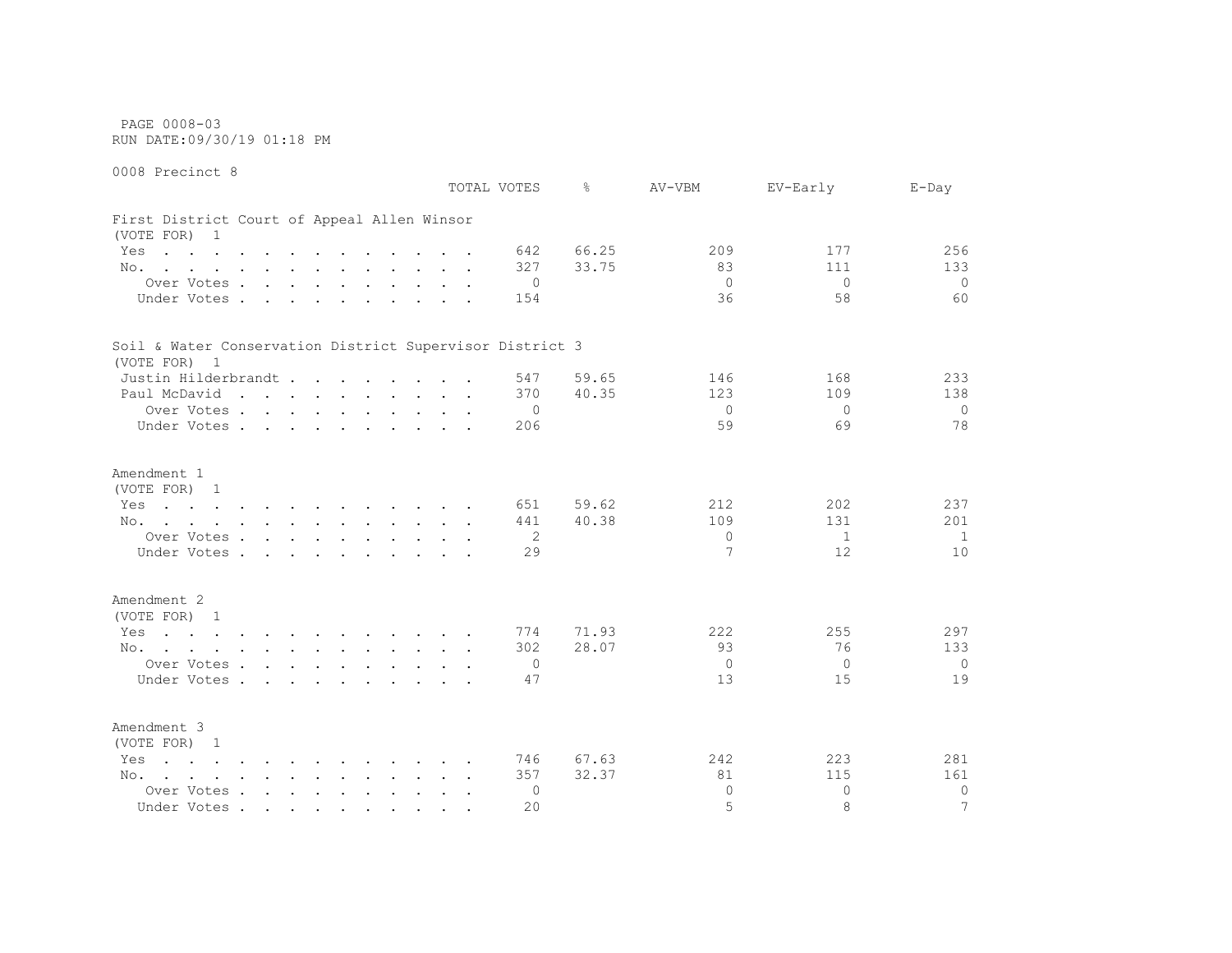PAGE 0008-03 RUN DATE:09/30/19 01:18 PM

0008 Precinct 8 TOTAL VOTES % AV-VBM EV-Early E-Day First District Court of Appeal Allen Winsor (VOTE FOR) 1 Yes . . . . . . . . . . . . 642 66.25 209 207 256 No. . . . . . . . . . . . 327 33.75 83 83 111 133 Over Votes . . . . . . . . . . 0 0 0 0 Under Votes . . . . . . . . . . 154 36 58 58 60 Soil & Water Conservation District Supervisor District 3 (VOTE FOR) 1 Justin Hilderbrandt . . . . . . 547 59.65 146 168 233 Paul McDavid . . . . . . . . . 370 40.35 123 123 109 138 Over Votes . . . . . . . . . . 0 0 0 0 Under Votes . . . . . . . . . 206 59 59 59 59 59 59 Amendment 1 (VOTE FOR) 1 Yes . . . . . . . . . . . . 651 59.62 212 202 237 No. . . . . . . . . . . . 441 40.38 109 131 201 Over Votes . . . . . . . . . . 2 0 1 1 1 1 Under Votes . . . . . . . . . . 29 7 12 10 Amendment 2 (VOTE FOR) 1 Yes . . . . . . . . . . . . 774 71.93 222 255 297 No. . . . . . . . . . . . 302 28.07 93 76 133 Over Votes . . . . . . . . . . 0 0 0 0 Under Votes . . . . . . . . . . 47 13 15 19 Amendment 3 (VOTE FOR) 1 Yes . . . . . . . . . . . . 746 67.63 242 223 281 No. . . . . . . . . . . . 357 32.37 81 115 161 Over Votes . . . . . . . . . . 0 0 0 0 Under Votes . . . . . . . . . . . 20 3 7 8 8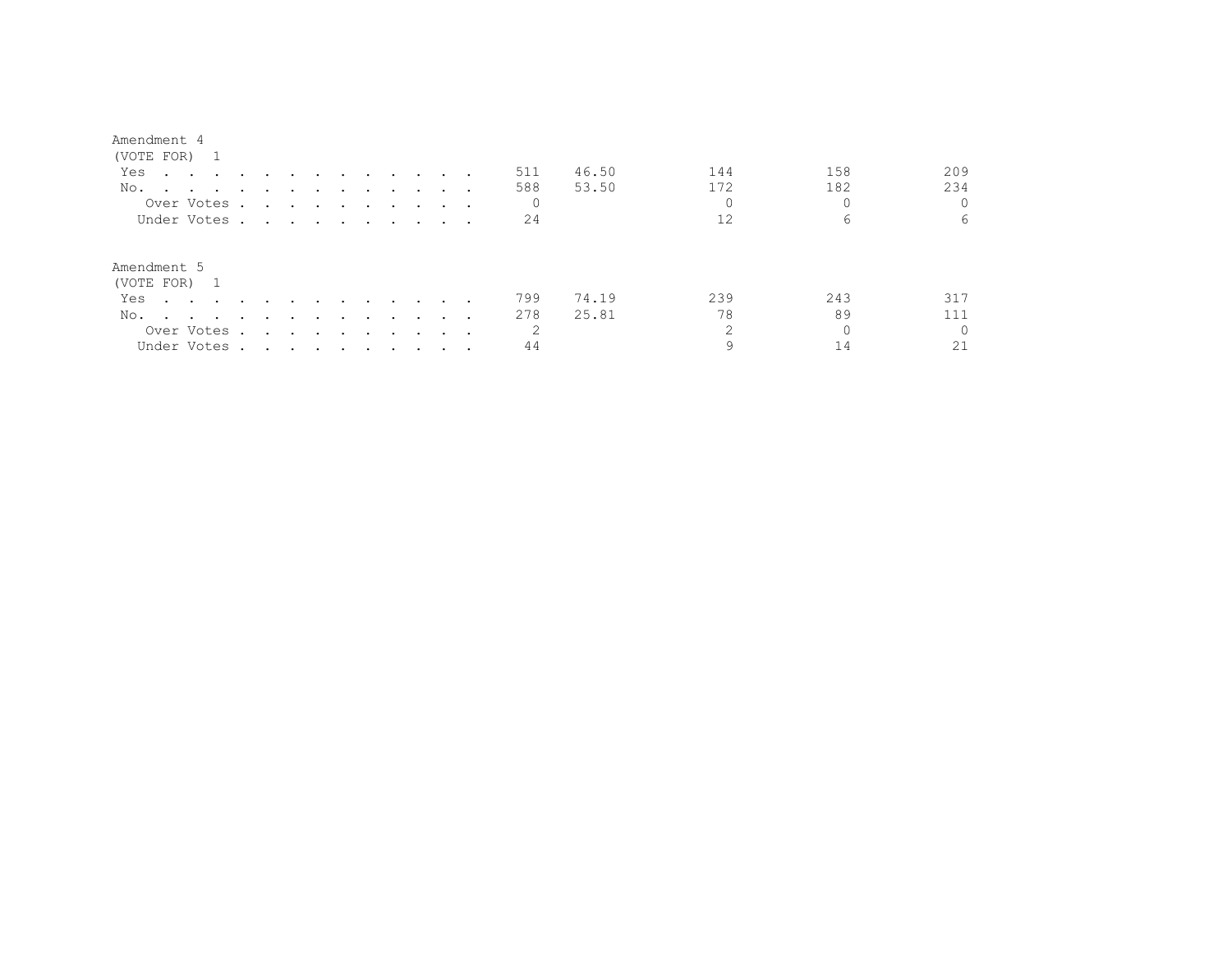| (VOTE FOR) 1                                                                                                           |                                                                                                                                                                                                                                      |               |                          |               |                                                                                                                 |                                                                                                                 |               |                             |              |       |     |     |          |
|------------------------------------------------------------------------------------------------------------------------|--------------------------------------------------------------------------------------------------------------------------------------------------------------------------------------------------------------------------------------|---------------|--------------------------|---------------|-----------------------------------------------------------------------------------------------------------------|-----------------------------------------------------------------------------------------------------------------|---------------|-----------------------------|--------------|-------|-----|-----|----------|
| Yes<br>the contract of the contract of the contract of the contract of the contract of the contract of the contract of |                                                                                                                                                                                                                                      |               |                          | $\sim$ $\sim$ |                                                                                                                 | and the state of the state of the state of the state of the state of the state of the state of the state of the |               |                             | 511          | 46.50 | 144 | 158 | 209      |
| No.<br>the contract of the contract of the contract of the contract of the contract of the contract of the contract of |                                                                                                                                                                                                                                      |               |                          |               |                                                                                                                 |                                                                                                                 |               |                             | 588          | 53.50 | 172 | 182 | 234      |
| Over Votes.                                                                                                            | $\mathbf{r}$ , and $\mathbf{r}$ , and $\mathbf{r}$ , and $\mathbf{r}$                                                                                                                                                                |               |                          |               |                                                                                                                 |                                                                                                                 |               |                             | $\mathbf{0}$ |       |     |     |          |
| Under Votes.                                                                                                           | <u>in the second contract of the second contract of the second contract of the second contract of the second contract of the second contract of the second contract of the second contract of the second contract of the second </u> |               |                          |               |                                                                                                                 |                                                                                                                 |               |                             | 24           |       | 12  | 6   | 6        |
| Amendment 5<br>(VOTE FOR) 1                                                                                            |                                                                                                                                                                                                                                      |               |                          |               |                                                                                                                 |                                                                                                                 |               |                             |              |       |     |     |          |
| Yes                                                                                                                    |                                                                                                                                                                                                                                      |               |                          |               | $\sim$ $\sim$                                                                                                   | $\sim$ $\sim$                                                                                                   |               | .                           | 799          | 74.19 | 239 | 243 | 317      |
| No.<br>the contract of the contract of the contract of the contract of the contract of the contract of the contract of | $\sim$                                                                                                                                                                                                                               | $\sim$ $\sim$ | $\overline{\phantom{a}}$ | $\sim$        | $\sim$ $\sim$ $\sim$                                                                                            |                                                                                                                 | $\sim$ $\sim$ |                             | 278          | 25.81 | 78  | 89  | 111      |
| Over Votes .                                                                                                           | $\sim$                                                                                                                                                                                                                               |               |                          |               | the contract of the contract of the contract of the contract of the contract of the contract of the contract of |                                                                                                                 |               | $\sim$ $\sim$ $\sim$ $\sim$ | 2            |       | ↷   |     | $\Omega$ |
| Under Votes.                                                                                                           | . The contribution of the contribution of the contribution of the contribution of the contribution of the contribution of the contribution of the contribution of the contribution of the contribution of the contribution of        |               |                          |               |                                                                                                                 |                                                                                                                 |               |                             | 44           |       |     |     | 21       |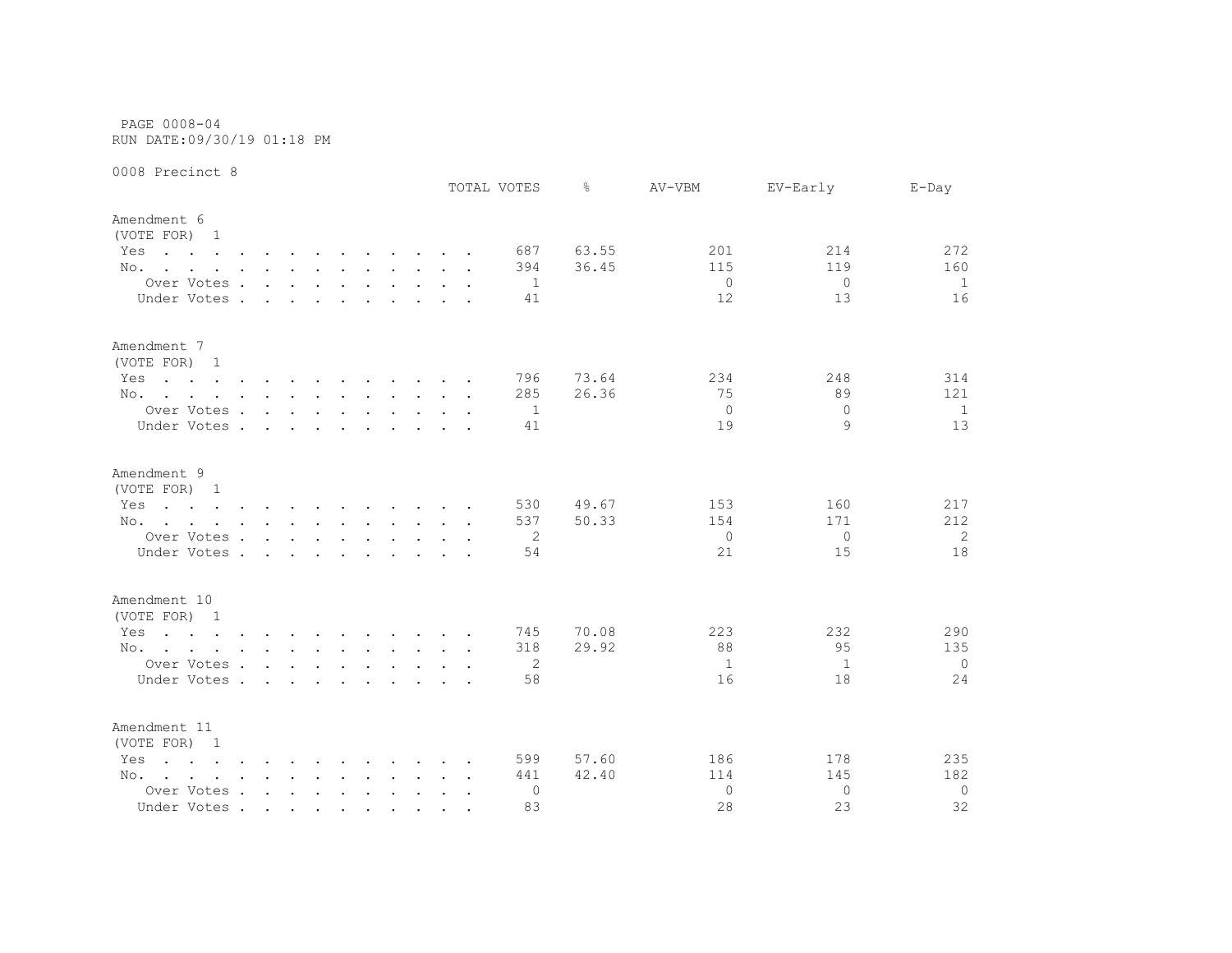PAGE 0008-04 RUN DATE:09/30/19 01:18 PM

|                                                                                                                                                                            |                                        |        |        |               |                                    |  |                      | TOTAL VOTES     | ⊱              | AV-VBM                | EV-Early        | $E$ -Day        |
|----------------------------------------------------------------------------------------------------------------------------------------------------------------------------|----------------------------------------|--------|--------|---------------|------------------------------------|--|----------------------|-----------------|----------------|-----------------------|-----------------|-----------------|
| Amendment 6<br>(VOTE FOR) 1                                                                                                                                                |                                        |        |        |               |                                    |  |                      |                 |                |                       |                 |                 |
| Yes<br>the contract of the contract of the contract of the contract of the contract of the contract of the contract of                                                     |                                        |        |        |               |                                    |  |                      | 687             | 63.55          | 201                   | 214             | 272             |
| No.                                                                                                                                                                        |                                        |        |        |               |                                    |  |                      | 394             | 36.45          | 115                   | 119             | 160             |
| Over Votes                                                                                                                                                                 |                                        |        |        |               |                                    |  |                      | -1              |                | $\mathbf{0}$          | $\overline{0}$  | 1               |
| Under Votes .                                                                                                                                                              | $\sim$                                 | $\sim$ | $\sim$ | $\sim$ $\sim$ |                                    |  |                      | 41              |                | 12                    | 13              | 16              |
|                                                                                                                                                                            |                                        |        |        |               |                                    |  |                      |                 |                |                       |                 |                 |
| Amendment 7<br>(VOTE FOR) 1                                                                                                                                                |                                        |        |        |               |                                    |  |                      |                 |                |                       |                 |                 |
| Yes<br>the contract of the contract of the contract of the contract of the contract of the contract of the contract of                                                     |                                        |        |        |               |                                    |  |                      | 796             | 73.64          | 234                   | 248             | 314             |
| No.                                                                                                                                                                        |                                        |        |        |               |                                    |  |                      | 285             | 26.36          | 75                    | 89              | 121             |
| Over Votes                                                                                                                                                                 |                                        |        |        |               |                                    |  |                      | -1              |                | $\mathbf{0}$          | $\Omega$        | 1               |
| Under Votes                                                                                                                                                                |                                        |        |        |               | $\sim$ $\sim$ $\sim$ $\sim$ $\sim$ |  |                      | 41              |                | 19                    | 9               | 13              |
| Amendment 9<br>(VOTE FOR) 1<br>Yes<br>the contract of the contract of the contract of the contract of the contract of the contract of the contract of<br>No.<br>Over Votes |                                        |        |        |               |                                    |  |                      | 530<br>537<br>2 | 49.67<br>50.33 | 153<br>154<br>$\circ$ | 160<br>171<br>0 | 217<br>212<br>2 |
| Under Votes.<br>Amendment 10<br>(VOTE FOR) 1                                                                                                                               | $\mathbf{r}$ . The set of $\mathbf{r}$ |        | $\sim$ | $\sim$        |                                    |  |                      | 54              |                | 21                    | 15              | 18              |
| the contract of the contract of the contract of the contract of the contract of the contract of the contract of<br>Yes                                                     |                                        |        |        |               |                                    |  |                      | 745             | 70.08          | 223                   | 232             | 290             |
| No.                                                                                                                                                                        |                                        |        |        |               |                                    |  |                      | 318             | 29.92          | 88                    | 95              | 135             |
| Over Votes                                                                                                                                                                 |                                        |        |        |               |                                    |  |                      | 2               |                | $\mathbf{1}$          | 1               | $\mathbf 0$     |
| Under Votes                                                                                                                                                                |                                        |        |        |               |                                    |  |                      | 58              |                | 16                    | 18              | 24              |
| Amendment 11<br>(VOTE FOR) 1                                                                                                                                               |                                        |        |        |               |                                    |  |                      |                 |                |                       |                 |                 |
| Yes<br>$\mathbf{r}$ , and $\mathbf{r}$ , and $\mathbf{r}$ , and $\mathbf{r}$ , and $\mathbf{r}$ , and $\mathbf{r}$                                                         |                                        |        |        |               |                                    |  |                      | 599             | 57.60          | 186                   | 178             | 235             |
| No.                                                                                                                                                                        |                                        |        |        |               |                                    |  |                      | 441             | 42.40          | 114                   | 145             | 182             |
| Over Votes                                                                                                                                                                 |                                        |        |        |               |                                    |  | $\ddot{\phantom{0}}$ | 0               |                | $\Omega$              | $\Omega$        | $\mathbf 0$     |
| Under Votes                                                                                                                                                                |                                        |        |        |               |                                    |  |                      | 83              |                | 28                    | 23              | 32              |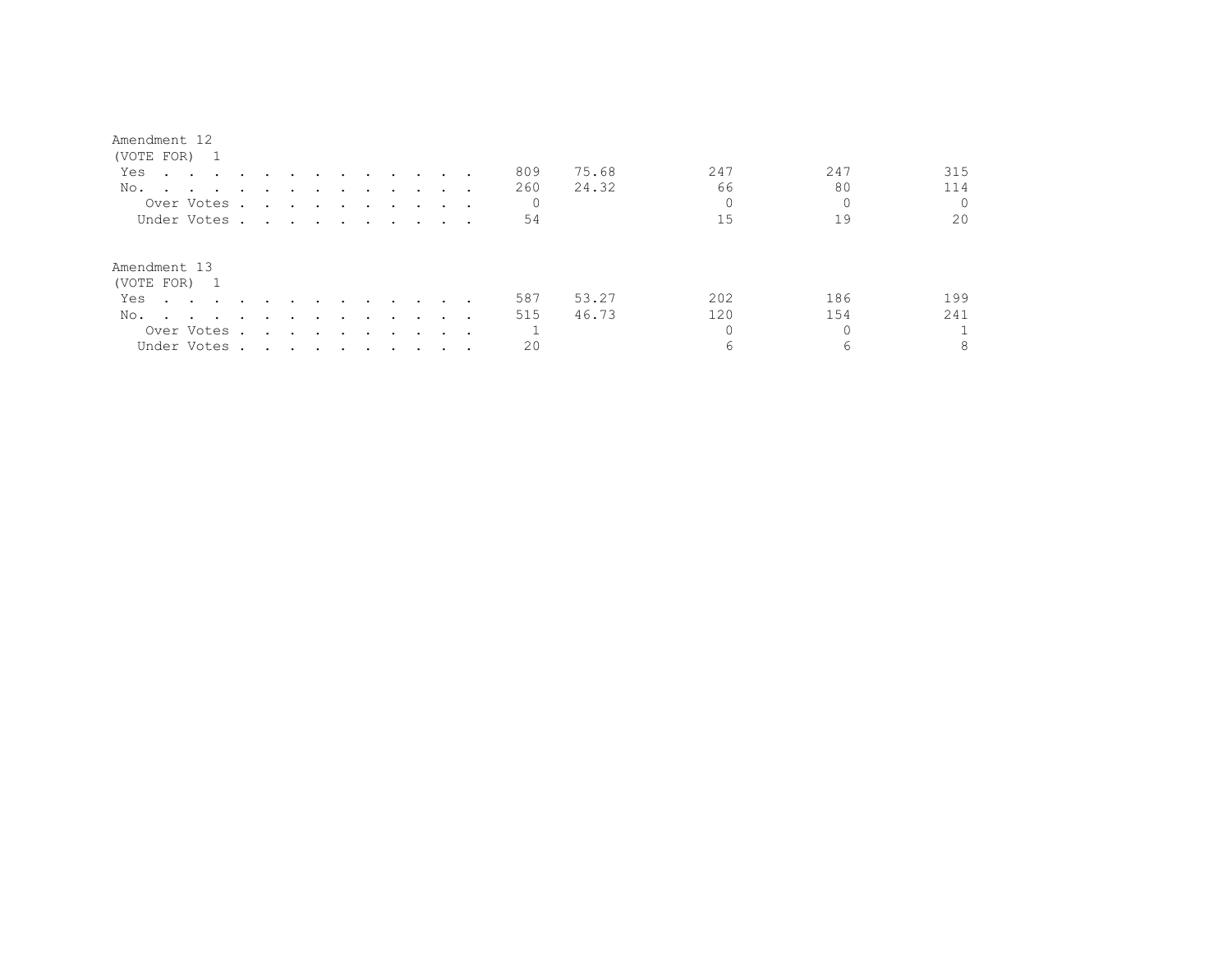| Amendment |  |
|-----------|--|
|-----------|--|

| (VOTE FOR) 1                 |                                                                                                                 |                                                                                                                 |        |                                                                                                                 |        |        |                             |  |              |       |     |     |     |
|------------------------------|-----------------------------------------------------------------------------------------------------------------|-----------------------------------------------------------------------------------------------------------------|--------|-----------------------------------------------------------------------------------------------------------------|--------|--------|-----------------------------|--|--------------|-------|-----|-----|-----|
| Yes                          | the contract of the contract of the contract of the contract of the contract of the contract of the contract of |                                                                                                                 |        |                                                                                                                 |        | $\sim$ | $\sim$ $\sim$ $\sim$ $\sim$ |  | 809          | 75.68 | 247 | 247 | 315 |
| No.                          | the contract of the contract of                                                                                 |                                                                                                                 |        |                                                                                                                 |        |        |                             |  | 260          | 24.32 | 66  | 80  | 114 |
| Over Votes .                 |                                                                                                                 | $\sim 100$ km s $^{-1}$                                                                                         |        | the contract of the contract of the contract of the contract of the contract of the contract of the contract of |        |        |                             |  | 0            |       |     |     |     |
| Under Votes                  |                                                                                                                 |                                                                                                                 |        |                                                                                                                 |        |        |                             |  | 54           |       | 15  | 19  | 20  |
| Amendment 13<br>(VOTE FOR) 1 |                                                                                                                 |                                                                                                                 |        |                                                                                                                 |        |        |                             |  |              |       |     |     |     |
| Yes                          | $\sim$ $\sim$ $\sim$ $\sim$ $\sim$                                                                              |                                                                                                                 |        |                                                                                                                 |        | $\sim$ | $\cdots$                    |  | 587          | 53.27 | 202 | 186 | 199 |
| No.                          | $\sim$ $\sim$ $\sim$ $\sim$ $\sim$                                                                              | $\sim$ $\sim$                                                                                                   | $\sim$ | $\sim$                                                                                                          | $\sim$ |        |                             |  | 515          | 46.73 | 120 | 154 | 241 |
| Over Votes .                 |                                                                                                                 | and the state of the state of the state of the state of the state of the state of the state of the state of the |        |                                                                                                                 |        | $\sim$ | $\sim$ $\sim$               |  | $\mathbf{1}$ |       |     |     |     |
| Under Votes                  |                                                                                                                 |                                                                                                                 |        |                                                                                                                 |        |        |                             |  | 20           |       | 6   | 6   | 8   |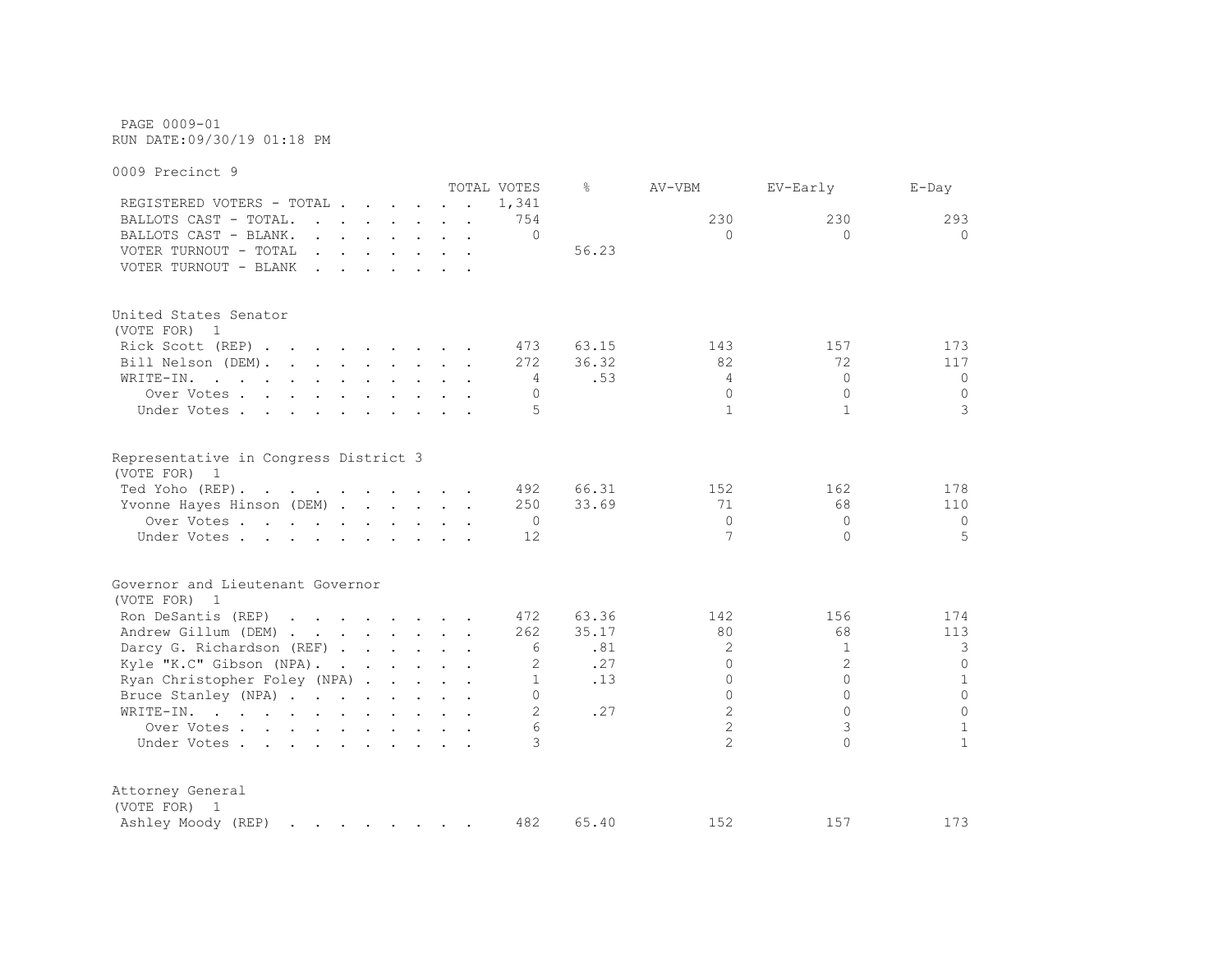PAGE 0009-01 RUN DATE:09/30/19 01:18 PM

0009 Precinct 9 TOTAL VOTES % AV-VBM EV-Early E-Day REGISTERED VOTERS - TOTAL . . . . . . 1,341 BALLOTS CAST - TOTAL. . . . . . . 754 230 230 293 BALLOTS CAST - BLANK. . . . . . . . 0 0 0 0 VOTER TURNOUT - TOTAL . . . . . . . . 56.23 VOTER TURNOUT - BLANK . . . . . . . United States Senator (VOTE FOR) 1 Rick Scott (REP) . . . . . . . . 473 63.15 143 157 173 Bill Nelson (DEM). . . . . . . . 272 36.32 82 32 72 117 WRITE-IN. . . . . . . . . . . 4 .53 4 0 0 0 Over Votes . . . . . . . . . . 0 0 0 0 Under Votes . . . . . . . . . . . 5 1 1 1 3 Representative in Congress District 3 (VOTE FOR) 1 Ted Yoho (REP). . . . . . . . . . 492 66.31 152 162 178 Yvonne Hayes Hinson (DEM) . . . . . 250 33.69 71 68 110 Over Votes . . . . . . . . . . 0 0 0 0 Under Votes . . . . . . . . . . 12 7 0 5 Governor and Lieutenant Governor (VOTE FOR) 1 Ron DeSantis (REP) . . . . . . . 472 63.36 142 156 174 Andrew Gillum (DEM) . . . . . . . 262 35.17 80 68 113 Darcy G. Richardson (REF) . . . . . 6 .81 2 1 3 Kyle "K.C" Gibson (NPA). . . . . . 2 .27 0 2 0 2 0 Ryan Christopher Foley (NPA) . . . . . 1 .13 0 0 0 1 Bruce Stanley (NPA) . . . . . . . . 0 0 0 0 WRITE-IN. . . . . . . . . . . . 2 .27 2 0 0 0 Over Votes . . . . . . . . . . . 6 2 3 1<br>Inder Votes . . . . . . . . . . 6 2 3 1 Under Votes . . . . . . . . . . 3 2 0 1 Attorney General (VOTE FOR) 1 Ashley Moody (REP) . . . . . . . 482 65.40 152 157 173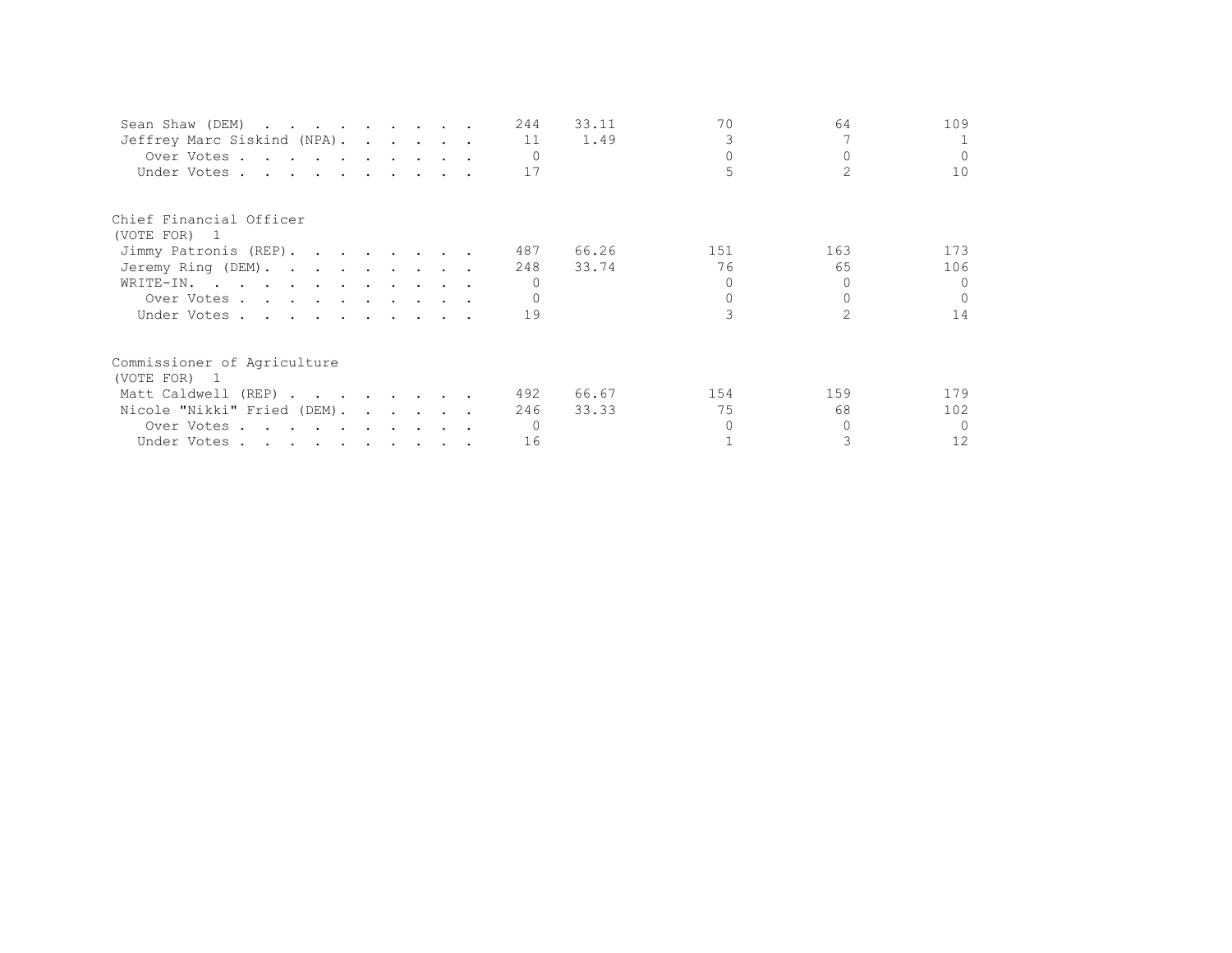| Sean Shaw (DEM)             |  |  | 244       | 33.11 | 70  | 64  | 109      |
|-----------------------------|--|--|-----------|-------|-----|-----|----------|
| Jeffrey Marc Siskind (NPA). |  |  | 11        | 1.49  |     |     |          |
| Over Votes                  |  |  | $\bigcap$ |       |     |     | $\Omega$ |
| Under Votes                 |  |  | 17        |       |     |     | 10       |
| Chief Financial Officer     |  |  |           |       |     |     |          |
| (VOTE FOR) 1                |  |  |           |       |     |     |          |
| Jimmy Patronis (REP).       |  |  | 487       | 66.26 | 151 | 163 | 173      |
| Jeremy Ring (DEM).          |  |  | 248       | 33.74 | 76  | 65  | 106      |
| WRITE-IN.                   |  |  |           |       |     |     | $\Omega$ |
| Over Votes                  |  |  |           |       |     |     | $\cap$   |
| Under Votes                 |  |  | 19        |       |     |     | 14       |
| Commissioner of Agriculture |  |  |           |       |     |     |          |
| (VOTE FOR) 1                |  |  |           |       |     |     |          |
| Matt Caldwell (REP)         |  |  | 492       | 66.67 | 154 | 159 | 179      |
| Nicole "Nikki" Fried (DEM). |  |  | 246       | 33.33 | 75  | 68  | 102      |
| Over Votes                  |  |  |           |       |     |     | $\Omega$ |
| Under Votes                 |  |  | 16        |       |     |     | 12       |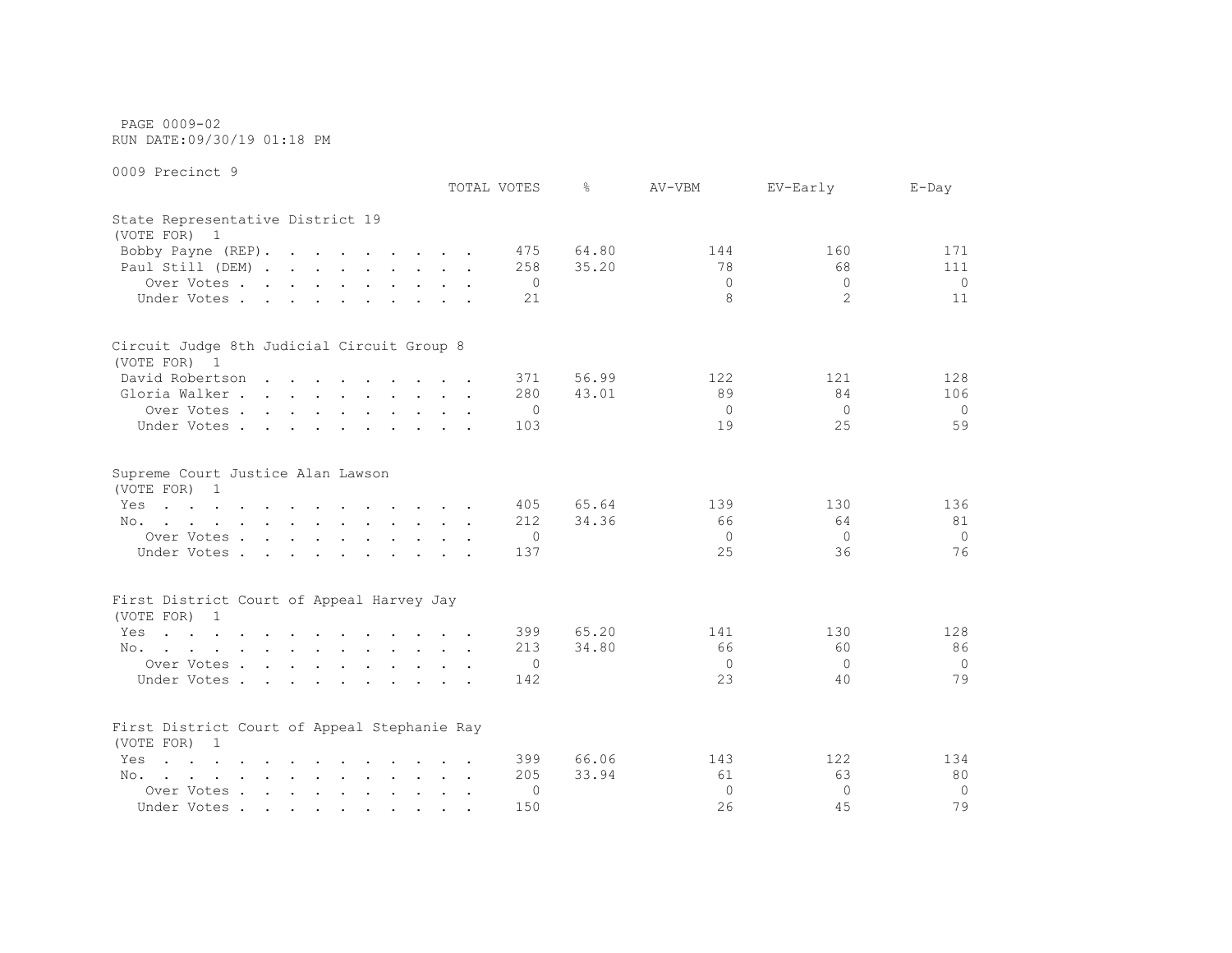PAGE 0009-02 RUN DATE:09/30/19 01:18 PM

|                                                                                                                        |        | TOTAL VOTES    | ⊱     | AV-VBM       | EV-Early       | $E$ -Day       |
|------------------------------------------------------------------------------------------------------------------------|--------|----------------|-------|--------------|----------------|----------------|
| State Representative District 19<br>(VOTE FOR) 1                                                                       |        |                |       |              |                |                |
| Bobby Payne (REP).                                                                                                     |        | 475            | 64.80 | 144          | 160            | 171            |
| Paul Still (DEM)                                                                                                       |        | 258            | 35.20 | 78           | 68             | 111            |
| Over Votes                                                                                                             |        | $\circ$        |       | $\Omega$     | $\Omega$       | $\circ$        |
| Under Votes                                                                                                            |        | 21             |       | 8            | $\overline{2}$ | 11             |
| Circuit Judge 8th Judicial Circuit Group 8                                                                             |        |                |       |              |                |                |
| (VOTE FOR) 1                                                                                                           |        |                |       |              |                |                |
| David Robertson                                                                                                        |        | 371            | 56.99 | 122          | 121            | 128            |
| Gloria Walker                                                                                                          |        | 280            | 43.01 | 89           | 84             | 106            |
| Over Votes                                                                                                             |        | $\circ$        |       | $\Omega$     | $\Omega$       | $\Omega$       |
| Under Votes                                                                                                            |        | 103            |       | 19           | 25             | 59             |
| Supreme Court Justice Alan Lawson<br>(VOTE FOR) 1                                                                      |        |                |       |              |                |                |
| the contract of the contract of the contract of the contract of the contract of the contract of the contract of<br>Yes |        | 405            | 65.64 | 139          | 130            | 136            |
| No.                                                                                                                    |        | 212            | 34.36 | 66           | 64             | 81             |
| Over Votes                                                                                                             |        | 0              |       | 0            | $\Omega$       | $\Omega$       |
| Under Votes                                                                                                            |        | 137            |       | 25           | 36             | 76             |
| First District Court of Appeal Harvey Jay                                                                              |        |                |       |              |                |                |
| (VOTE FOR) 1                                                                                                           |        |                |       |              |                |                |
| Yes<br>the contract of the contract of the contract of the contract of the contract of the contract of the contract of |        | 399            | 65.20 | 141          | 130            | 128            |
| No.                                                                                                                    |        | 213            | 34.80 | 66           | 60             | 86             |
| Over Votes                                                                                                             |        | $\overline{0}$ |       | $\mathbf{0}$ | $\Omega$       | $\Omega$       |
| Under Votes                                                                                                            |        | 142            |       | 23           | 40             | 79             |
| First District Court of Appeal Stephanie Ray<br>(VOTE FOR) 1                                                           |        |                |       |              |                |                |
| $\mathbf{r}$ , and $\mathbf{r}$ , and $\mathbf{r}$ , and $\mathbf{r}$ , and $\mathbf{r}$ , and $\mathbf{r}$<br>Yes     |        | 399            | 66.06 | 143          | 122            | 134            |
| No.                                                                                                                    |        | 205            | 33.94 | 61           | 63             | 80             |
| Over Votes                                                                                                             | $\sim$ | 0              |       | $\Omega$     | $\Omega$       | $\overline{0}$ |
| Under Votes                                                                                                            |        | 150            |       | 26           | 45             | 79             |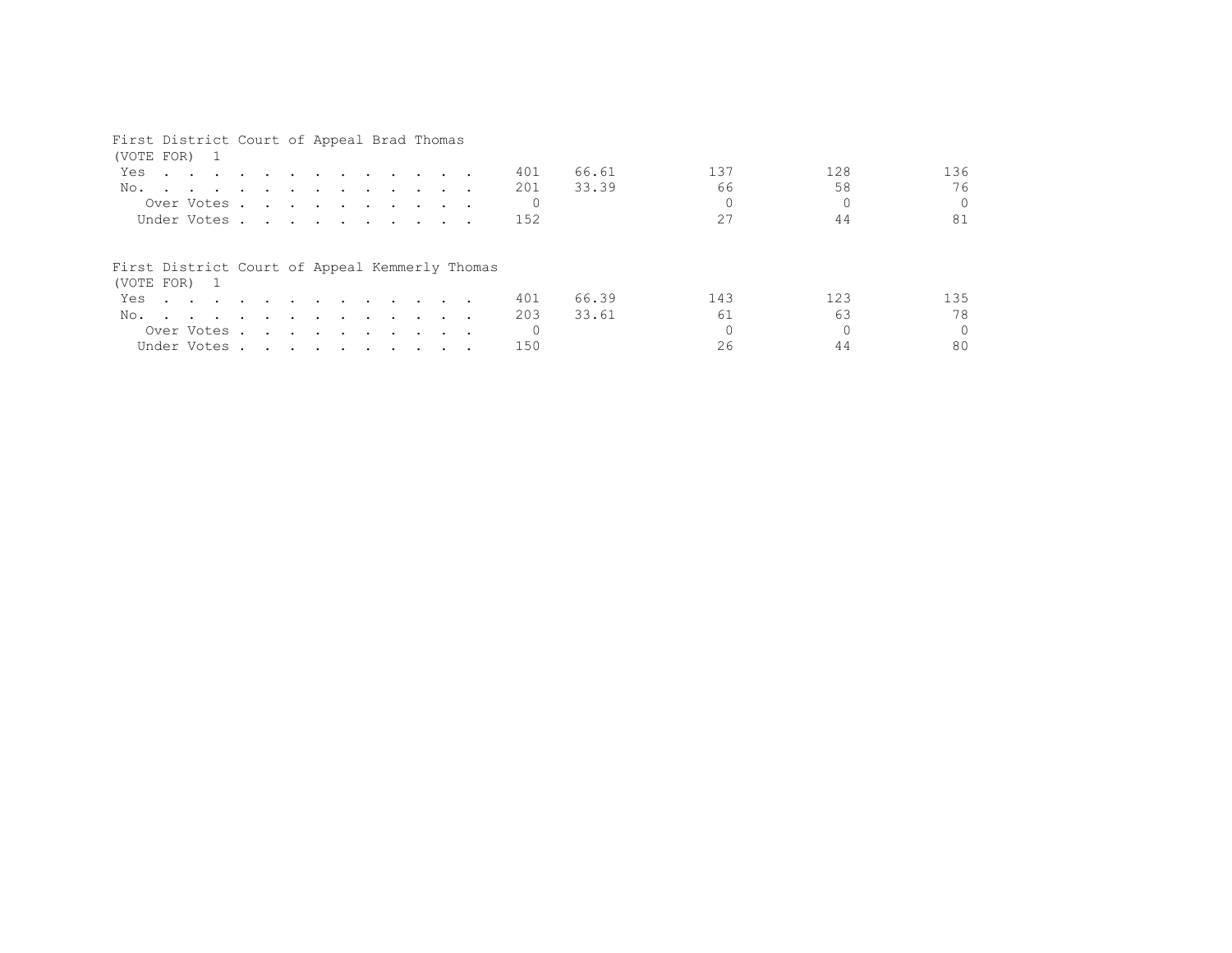## First District Court of Appeal Brad Thomas

| (VOTE FOR) 1                                                   |  |            |  |  |  |                                                                                                                 |  |     |       |     |     |     |
|----------------------------------------------------------------|--|------------|--|--|--|-----------------------------------------------------------------------------------------------------------------|--|-----|-------|-----|-----|-----|
| Yes                                                            |  |            |  |  |  | the contract of the contract of the contract of the contract of the contract of the contract of the contract of |  | 401 | 66.61 | 137 | 128 | 136 |
| No.                                                            |  |            |  |  |  |                                                                                                                 |  | 201 | 33.39 | 66  | 58  | 76  |
|                                                                |  |            |  |  |  | Over Votes                                                                                                      |  |     |       |     |     | 0   |
| Under Votes                                                    |  |            |  |  |  |                                                                                                                 |  | 152 |       | 27  | 44  | 81  |
| First District Court of Appeal Kemmerly Thomas<br>(VOTE FOR) 1 |  |            |  |  |  |                                                                                                                 |  |     |       |     |     |     |
| Yes                                                            |  |            |  |  |  |                                                                                                                 |  | 401 | 66.39 | 143 | 123 | 135 |
| No.                                                            |  |            |  |  |  |                                                                                                                 |  | 203 | 33.61 | 61  | 63  | 78  |
|                                                                |  | Over Votes |  |  |  |                                                                                                                 |  |     |       |     |     |     |
|                                                                |  |            |  |  |  |                                                                                                                 |  |     |       |     |     | 0   |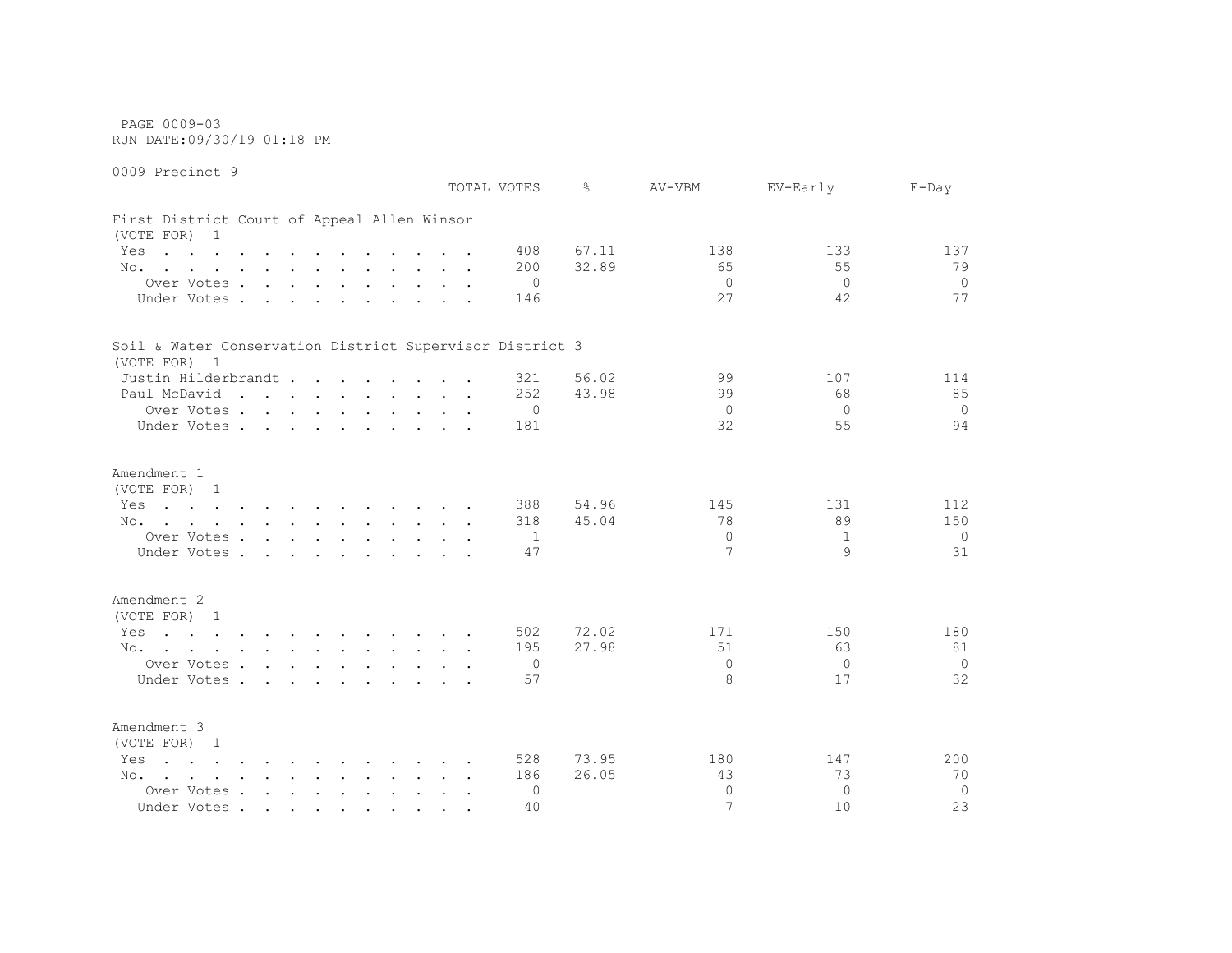PAGE 0009-03 RUN DATE:09/30/19 01:18 PM

0009 Precinct 9 TOTAL VOTES % AV-VBM EV-Early E-Day First District Court of Appeal Allen Winsor (VOTE FOR) 1 Yes . . . . . . . . . . . . 408 67.11 138 133 137 137 No. . . . . . . . . . . . 200 32.89 55 55 79 Over Votes . . . . . . . . . . 0 0 0 0 Under Votes . . . . . . . . . 146 27 42 77 Soil & Water Conservation District Supervisor District 3 (VOTE FOR) 1 Justin Hilderbrandt . . . . . . 321 56.02 99 107 114 Paul McDavid . . . . . . . . . 252 43.98 99 68 85 Over Votes . . . . . . . . . . 0 0 0 0 Under Votes . . . . . . . . . 181 32 55 94 Amendment 1 (VOTE FOR) 1 Yes . . . . . . . . . . . . 388 54.96 145 131 112 No. . . . . . . . . . . . 318 45.04 78 89 150 Over Votes . . . . . . . . . . 1 0 1 0 Under Votes . . . . . . . . . . 47 9 31 Amendment 2 (VOTE FOR) 1 Yes . . . . . . . . . . . . 502 72.02 171 150 180 No. . . . . . . . . . . . 195 27.98 51 63 81 Over Votes . . . . . . . . . . 0 0 0 0 Under Votes . . . . . . . . . . 57 8 17 32 Amendment 3 (VOTE FOR) 1 Yes . . . . . . . . . . . . 528 73.95 180 147 200 No. . . . . . . . . . . . 186 26.05 43 73 70 Over Votes . . . . . . . . . . 0 0 0 0

Under Votes . . . . . . . . . . 40 10 10 23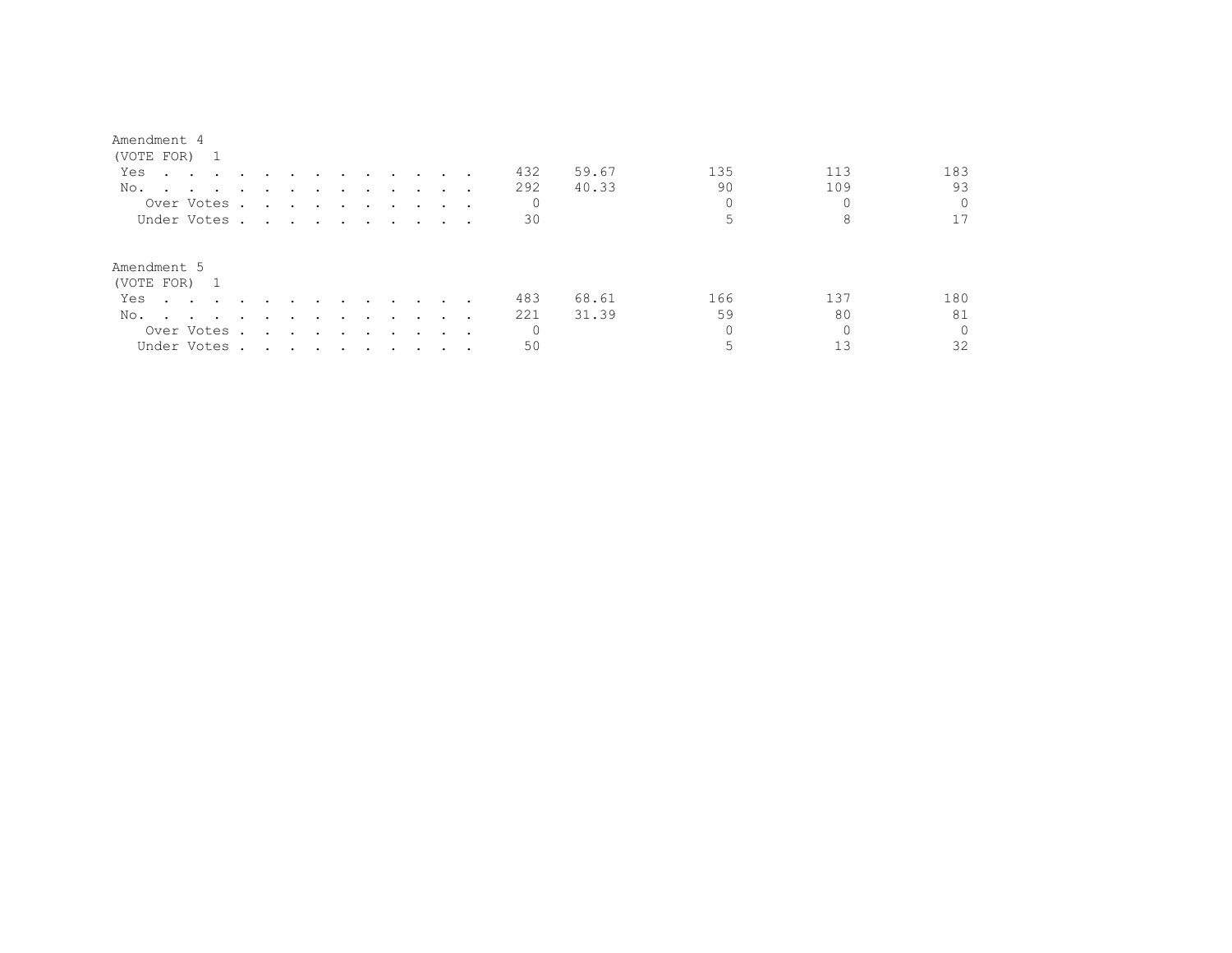#### Amendment 4

| (VOTE FOR) 1                                                                                                                                                                                                                          |                                                                                                                                                                                                                                      |                                                                                                                 |        |                             |                      |                          |   |              |       |     |     |          |
|---------------------------------------------------------------------------------------------------------------------------------------------------------------------------------------------------------------------------------------|--------------------------------------------------------------------------------------------------------------------------------------------------------------------------------------------------------------------------------------|-----------------------------------------------------------------------------------------------------------------|--------|-----------------------------|----------------------|--------------------------|---|--------------|-------|-----|-----|----------|
| Yes<br>$\mathbf{r}$ , and $\mathbf{r}$ , and $\mathbf{r}$ , and $\mathbf{r}$                                                                                                                                                          |                                                                                                                                                                                                                                      | $\sim$ $\sim$ $\sim$                                                                                            |        | $\sim$ $\sim$ $\sim$ $\sim$ |                      |                          |   | 432          | 59.67 | 135 | 113 | 183      |
| No.                                                                                                                                                                                                                                   |                                                                                                                                                                                                                                      |                                                                                                                 |        |                             |                      |                          |   | 292          | 40.33 | 90  | 109 | 93       |
| Over Votes.                                                                                                                                                                                                                           |                                                                                                                                                                                                                                      | the contract of the contract of the contract of the contract of the contract of the contract of the contract of |        |                             |                      |                          |   | 0            |       |     |     | $\Omega$ |
| Under Votes.                                                                                                                                                                                                                          | <u>in the contract of the contract of the contract of the contract of the contract of the contract of the contract of the contract of the contract of the contract of the contract of the contract of the contract of the contra</u> |                                                                                                                 |        |                             |                      |                          |   | 30           |       |     | 8   |          |
| Amendment 5<br>(VOTE FOR) 1                                                                                                                                                                                                           |                                                                                                                                                                                                                                      |                                                                                                                 |        |                             |                      |                          |   |              |       |     |     |          |
| Yes                                                                                                                                                                                                                                   |                                                                                                                                                                                                                                      | $\cdots$                                                                                                        |        | $\sim$ $\sim$ $\sim$        |                      | $\sim$ $\sim$ $\sim$     |   | 483          | 68.61 | 166 | 137 | 180      |
| No.<br>and the contract of the contract of the contract of the contract of the contract of the contract of the contract of the contract of the contract of the contract of the contract of the contract of the contract of the contra | $\sim$                                                                                                                                                                                                                               | $\sim$ $\sim$                                                                                                   | $\sim$ | $\sim$ $\sim$ $\sim$        |                      | $\overline{\phantom{a}}$ |   | 221          | 31.39 | 59  | 80  | 81       |
| Over Votes .                                                                                                                                                                                                                          | $\sim$                                                                                                                                                                                                                               | $\sim$ $\sim$ $\sim$ $\sim$ $\sim$                                                                              |        |                             | $\ddot{\phantom{0}}$ |                          | . | $\mathbf{0}$ |       |     |     | $\Omega$ |
| Under Votes.                                                                                                                                                                                                                          | the contract of the contract of the contract of the contract of the contract of the contract of the contract of                                                                                                                      |                                                                                                                 |        |                             |                      |                          |   | 50           |       |     |     | 32       |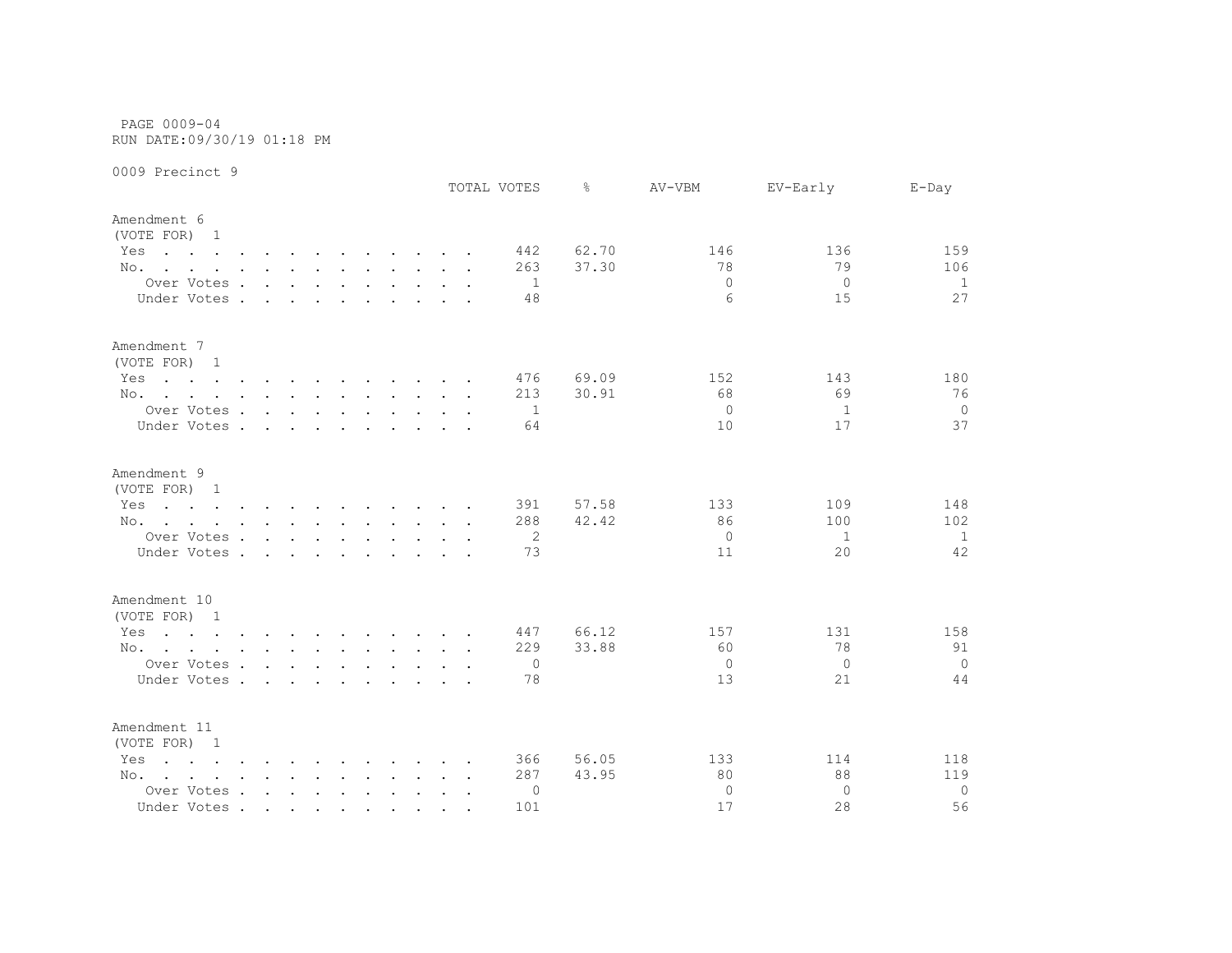PAGE 0009-04 RUN DATE:09/30/19 01:18 PM

|                                                                                                                        |                 |        |                      |               |                                     |  |        | TOTAL VOTES | ⊱     | AV-VBM         | EV-Early       | $E$ -Day       |
|------------------------------------------------------------------------------------------------------------------------|-----------------|--------|----------------------|---------------|-------------------------------------|--|--------|-------------|-------|----------------|----------------|----------------|
| Amendment 6<br>(VOTE FOR) 1                                                                                            |                 |        |                      |               |                                     |  |        |             |       |                |                |                |
| Yes<br>the contract of the contract of the contract of the contract of the contract of the contract of the contract of |                 |        |                      |               |                                     |  |        | 442         | 62.70 | 146            | 136            | 159            |
| No.                                                                                                                    |                 |        |                      |               |                                     |  |        | 263         | 37.30 | 78             | 79             | 106            |
| Over Votes                                                                                                             |                 |        |                      |               | and the contract of the contract of |  |        | -1          |       | $\Omega$       | $\Omega$       | 1              |
| Under Votes .                                                                                                          | $\sim$          | $\sim$ | $\ddot{\phantom{a}}$ | $\sim$        |                                     |  |        | 48          |       | 6              | 15             | 27             |
| Amendment 7<br>(VOTE FOR) 1                                                                                            |                 |        |                      |               |                                     |  |        |             |       |                |                |                |
| Yes<br>the contract of the contract of the contract of the contract of the contract of the contract of the contract of |                 |        |                      |               |                                     |  |        | 476         | 69.09 | 152            | 143            | 180            |
| No.                                                                                                                    |                 |        |                      |               |                                     |  |        | 213         | 30.91 | 68             | 69             | 76             |
| Over Votes                                                                                                             |                 |        |                      |               |                                     |  |        | 1           |       | $\Omega$       | 1              | $\overline{0}$ |
| Under Votes                                                                                                            |                 |        |                      | $\sim$ $\sim$ | $\cdots$                            |  |        | 64          |       | 10             | 17             | 37             |
| Amendment 9<br>(VOTE FOR) 1                                                                                            |                 |        |                      |               |                                     |  |        |             |       |                |                |                |
| Yes<br>the contract of the contract of the contract of the contract of the contract of the contract of the contract of |                 |        |                      |               |                                     |  |        | 391         | 57.58 | 133            | 109            | 148            |
| No.                                                                                                                    |                 |        |                      |               |                                     |  |        | 288         | 42.42 | 86             | 100            | 102            |
| Over Votes                                                                                                             |                 |        |                      |               | the contract of the contract of the |  |        | 2           |       | $\overline{0}$ | 1              | 1              |
| Under Votes.                                                                                                           | <b>Contract</b> | $\sim$ | $\sim$               | $\sim$ .      |                                     |  |        | 73          |       | 11             | 20             | 42             |
| Amendment 10                                                                                                           |                 |        |                      |               |                                     |  |        |             |       |                |                |                |
| (VOTE FOR) 1                                                                                                           |                 |        |                      |               |                                     |  |        |             |       |                |                |                |
| Yes<br>the contract of the contract of the contract of the contract of the contract of the contract of the contract of |                 |        |                      |               |                                     |  |        | 447         | 66.12 | 157            | 131            | 158            |
| No.                                                                                                                    |                 |        |                      |               |                                     |  |        | 229         | 33.88 | 60             | 78             | 91             |
| Over Votes                                                                                                             |                 |        |                      |               |                                     |  |        | 0           |       | $\Omega$       | $\overline{0}$ | $\overline{0}$ |
| Under Votes                                                                                                            |                 |        |                      |               |                                     |  |        | 78          |       | 13             | 21             | 44             |
| Amendment 11<br>(VOTE FOR) 1                                                                                           |                 |        |                      |               |                                     |  |        |             |       |                |                |                |
| Yes<br>$\mathbf{r}$ , and $\mathbf{r}$ , and $\mathbf{r}$ , and $\mathbf{r}$ , and $\mathbf{r}$ , and $\mathbf{r}$     |                 |        |                      |               |                                     |  |        | 366         | 56.05 | 133            | 114            | 118            |
| No.                                                                                                                    |                 |        |                      |               |                                     |  |        | 287         | 43.95 | 80             | 88             | 119            |
| Over Votes                                                                                                             |                 |        |                      |               |                                     |  | $\sim$ | 0           |       | $\Omega$       | $\Omega$       | $\circ$        |
| Under Votes                                                                                                            |                 |        |                      |               |                                     |  |        | 101         |       | 17             | 28             | 56             |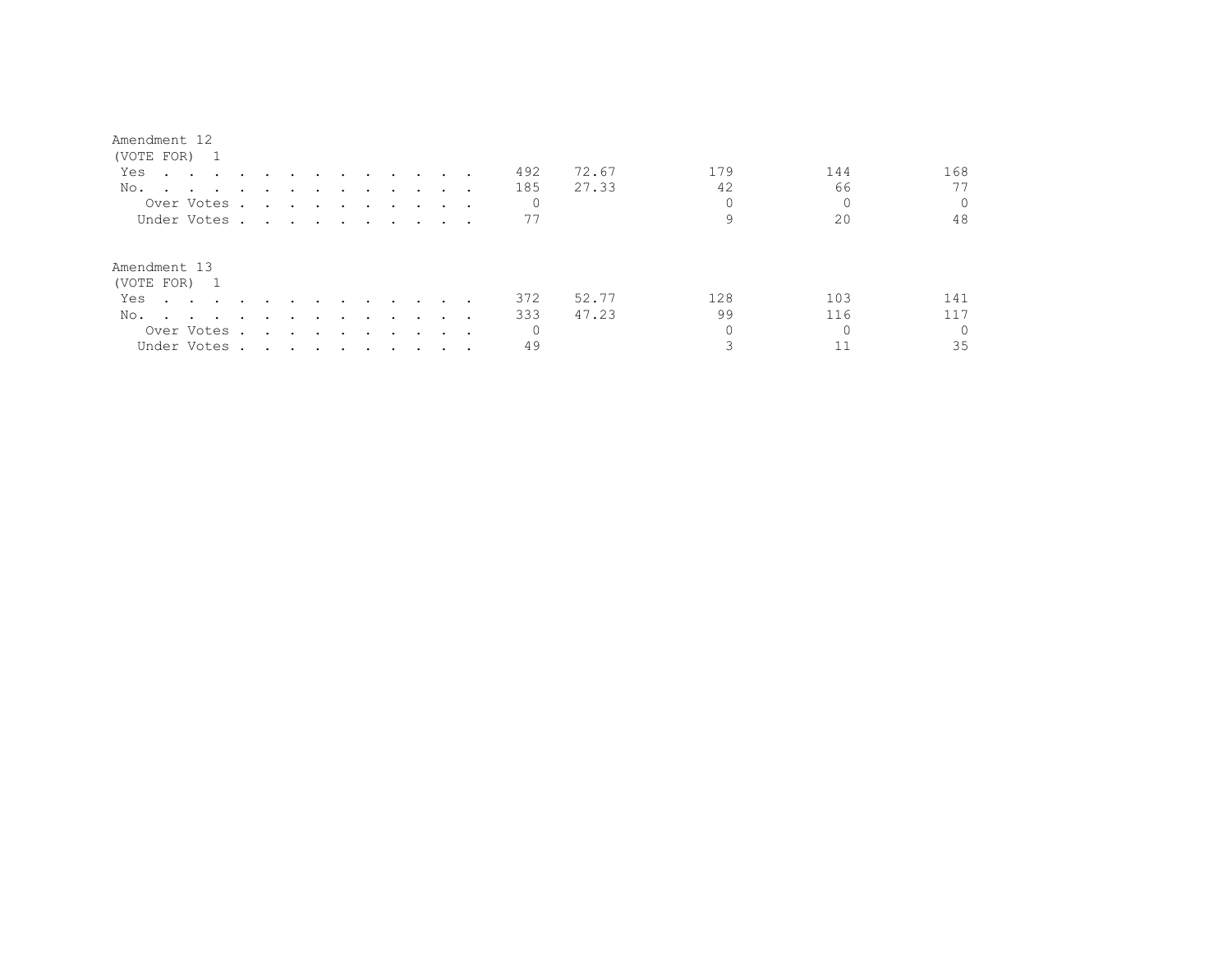| Amendment |  |
|-----------|--|
|-----------|--|

| (VOTE FOR) 1 |                                                                                                                 |                         |        |                                                                                                                 |        |               |                                    |        |                                                                                                                 |     |       |          |     |          |
|--------------|-----------------------------------------------------------------------------------------------------------------|-------------------------|--------|-----------------------------------------------------------------------------------------------------------------|--------|---------------|------------------------------------|--------|-----------------------------------------------------------------------------------------------------------------|-----|-------|----------|-----|----------|
| Yes          | the contract of the contract of the contract of the contract of the contract of the contract of the contract of |                         |        |                                                                                                                 |        |               | $\sim$ $\sim$ $\sim$ $\sim$ $\sim$ |        |                                                                                                                 | 492 | 72.67 | 179      | 144 | 168      |
| No.          |                                                                                                                 |                         |        |                                                                                                                 |        |               |                                    |        |                                                                                                                 | 185 | 27.33 | 42       | 66  |          |
| Over Votes . |                                                                                                                 | $\sim 100$ km s $^{-1}$ |        |                                                                                                                 |        |               |                                    |        | the contract of the contract of the contract of the contract of the contract of the contract of the contract of | 0   |       | 0        |     |          |
| Under Votes  |                                                                                                                 |                         |        |                                                                                                                 |        |               |                                    |        |                                                                                                                 | 77  |       |          | 20  | 48       |
| Amendment 13 |                                                                                                                 |                         |        |                                                                                                                 |        |               |                                    |        |                                                                                                                 |     |       |          |     |          |
| (VOTE FOR) 1 |                                                                                                                 |                         |        |                                                                                                                 |        |               |                                    |        |                                                                                                                 | 372 | 52.77 | 128      | 103 | 141      |
| Yes          |                                                                                                                 | $\sim$                  |        |                                                                                                                 |        | $\sim$ $\sim$ |                                    |        |                                                                                                                 |     |       |          |     |          |
| No.          |                                                                                                                 | $\ddot{\phantom{0}}$    | $\sim$ |                                                                                                                 | $\sim$ | $\sim$        | $\sim$ $\sim$                      | $\sim$ |                                                                                                                 | 333 | 47.23 | 99       | 116 | 117      |
| Over Votes . |                                                                                                                 | $\sim$                  |        | and the state of the state of the state of the state of the state of the state of the state of the state of the |        | $\sim$        | $\sim$ $\sim$                      |        |                                                                                                                 | 0   |       | $\Omega$ |     | $\Omega$ |
| Under Votes  |                                                                                                                 |                         |        |                                                                                                                 |        |               |                                    |        |                                                                                                                 | 49  |       |          |     | 35       |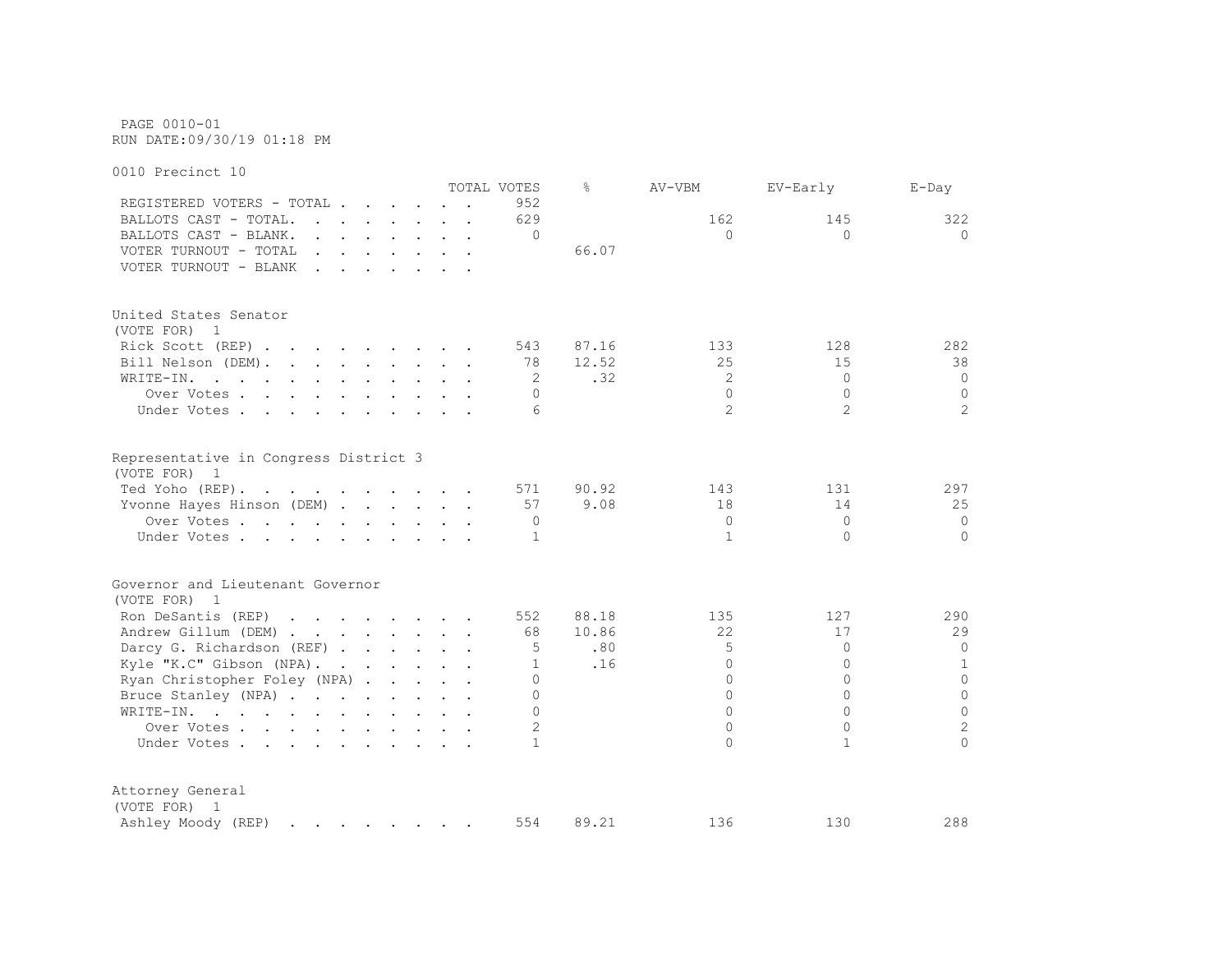PAGE 0010-01 RUN DATE:09/30/19 01:18 PM

0010 Precinct 10 TOTAL VOTES % AV-VBM EV-Early E-Day REGISTERED VOTERS - TOTAL . . . . . . 952 BALLOTS CAST - TOTAL. . . . . . . 629 162 162 145 322 BALLOTS CAST - BLANK. . . . . . . . 0 0 0 0 VOTER TURNOUT - TOTAL . . . . . . . 66.07 VOTER TURNOUT - BLANK . . . . . . . United States Senator (VOTE FOR) 1 Rick Scott (REP) . . . . . . . . 543 87.16 133 128 128 282 Bill Nelson (DEM). . . . . . . . 78 12.52 25 15 38 WRITE-IN. . . . . . . . . . . . 2 .32 2 0 0 0 Over Votes . . . . . . . . . . 0 0 0 0 Under Votes . . . . . . . . . . 6 2 2 2 Representative in Congress District 3 (VOTE FOR) 1 Ted Yoho (REP). . . . . . . . . . 571 90.92 143 131 297 Yvonne Hayes Hinson (DEM) . . . . . 57 9.08 18 14 25 Over Votes . . . . . . . . . . 0 0 0 0 Under Votes . . . . . . . . . . 1 1 0 0 Governor and Lieutenant Governor (VOTE FOR) 1 Ron DeSantis (REP) . . . . . . . 552 88.18 135 127 290 Andrew Gillum (DEM) . . . . . . . 68 10.86 22 17 29 Darcy G. Richardson (REF) . . . . . . 5 .80 5 0 0 Kyle "K.C" Gibson (NPA). . . . . . 1 .16 0 0 0 1 Ryan Christopher Foley (NPA) . . . . . 0 0 0 0 Bruce Stanley (NPA) . . . . . . . . 0 0 0 0 WRITE-IN. . . . . . . . . . . . 0 0 0 0 Over Votes . . . . . . . . . . . 2 0 0 2 2 Under Votes . . . . . . . . . . 1 0 1 0 Attorney General (VOTE FOR) 1 Ashley Moody (REP) . . . . . . . 554 89.21 136 130 288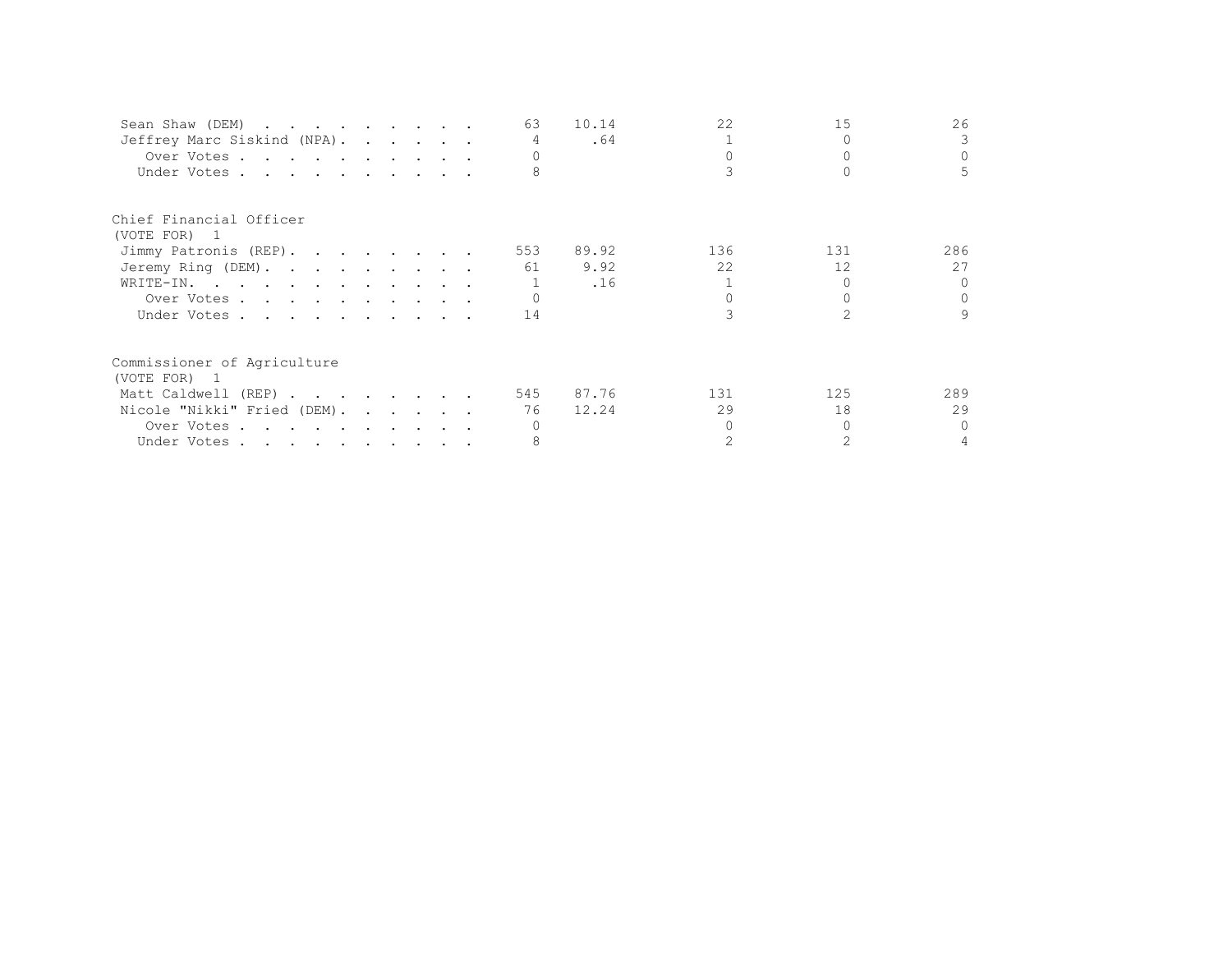| Sean Shaw (DEM)             |  |  | 63             | 10.14 | 22  | 15              | 26       |
|-----------------------------|--|--|----------------|-------|-----|-----------------|----------|
| Jeffrey Marc Siskind (NPA). |  |  | $\overline{4}$ | .64   |     |                 |          |
| Over Votes                  |  |  |                |       |     |                 | $\Omega$ |
| Under Votes                 |  |  |                |       |     |                 | 5        |
| Chief Financial Officer     |  |  |                |       |     |                 |          |
| (VOTE FOR) 1                |  |  |                |       |     |                 |          |
| Jimmy Patronis (REP).       |  |  | 553            | 89.92 | 136 | 131             | 286      |
| Jeremy Ring (DEM).          |  |  | 61             | 9.92  | 22  | 12 <sup>°</sup> | 27       |
| WRITE-IN.                   |  |  |                | .16   |     |                 | $\cap$   |
| Over Votes                  |  |  |                |       |     |                 | $\Omega$ |
| Under Votes                 |  |  | 14             |       |     |                 | 9        |
| Commissioner of Agriculture |  |  |                |       |     |                 |          |
| (VOTE FOR) 1                |  |  |                |       |     |                 |          |
| Matt Caldwell (REP)         |  |  | 545            | 87.76 | 131 | 125             | 289      |
| Nicole "Nikki" Fried (DEM). |  |  | 76             | 12.24 | 29  | 18              | 29       |
| Over Votes                  |  |  |                |       |     |                 | $\Omega$ |
| Under Votes                 |  |  |                |       |     |                 |          |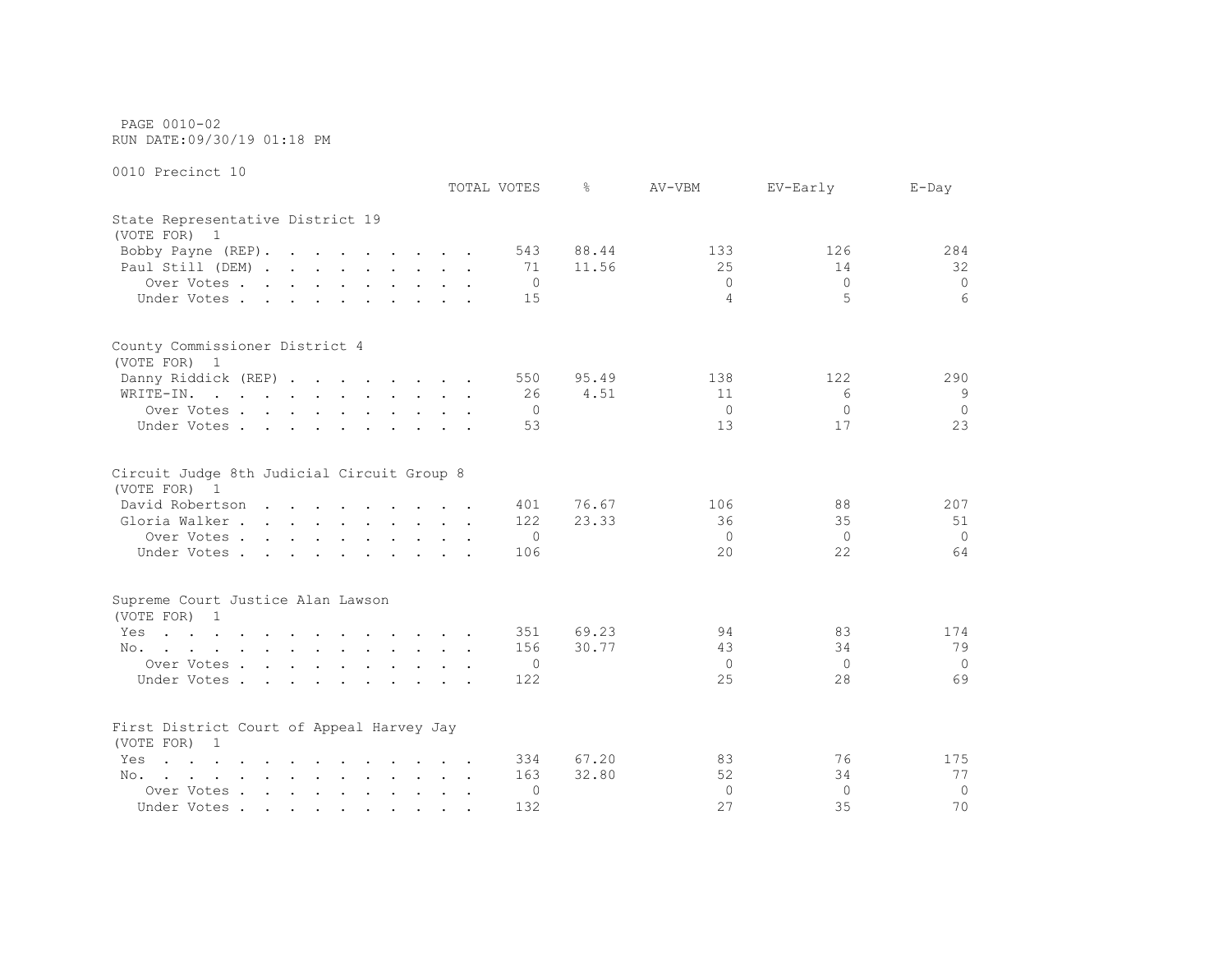PAGE 0010-02 RUN DATE:09/30/19 01:18 PM

|                                                                                                                              | TOTAL VOTES |     | ⊱     | AV-VBM   | EV-Early | $E$ -Day |
|------------------------------------------------------------------------------------------------------------------------------|-------------|-----|-------|----------|----------|----------|
| State Representative District 19<br>(VOTE FOR) 1                                                                             |             |     |       |          |          |          |
| Bobby Payne (REP).                                                                                                           |             | 543 | 88.44 | 133      | 126      | 284      |
| Paul Still (DEM)                                                                                                             |             | 71  | 11.56 | 25       | 14       | 32       |
| Over Votes                                                                                                                   |             | 0   |       | $\Omega$ | $\Omega$ | $\circ$  |
| Under Votes                                                                                                                  |             | 15  |       | 4        | 5        | 6        |
| County Commissioner District 4                                                                                               |             |     |       |          |          |          |
| (VOTE FOR) 1                                                                                                                 |             |     |       |          |          |          |
| Danny Riddick (REP)                                                                                                          |             | 550 | 95.49 | 138      | 122      | 290      |
| WRITE-IN.<br>the contract of the contract of the contract of the contract of the contract of the contract of the contract of |             | 26  | 4.51  | 11       | 6        | 9        |
| Over Votes                                                                                                                   |             | 0   |       | $\circ$  | $\Omega$ | $\Omega$ |
| Under Votes                                                                                                                  |             | 53  |       | 13       | 17       | 23       |
| Circuit Judge 8th Judicial Circuit Group 8<br>(VOTE FOR) 1                                                                   |             |     |       |          |          |          |
| David Robertson                                                                                                              |             | 401 | 76.67 | 106      | 88       | 207      |
| Gloria Walker                                                                                                                |             | 122 | 23.33 | 36       | 35       | 51       |
| Over Votes                                                                                                                   |             | 0   |       | $\Omega$ | $\Omega$ | $\Omega$ |
| Under Votes                                                                                                                  |             | 106 |       | 20       | 22       | 64       |
| Supreme Court Justice Alan Lawson                                                                                            |             |     |       |          |          |          |
| (VOTE FOR) 1                                                                                                                 |             |     |       |          |          |          |
| Yes<br>the contract of the contract of the contract of the contract of the contract of the contract of the contract of       |             | 351 | 69.23 | 94       | 83       | 174      |
| No.                                                                                                                          |             | 156 | 30.77 | 43       | 34       | 79       |
| Over Votes                                                                                                                   |             | 0   |       | $\Omega$ | $\Omega$ | $\Omega$ |
| Under Votes                                                                                                                  |             | 122 |       | 25       | 28       | 69       |
|                                                                                                                              |             |     |       |          |          |          |
| First District Court of Appeal Harvey Jay<br>(VOTE FOR) 1                                                                    |             |     |       |          |          |          |
| $\mathbf{r}$ , and $\mathbf{r}$ , and $\mathbf{r}$ , and $\mathbf{r}$ , and $\mathbf{r}$ , and $\mathbf{r}$<br>Yes           |             | 334 | 67.20 | 83       | 76       | 175      |
| No.                                                                                                                          |             | 163 | 32.80 | 52       | 34       | 77       |
| Over Votes                                                                                                                   |             | 0   |       | $\Omega$ | $\Omega$ | $\Omega$ |
| Under Votes                                                                                                                  |             | 132 |       | 27       | 35       | 70       |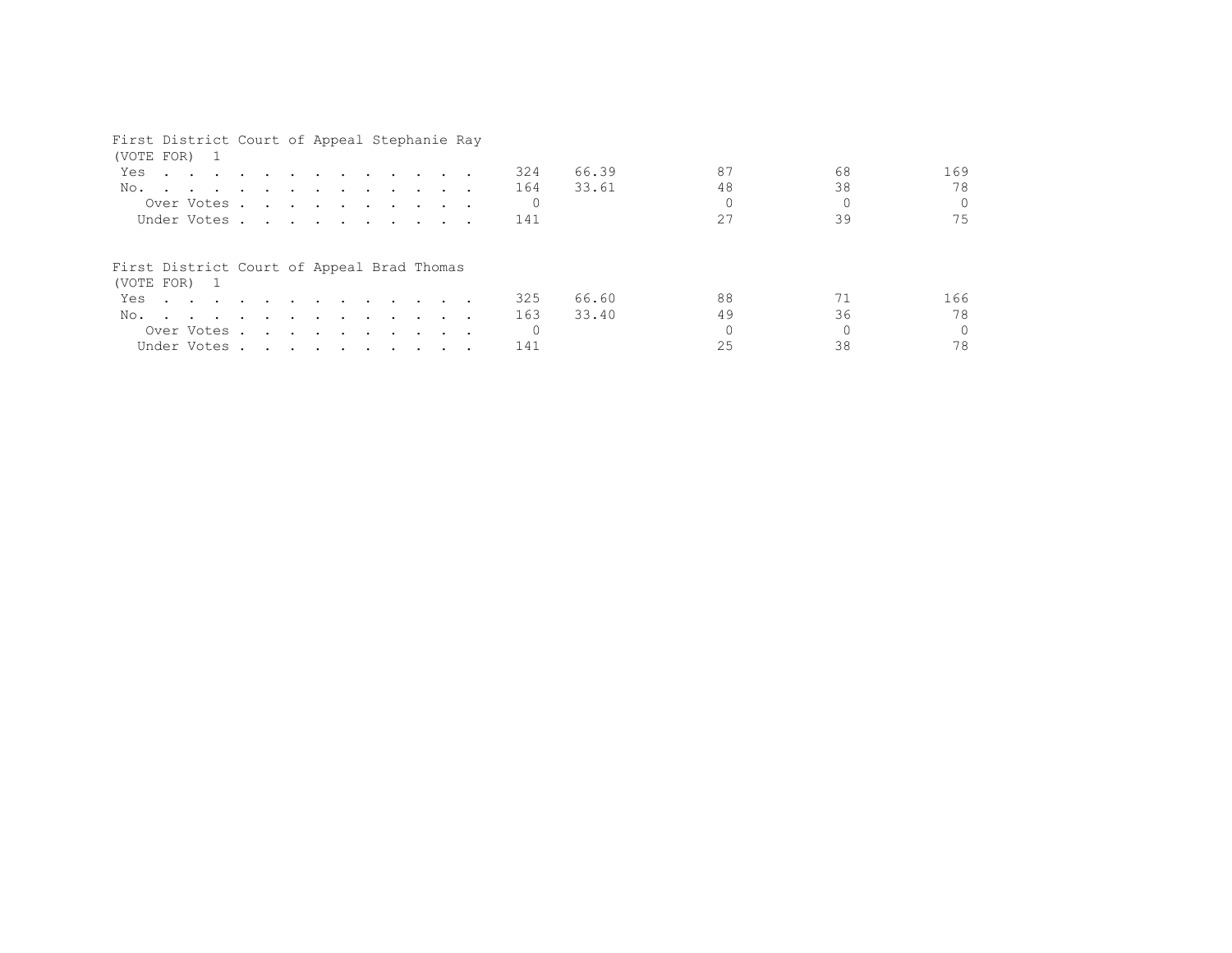# First District Court of Appeal Stephanie Ray (VOTE FOR) 1 Yes . . . . . . . . . . . . 324 66.39 87 68 169 No. . . . . . . . . . . . . 164 33.61 48 38 38 78 Over Votes . . . . . . . . . . 0 0 0 0 Under Votes . . . . . . . . . . 141 27 39 39 75 First District Court of Appeal Brad Thomas (VOTE FOR) 1 Yes . . . . . . . . . . . . 325 66.60 88 71 166 No. . . . . . . . . . . . . . 163 33.40 49 36 78<br>Over Votes . . . . . . . . . . 0 0 0 0 0 Over Votes . . . . . . . . . . 0 0 0 0 Under Votes . . . . . . . . . . 141 25 38 38 78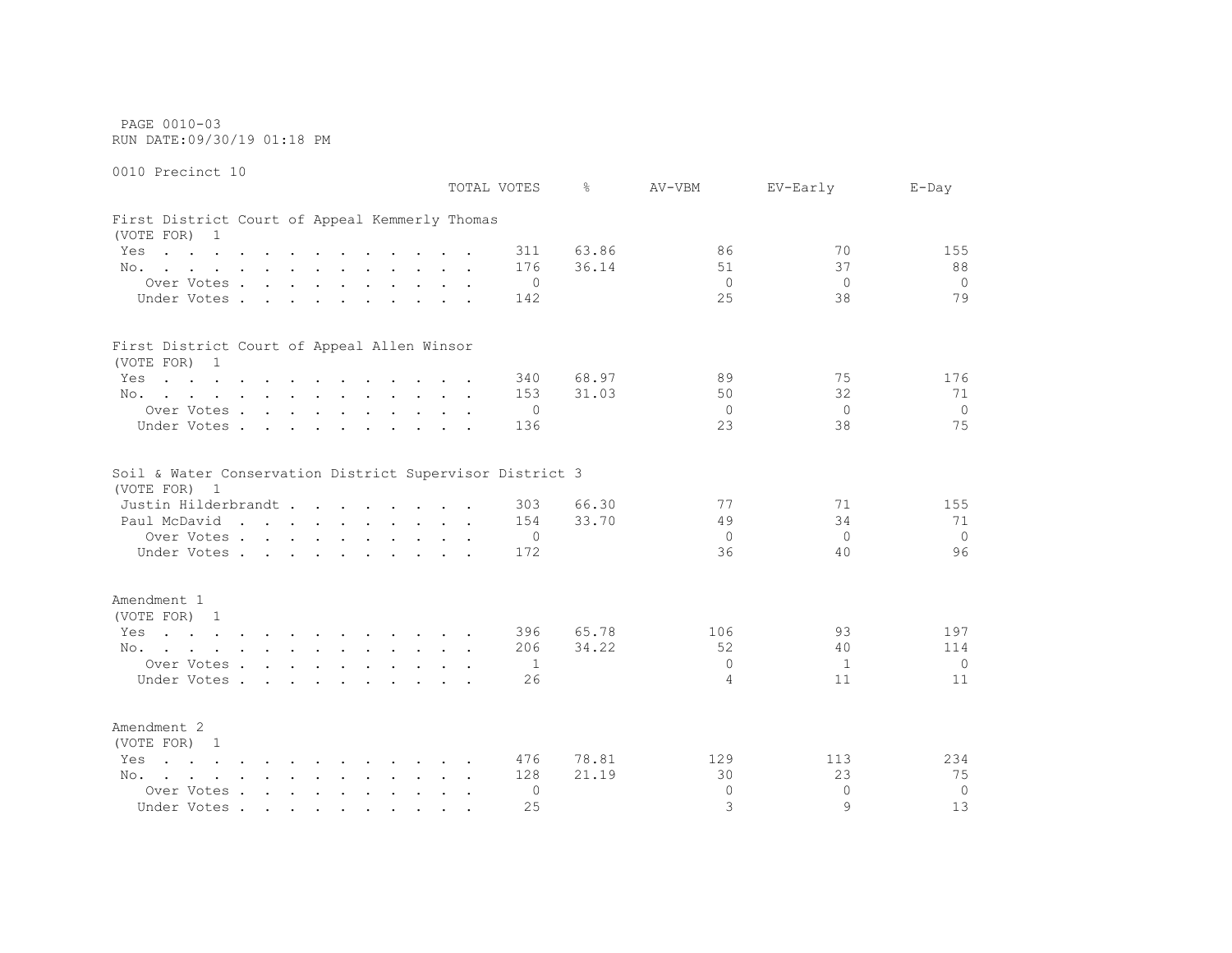PAGE 0010-03 RUN DATE:09/30/19 01:18 PM

0010 Precinct 10 TOTAL VOTES % AV-VBM EV-Early E-Day First District Court of Appeal Kemmerly Thomas (VOTE FOR) 1 Yes . . . . . . . . . . . 311 63.86 86 70 155 No. . . . . . . . . . . . 176 36.14 51 37 88 Over Votes . . . . . . . . . . 0 0 0 0 Under Votes . . . . . . . . . 142 25 38 38 79 First District Court of Appeal Allen Winsor (VOTE FOR) 1 Yes . . . . . . . . . . . 340 68.97 89 89 75 176 No. . . . . . . . . . . . . 153 31.03 50 32 71 Over Votes . . . . . . . . . . 0 0 0 0 Under Votes . . . . . . . . . 136 23 38 38 75 Soil & Water Conservation District Supervisor District 3 (VOTE FOR) 1 Justin Hilderbrandt . . . . . . . . 303 66.30 77 71 155 Paul McDavid . . . . . . . . . 154 33.70 49 34 34 71 Over Votes . . . . . . . . . . 0 0 0 0 Under Votes . . . . . . . . . . 172 36 40 96 Amendment 1 (VOTE FOR) 1 Yes . . . . . . . . . . . 396 65.78 106 197 197 No. . . . . . . . . . . . 206 34.22 52 40 114 Over Votes . . . . . . . . . . 1 0 1 0 Under Votes . . . . . . . . . . 26 4 11 11 11 11 Amendment 2 (VOTE FOR) 1 Yes . . . . . . . . . . . . 476 78.81 129 113 234 No. . . . . . . . . . . . 128 21.19 30 23 75 Over Votes . . . . . . . . . . 0 0 0 0 Under Votes . . . . . . . . . . 25 3 9 13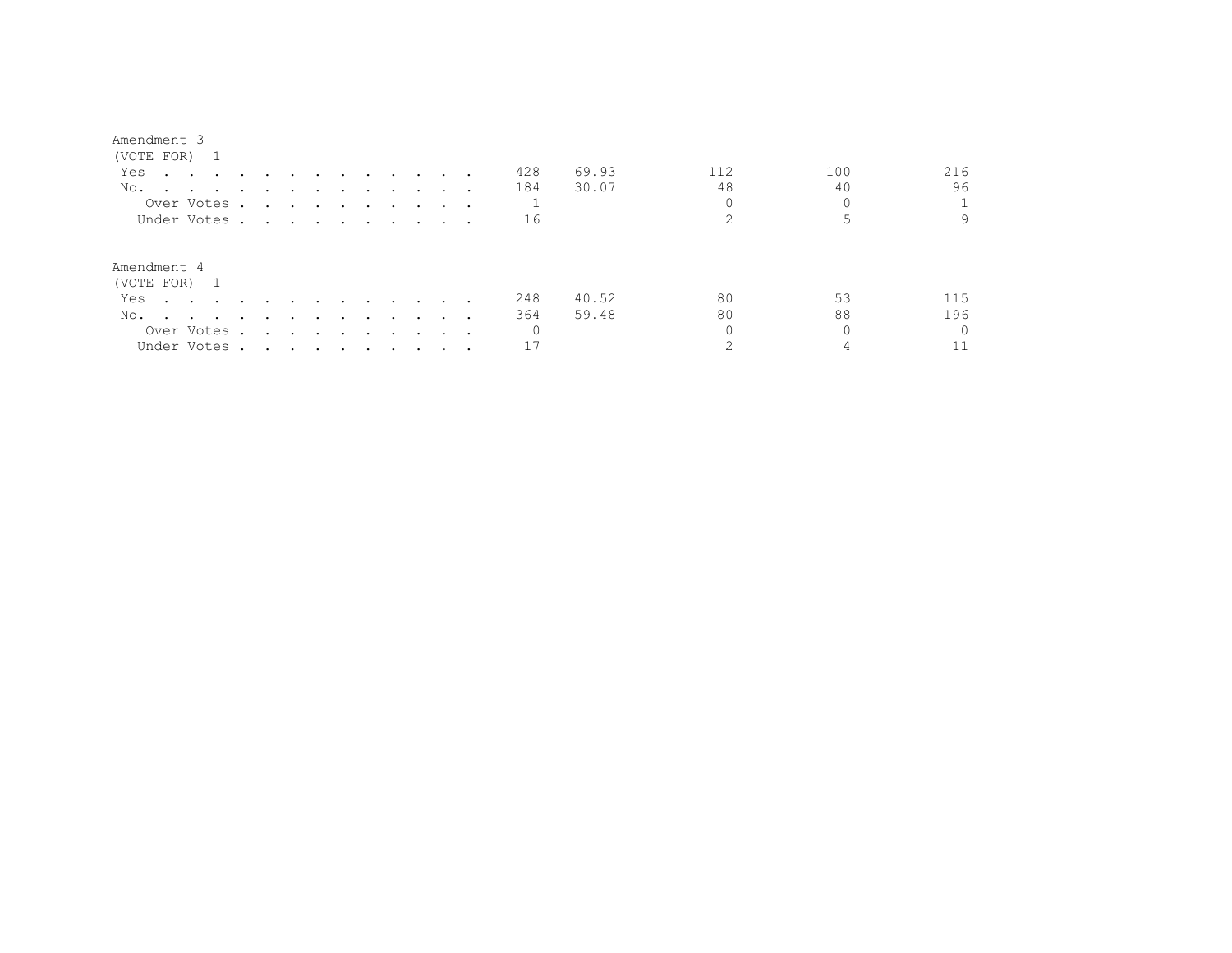#### Amendment 3

| (VOTE FOR) 1                                                                                                           |         |                                                                                                                 |               |               |                      |                                   |        |                                 |          |       |     |     |          |
|------------------------------------------------------------------------------------------------------------------------|---------|-----------------------------------------------------------------------------------------------------------------|---------------|---------------|----------------------|-----------------------------------|--------|---------------------------------|----------|-------|-----|-----|----------|
| Yes<br>the contract of the contract of the contract of the contract of the contract of the contract of the contract of |         |                                                                                                                 | $\sim$ $\sim$ | $\sim$ $\sim$ | $\sim$               | <b>Contract Contract Contract</b> |        |                                 | 428      | 69.93 | 112 | 100 | 216      |
| No.                                                                                                                    |         |                                                                                                                 |               |               |                      |                                   |        |                                 | 184      | 30.07 | 48  | 40  | 96       |
| Over Votes.                                                                                                            |         |                                                                                                                 |               |               |                      |                                   |        |                                 |          |       |     |     |          |
| Under Votes.                                                                                                           |         | the contract of the contract of the contract of the contract of the contract of the contract of the contract of |               |               |                      |                                   |        |                                 | 16       |       |     |     | 9        |
| Amendment 4<br>(VOTE FOR) 1                                                                                            |         |                                                                                                                 |               |               |                      |                                   |        |                                 |          |       |     |     |          |
| Yes<br>$\sim$ $\sim$ $\sim$ $\sim$ $\sim$                                                                              |         |                                                                                                                 |               |               | $\sim$               | $\sim$ $\sim$                     | $\sim$ |                                 | 248      | 40.52 | 80  | 53  | 115      |
| No.<br>$\sim$ $\sim$ $\sim$ $\sim$ $\sim$                                                                              | $\cdot$ | $\overline{\phantom{a}}$                                                                                        | $\sim$        | $\sim$        | $\sim$ $\sim$ $\sim$ |                                   | $\sim$ |                                 | 364      | 59.48 | 80  | 88  | 196      |
| Over Votes .                                                                                                           |         | the contract of the contract of the                                                                             |               |               | $\sim$               | $\sim$ $\sim$                     |        | $\cdot$ $\cdot$ $\cdot$ $\cdot$ | $\Omega$ |       |     |     | $\Omega$ |
| Under Votes .                                                                                                          |         | the contract of the contract of the contract of the contract of the contract of the contract of the contract of |               |               |                      |                                   |        |                                 |          |       |     |     |          |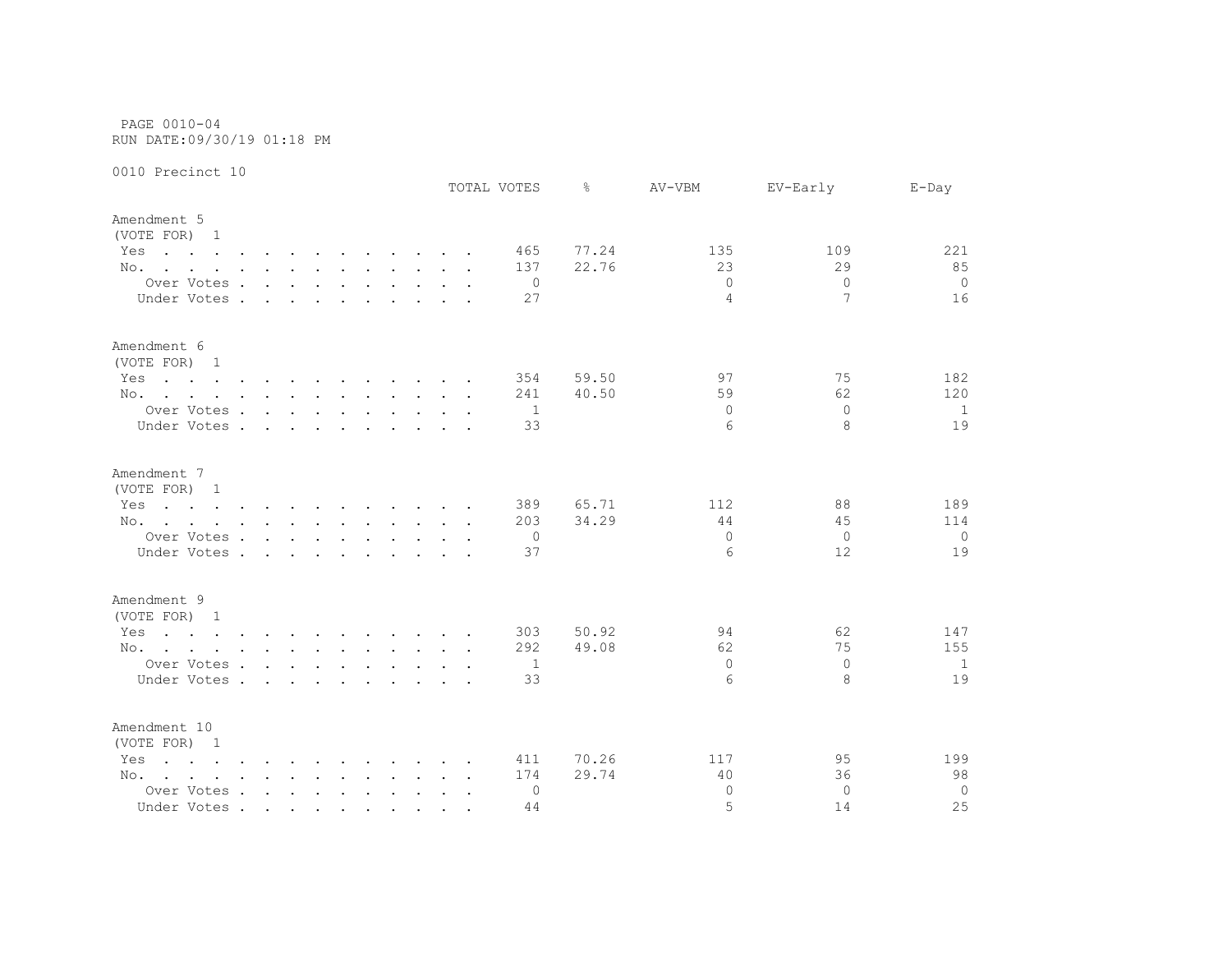PAGE 0010-04 RUN DATE:09/30/19 01:18 PM

|                                                                                                                        |                             |                      |        |  |  | TOTAL VOTES    | ⊱     | AV-VBM         | EV-Early       | $E$ -Day       |
|------------------------------------------------------------------------------------------------------------------------|-----------------------------|----------------------|--------|--|--|----------------|-------|----------------|----------------|----------------|
| Amendment 5<br>(VOTE FOR) 1                                                                                            |                             |                      |        |  |  |                |       |                |                |                |
| Yes<br>the contract of the contract of the contract of the contract of the contract of the contract of the contract of |                             |                      |        |  |  | 465            | 77.24 | 135            | 109            | 221            |
| No.                                                                                                                    |                             |                      |        |  |  | 137            | 22.76 | 23             | 29             | 85             |
| Over Votes                                                                                                             |                             |                      |        |  |  | 0              |       | $\Omega$       | $\Omega$       | $\overline{0}$ |
| Under Votes.                                                                                                           | $\sim$ $\sim$ $\sim$ $\sim$ | $\sim$               | $\sim$ |  |  | 27             |       | $\overline{4}$ | 7              | 16             |
| Amendment 6<br>(VOTE FOR) 1                                                                                            |                             |                      |        |  |  |                |       |                |                |                |
| Yes<br>the contract of the contract of the contract of the contract of the contract of the contract of the contract of |                             |                      |        |  |  | 354            | 59.50 | 97             | 75             | 182            |
| No.                                                                                                                    |                             |                      |        |  |  | 241            | 40.50 | 59             | 62             | 120            |
| Over Votes                                                                                                             |                             |                      |        |  |  | $\overline{1}$ |       | $\Omega$       | $\Omega$       | <sup>1</sup>   |
| Under Votes                                                                                                            |                             |                      |        |  |  | 33             |       | 6              | 8              | 19             |
| Amendment 7                                                                                                            |                             |                      |        |  |  |                |       |                |                |                |
| (VOTE FOR) 1                                                                                                           |                             |                      |        |  |  |                |       |                |                |                |
| the contract of the contract of the contract of the contract of the contract of the contract of the contract of<br>Yes |                             |                      |        |  |  | 389            | 65.71 | 112            | 88             | 189            |
| No.                                                                                                                    |                             |                      |        |  |  | 203            | 34.29 | 44             | 45             | 114            |
| Over Votes                                                                                                             |                             |                      |        |  |  | 0              |       | $\circ$        | $\overline{0}$ | 0              |
| Under Votes                                                                                                            |                             | $\ddot{\phantom{0}}$ | $\sim$ |  |  | 37             |       | 6              | 12             | 19             |
| Amendment 9<br>(VOTE FOR) 1                                                                                            |                             |                      |        |  |  |                |       |                |                |                |
| the contract of the contract of the contract of the contract of the contract of the contract of the contract of<br>Yes |                             |                      |        |  |  | 303            | 50.92 | 94             | 62             | 147            |
|                                                                                                                        |                             |                      |        |  |  | 292            | 49.08 | 62             | 75             | 155            |
| No.                                                                                                                    |                             |                      |        |  |  | 1              |       | $\Omega$       | $\Omega$       | 1              |
| Over Votes                                                                                                             |                             |                      |        |  |  | 33             |       | 6              | 8              | 19             |
| Under Votes                                                                                                            |                             |                      |        |  |  |                |       |                |                |                |
| Amendment 10<br>(VOTE FOR) 1                                                                                           |                             |                      |        |  |  |                |       |                |                |                |
| $\mathbf{r}$ , and $\mathbf{r}$ , and $\mathbf{r}$ , and $\mathbf{r}$ , and $\mathbf{r}$ , and $\mathbf{r}$<br>Yes     |                             |                      |        |  |  | 411            | 70.26 | 117            | 95             | 199            |
| No.                                                                                                                    |                             |                      |        |  |  | 174            | 29.74 | 40             | 36             | 98             |
| Over Votes                                                                                                             |                             |                      |        |  |  | 0              |       | $\Omega$       | $\Omega$       | $\mathbf 0$    |
| Under Votes                                                                                                            |                             |                      |        |  |  | 44             |       | 5              | 14             | 25             |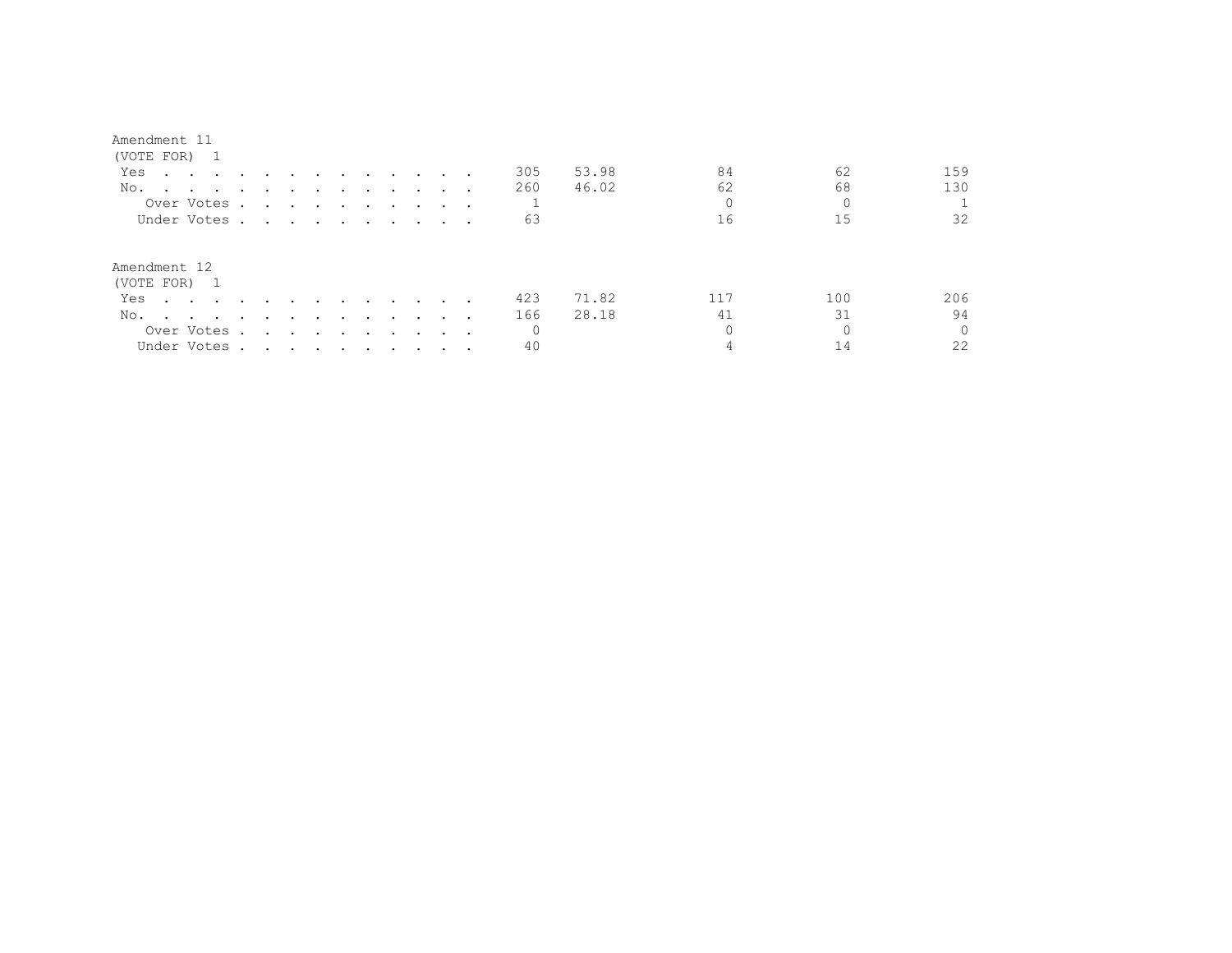| Amendment 11                 |                               |        |               |               |                                    |                      |                      |                      |         |                      |          |       |     |     |                      |
|------------------------------|-------------------------------|--------|---------------|---------------|------------------------------------|----------------------|----------------------|----------------------|---------|----------------------|----------|-------|-----|-----|----------------------|
| (VOTE FOR) 1                 |                               |        |               |               |                                    |                      |                      |                      |         |                      |          |       |     |     |                      |
| Yes<br>$\cdot$ $\cdot$       | $\sim 100$ km s $^{-1}$       | $\sim$ |               |               | $\sim$                             | $\sim$               | $\ddot{\phantom{a}}$ | $\sim 100$           | $\sim$  |                      | 305      | 53.98 | 84  | 62  | 159                  |
| No.                          | $\cdot$ $\cdot$ $\cdot$       |        |               |               |                                    |                      |                      |                      |         |                      | 260      | 46.02 | 62  | 68  | 130                  |
|                              | Over Votes                    |        | $\sim$ $\sim$ | $\sim$ $\sim$ | $\sim$ $\sim$ $\sim$ $\sim$ $\sim$ |                      | $\ddot{\phantom{a}}$ |                      | $\sim$  | $\cdots$             |          |       |     |     | 0                    |
|                              | Under Votes                   |        |               |               |                                    |                      |                      |                      |         | $\sim$ $\sim$ $\sim$ | 63       |       | 16  | 15  | 32                   |
| Amendment 12<br>(VOTE FOR) 1 |                               |        |               |               |                                    |                      |                      |                      |         |                      |          |       |     |     |                      |
| Yes<br>$\cdot$ $\cdot$       |                               |        |               |               |                                    |                      |                      |                      |         |                      | 423      | 71.82 | 117 | 100 | 206                  |
| No.<br>$\overline{a}$        | and the state of the state of | $\sim$ |               |               | $\cdot$                            | $\ddot{\phantom{0}}$ | $\cdot$              | $\ddot{\phantom{1}}$ |         |                      | 166      | 28.18 | 41  | 31  | 94                   |
|                              | Over Votes.                   |        | $\sim$        | $\sim$        | $\sim$                             | $\ddot{\phantom{1}}$ | $\cdot$              | $\sim$               | $\cdot$ | $\sim$ $\sim$ $\sim$ | $\Omega$ |       |     |     | $\Omega$<br>$\Omega$ |
|                              | Under Votes                   |        |               |               |                                    |                      |                      |                      |         |                      | 40       |       |     | 14  | 22                   |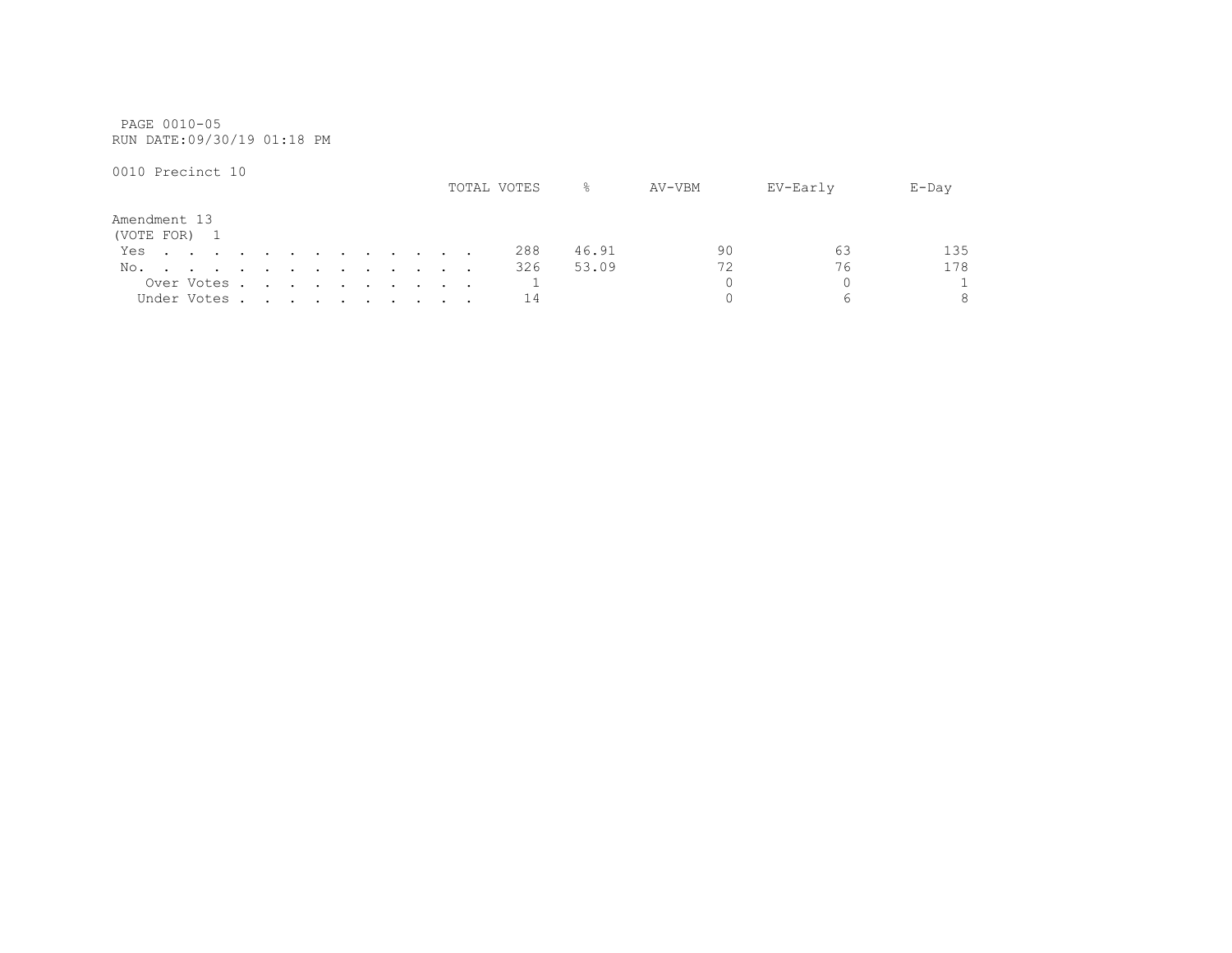PAGE 0010-05 RUN DATE:09/30/19 01:18 PM

|                      |  |                                                                                                                                                                                                                                  |  |  |  |  |                                                                                                                                                                                                                                   | TOTAL VOTES | ⊱     | AV-VBM | EV-Early | $E$ -Day     |
|----------------------|--|----------------------------------------------------------------------------------------------------------------------------------------------------------------------------------------------------------------------------------|--|--|--|--|-----------------------------------------------------------------------------------------------------------------------------------------------------------------------------------------------------------------------------------|-------------|-------|--------|----------|--------------|
| Amendment 13         |  |                                                                                                                                                                                                                                  |  |  |  |  |                                                                                                                                                                                                                                   |             |       |        |          |              |
| (VOTE FOR) 1<br>Yes. |  |                                                                                                                                                                                                                                  |  |  |  |  |                                                                                                                                                                                                                                   | 288         | 46.91 | 90     | 63       | 135          |
| No.                  |  | $\mathbf{r}$ , and the set of the set of the set of the set of the set of the set of the set of the set of the set of the set of the set of the set of the set of the set of the set of the set of the set of the set of the set |  |  |  |  |                                                                                                                                                                                                                                   | 326         | 53.09 |        | 76       | 178          |
|                      |  | Over Votes                                                                                                                                                                                                                       |  |  |  |  |                                                                                                                                                                                                                                   |             |       |        |          | $\mathbf{1}$ |
|                      |  | Under Votes.                                                                                                                                                                                                                     |  |  |  |  | $\mathbf{r}$ . The contract of the contract of the contract of the contract of the contract of the contract of the contract of the contract of the contract of the contract of the contract of the contract of the contract of th | 14          |       |        |          | 8            |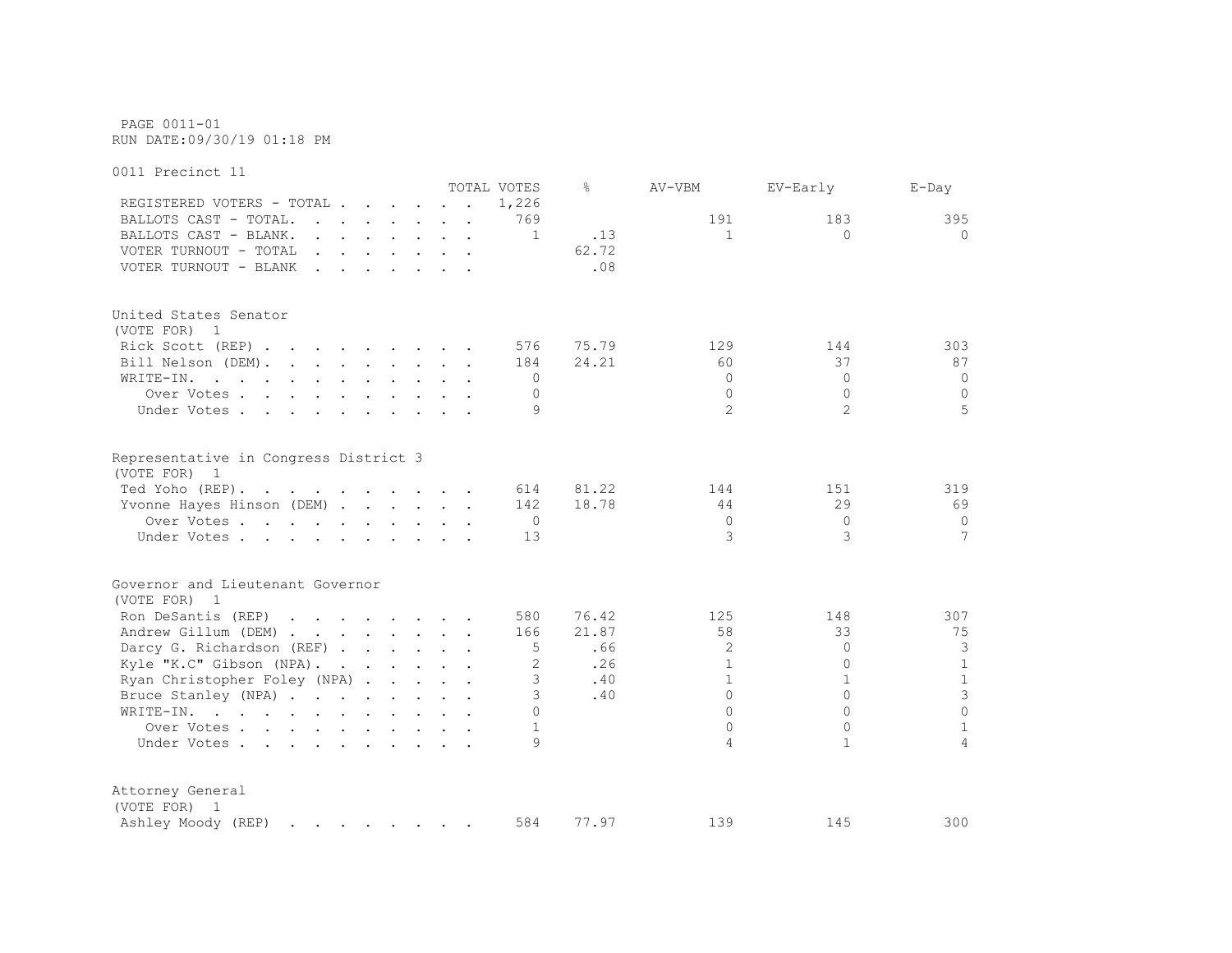PAGE 0011-01 RUN DATE:09/30/19 01:18 PM

0011 Precinct 11 TOTAL VOTES % AV-VBM EV-Early E-Day REGISTERED VOTERS - TOTAL . . . . . . 1,226 BALLOTS CAST - TOTAL. . . . . . . 769 191 183 395 BALLOTS CAST - BLANK. . . . . . . 1 .13 1 1 0 0 0 VOTER TURNOUT - TOTAL  $\cdot$  . . . . . . . . 62.72 VOTER TURNOUT - BLANK . . . . . . . . 08 United States Senator (VOTE FOR) 1 Rick Scott (REP) . . . . . . . . 576 75.79 129 144 303 Bill Nelson (DEM). . . . . . . . 184 24.21 60 37 87 87 WRITE-IN. . . . . . . . . . . . 0 0 0 0 Over Votes . . . . . . . . . . 0 0 0 0 Under Votes . . . . . . . . . . 9 2 2 3 5 Representative in Congress District 3 (VOTE FOR) 1 Ted Yoho (REP). . . . . . . . . . 614 81.22 144 151 319 Yvonne Hayes Hinson (DEM) . . . . . 142 18.78 44 29 69 Over Votes . . . . . . . . . . 0 0 0 0 Under Votes . . . . . . . . . . 13 3 3 3 7 Governor and Lieutenant Governor (VOTE FOR) 1 Ron DeSantis (REP) . . . . . . . 580 76.42 125 148 307 Andrew Gillum (DEM) . . . . . . . 166 21.87 58 33 33 75 Darcy G. Richardson (REF) . . . . . 5 .66 2 0 3 Kyle "K.C" Gibson (NPA). . . . . . 2 .26 1 0 1 Ryan Christopher Foley (NPA) . . . . 3 .40 1 1 1 1 1 Bruce Stanley (NPA) . . . . . . . 3 .40 0 0 3 WRITE-IN. . . . . . . . . . . . 0 0 0 0 Over Votes . . . . . . . . . . 1 0 0 1 1 Under Votes . . . . . . . . . . 9 4 1 4  $4$ Attorney General (VOTE FOR) 1 Ashley Moody (REP) . . . . . . . 584 77.97 139 145 300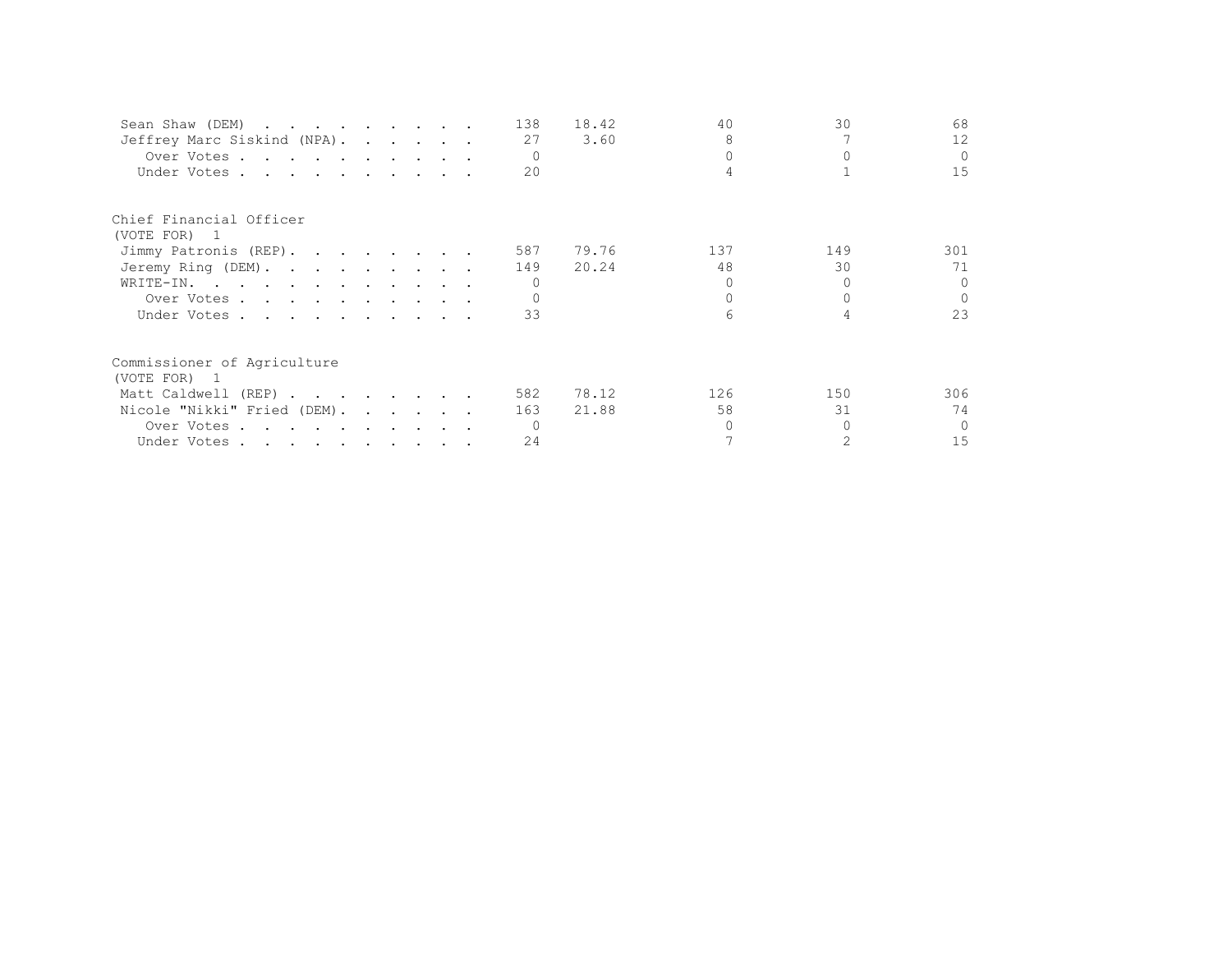| Sean Shaw (DEM)             |  |  | 138 | 18.42 | 40  | 30  | 68       |
|-----------------------------|--|--|-----|-------|-----|-----|----------|
| Jeffrey Marc Siskind (NPA). |  |  | 27  | 3.60  | 8   |     | 12       |
| Over Votes                  |  |  |     |       |     |     | $\Omega$ |
| Under Votes                 |  |  | 20  |       |     |     | 15       |
| Chief Financial Officer     |  |  |     |       |     |     |          |
| (VOTE FOR) 1                |  |  |     |       |     |     |          |
| Jimmy Patronis (REP).       |  |  | 587 | 79.76 | 137 | 149 | 301      |
| Jeremy Ring (DEM).          |  |  | 149 | 20.24 | 48  | 30  | 71       |
| WRITE-IN.                   |  |  |     |       |     |     | $\Omega$ |
| Over Votes                  |  |  |     |       |     |     | $\cap$   |
| Under Votes                 |  |  | 33  |       |     |     | 23       |
| Commissioner of Agriculture |  |  |     |       |     |     |          |
| (VOTE FOR) 1                |  |  |     |       |     |     |          |
| Matt Caldwell (REP)         |  |  | 582 | 78.12 | 126 | 150 | 306      |
| Nicole "Nikki" Fried (DEM). |  |  | 163 | 21.88 | 58  | 31  | 74       |
| Over Votes                  |  |  |     |       |     |     | $\Omega$ |
| Under Votes                 |  |  | 24  |       |     |     | 15       |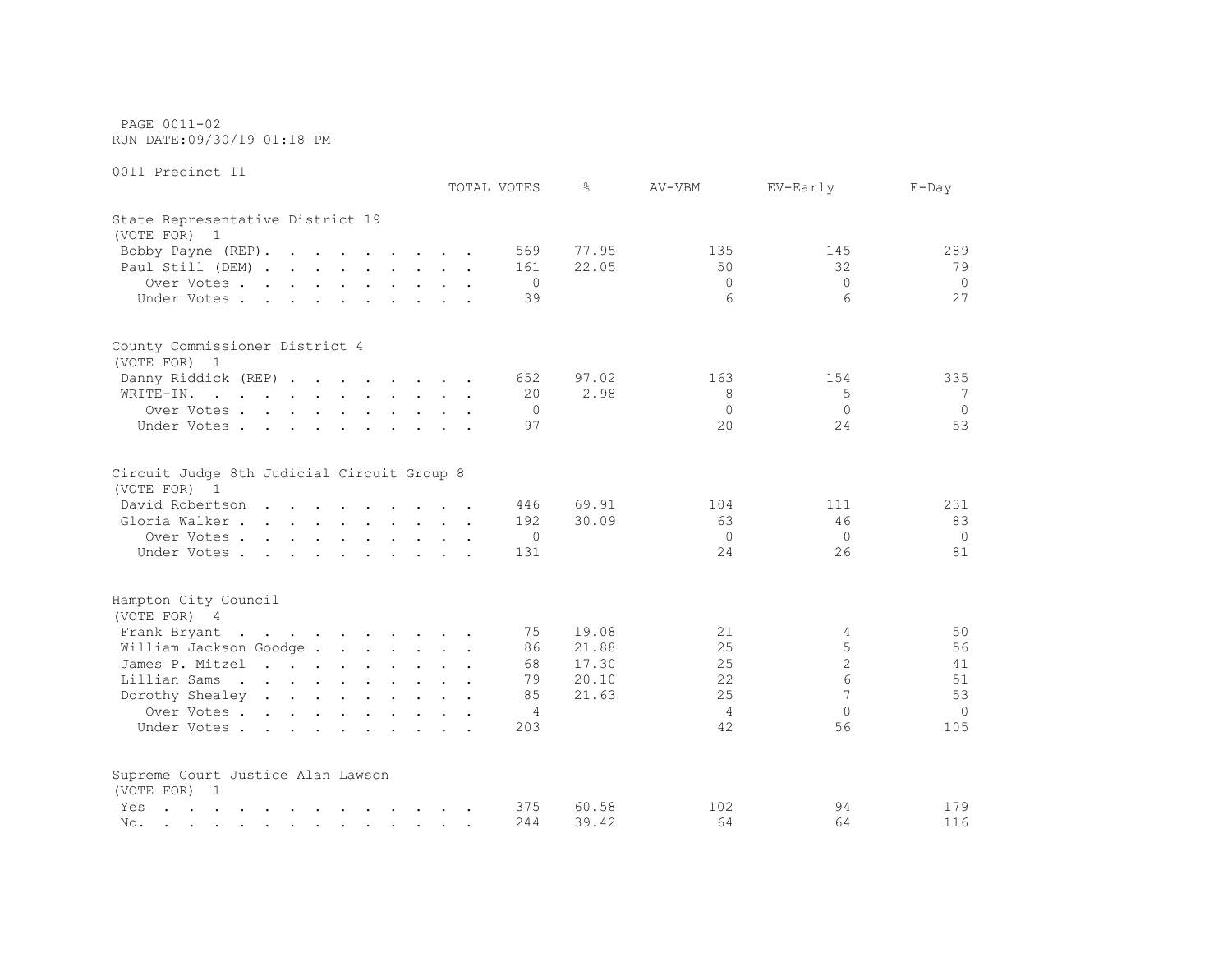PAGE 0011-02 RUN DATE:09/30/19 01:18 PM

| AATT ITEATHAR TT                                                                                                                                                                                                                      | TOTAL VOTES  | $\approx$ | AV-VBM       | EV-Early       | $E$ -Day |
|---------------------------------------------------------------------------------------------------------------------------------------------------------------------------------------------------------------------------------------|--------------|-----------|--------------|----------------|----------|
| State Representative District 19                                                                                                                                                                                                      |              |           |              |                |          |
| (VOTE FOR) 1                                                                                                                                                                                                                          |              |           |              |                |          |
| Bobby Payne (REP).                                                                                                                                                                                                                    | 569          | 77.95     | 135          | 145            | 289      |
| Paul Still (DEM)                                                                                                                                                                                                                      | 161          | 22.05     | 50           | 32             | 79       |
| Over Votes.                                                                                                                                                                                                                           | $\Omega$     |           | $\Omega$     | $\Omega$       | $\Omega$ |
| Under Votes                                                                                                                                                                                                                           | 39           |           | 6            | 6              | 27       |
|                                                                                                                                                                                                                                       |              |           |              |                |          |
| County Commissioner District 4                                                                                                                                                                                                        |              |           |              |                |          |
| (VOTE FOR) 1                                                                                                                                                                                                                          |              |           |              |                |          |
| Danny Riddick (REP)                                                                                                                                                                                                                   | 652          | 97.02     | 163          | 154            | 335      |
| WRITE-IN.<br>. The contract of the contract of the contract of the contract of $\mathcal{A}$                                                                                                                                          | 20           | 2.98      | 8            | 5              | 7        |
| Over Votes                                                                                                                                                                                                                            | 0            |           | $\mathbf{0}$ | $\mathbf{0}$   | $\circ$  |
| Under Votes                                                                                                                                                                                                                           | 97           |           | $20^{\circ}$ | 24             | 53       |
| Circuit Judge 8th Judicial Circuit Group 8                                                                                                                                                                                            |              |           |              |                |          |
| (VOTE FOR) 1                                                                                                                                                                                                                          |              |           |              |                |          |
| David Robertson                                                                                                                                                                                                                       | 446          | 69.91     | 104          | 111            | 231      |
| Gloria Walker                                                                                                                                                                                                                         | 192          | 30.09     | 63           | 46             | 83       |
| Over Votes                                                                                                                                                                                                                            | $\mathbf{0}$ |           | $\Omega$     | $\Omega$       | $\Omega$ |
| Under Votes                                                                                                                                                                                                                           | 131          |           | 2.4          | 26             | 81       |
| Hampton City Council                                                                                                                                                                                                                  |              |           |              |                |          |
| (VOTE FOR) 4                                                                                                                                                                                                                          |              |           |              |                |          |
| Frank Bryant                                                                                                                                                                                                                          | 75           | 19.08     | 21           | 4              | 50       |
| William Jackson Goodge                                                                                                                                                                                                                | 86           | 21.88     | 25           | 5              | 56       |
| James P. Mitzel                                                                                                                                                                                                                       | 68           | 17.30     | 25           | $\overline{c}$ | 41       |
| Lillian Sams                                                                                                                                                                                                                          | 79           | 20.10     | 22           | 6              | 51       |
| Dorothy Shealey                                                                                                                                                                                                                       | 85           | 21.63     | 25           | 7              | 53       |
| Over Votes                                                                                                                                                                                                                            | 4            |           | 4            | $\Omega$       | $\circ$  |
| Under Votes                                                                                                                                                                                                                           | 203          |           | 42           | 56             | 105      |
| Supreme Court Justice Alan Lawson                                                                                                                                                                                                     |              |           |              |                |          |
| (VOTE FOR) 1                                                                                                                                                                                                                          |              |           |              |                |          |
| Yes<br>المنابعة والمستنقل والمستنقل والمستنقل والمستنقل والمستنقل                                                                                                                                                                     | 375          | 60.58     | 102          | 94             | 179      |
| No.<br>the contract of the contract of the contract of the contract of the contract of the contract of the contract of the contract of the contract of the contract of the contract of the contract of the contract of the contract o | 244          | 39.42     | 64           | 64             | 116      |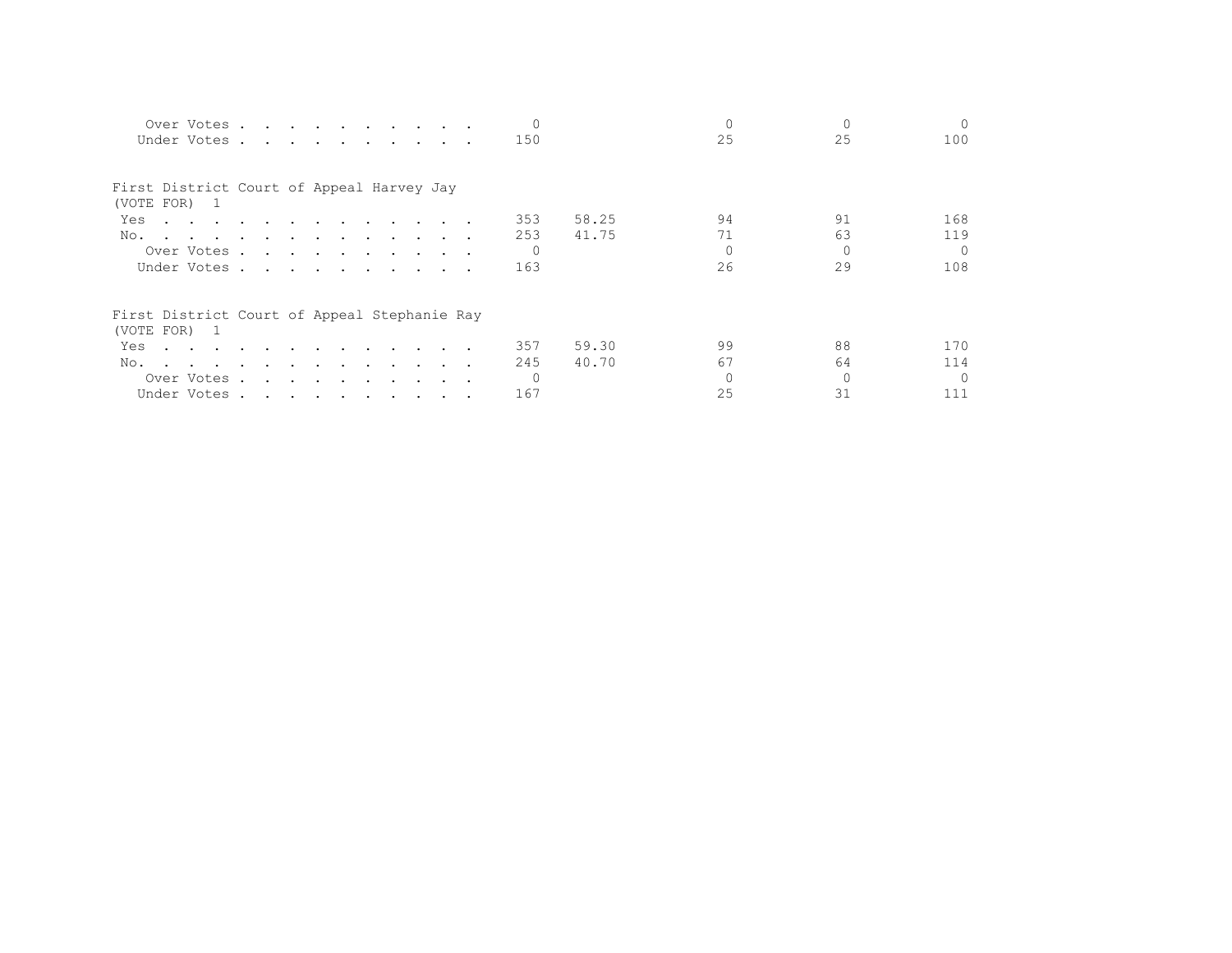| Over Votes<br>Under Votes                                                                                              |  |                                                                                                                 |  |  |  | 150            |       | 25       | 25       | $\Omega$<br>100 |
|------------------------------------------------------------------------------------------------------------------------|--|-----------------------------------------------------------------------------------------------------------------|--|--|--|----------------|-------|----------|----------|-----------------|
| First District Court of Appeal Harvey Jay<br>(VOTE FOR) 1                                                              |  |                                                                                                                 |  |  |  |                |       |          |          |                 |
| Yes<br>the contract of the contract of the contract of the contract of the contract of the contract of the contract of |  |                                                                                                                 |  |  |  | 353            | 58.25 | 94       | 91       | 168             |
| No.<br>the contract of the contract of the contract of the contract of                                                 |  |                                                                                                                 |  |  |  | 253            | 41.75 | 71       | 63       | 119             |
| Over Votes                                                                                                             |  |                                                                                                                 |  |  |  | $\overline{0}$ |       | $\Omega$ |          | $\bigcap$       |
| Under Votes                                                                                                            |  |                                                                                                                 |  |  |  | 163            |       | 26       | 29       | 108             |
| First District Court of Appeal Stephanie Ray<br>(VOTE FOR) 1                                                           |  |                                                                                                                 |  |  |  |                |       |          |          |                 |
| Yes<br>the contract of the contract of the contract of the contract of the contract of the contract of the contract of |  |                                                                                                                 |  |  |  | 357            | 59.30 | 99       | 88       | 170             |
| No.<br>the contract of the contract of the contract of the contract of the contract of the contract of the contract of |  |                                                                                                                 |  |  |  | 245            | 40.70 | 67       | 64       | 114             |
| Over Votes .                                                                                                           |  | the contract of the contract of the contract of the contract of the contract of the contract of the contract of |  |  |  | $\bigcirc$     |       | $\Omega$ | $\Omega$ | $\cap$          |
| Under Votes                                                                                                            |  |                                                                                                                 |  |  |  | 167            |       | 25       | 31       | 111             |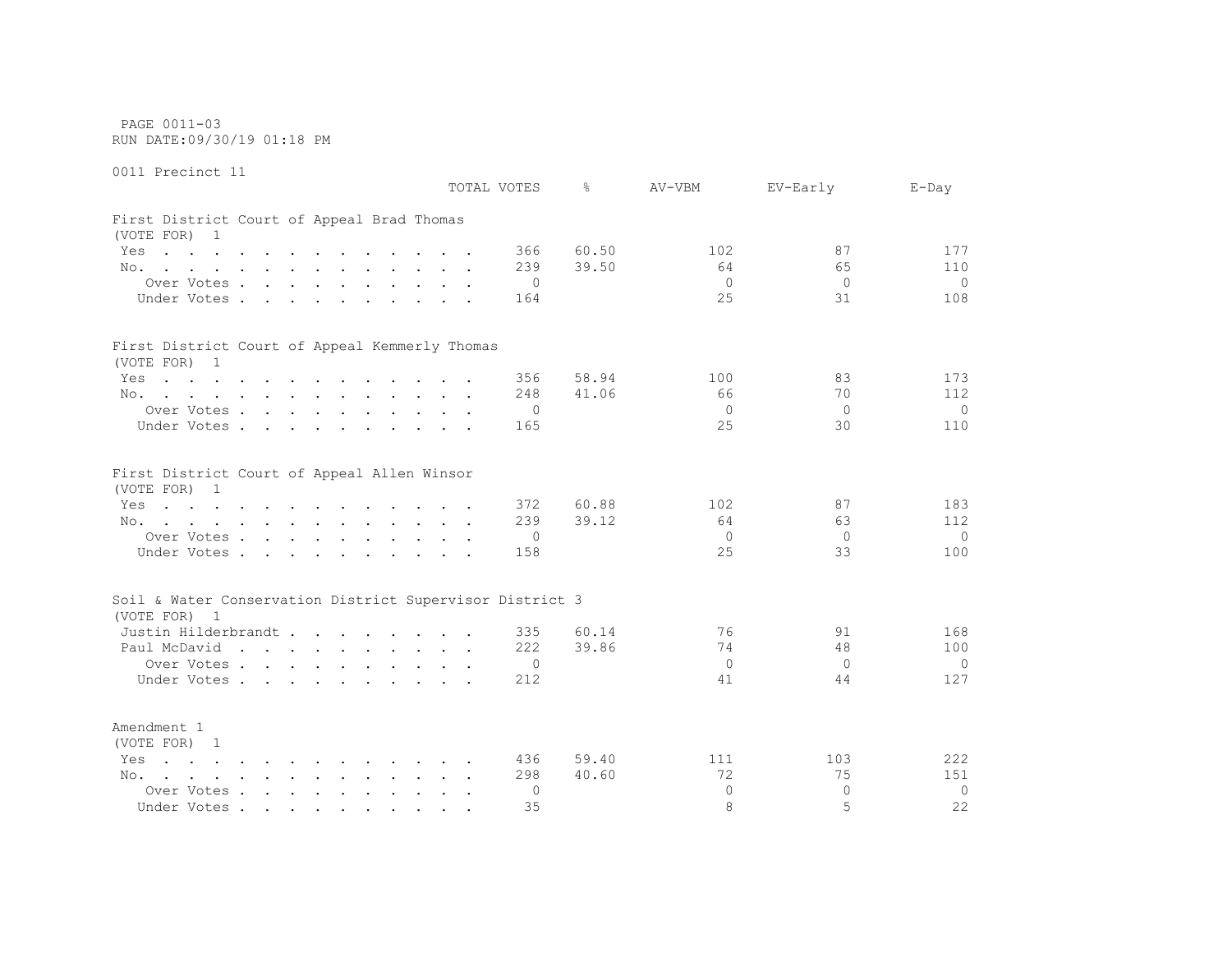PAGE 0011-03 RUN DATE:09/30/19 01:18 PM

0011 Precinct 11 TOTAL VOTES % AV-VBM EV-Early E-Day First District Court of Appeal Brad Thomas (VOTE FOR) 1 Yes . . . . . . . . . . . . 366 60.50 102 307 177 No. . . . . . . . . . . . 239 39.50 64 65 110 Over Votes . . . . . . . . . . 0 0 0 0 Under Votes . . . . . . . . . 164 25 31 108 First District Court of Appeal Kemmerly Thomas (VOTE FOR) 1 Yes . . . . . . . . . . . 356 58.94 100 100 83 173 No. . . . . . . . . . . . . 248 41.06 66 70 112 Over Votes . . . . . . . . . . 0 0 0 0 Under Votes . . . . . . . . . . 165 25 30 110 First District Court of Appeal Allen Winsor (VOTE FOR) 1 Yes . . . . . . . . . . . 372 60.88 102 37 37 183 No. . . . . . . . . . . . 239 39.12 64 63 112 Over Votes . . . . . . . . . . 0 0 0 0 Under Votes . . . . . . . . . . 158 25 33 100 Soil & Water Conservation District Supervisor District 3 (VOTE FOR) 1 Justin Hilderbrandt . . . . . . . . 335 60.14 76 91 168 Paul McDavid . . . . . . . . . 222 39.86 74 48 100 Over Votes . . . . . . . . . . 0 0 0 0

Under Votes . . . . . . . . . 212 41 44 127 Amendment 1 (VOTE FOR) 1 Yes . . . . . . . . . . . . 436 59.40 111 103 222 No. . . . . . . . . . . . 298 40.60 72 75 151 Over Votes . . . . . . . . . . 0 0 0 0 Under Votes . . . . . . . . . . 35 35 8 5 32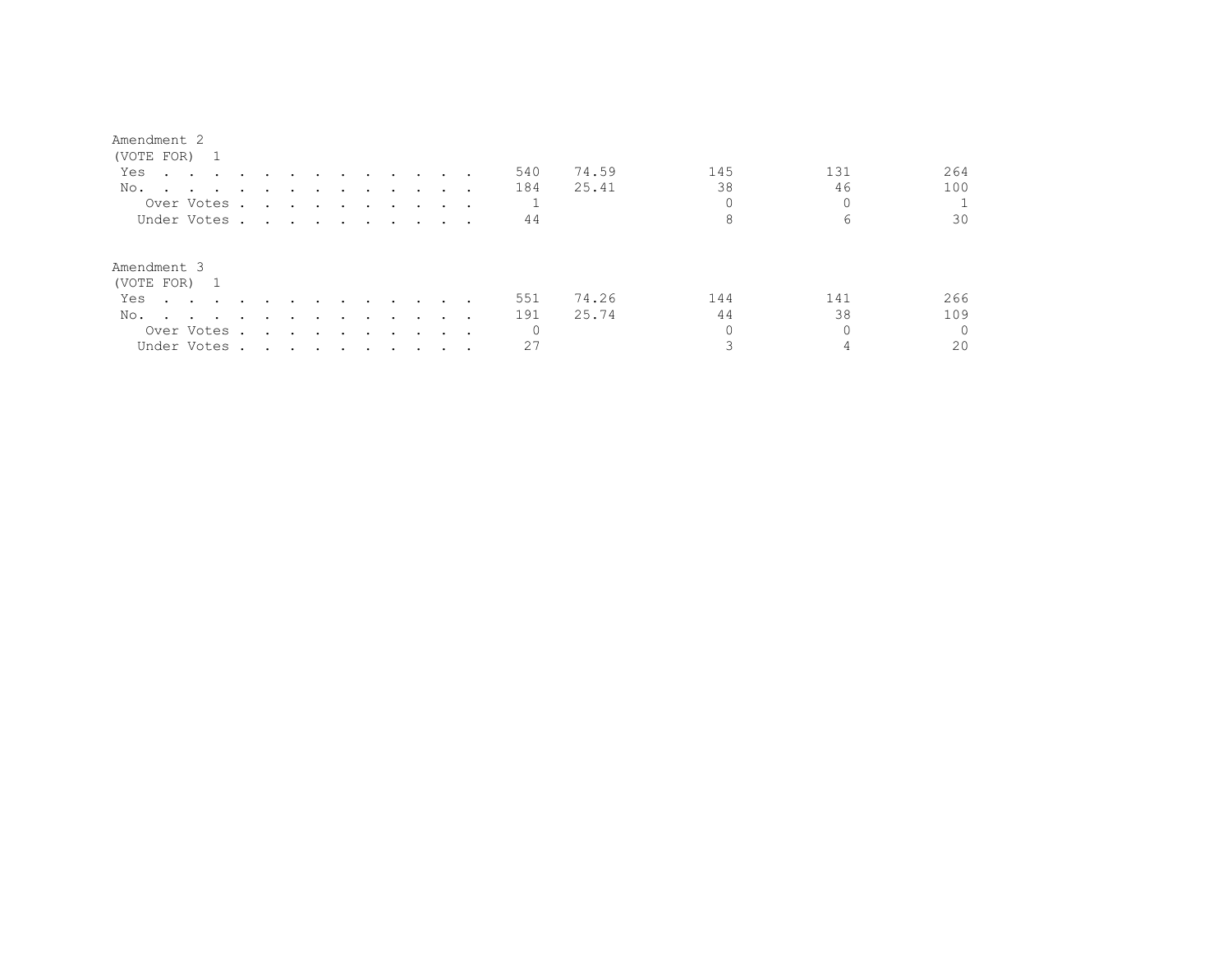#### Amendment 2

| (VOTE FOR) 1                                                                                                                                                                                                                          |                                                                                                                                                                                                                               |        |                                     |        |                         |                                                                                                                                                                                                                                   |        |   |     |       |     |     |          |
|---------------------------------------------------------------------------------------------------------------------------------------------------------------------------------------------------------------------------------------|-------------------------------------------------------------------------------------------------------------------------------------------------------------------------------------------------------------------------------|--------|-------------------------------------|--------|-------------------------|-----------------------------------------------------------------------------------------------------------------------------------------------------------------------------------------------------------------------------------|--------|---|-----|-------|-----|-----|----------|
| Yes<br>the contract of the contract of the contract of the contract of the contract of the contract of the contract of                                                                                                                |                                                                                                                                                                                                                               |        |                                     |        |                         | and the state of the state of the state of                                                                                                                                                                                        |        |   | 540 | 74.59 | 145 | 131 | 264      |
| No.<br>$\cdots$                                                                                                                                                                                                                       |                                                                                                                                                                                                                               |        |                                     |        |                         |                                                                                                                                                                                                                                   |        |   | 184 | 25.41 | 38  | 46  | 100      |
| Over Votes .                                                                                                                                                                                                                          |                                                                                                                                                                                                                               |        |                                     |        |                         | $\mathbf{r}$ . The contribution of the contribution of the contribution of the contribution of the contribution of the contribution of the contribution of the contribution of the contribution of the contribution of the contri |        |   |     |       |     |     |          |
| Under Votes.                                                                                                                                                                                                                          | the contract of the contract of the contract of the contract of the contract of the contract of the contract of                                                                                                               |        |                                     |        |                         |                                                                                                                                                                                                                                   |        |   | 44  |       |     | 6   | 30       |
| Amendment 3                                                                                                                                                                                                                           |                                                                                                                                                                                                                               |        |                                     |        |                         |                                                                                                                                                                                                                                   |        |   |     |       |     |     |          |
| (VOTE FOR) 1                                                                                                                                                                                                                          |                                                                                                                                                                                                                               |        |                                     |        |                         |                                                                                                                                                                                                                                   |        |   |     |       |     |     |          |
| Yes<br>$\sim$ $\sim$ $\sim$ $\sim$ $\sim$                                                                                                                                                                                             |                                                                                                                                                                                                                               |        |                                     | $\sim$ | $\sim$ $\sim$           | $\sim$ $\sim$                                                                                                                                                                                                                     | $\sim$ |   | 551 | 74.26 | 144 | 141 | 266      |
| No.<br>and the contract of the contract of the contract of the contract of the contract of the contract of the contract of the contract of the contract of the contract of the contract of the contract of the contract of the contra | $\cdot$                                                                                                                                                                                                                       | $\sim$ | $\sim$ $\sim$                       | $\sim$ | $\sim 100$ km s $^{-1}$ | $\sim 100$ km s $^{-1}$                                                                                                                                                                                                           | $\sim$ |   | 191 | 25.74 | 44  | 38  | 109      |
| Over Votes .                                                                                                                                                                                                                          |                                                                                                                                                                                                                               |        | the contract of the contract of the |        | $\sim$ $\sim$           | $\sim$ $\sim$                                                                                                                                                                                                                     |        | . | 0   |       |     |     | $\Omega$ |
| Under Votes .                                                                                                                                                                                                                         | . The contribution of the contribution of the contribution of the contribution of the contribution of the contribution of the contribution of the contribution of the contribution of the contribution of the contribution of |        |                                     |        |                         |                                                                                                                                                                                                                                   |        |   | 27  |       |     | 4   | 20       |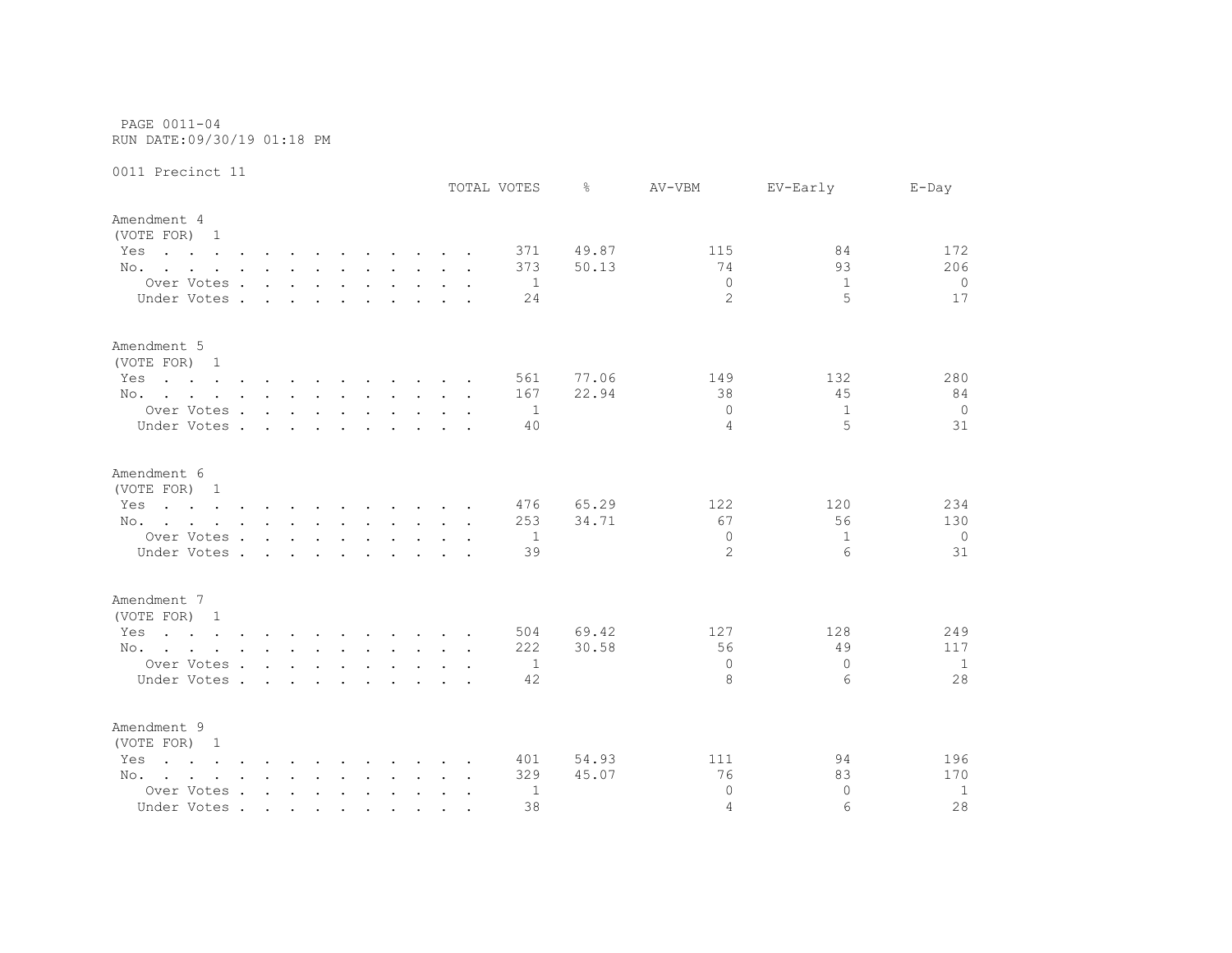PAGE 0011-04 RUN DATE:09/30/19 01:18 PM

|                                                                                                                        |                      |                      |                 |                        |               |  | TOTAL VOTES    | ⊱     | AV-VBM         | EV-Early     | $E$ -Day       |
|------------------------------------------------------------------------------------------------------------------------|----------------------|----------------------|-----------------|------------------------|---------------|--|----------------|-------|----------------|--------------|----------------|
| Amendment 4                                                                                                            |                      |                      |                 |                        |               |  |                |       |                |              |                |
| (VOTE FOR) 1                                                                                                           |                      |                      |                 |                        |               |  |                |       |                |              |                |
| Yes<br>the contract of the contract of the contract of the contract of the contract of the contract of the contract of |                      |                      |                 |                        |               |  | 371            | 49.87 | 115            | 84           | 172            |
| No.                                                                                                                    |                      |                      |                 |                        |               |  | 373            | 50.13 | 74             | 93           | 206            |
| Over Votes                                                                                                             |                      |                      |                 |                        |               |  | $\overline{1}$ |       | $\mathbf{0}$   | $\mathbf{1}$ | 0              |
| Under Votes.                                                                                                           |                      | $\sim$ $\sim$ $\sim$ |                 | <b>Carl Controller</b> | $\sim$ $\sim$ |  | 24             |       | $\overline{2}$ | 5            | 17             |
|                                                                                                                        |                      |                      |                 |                        |               |  |                |       |                |              |                |
| Amendment 5                                                                                                            |                      |                      |                 |                        |               |  |                |       |                |              |                |
| (VOTE FOR) 1                                                                                                           |                      |                      |                 |                        |               |  |                |       |                |              |                |
| Yes<br>the contract of the contract of the contract of the contract of the contract of the contract of the contract of |                      |                      |                 |                        |               |  | 561            | 77.06 | 149            | 132          | 280            |
| No.                                                                                                                    |                      |                      |                 |                        |               |  | 167            | 22.94 | 38             | 45           | 84             |
| Over Votes                                                                                                             |                      |                      |                 |                        |               |  | $\overline{1}$ |       | $\Omega$       | $\mathbf{1}$ | $\overline{0}$ |
| Under Votes                                                                                                            |                      |                      |                 |                        |               |  | 40             |       | 4              | 5            | 31             |
|                                                                                                                        |                      |                      |                 |                        |               |  |                |       |                |              |                |
| Amendment 6                                                                                                            |                      |                      |                 |                        |               |  |                |       |                |              |                |
| (VOTE FOR) 1                                                                                                           |                      |                      |                 |                        |               |  |                |       |                |              |                |
| the contract of the contract of the contract of the contract of the contract of the contract of the contract of<br>Yes |                      |                      |                 |                        |               |  | 476            | 65.29 | 122            | 120          | 234            |
| No.                                                                                                                    |                      |                      |                 |                        |               |  | 253            | 34.71 | 67             | 56           | 130            |
| Over Votes                                                                                                             |                      |                      |                 |                        |               |  | $\overline{1}$ |       | $\mathbf{0}$   | $\mathbf{1}$ | $\overline{0}$ |
| Under Votes .                                                                                                          | $\sim$ $\sim$ $\sim$ |                      | $\cdot$ $\cdot$ |                        |               |  | 39             |       | $\overline{2}$ | 6            | 31             |
|                                                                                                                        |                      |                      |                 |                        |               |  |                |       |                |              |                |
| Amendment 7                                                                                                            |                      |                      |                 |                        |               |  |                |       |                |              |                |
| (VOTE FOR) 1                                                                                                           |                      |                      |                 |                        |               |  |                |       |                |              |                |
| Yes<br>the contract of the contract of the contract of the contract of the contract of the contract of the contract of |                      |                      |                 |                        |               |  | 504            | 69.42 | 127            | 128          | 249            |
| No.                                                                                                                    |                      |                      |                 |                        |               |  | 222            | 30.58 | 56             | 49           | 117            |
| Over Votes                                                                                                             |                      |                      |                 |                        |               |  | $\mathbf{1}$   |       | $\Omega$       | $\Omega$     | $\mathbf{1}$   |
| Under Votes                                                                                                            |                      |                      |                 |                        |               |  | 42             |       | 8              | 6            | 28             |
| Amendment 9                                                                                                            |                      |                      |                 |                        |               |  |                |       |                |              |                |
| (VOTE FOR) 1                                                                                                           |                      |                      |                 |                        |               |  |                |       |                |              |                |
| $\mathbf{r}$ , and $\mathbf{r}$ , and $\mathbf{r}$ , and $\mathbf{r}$ , and $\mathbf{r}$ , and $\mathbf{r}$<br>Yes     |                      |                      |                 |                        |               |  | 401            | 54.93 | 111            | 94           | 196            |
| No.                                                                                                                    |                      |                      |                 |                        |               |  | 329            | 45.07 | 76             | 83           | 170            |
| Over Votes                                                                                                             |                      |                      |                 |                        |               |  | 1              |       | $\Omega$       | $\Omega$     | 1              |
| Under Votes                                                                                                            |                      |                      |                 |                        |               |  | 38             |       | 4              | 6            | 28             |
|                                                                                                                        |                      |                      |                 |                        |               |  |                |       |                |              |                |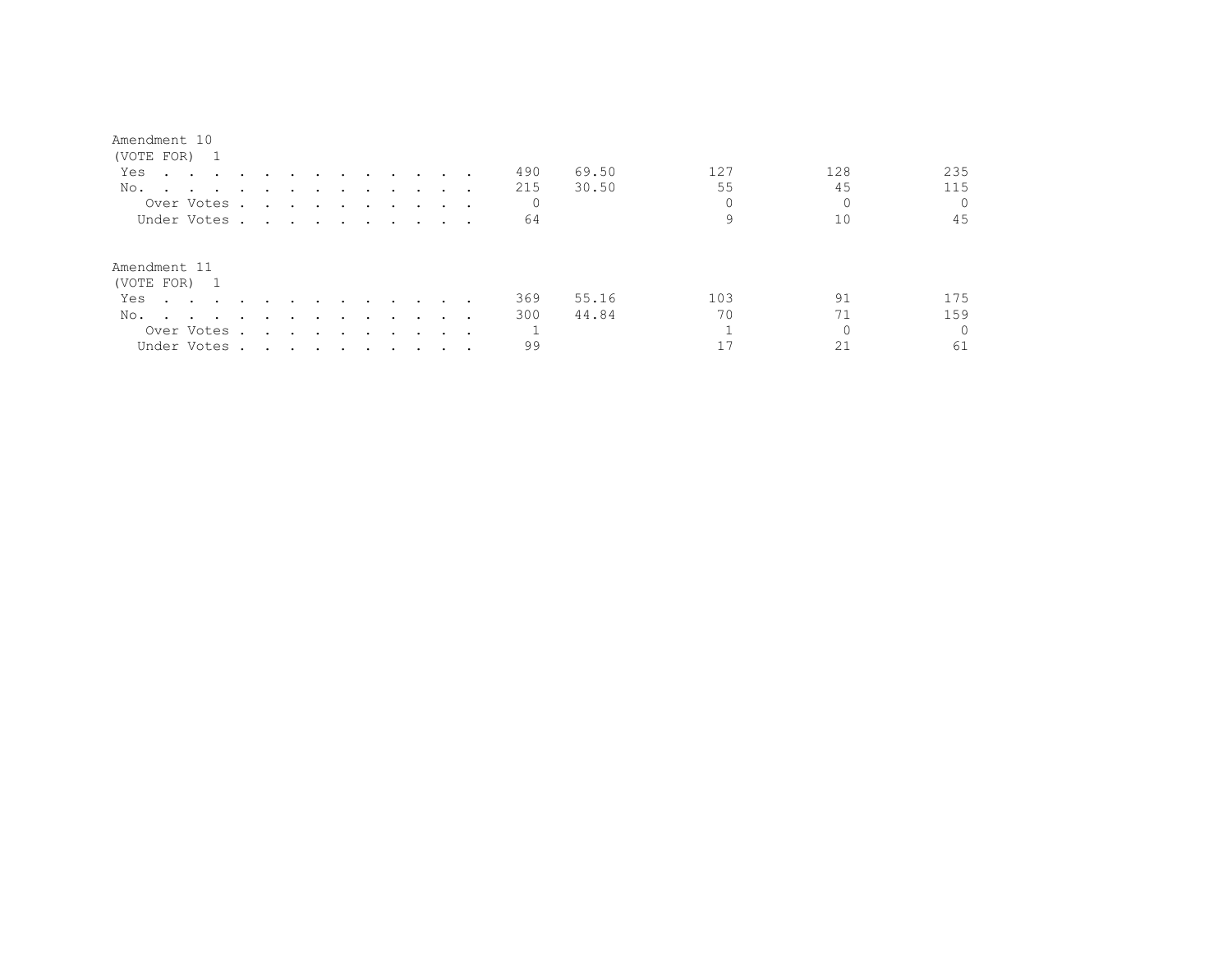| Amendment | 10 |
|-----------|----|
|-----------|----|

| (VOTE FOR) 1                                                                                                           |        |                                                                                                                                                                                                                                      |                          |                                                                                                                 |               |                 |                                    |         |                         |              |       |          |     |          |
|------------------------------------------------------------------------------------------------------------------------|--------|--------------------------------------------------------------------------------------------------------------------------------------------------------------------------------------------------------------------------------------|--------------------------|-----------------------------------------------------------------------------------------------------------------|---------------|-----------------|------------------------------------|---------|-------------------------|--------------|-------|----------|-----|----------|
| Yes<br>the contract of the contract of the contract of the contract of the contract of the contract of the contract of |        |                                                                                                                                                                                                                                      |                          | $\sim$ $\sim$                                                                                                   | $\sim$ $\sim$ |                 | $\sim$ $\sim$ $\sim$ $\sim$ $\sim$ |         |                         | 490          | 69.50 | 127      | 128 | 235      |
| No.                                                                                                                    | $\sim$ |                                                                                                                                                                                                                                      |                          |                                                                                                                 |               |                 |                                    |         |                         | 215          | 30.50 | 55       | 45  | 115      |
| Over Votes .                                                                                                           |        | $\ddot{\phantom{a}}$                                                                                                                                                                                                                 |                          |                                                                                                                 |               |                 |                                    |         | $\sim$ $\sim$ $\sim$    | $\mathbf{0}$ |       | $\Omega$ |     |          |
| Under Votes.                                                                                                           |        | <u>in the second contract of the second contract of the second contract of the second contract of the second contract of the second contract of the second contract of the second contract of the second contract of the second </u> |                          |                                                                                                                 |               |                 |                                    |         |                         | 64           |       |          | 10  | 45       |
| Amendment 11                                                                                                           |        |                                                                                                                                                                                                                                      |                          |                                                                                                                 |               |                 |                                    |         |                         |              |       |          |     |          |
| (VOTE FOR) 1                                                                                                           |        |                                                                                                                                                                                                                                      |                          |                                                                                                                 |               |                 |                                    |         |                         |              |       |          |     |          |
| Yes<br>$\sim$ $\sim$ $\sim$ $\sim$ $\sim$                                                                              |        |                                                                                                                                                                                                                                      |                          |                                                                                                                 |               | $\cdot$ $\cdot$ | $\sim$ $\sim$                      | $\cdot$ |                         | 369          | 55.16 | 103      | 91  | 175      |
| No.<br>the contract of the contract of the contract of the contract of the contract of                                 |        | $\sim$                                                                                                                                                                                                                               | $\overline{\phantom{a}}$ | $\sim$ $\sim$                                                                                                   | $\sim$        | $\sim$          | $\sim$ $\sim$                      | $\cdot$ |                         | 300          | 44.84 | 70       | 71  | 159      |
| Over Votes .                                                                                                           |        | $\sim$                                                                                                                                                                                                                               |                          | and the state of the state of the state of the state of the state of the state of the state of the state of the |               | $\sim$          | $\sim$                             |         | $\cdot$ $\cdot$ $\cdot$ | $\mathbf{1}$ |       |          |     | $\Omega$ |
| Under Votes .                                                                                                          |        | . The contract of the contract of the contract of the contract of the contract of the contract of the contract of the contract of the contract of the contract of the contract of the contract of the contract of the contrac        |                          |                                                                                                                 |               |                 |                                    |         |                         | 99           |       |          |     | 61       |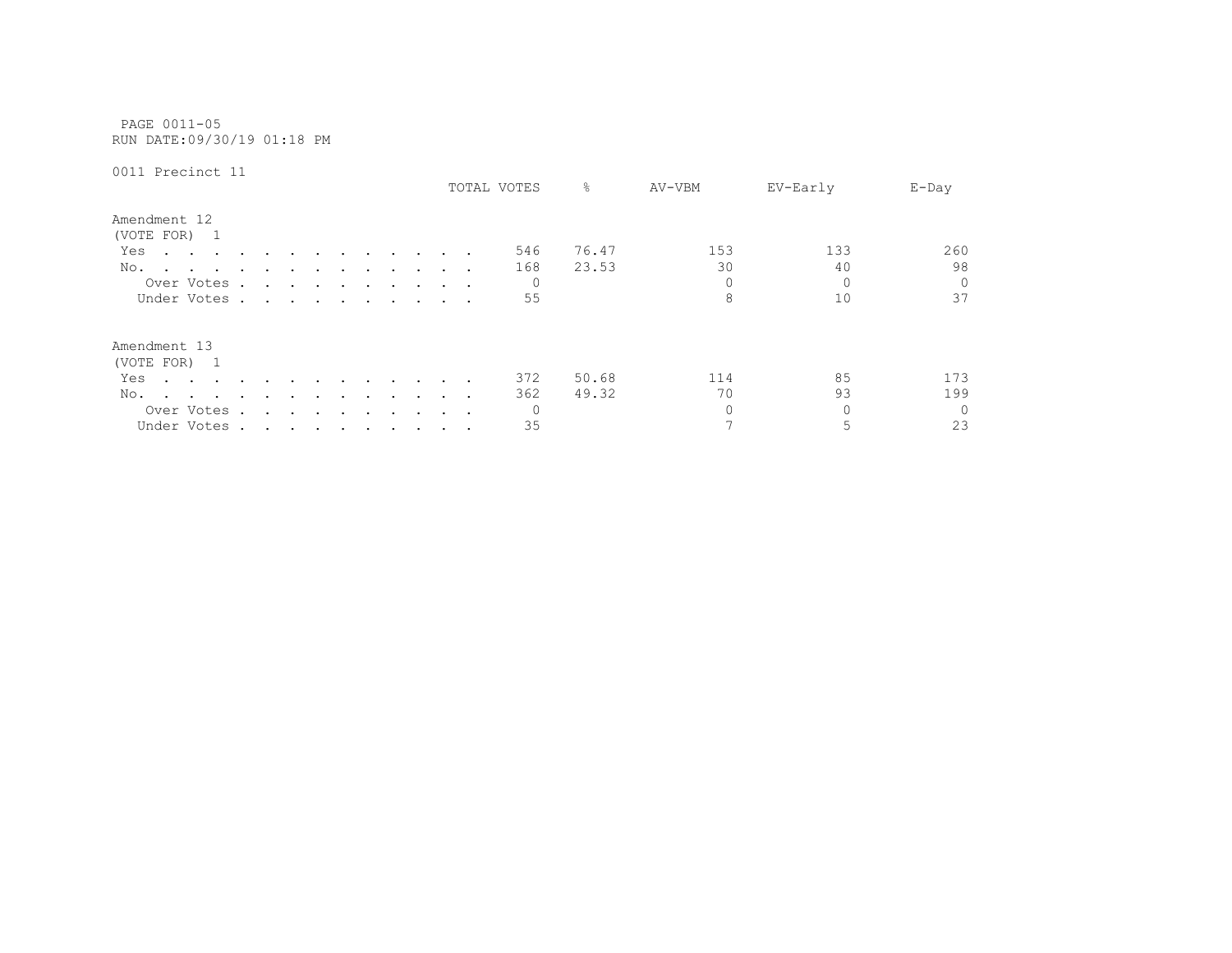PAGE 0011-05 RUN DATE:09/30/19 01:18 PM

| AATT LICATING TT                                                                                                       |        |                             |                                 |                                                 |        |         |                      |                                  |                      |                 | TOTAL VOTES | 옹     | AV-VBM   | EV-Early | $E$ -Day |
|------------------------------------------------------------------------------------------------------------------------|--------|-----------------------------|---------------------------------|-------------------------------------------------|--------|---------|----------------------|----------------------------------|----------------------|-----------------|-------------|-------|----------|----------|----------|
| Amendment 12<br>(VOTE FOR) 1                                                                                           |        |                             |                                 |                                                 |        |         |                      |                                  |                      |                 |             |       |          |          |          |
| Yes<br>$\sim$ $\sim$<br>$\sim$ $\sim$ $\sim$                                                                           |        | $\cdot$                     |                                 |                                                 |        |         |                      |                                  |                      |                 | 546         | 76.47 | 153      | 133      | 260      |
| No.<br>$\sim$                                                                                                          | $\sim$ | $\ddot{\phantom{a}}$        |                                 | $\cdot$                                         | $\sim$ | $\sim$  | $\ddot{\phantom{0}}$ | $\cdot$                          |                      |                 | 168         | 23.53 | 30       | 40       | 98       |
| Over Votes.                                                                                                            |        |                             | $\cdot$ $\cdot$ $\cdot$ $\cdot$ |                                                 | $\sim$ |         |                      |                                  |                      | $\cdot$ $\cdot$ | 0           |       | 0        | $\Omega$ | $\Omega$ |
| Under Votes.                                                                                                           |        | $\sim$ $\sim$ $\sim$ $\sim$ |                                 |                                                 | $\sim$ |         |                      | $\ddot{\phantom{a}}$             | $\sim$ $\sim$ $\sim$ |                 | 55          |       | 8        | 10       | 37       |
| Amendment 13                                                                                                           |        |                             |                                 |                                                 |        |         |                      |                                  |                      |                 |             |       |          |          |          |
| (VOTE FOR)<br>$\overline{\phantom{1}}$                                                                                 |        |                             |                                 |                                                 |        |         |                      |                                  |                      |                 |             |       |          |          |          |
| Yes<br>the contract of the contract of the contract of the contract of the contract of the contract of the contract of |        | $\ddot{\phantom{a}}$        |                                 |                                                 | $\sim$ | $\sim$  | $\sim$               |                                  | $\sim$ $\sim$        |                 | 372         | 50.68 | 114      | 85       | 173      |
| No.                                                                                                                    |        |                             |                                 |                                                 |        |         |                      |                                  |                      | $\cdot$ .       | 362         | 49.32 | 70       | 93       | 199      |
| Over Votes                                                                                                             | $\sim$ | $\ddot{\phantom{a}}$        | $\sim$                          | $\sim$                                          | $\sim$ | $\cdot$ | $\cdot$              | $\ddot{\phantom{1}}$             | $\sim$ $\sim$ $\sim$ |                 | 0           |       | $\Omega$ | $\Omega$ | $\Omega$ |
| Under Votes.                                                                                                           |        |                             |                                 | the contract of the contract of the contract of |        |         |                      | $\bullet$ . The set of $\bullet$ | $\sim$ $\sim$        |                 | 35          |       |          | 5        | 23       |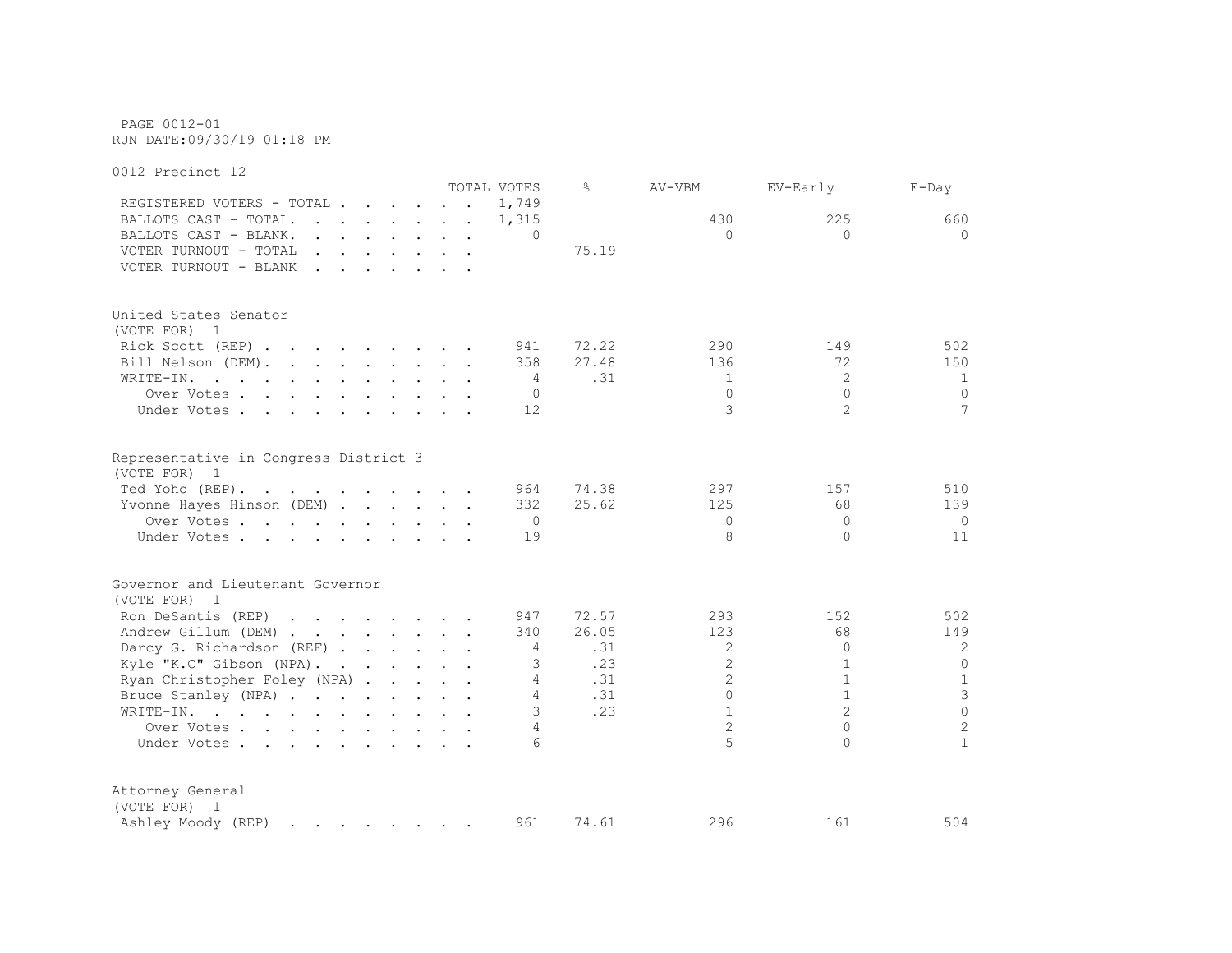PAGE 0012-01 RUN DATE:09/30/19 01:18 PM

0012 Precinct 12 TOTAL VOTES % AV-VBM EV-Early E-Day REGISTERED VOTERS - TOTAL . . . . . . 1,749 BALLOTS CAST - TOTAL. . . . . . . 1,315 430 225 660 BALLOTS CAST - BLANK. . . . . . . . 0 0 0 0 VOTER TURNOUT - TOTAL . . . . . . . 75.19 VOTER TURNOUT - BLANK . . . . . . . United States Senator (VOTE FOR) 1 Rick Scott (REP) . . . . . . . . 941 72.22 290 149 502 Bill Nelson (DEM). . . . . . . . 358 27.48 136 136 72 150 WRITE-IN. . . . . . . . . . . 4 .31 1 2 1 Over Votes . . . . . . . . . . 0 0 0 0 Under Votes . . . . . . . . . . 12 3 2 3 2 7 Representative in Congress District 3 (VOTE FOR) 1 Ted Yoho (REP). . . . . . . . . 964 74.38 297 157 510 Yvonne Hayes Hinson (DEM) . . . . . 332 25.62 125 125 68 139 Over Votes . . . . . . . . . . 0 0 0 0 Under Votes . . . . . . . . . . 19 8 0 11 Governor and Lieutenant Governor (VOTE FOR) 1 Ron DeSantis (REP) . . . . . . . 947 72.57 293 152 502 Andrew Gillum (DEM) . . . . . . . 340 26.05 123 68 149 Darcy G. Richardson (REF) . . . . . . 4 .31 2 0 2 Kyle "K.C" Gibson (NPA). . . . . . 3 .23 2 1 0 Ryan Christopher Foley (NPA) . . . . 4 .31 2 1 1 1 Bruce Stanley (NPA) . . . . . . . 4 .31 0 1 3 WRITE-IN. . . . . . . . . . . . 3 .23 1 2 0 Over Votes . . . . . . . . . . . 4 2 0 2<br>Inder Votes . . . . . . . . . . 4 2 0 2 1 Under Votes . . . . . . . . . . . 6 5 0 1 Attorney General (VOTE FOR) 1 Ashley Moody (REP) . . . . . . . 961 74.61 296 161 504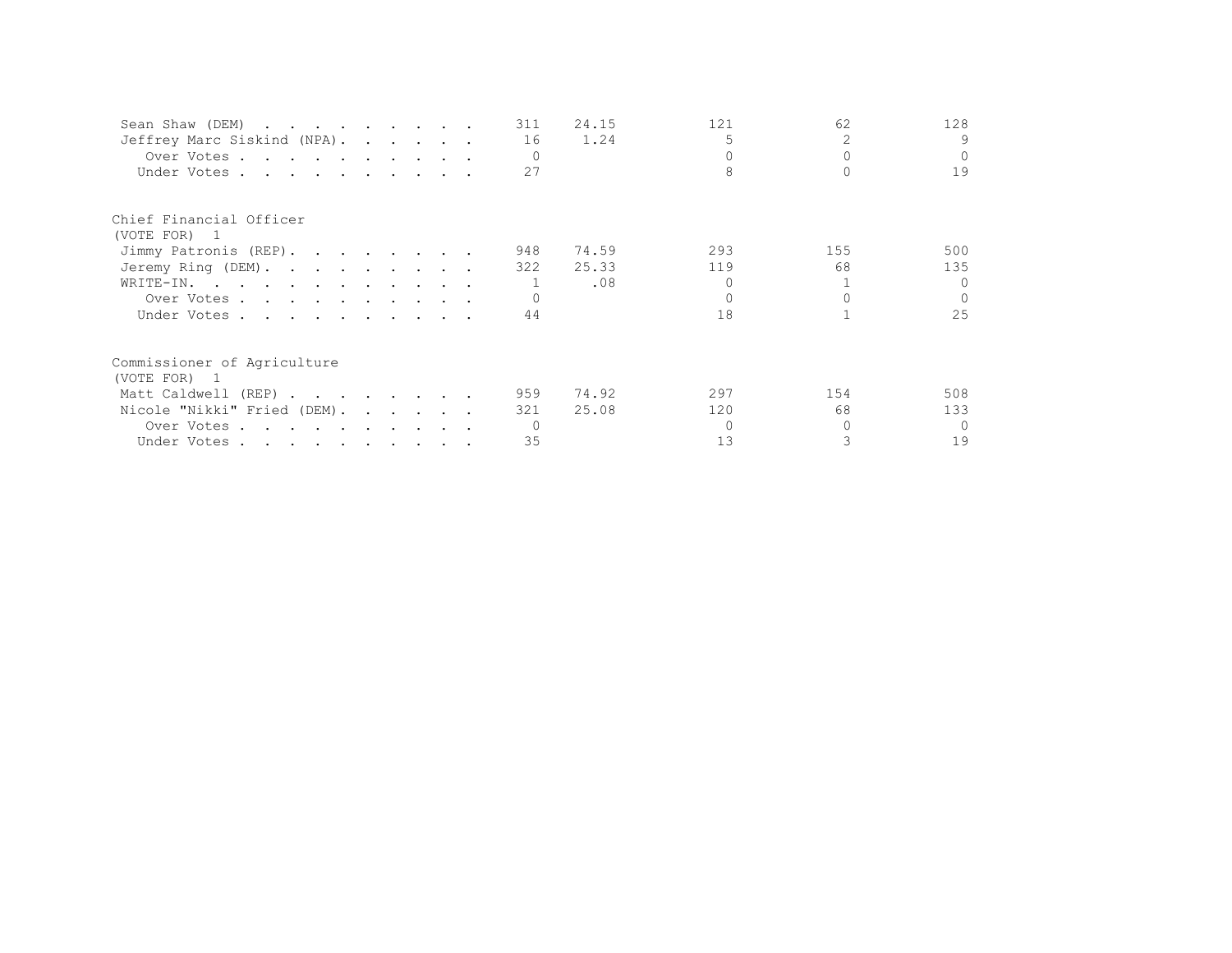| Sean Shaw (DEM)             |  |  | 311      | 24.15 | 121 | 62  | 128      |
|-----------------------------|--|--|----------|-------|-----|-----|----------|
| Jeffrey Marc Siskind (NPA). |  |  | 16       | 1.24  | 5   |     | 9        |
| Over Votes                  |  |  | $\Omega$ |       |     |     | $\Omega$ |
| Under Votes                 |  |  | 27       |       |     |     | 19       |
| Chief Financial Officer     |  |  |          |       |     |     |          |
| (VOTE FOR) 1                |  |  |          |       |     |     |          |
| Jimmy Patronis (REP).       |  |  | 948      | 74.59 | 293 | 155 | 500      |
| Jeremy Ring (DEM).          |  |  | 322      | 25.33 | 119 | 68  | 135      |
| WRITE-IN.                   |  |  |          | .08   |     |     | $\cap$   |
| Over Votes                  |  |  |          |       |     |     | $\Omega$ |
| Under Votes                 |  |  | 44       |       | 18  |     | 25       |
| Commissioner of Agriculture |  |  |          |       |     |     |          |
| (VOTE FOR) 1                |  |  |          |       |     |     |          |
| Matt Caldwell (REP)         |  |  | 959      | 74.92 | 297 | 154 | 508      |
| Nicole "Nikki" Fried (DEM). |  |  | 321      | 25.08 | 120 | 68  | 133      |
| Over Votes                  |  |  |          |       |     |     | $\cap$   |
| Under Votes                 |  |  | 35       |       | 13  |     | 19       |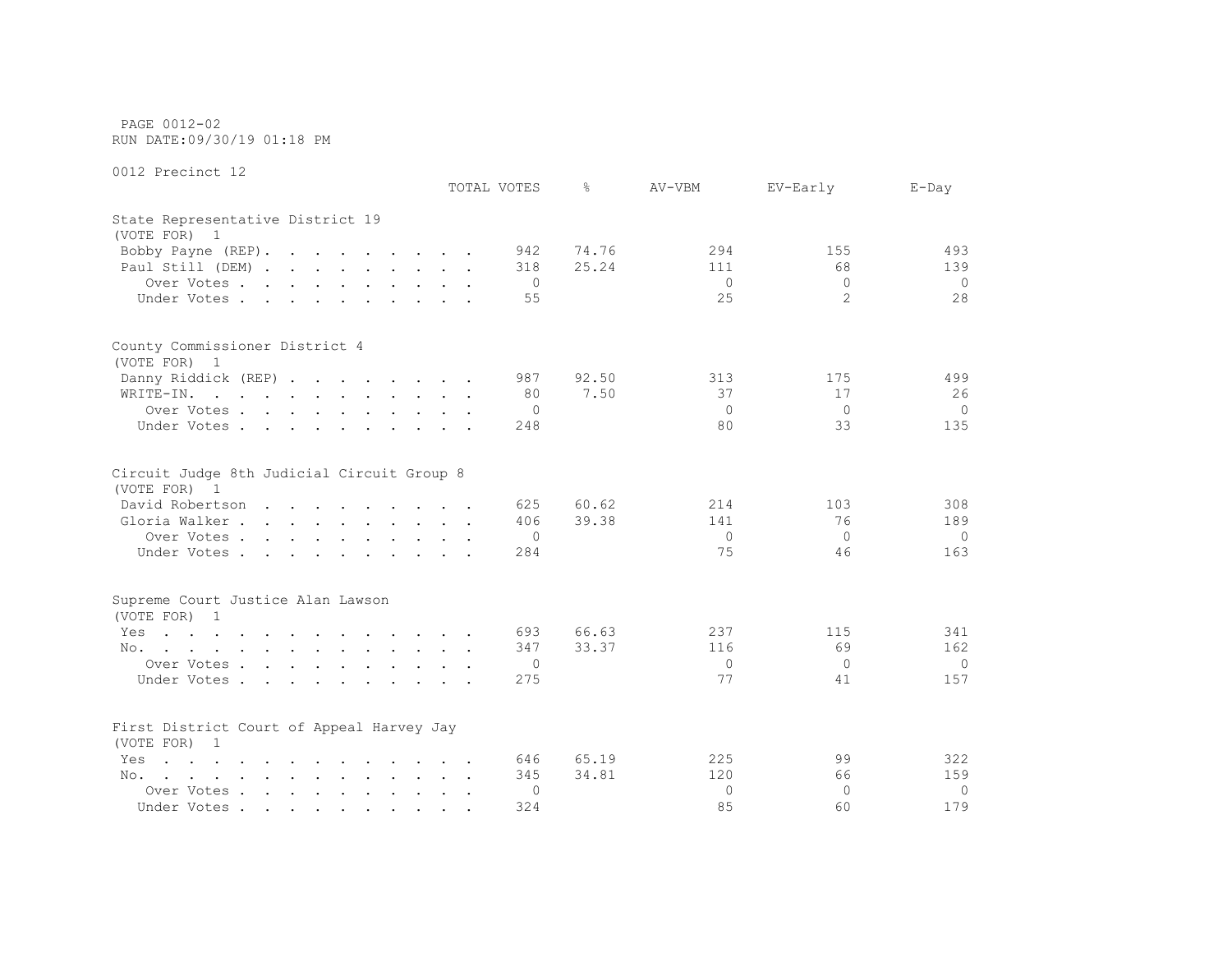PAGE 0012-02 RUN DATE:09/30/19 01:18 PM

|                                                                                                                        | TOTAL VOTES | ⊱     | AV-VBM       | EV-Early       | $E$ -Day |
|------------------------------------------------------------------------------------------------------------------------|-------------|-------|--------------|----------------|----------|
| State Representative District 19<br>(VOTE FOR) 1                                                                       |             |       |              |                |          |
| Bobby Payne (REP).                                                                                                     | 942         | 74.76 | 294          | 155            | 493      |
| Paul Still (DEM)                                                                                                       | 318         | 25.24 | 111          | 68             | 139      |
| Over Votes                                                                                                             | 0           |       | $\circ$      | $\mathbf 0$    | $\Omega$ |
| Under Votes                                                                                                            | 55          |       | 25           | $\overline{2}$ | 28       |
| County Commissioner District 4                                                                                         |             |       |              |                |          |
| (VOTE FOR) 1                                                                                                           |             |       |              |                |          |
| Danny Riddick (REP)                                                                                                    | 987         | 92.50 | 313          | 175            | 499      |
| WRITE-IN.<br>and the contract of the contract of the contract of                                                       | 80          | 7.50  | 37           | 17             | 26       |
| Over Votes                                                                                                             | 0           |       | $\Omega$     | $\Omega$       | $\Omega$ |
| Under Votes                                                                                                            | 248         |       | 80           | 33             | 135      |
| Circuit Judge 8th Judicial Circuit Group 8<br>(VOTE FOR) 1                                                             |             |       |              |                |          |
| David Robertson                                                                                                        | 625         | 60.62 | 214          | 103            | 308      |
| Gloria Walker                                                                                                          | 406         | 39.38 | 141          | 76             | 189      |
| Over Votes                                                                                                             | 0           |       | $\circ$      | 0              | $\Omega$ |
| Under Votes                                                                                                            | 284         |       | 75           | 46             | 163      |
| Supreme Court Justice Alan Lawson                                                                                      |             |       |              |                |          |
| (VOTE FOR) 1                                                                                                           |             |       |              |                |          |
| Yes<br>the contract of the contract of the contract of the contract of the contract of the contract of the contract of | 693         | 66.63 | 237          | 115            | 341      |
| No.                                                                                                                    | 347         | 33.37 | 116          | 69             | 162      |
| Over Votes                                                                                                             | 0           |       | $\mathbf{0}$ | $\mathbf{0}$   | $\Omega$ |
| Under Votes                                                                                                            | 275         |       | 77           | 41             | 157      |
|                                                                                                                        |             |       |              |                |          |
| First District Court of Appeal Harvey Jay<br>(VOTE FOR) 1                                                              |             |       |              |                |          |
| $\mathbf{r}$ , and $\mathbf{r}$ , and $\mathbf{r}$ , and $\mathbf{r}$ , and $\mathbf{r}$ , and $\mathbf{r}$<br>Yes     | 646         | 65.19 | 225          | 99             | 322      |
| No.<br>the contract of the contract of the contract of the contract of the contract of the contract of the contract of | 345         | 34.81 | 120          | 66             | 159      |
| Over Votes                                                                                                             | 0           |       | $\mathbf{0}$ | $\Omega$       | $\Omega$ |
| Under Votes                                                                                                            | 324         |       | 85           | 60             | 179      |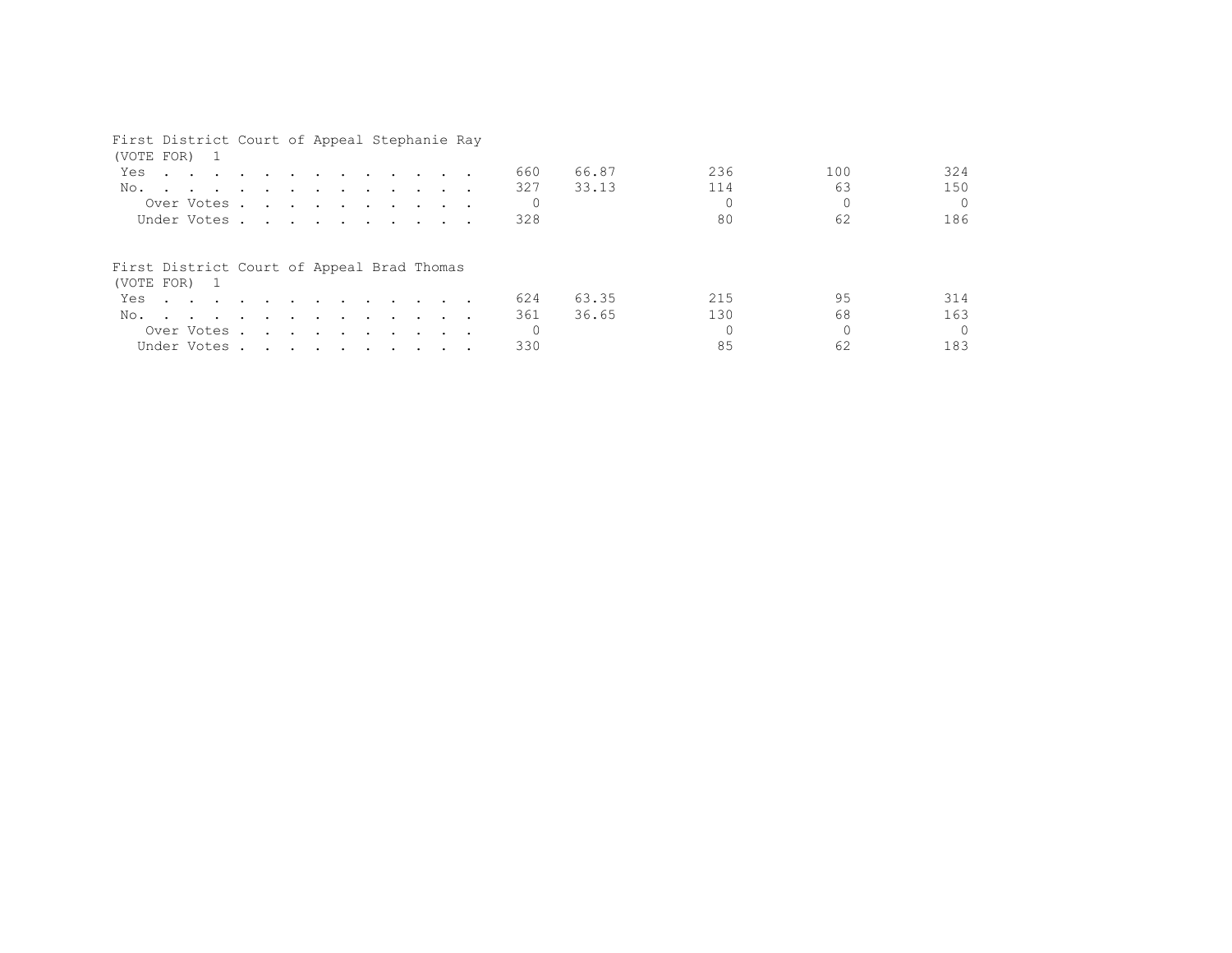| First District Court of Appeal Stephanie Ray                                                                                                                                                                                                                    |  |  |  |  |  |                 |                |            |           |                 |
|-----------------------------------------------------------------------------------------------------------------------------------------------------------------------------------------------------------------------------------------------------------------|--|--|--|--|--|-----------------|----------------|------------|-----------|-----------------|
| (VOTE FOR) 1<br>Yes<br>$\mathbf{r}$ . The contract of the contract of the contract of the contract of the contract of the contract of the contract of the contract of the contract of the contract of the contract of the contract of the contract of th<br>No. |  |  |  |  |  | 660<br>327      | 66.87<br>33.13 | 236<br>114 | 100<br>63 | 324<br>150      |
| Over Votes<br>Under Votes                                                                                                                                                                                                                                       |  |  |  |  |  | $\Omega$<br>328 |                | 80         | 62        | $\Omega$<br>186 |
| First District Court of Appeal Brad Thomas                                                                                                                                                                                                                      |  |  |  |  |  |                 |                |            |           |                 |
| (VOTE FOR) 1<br>Yes                                                                                                                                                                                                                                             |  |  |  |  |  | 624             | 63.35          | 215        | 95        | 314             |
| No.                                                                                                                                                                                                                                                             |  |  |  |  |  | 361             | 36.65          | 130        | 68        | 163             |
| Over Votes<br>Under Votes                                                                                                                                                                                                                                       |  |  |  |  |  | $\Omega$<br>330 |                | 85         | 62        | $\Omega$<br>183 |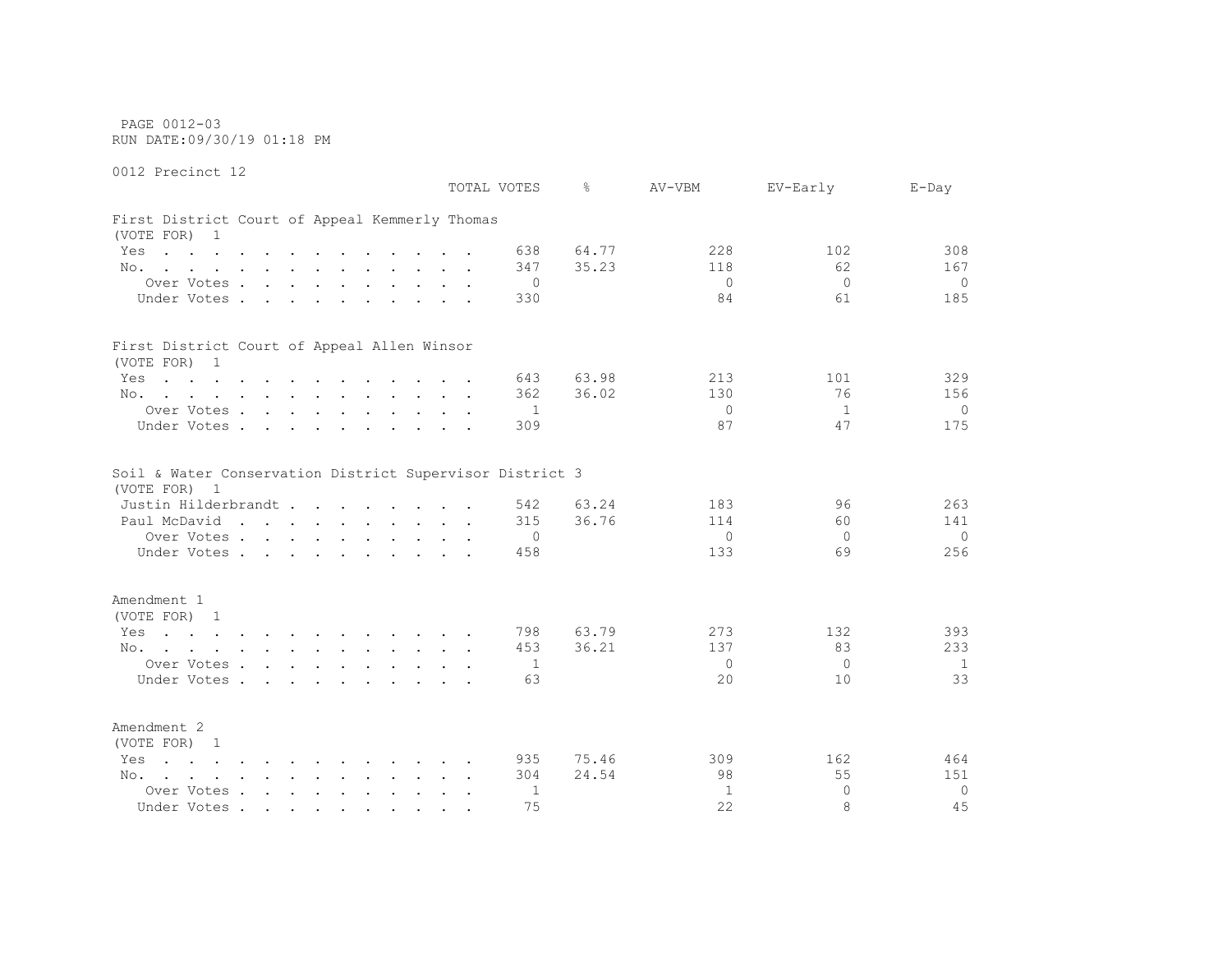PAGE 0012-03 RUN DATE:09/30/19 01:18 PM

0012 Precinct 12 TOTAL VOTES % AV-VBM EV-Early E-Day First District Court of Appeal Kemmerly Thomas (VOTE FOR) 1 Yes . . . . . . . . . . . . 638 64.77 228 228 102 308 No. . . . . . . . . . . . 347 35.23 118 62 167 Over Votes . . . . . . . . . . 0 0 0 0 Under Votes . . . . . . . . . 330 84 61 185 First District Court of Appeal Allen Winsor (VOTE FOR) 1 Yes . . . . . . . . . . . . 643 63.98 213 101 329 No. . . . . . . . . . . . . 362 36.02 130 130 76 156 Over Votes . . . . . . . . . . 1 0 1 0 Under Votes . . . . . . . . . 309 309 37 47 175 Soil & Water Conservation District Supervisor District 3 (VOTE FOR) 1 Justin Hilderbrandt . . . . . . . . 542 63.24 183 96 263 Paul McDavid . . . . . . . . . 315 36.76 114 60 141 Over Votes . . . . . . . . . . 0 0 0 0 Under Votes . . . . . . . . . . 458 133 69 256 Amendment 1 (VOTE FOR) 1 Yes . . . . . . . . . . . . 798 63.79 273 132 393 No. . . . . . . . . . . . 453 36.21 137 83 233 Over Votes . . . . . . . . . . 1 0 0 1 1 Under Votes . . . . . . . . . . 63 20 10 33 Amendment 2 (VOTE FOR) 1 Yes . . . . . . . . . . . 935 75.46 309 309 162 464 No. . . . . . . . . . . . 304 24.54 98 55 151 Over Votes . . . . . . . . . . 1 1 0 0

Under Votes . . . . . . . . . . 75 22 8 45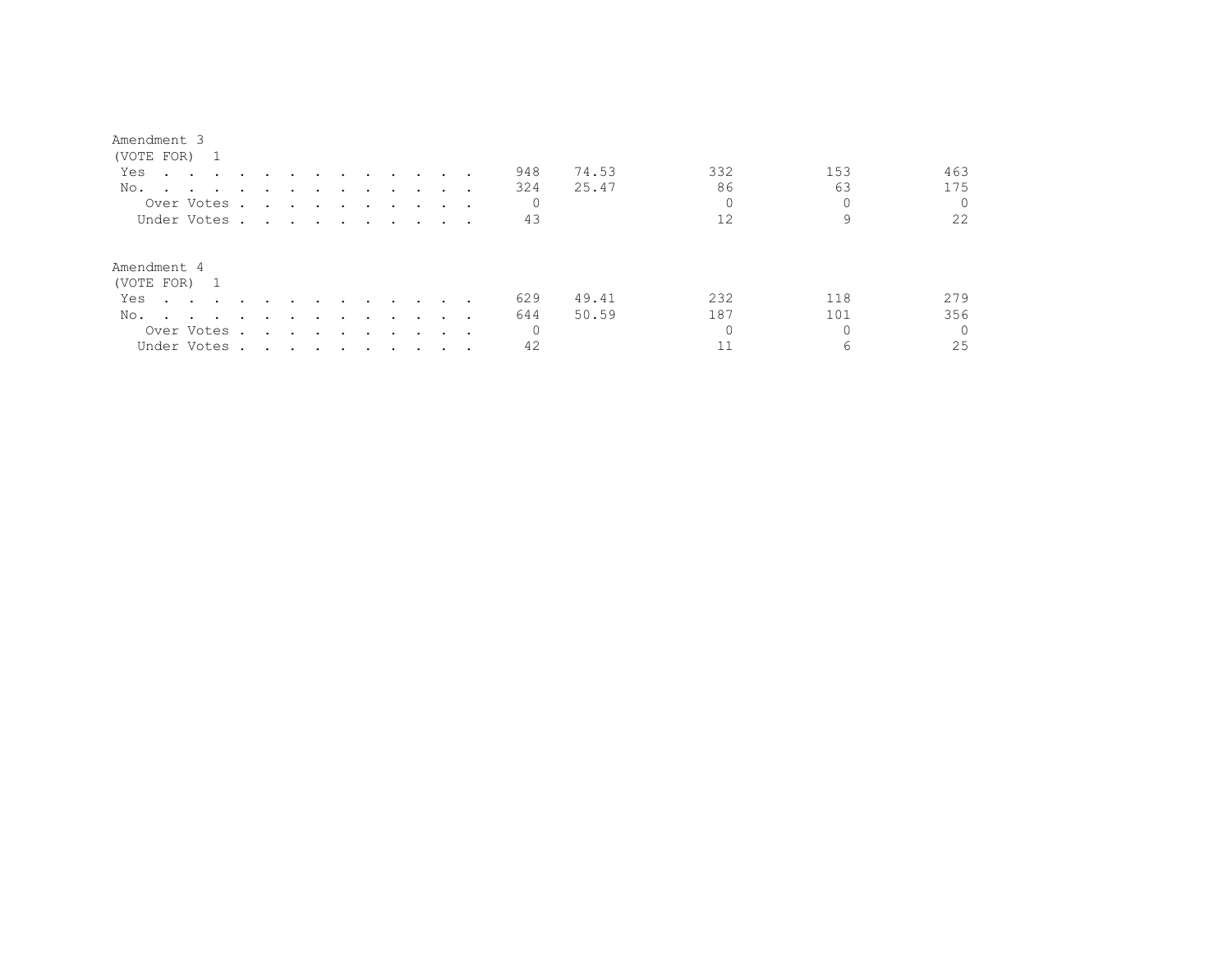## Amendment 3

| (VOTE FOR) 1                                                                                                           |                                                                                                                                                                                                                               |                                                           |               |        |                                                                                                                 |               |                                 |          |       |          |     |          |
|------------------------------------------------------------------------------------------------------------------------|-------------------------------------------------------------------------------------------------------------------------------------------------------------------------------------------------------------------------------|-----------------------------------------------------------|---------------|--------|-----------------------------------------------------------------------------------------------------------------|---------------|---------------------------------|----------|-------|----------|-----|----------|
| Yes<br>the contract of the contract of the contract of the contract of the contract of the contract of the contract of |                                                                                                                                                                                                                               |                                                           | $\sim$ $\sim$ | $\sim$ | $\sim$                                                                                                          |               |                                 | 948      | 74.53 | 332      | 153 | 463      |
| No.                                                                                                                    |                                                                                                                                                                                                                               |                                                           |               |        |                                                                                                                 |               |                                 | 324      | 25.47 | 86       | 63  | 175      |
| Over Votes.                                                                                                            | $\ddot{\phantom{0}}$                                                                                                                                                                                                          |                                                           |               |        | the contract of the contract of the contract of the contract of the contract of the contract of the contract of |               |                                 | $\circ$  |       | $\Omega$ |     |          |
| Under Votes .                                                                                                          | the contract of the contract of the contract of the contract of the contract of the contract of the contract of                                                                                                               |                                                           |               |        |                                                                                                                 |               |                                 | 43       |       | 12       | 9   | 22       |
| Amendment 4<br>(VOTE FOR) 1                                                                                            |                                                                                                                                                                                                                               |                                                           |               |        |                                                                                                                 |               |                                 |          |       |          |     |          |
| Yes<br>$\sim$ $\sim$ $\sim$ $\sim$ $\sim$                                                                              |                                                                                                                                                                                                                               |                                                           |               |        | $\sim$                                                                                                          | $\sim$ $\sim$ |                                 | 629      | 49.41 | 232      | 118 | 279      |
| No.<br>$\sim$ $\sim$ $\sim$ $\sim$ $\sim$                                                                              | $\cdot$                                                                                                                                                                                                                       | $\cdot$ $\cdot$                                           | $\sim$ $\sim$ | $\sim$ | $\sim$                                                                                                          | $\sim$ $\sim$ |                                 | 644      | 50.59 | 187      | 101 | 356      |
| Over Votes.                                                                                                            |                                                                                                                                                                                                                               | $\mathbf{r}$ , $\mathbf{r}$ , $\mathbf{r}$ , $\mathbf{r}$ |               | $\sim$ | $\sim$                                                                                                          | $\sim$ $\sim$ | $\cdot$ $\cdot$ $\cdot$ $\cdot$ | $\Omega$ |       |          |     | $\Omega$ |
| Under Votes .                                                                                                          | . The contract of the contract of the contract of the contract of the contract of the contract of the contract of the contract of the contract of the contract of the contract of the contract of the contract of the contrac |                                                           |               |        |                                                                                                                 |               |                                 | 42       |       |          | 6   | 25       |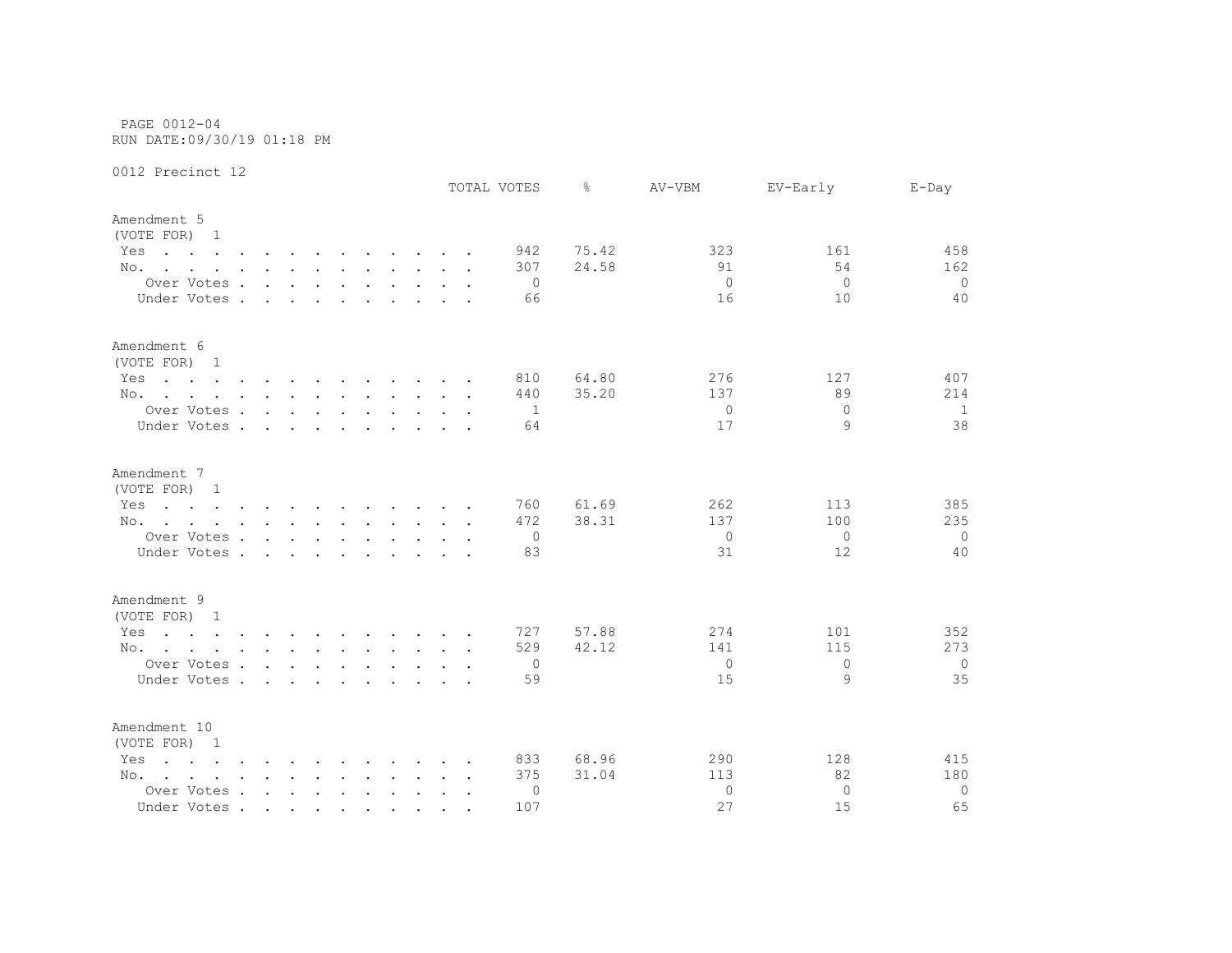PAGE 0012-04 RUN DATE:09/30/19 01:18 PM

|                                                                                                                                                                                                                                       |                   |        |        |        |  |                      | TOTAL VOTES    | ⊱     | AV-VBM       | EV-Early | $E$ -Day       |
|---------------------------------------------------------------------------------------------------------------------------------------------------------------------------------------------------------------------------------------|-------------------|--------|--------|--------|--|----------------------|----------------|-------|--------------|----------|----------------|
| Amendment 5<br>(VOTE FOR) 1                                                                                                                                                                                                           |                   |        |        |        |  |                      |                |       |              |          |                |
| Yes<br>the contract of the contract of the contract of the contract of the contract of the contract of the contract of                                                                                                                |                   |        |        |        |  |                      | 942            | 75.42 | 323          | 161      | 458            |
| No.                                                                                                                                                                                                                                   |                   |        |        |        |  |                      | 307            | 24.58 | 91           | 54       | 162            |
| Over Votes                                                                                                                                                                                                                            |                   |        |        |        |  |                      | $\Omega$       |       | $\mathbf{0}$ | $\Omega$ | $\Omega$       |
| Under Votes.                                                                                                                                                                                                                          | $\sim$            | $\sim$ |        |        |  |                      | 66             |       | 16           | 10       | 40             |
| Amendment 6<br>(VOTE FOR) 1                                                                                                                                                                                                           |                   |        |        |        |  |                      |                |       |              |          |                |
| Yes<br>the contract of the contract of the contract of the contract of the contract of the contract of the contract of                                                                                                                |                   |        |        |        |  |                      | 810            | 64.80 | 276          | 127      | 407            |
| No.                                                                                                                                                                                                                                   |                   |        |        |        |  |                      | 440            | 35.20 | 137          | 89       | 214            |
| Over Votes                                                                                                                                                                                                                            |                   |        |        |        |  |                      | -1             |       | $\mathbf{0}$ | $\Omega$ | $\mathbf{1}$   |
| Under Votes                                                                                                                                                                                                                           |                   |        |        | $\sim$ |  |                      | 64             |       | 17           | 9        | 38             |
| Amendment 7<br>(VOTE FOR) 1                                                                                                                                                                                                           |                   |        |        |        |  |                      |                |       |              |          |                |
| the contract of the contract of the contract of the contract of the contract of the contract of the contract of<br>Yes                                                                                                                |                   |        |        |        |  |                      | 760            | 61.69 | 262          | 113      | 385            |
| No.                                                                                                                                                                                                                                   |                   |        |        |        |  |                      | 472            | 38.31 | 137          | 100      | 235            |
| Over Votes                                                                                                                                                                                                                            |                   |        |        |        |  |                      | 0              |       | $\mathbf{0}$ | $\Omega$ | $\overline{0}$ |
| Under Votes .                                                                                                                                                                                                                         | $\sim$ 100 $\sim$ | $\sim$ | $\sim$ | $\sim$ |  |                      | 83             |       | 31           | 12       | 40             |
| Amendment 9                                                                                                                                                                                                                           |                   |        |        |        |  |                      |                |       |              |          |                |
| (VOTE FOR) 1                                                                                                                                                                                                                          |                   |        |        |        |  |                      |                |       |              |          |                |
| Yes<br>$\mathbf{r}$ , and $\mathbf{r}$ , and $\mathbf{r}$ , and $\mathbf{r}$ , and $\mathbf{r}$ , and $\mathbf{r}$                                                                                                                    |                   |        |        |        |  |                      | 727            | 57.88 | 274          | 101      | 352            |
| No.                                                                                                                                                                                                                                   |                   |        |        |        |  |                      | 529            | 42.12 | 141          | 115      | 273            |
| Over Votes                                                                                                                                                                                                                            |                   |        |        |        |  |                      | $\overline{0}$ |       | $\Omega$     | $\Omega$ | $\circ$        |
| Under Votes                                                                                                                                                                                                                           |                   |        |        |        |  |                      | 59             |       | 15           | 9        | 35             |
| Amendment 10<br>(VOTE FOR) 1                                                                                                                                                                                                          |                   |        |        |        |  |                      |                |       |              |          |                |
| the contract of the contract of the contract of the contract of the contract of the contract of the contract of<br>Yes                                                                                                                |                   |        |        |        |  |                      | 833            | 68.96 | 290          | 128      | 415            |
| No.<br>and the contract of the contract of the contract of the contract of the contract of the contract of the contract of the contract of the contract of the contract of the contract of the contract of the contract of the contra |                   |        |        |        |  |                      | 375            | 31.04 | 113          | 82       | 180            |
| Over Votes                                                                                                                                                                                                                            |                   |        |        |        |  | $\ddot{\phantom{0}}$ | 0              |       | $\mathbf{0}$ | $\Omega$ | $\overline{0}$ |
| Under Votes                                                                                                                                                                                                                           |                   |        |        |        |  |                      | 107            |       | 27           | 15       | 65             |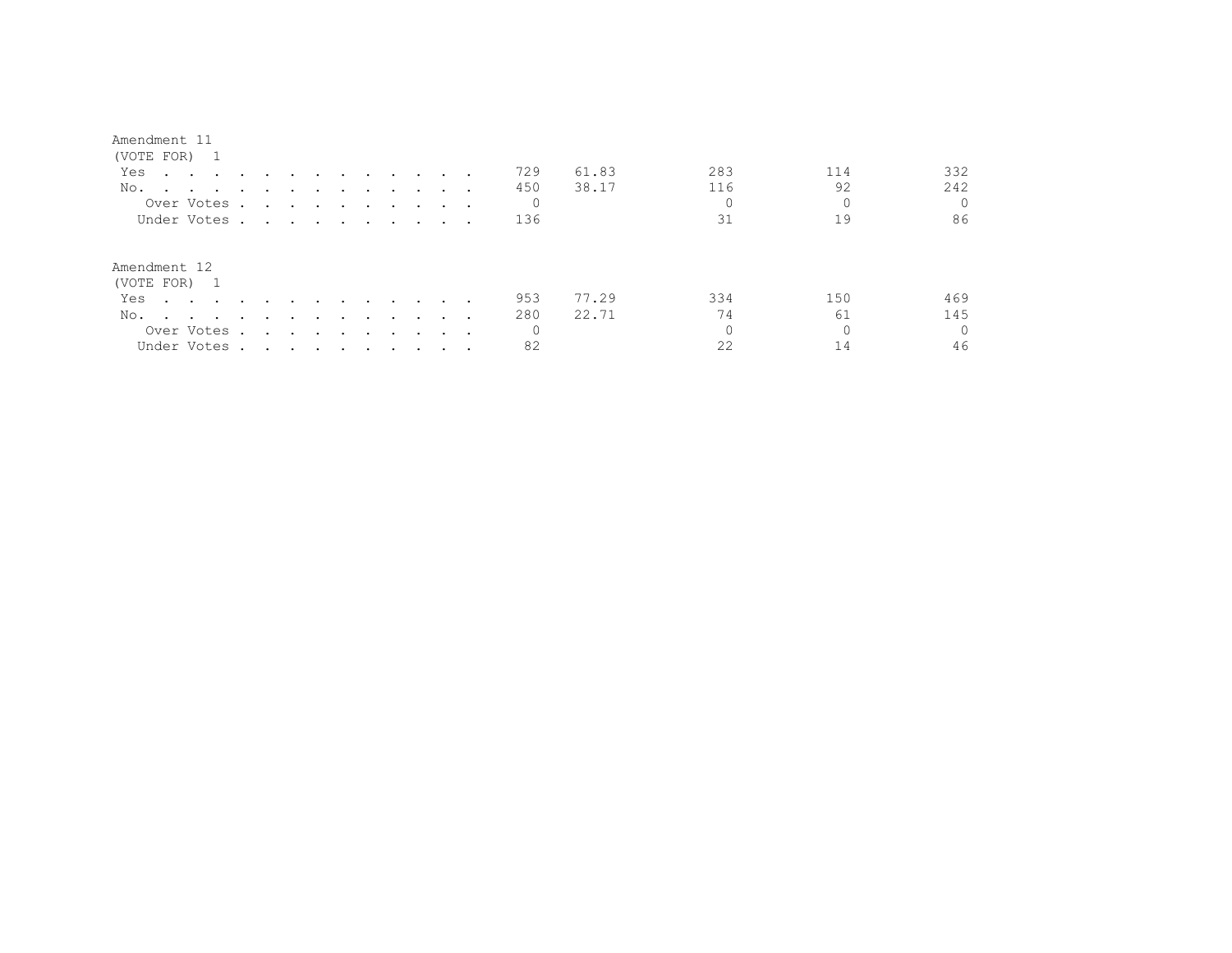| Amendment 11                              |               |                                                                                                                 |                          |                                    |               |                      |               |               |                          |     |       |          |     |          |
|-------------------------------------------|---------------|-----------------------------------------------------------------------------------------------------------------|--------------------------|------------------------------------|---------------|----------------------|---------------|---------------|--------------------------|-----|-------|----------|-----|----------|
| (VOTE FOR) 1                              |               |                                                                                                                 |                          |                                    |               |                      |               |               |                          |     |       |          |     |          |
| Yes<br>$\cdots$ $\cdots$                  | $\sim$ $\sim$ | $\sim$ $\sim$                                                                                                   |                          | $\sim$                             | $\sim$ $\sim$ | $\sim$ $\sim$        | $\sim$ $\sim$ | $\sim$ $\sim$ |                          | 729 | 61.83 | 283      | 114 | 332      |
| No.<br>$\mathbf{r} = \mathbf{r}$          |               |                                                                                                                 |                          |                                    |               |                      |               |               |                          | 450 | 38.17 | 116      | 92  | 242      |
| Over Votes                                |               | $\ddot{\phantom{0}}$                                                                                            | $\sim$ $\sim$            | $\sim$ $\sim$ $\sim$ $\sim$ $\sim$ |               |                      |               |               | $\cdots$                 |     |       | $\Omega$ |     | $\Omega$ |
| Under Votes.                              |               | the contract of the contract of the contract of the contract of the contract of the contract of the contract of |                          |                                    |               |                      |               |               |                          | 136 |       | 31       | 19  | 86       |
| Amendment 12<br>(VOTE FOR) 1              |               |                                                                                                                 |                          |                                    |               |                      |               |               |                          |     |       |          |     |          |
| Yes<br>$\sim$ $\sim$ $\sim$ $\sim$        |               |                                                                                                                 |                          |                                    |               |                      |               |               |                          | 953 | 77.29 | 334      | 150 | 469      |
| No.<br>$\sim$ $\sim$ $\sim$ $\sim$ $\sim$ | $\sim$ $\sim$ |                                                                                                                 |                          | $\cdot$                            | $\cdot$       | $\ddot{\phantom{0}}$ | $\cdot$       |               |                          | 280 | 22.71 | 74       | 61  | 145      |
| Over Votes                                |               | $\ddot{\phantom{a}}$                                                                                            | $\sim$                   | $\sim$                             |               |                      |               |               | $\overline{\phantom{a}}$ |     |       |          |     | $\Omega$ |
| Under Votes                               |               | $\sim$                                                                                                          | $\overline{\phantom{a}}$ | $\bullet$                          | $\sim$        | $\cdot$              |               |               | $\cdot$                  | 82  |       | 22       | 14  | 46       |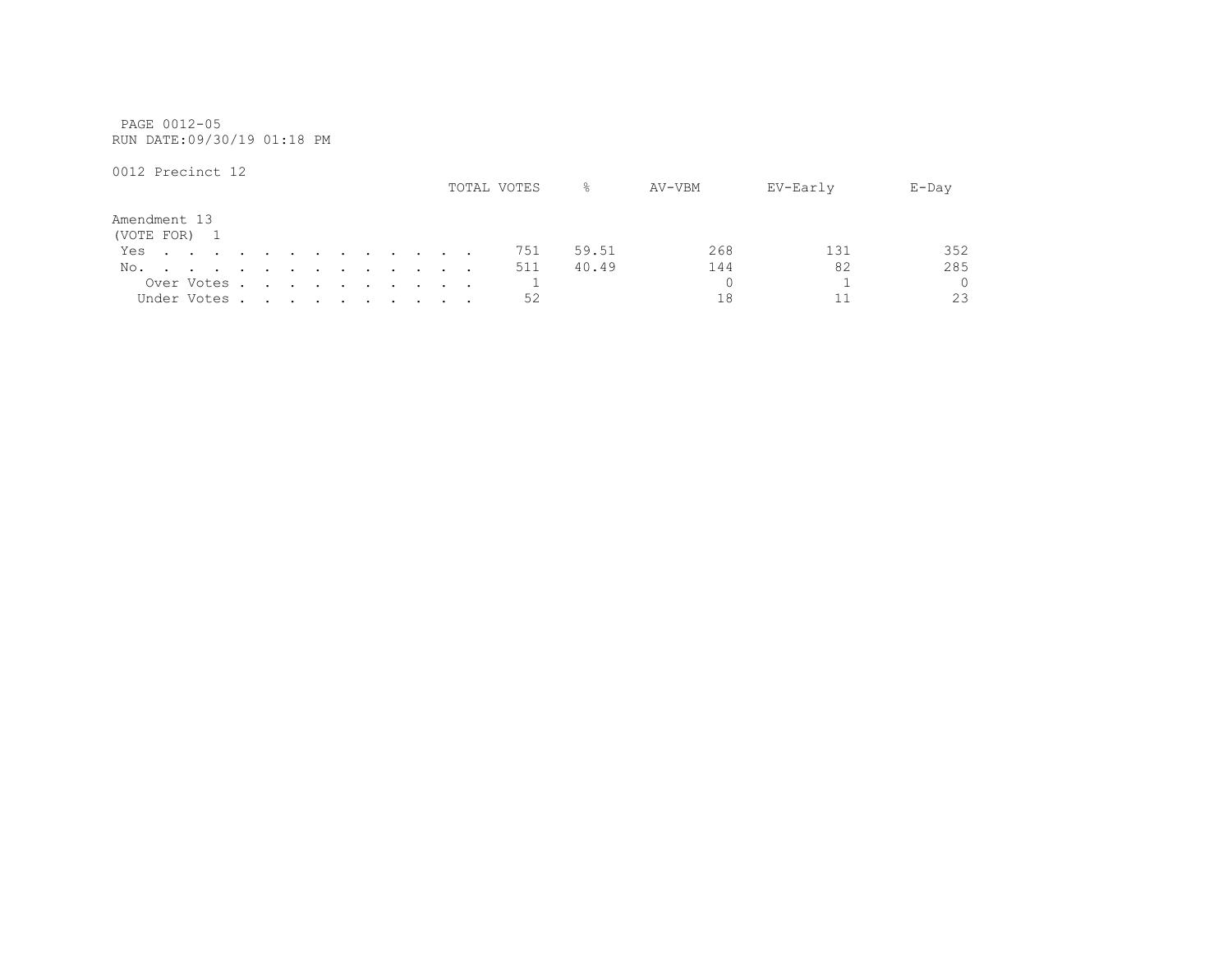PAGE 0012-05 RUN DATE:09/30/19 01:18 PM

|                              |  |             |  |  |  |  |  | TOTAL VOTES | ⊱     | AV-VBM | EV-Early | $E$ -Day |
|------------------------------|--|-------------|--|--|--|--|--|-------------|-------|--------|----------|----------|
| Amendment 13<br>(VOTE FOR) 1 |  |             |  |  |  |  |  |             |       |        |          |          |
| Yes.                         |  |             |  |  |  |  |  | 751         | 59.51 | 268    |          | 352      |
| No.                          |  |             |  |  |  |  |  | 511         | 40.49 | 144    | 82       | 285      |
|                              |  | Over Votes  |  |  |  |  |  |             |       |        |          | $\Omega$ |
|                              |  | Under Votes |  |  |  |  |  | 52          |       |        |          | 23       |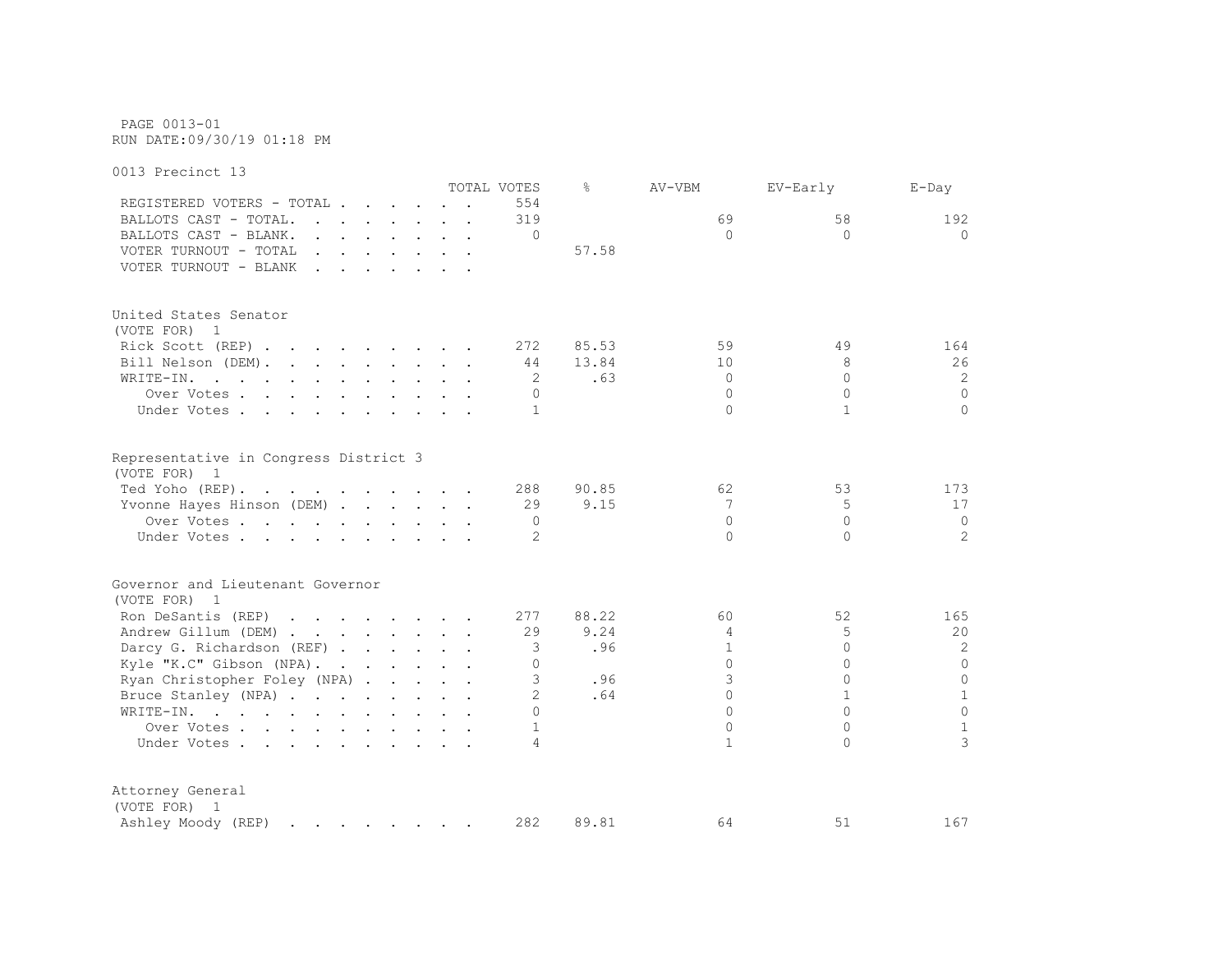PAGE 0013-01 RUN DATE:09/30/19 01:18 PM

0013 Precinct 13 TOTAL VOTES % AV-VBM EV-Early E-Day REGISTERED VOTERS - TOTAL . . . . . . 554 BALLOTS CAST - TOTAL. . . . . . . . 319 69 58 192 BALLOTS CAST - BLANK. . . . . . . . 0 0 0 0 VOTER TURNOUT - TOTAL . . . . . . . . . 57.58 VOTER TURNOUT - BLANK . . . . . . . United States Senator (VOTE FOR) 1 Rick Scott (REP) . . . . . . . . 272 85.53 59 49 164 Bill Nelson (DEM). . . . . . . . 44 13.84 10 10 8 26 WRITE-IN. . . . . . . . . . . . 2 .63 0 0 0 2 Over Votes . . . . . . . . . . 0 0 0 0 Under Votes . . . . . . . . . . 1 0 1 0 Representative in Congress District 3 (VOTE FOR) 1 Ted Yoho (REP). . . . . . . . . . 288 90.85 62 53 173 Yvonne Hayes Hinson (DEM) . . . . . 29 9.15 7 5 5 17 Over Votes . . . . . . . . . . 0 0 0 0 Under Votes . . . . . . . . . . . 2 0 0 2 2 Governor and Lieutenant Governor (VOTE FOR) 1 Ron DeSantis (REP) . . . . . . . 277 88.22 60 52 165 Andrew Gillum (DEM) . . . . . . . 29 9.24 4 5 20 Darcy G. Richardson (REF) . . . . . 3 .96 1 0 2 2 Kyle "K.C" Gibson (NPA). . . . . . 0<br>
Rvan Christopher Folev (NPA) . . . . . 3 96 3 0 0 0 Ryan Christopher Foley (NPA) . . . . 3 .96 3 0 0 0 0 Bruce Stanley (NPA) . . . . . . . . 2 .64 0 1 1 1 WRITE-IN. . . . . . . . . . . . 0 0 0 0 Over Votes . . . . . . . . . . 1 0 0 1<br>Inder Votes . . . . . . . . . . 1 0 0 1 3 Under Votes  $\cdots$  . . . . . . . . 4 1 0 Attorney General (VOTE FOR) 1 Ashley Moody (REP) . . . . . . 282 89.81 64 51 167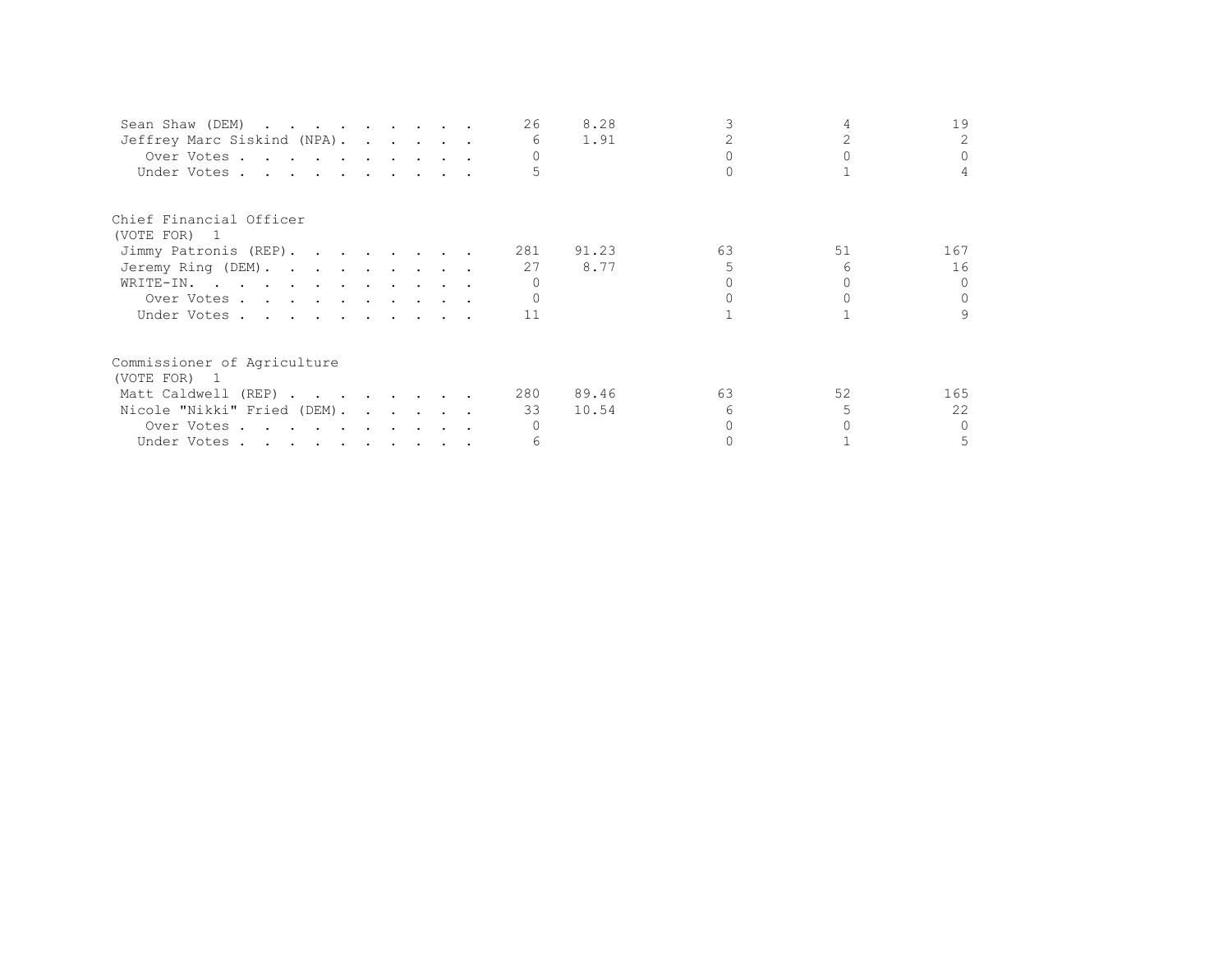| Sean Shaw (DEM)             |  |  | 26  | 8.28  |    |    | 19       |
|-----------------------------|--|--|-----|-------|----|----|----------|
| Jeffrey Marc Siskind (NPA). |  |  | 6   | 1.91  |    |    | 2.       |
| Over Votes.                 |  |  |     |       |    |    |          |
| Under Votes                 |  |  |     |       |    |    |          |
| Chief Financial Officer     |  |  |     |       |    |    |          |
| (VOTE FOR) 1                |  |  |     |       |    |    |          |
| Jimmy Patronis (REP).       |  |  | 281 | 91.23 | 63 | 51 | 167      |
| Jeremy Ring (DEM).          |  |  | 27  | 8.77  |    |    | 16       |
| WRITE-IN.                   |  |  |     |       |    |    | $\cap$   |
| Over Votes                  |  |  |     |       |    |    |          |
| Under Votes                 |  |  | 11  |       |    |    | 9        |
| Commissioner of Agriculture |  |  |     |       |    |    |          |
| (VOTE FOR) 1                |  |  |     |       |    |    |          |
| Matt Caldwell (REP)         |  |  | 280 | 89.46 | 63 | 52 | 165      |
| Nicole "Nikki" Fried (DEM). |  |  | 33  | 10.54 |    |    | 22       |
| Over Votes                  |  |  |     |       |    |    | $\Omega$ |
| Under Votes                 |  |  |     |       |    |    | 5.       |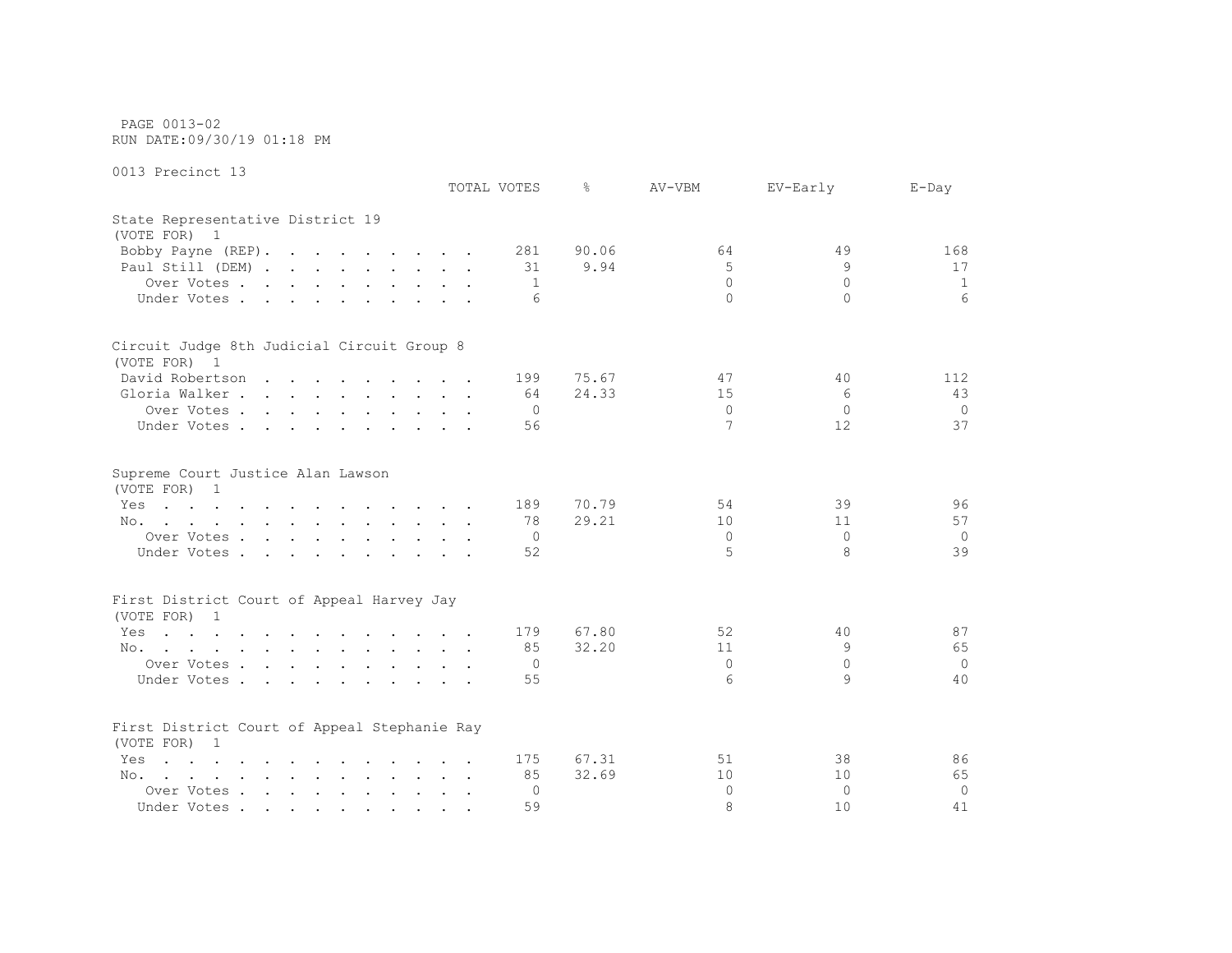PAGE 0013-02 RUN DATE:09/30/19 01:18 PM

|                                                                                                                        | TOTAL VOTES | ⊱              | AV-VBM   | EV-Early | $E$ -Day       |
|------------------------------------------------------------------------------------------------------------------------|-------------|----------------|----------|----------|----------------|
| State Representative District 19<br>(VOTE FOR) 1                                                                       |             |                |          |          |                |
| Bobby Payne (REP).                                                                                                     |             | 281<br>90.06   | 64       | 49       | 168            |
| Paul Still (DEM)                                                                                                       |             | 9.94<br>31     | 5        | 9        | 17             |
| Over Votes                                                                                                             |             | -1             | $\Omega$ | $\Omega$ | 1              |
| Under Votes                                                                                                            |             | 6              | $\Omega$ | $\Omega$ | 6              |
| Circuit Judge 8th Judicial Circuit Group 8                                                                             |             |                |          |          |                |
| (VOTE FOR) 1                                                                                                           |             |                |          |          |                |
| David Robertson                                                                                                        |             | 75.67<br>199   | 47       | 40       | 112            |
| Gloria Walker                                                                                                          |             | 24.33<br>64    | 15       | 6        | 43             |
| Over Votes                                                                                                             |             | $\overline{0}$ | $\Omega$ | $\Omega$ | $\circ$        |
| Under Votes                                                                                                            |             | 56             | 7        | 12       | 37             |
| Supreme Court Justice Alan Lawson<br>(VOTE FOR) 1                                                                      |             |                |          |          |                |
| the contract of the contract of the contract of the contract of the contract of the contract of the contract of<br>Yes |             | 70.79<br>189   | 54       | 39       | 96             |
| No.                                                                                                                    |             | 29.21<br>78    | 10       | 11       | 57             |
| Over Votes                                                                                                             |             | 0              | $\Omega$ | $\Omega$ | $\circ$        |
| Under Votes                                                                                                            |             | 52             | 5        | 8        | 39             |
| First District Court of Appeal Harvey Jay                                                                              |             |                |          |          |                |
| (VOTE FOR) 1                                                                                                           |             |                |          |          |                |
| Yes<br>the contract of the contract of the contract of the contract of                                                 |             | 67.80<br>179   | 52       | 40       | 87             |
| No.                                                                                                                    |             | 32.20<br>85    | 11       | 9        | 65             |
| Over Votes                                                                                                             |             | 0              | $\Omega$ | $\Omega$ | $\circ$        |
| Under Votes                                                                                                            |             | 55             | 6        | 9        | 40             |
|                                                                                                                        |             |                |          |          |                |
| First District Court of Appeal Stephanie Ray<br>(VOTE FOR) 1                                                           |             |                |          |          |                |
| $\mathbf{r}$ , and $\mathbf{r}$ , and $\mathbf{r}$ , and $\mathbf{r}$ , and $\mathbf{r}$ , and $\mathbf{r}$<br>Yes     |             | 175<br>67.31   | 51       | 38       | 86             |
| No.                                                                                                                    |             | 32.69<br>85    | 10       | 10       | 65             |
| Over Votes                                                                                                             |             | 0              | $\Omega$ | $\Omega$ | $\overline{0}$ |
| Under Votes                                                                                                            |             | 59             | 8        | 10       | 41             |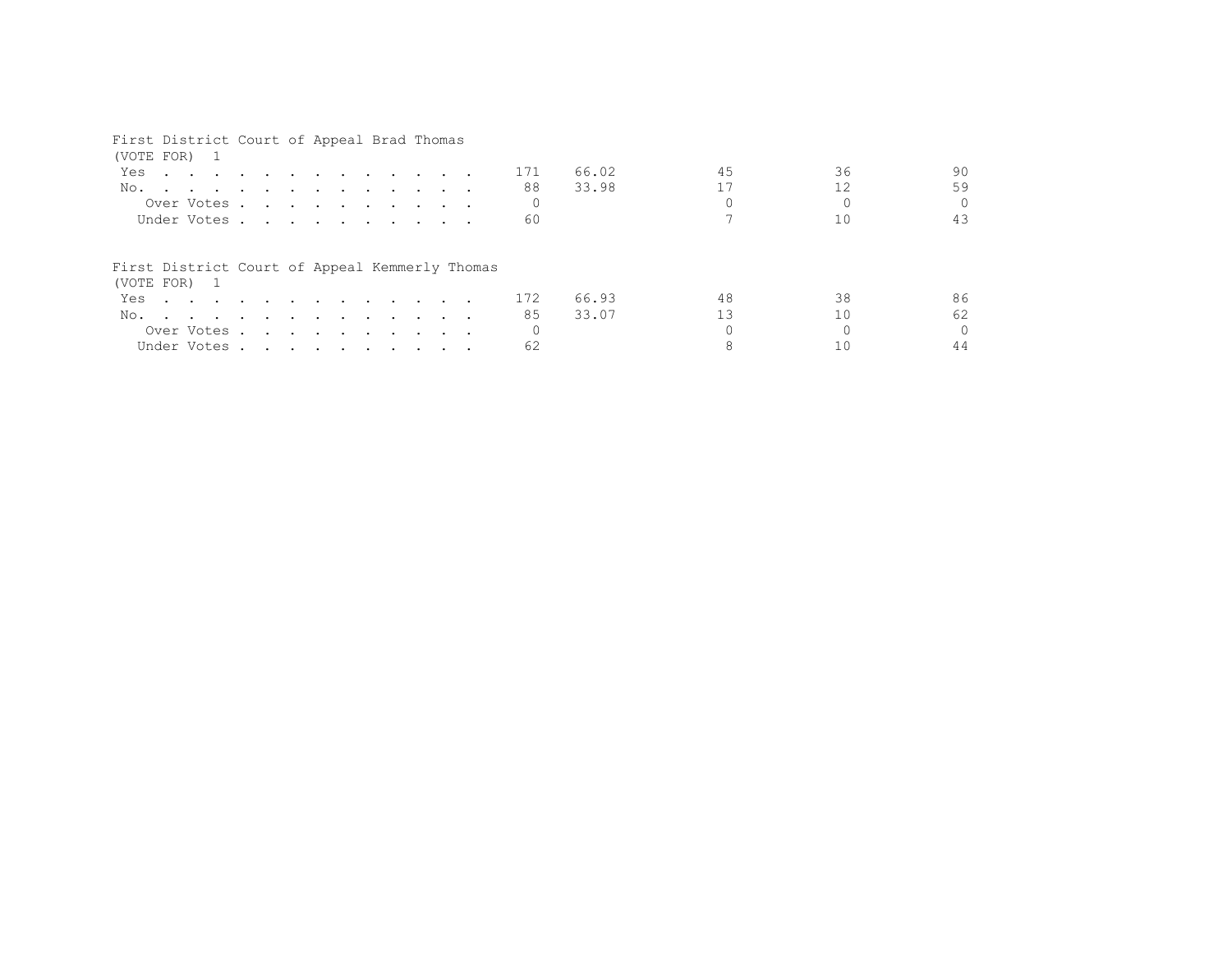### First District Court of Appeal Brad Thomas

| (VOTE FOR) 1                                                                                                                                                                                                                         |  |  |  |  |  |     |       |    |    |          |
|--------------------------------------------------------------------------------------------------------------------------------------------------------------------------------------------------------------------------------------|--|--|--|--|--|-----|-------|----|----|----------|
| Yes<br>the company of the company of the company of the company of the company of the company of the company of the company of the company of the company of the company of the company of the company of the company of the company |  |  |  |  |  | 171 | 66.02 | 45 | 36 | 90       |
| No.                                                                                                                                                                                                                                  |  |  |  |  |  | 88  | 33.98 |    | 12 | 59       |
| Over Votes                                                                                                                                                                                                                           |  |  |  |  |  |     |       |    |    | $\Omega$ |
| Under Votes                                                                                                                                                                                                                          |  |  |  |  |  | 60  |       |    |    | 43       |
| First District Court of Appeal Kemmerly Thomas<br>(VOTE FOR) 1                                                                                                                                                                       |  |  |  |  |  |     |       |    |    |          |
| Yes                                                                                                                                                                                                                                  |  |  |  |  |  | 172 | 66.93 | 48 | 38 | 86       |
| No.                                                                                                                                                                                                                                  |  |  |  |  |  | 85  | 33.07 | 13 | 10 | 62       |
| Over Votes                                                                                                                                                                                                                           |  |  |  |  |  |     |       |    |    | $\Omega$ |
| Under Votes                                                                                                                                                                                                                          |  |  |  |  |  | 62  |       |    |    | 44       |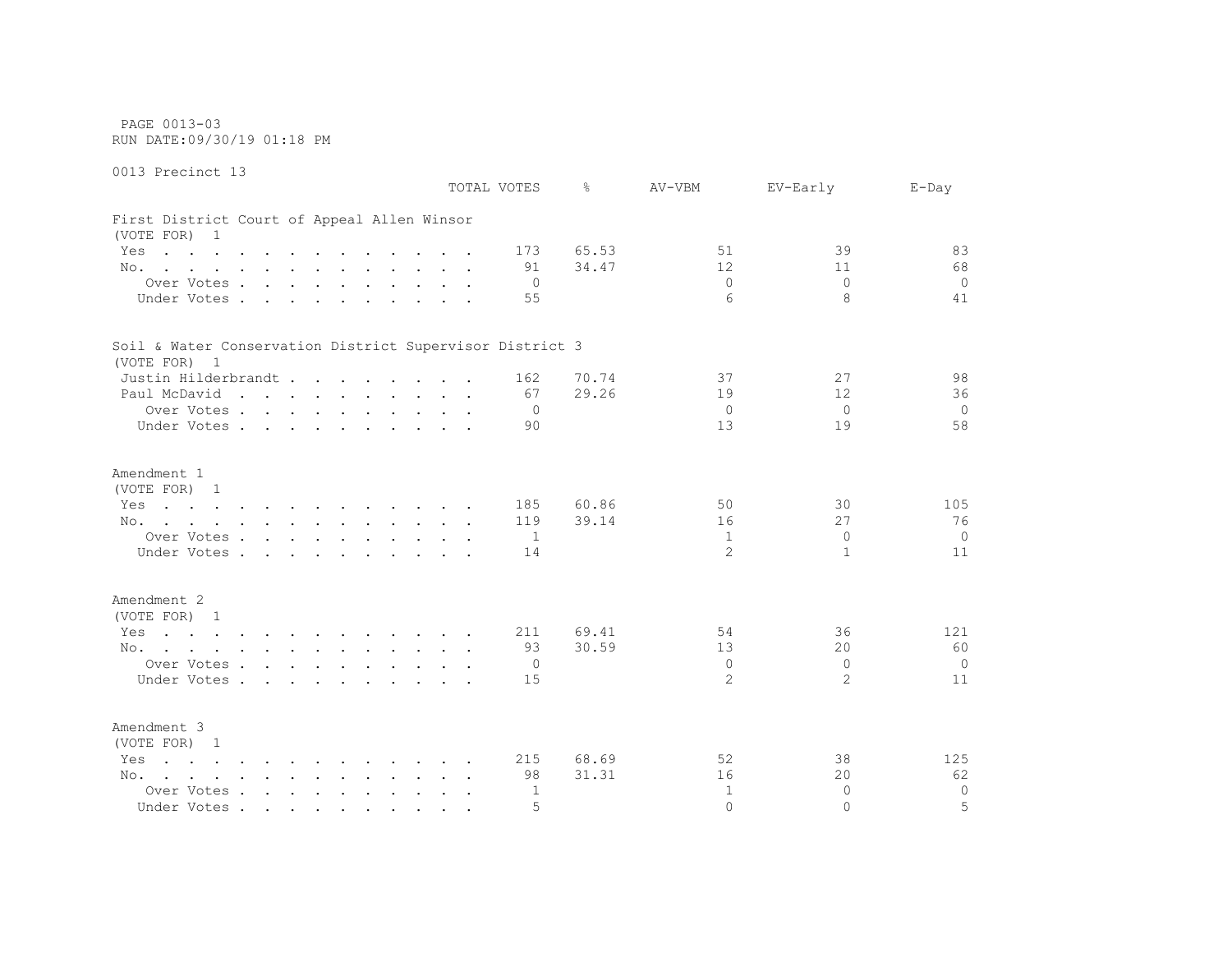PAGE 0013-03 RUN DATE:09/30/19 01:18 PM

0013 Precinct 13 TOTAL VOTES % AV-VBM EV-Early E-Day First District Court of Appeal Allen Winsor (VOTE FOR) 1 Yes . . . . . . . . . . . 173 65.53 51 39 83 No. . . . . . . . . . . . 91 34.47 12 11 68 Over Votes . . . . . . . . . . 0 0 0 0 Under Votes . . . . . . . . . . . 55 6 8 8 41 Soil & Water Conservation District Supervisor District 3 (VOTE FOR) 1 Justin Hilderbrandt . . . . . . . . 162 70.74 37 27 98 Paul McDavid . . . . . . . . . . 67 29.26 19 12 36 Over Votes . . . . . . . . . . 0 0 0 0 Under Votes . . . . . . . . . . 90 13 19 19 58 Amendment 1 (VOTE FOR) 1 Yes . . . . . . . . . . . 185 60.86 50 50 30 105 No. . . . . . . . . . . . 119 39.14 16 27 27 76 Over Votes . . . . . . . . . . 1 1 0 0 Under Votes . . . . . . . . . . 14 11 2 1 1 11 11 Amendment 2 (VOTE FOR) 1 Yes . . . . . . . . . . . 211 69.41 54 36 121 No. . . . . . . . . . . . . 93 30.59 13 20 60 Over Votes . . . . . . . . . . 0 0 0 0 Under Votes . . . . . . . . . . 15 2 2 2 11

Amendment 3 (VOTE FOR) 1 Yes . . . . . . . . . . . 215 68.69 52 38 125 No. . . . . . . . . . . . 98 31.31 16 20 62 Over Votes . . . . . . . . . . 1 1 0 0<br>
Inder Votes . . . . . . . . . . . 5 0 0 0 5 Under Votes . . . . . . . . . . 5 0 0 5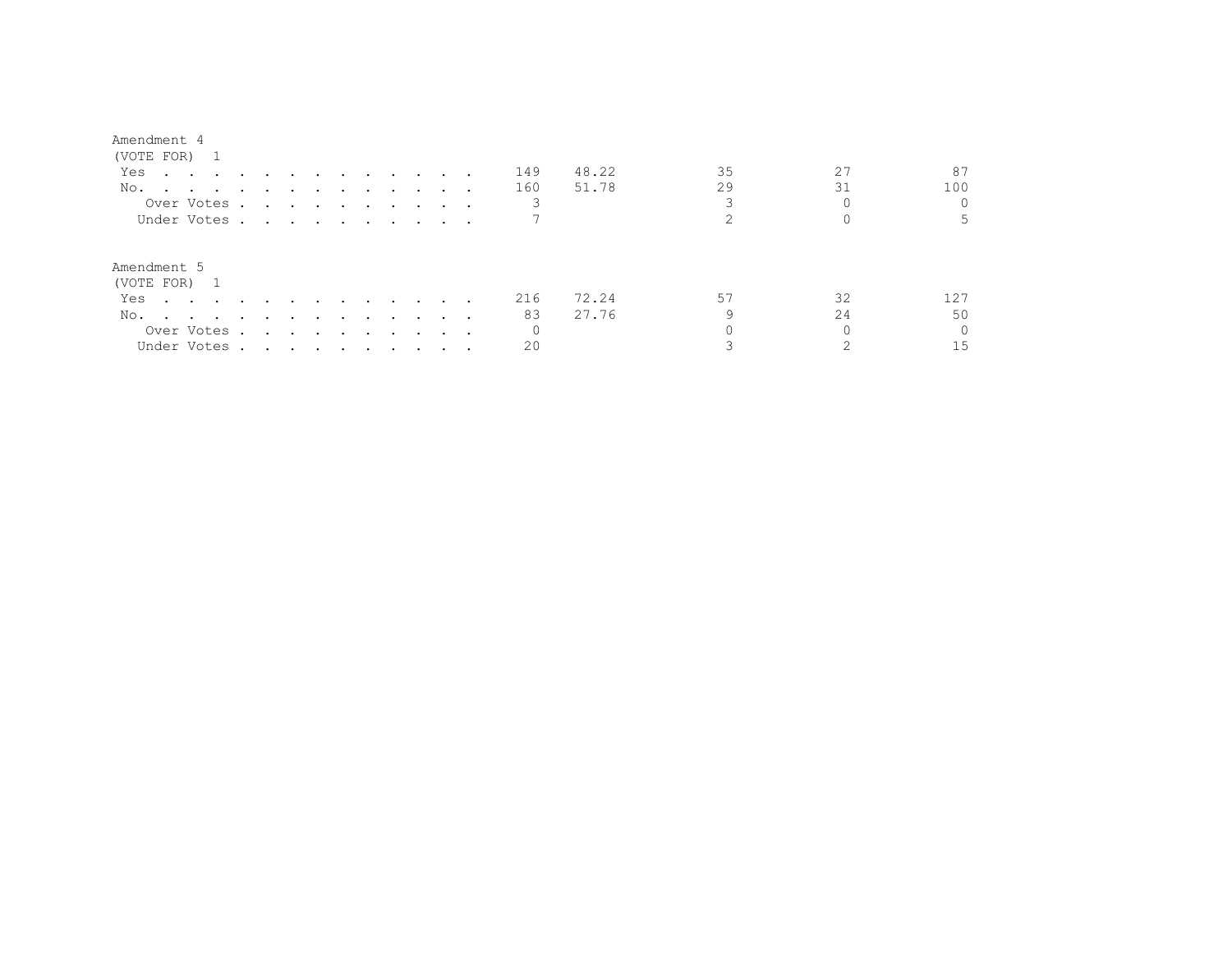#### Amendment 4

| (VOTE FOR) 1                                                                                                                                                                                                                          |                                                                                                                 |               |                                                                       |        |                      |  |                                 |     |       |    |    |          |
|---------------------------------------------------------------------------------------------------------------------------------------------------------------------------------------------------------------------------------------|-----------------------------------------------------------------------------------------------------------------|---------------|-----------------------------------------------------------------------|--------|----------------------|--|---------------------------------|-----|-------|----|----|----------|
| Yes<br>the contract of the contract of the contract of the contract of the contract of the contract of the contract of                                                                                                                |                                                                                                                 |               |                                                                       |        |                      |  |                                 | 149 | 48.22 | 35 | 27 | 87       |
| No.                                                                                                                                                                                                                                   |                                                                                                                 |               |                                                                       |        |                      |  |                                 | 160 | 51.78 | 29 | 31 | 100      |
| Over Votes.                                                                                                                                                                                                                           | the contract of the contract of the contract of the contract of the contract of the contract of the contract of |               |                                                                       |        |                      |  | $\sim$ $\sim$ $\sim$ $\sim$     |     |       |    |    |          |
| Under Votes.                                                                                                                                                                                                                          | the contract of the contract of the contract of the contract of the contract of the contract of the contract of |               |                                                                       |        |                      |  | $\cdot$ $\cdot$ $\cdot$ $\cdot$ |     |       |    |    |          |
| Amendment 5<br>(VOTE FOR) 1                                                                                                                                                                                                           |                                                                                                                 |               |                                                                       |        |                      |  |                                 |     |       |    |    |          |
| Yes                                                                                                                                                                                                                                   |                                                                                                                 |               |                                                                       |        |                      |  |                                 | 216 | 72.24 | 57 | 32 | 127      |
| No.<br>and the contract of the contract of the contract of the contract of the contract of the contract of the contract of the contract of the contract of the contract of the contract of the contract of the contract of the contra | $\sim$                                                                                                          | $\sim$ $\sim$ | $\sim$                                                                | $\sim$ | $\sim$ $\sim$ $\sim$ |  | $\cdot$ $\cdot$ $\cdot$ $\cdot$ | 83  | 27.76 |    | 24 | 50       |
| Over Votes .                                                                                                                                                                                                                          |                                                                                                                 |               | $\mathbf{r}$ , and $\mathbf{r}$ , and $\mathbf{r}$ , and $\mathbf{r}$ |        |                      |  | .                               | 0   |       |    |    | $\Omega$ |
| Under Votes.                                                                                                                                                                                                                          | the contract of the contract of the contract of the contract of the contract of the contract of the contract of |               |                                                                       |        |                      |  |                                 | 20  |       |    |    | 15       |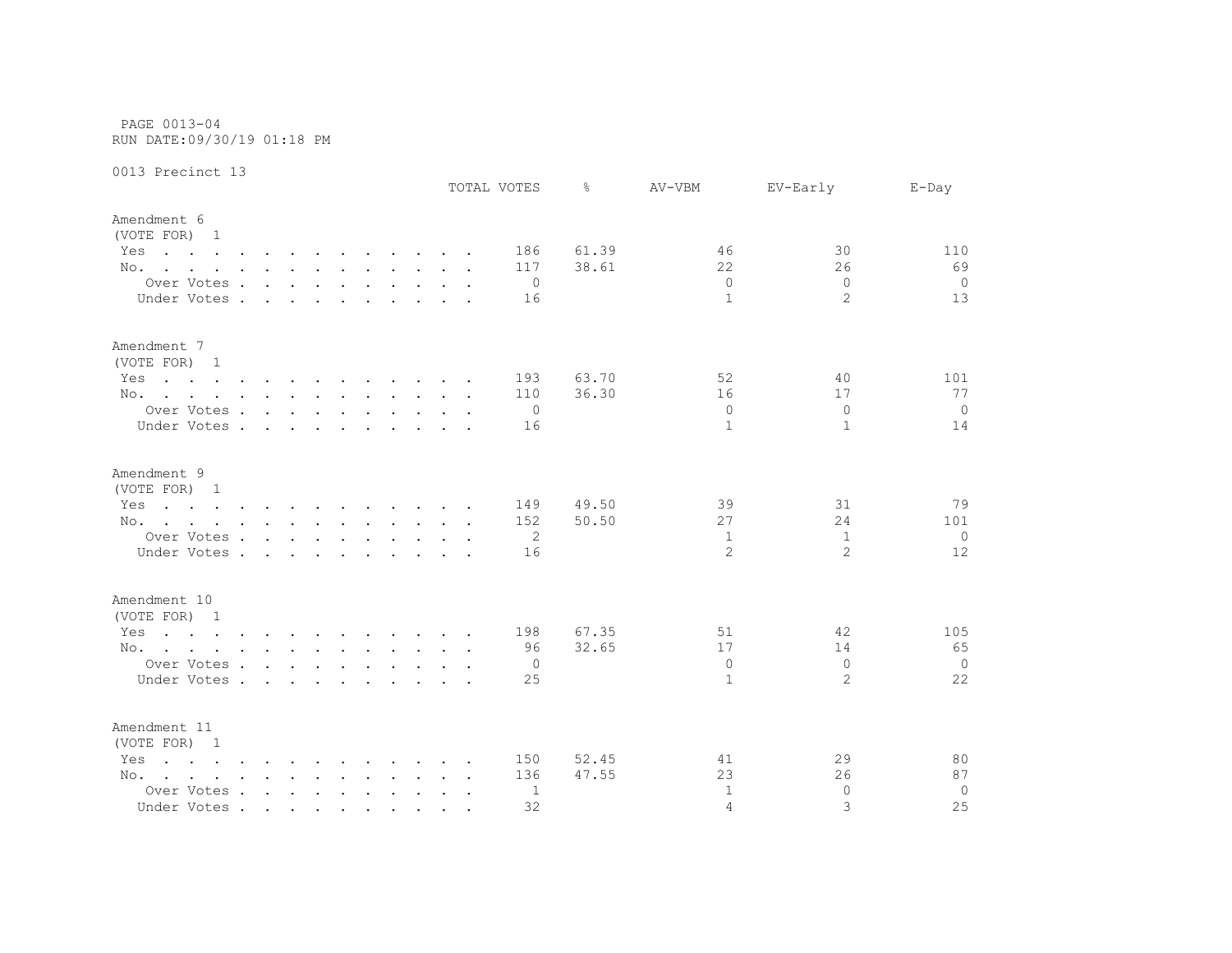PAGE 0013-04 RUN DATE:09/30/19 01:18 PM

0013 Precinct 13

|                                                                                                                        |                      |        |        |  |  | TOTAL VOTES    | ⊱     | AV-VBM       | EV-Early       | $E$ -Day       |
|------------------------------------------------------------------------------------------------------------------------|----------------------|--------|--------|--|--|----------------|-------|--------------|----------------|----------------|
| Amendment 6<br>(VOTE FOR) 1                                                                                            |                      |        |        |  |  |                |       |              |                |                |
| Yes<br>the contract of the contract of the contract of the contract of the contract of the contract of the contract of |                      |        |        |  |  | 186            | 61.39 | 46           | 30             | 110            |
| No.                                                                                                                    |                      |        |        |  |  | 117            | 38.61 | 22           | 26             | 69             |
| Over Votes                                                                                                             |                      |        |        |  |  | $\circ$        |       | $\Omega$     | $\Omega$       | $\overline{0}$ |
| Under Votes .                                                                                                          | $\sim$ $\sim$ $\sim$ | $\sim$ | $\sim$ |  |  | 16             |       | $\mathbf{1}$ | $\overline{2}$ | 13             |
| Amendment 7<br>(VOTE FOR) 1                                                                                            |                      |        |        |  |  |                |       |              |                |                |
| Yes<br>the contract of the contract of the contract of the contract of the contract of the contract of the contract of |                      |        |        |  |  | 193            | 63.70 | 52           | 40             | 101            |
| No.                                                                                                                    |                      |        |        |  |  | 110            | 36.30 | 16           | 17             | 77             |
| Over Votes                                                                                                             |                      |        |        |  |  | $\overline{0}$ |       | $\Omega$     | $\Omega$       | $\overline{0}$ |
| Under Votes                                                                                                            |                      |        |        |  |  | 16             |       | 1            | $\mathbf{1}$   | 14             |
| Amendment 9                                                                                                            |                      |        |        |  |  |                |       |              |                |                |
| (VOTE FOR) 1                                                                                                           |                      |        |        |  |  |                |       |              |                |                |
| the contract of the contract of the contract of the contract of the contract of the contract of the contract of<br>Yes |                      |        |        |  |  | 149            | 49.50 | 39           | 31             | 79             |
| No.                                                                                                                    |                      |        |        |  |  | 152            | 50.50 | 27           | 24             | 101            |
| Over Votes                                                                                                             |                      |        |        |  |  | 2              |       | 1            | 1              | $\circ$        |
| Under Votes.                                                                                                           | $\cdots$             |        |        |  |  | 16             |       | 2            | $\overline{2}$ | 12             |
| Amendment 10<br>(VOTE FOR) 1                                                                                           |                      |        |        |  |  |                |       |              |                |                |
| the contract of the contract of the contract of the contract of the contract of the contract of the contract of<br>Yes |                      |        |        |  |  | 198            | 67.35 | 51           | 42             | 105            |
| No.                                                                                                                    |                      |        |        |  |  | 96             | 32.65 | 17           | 14             | 65             |
| Over Votes                                                                                                             |                      |        |        |  |  | 0              |       | $\Omega$     | $\Omega$       | $\overline{0}$ |
| Under Votes                                                                                                            |                      |        |        |  |  | 25             |       | 1            | $\overline{2}$ | 22             |
|                                                                                                                        |                      |        |        |  |  |                |       |              |                |                |
| Amendment 11<br>(VOTE FOR) 1                                                                                           |                      |        |        |  |  |                |       |              |                |                |
| $\mathbf{r}$ , and $\mathbf{r}$ , and $\mathbf{r}$ , and $\mathbf{r}$ , and $\mathbf{r}$ , and $\mathbf{r}$<br>Yes     |                      |        |        |  |  | 150            | 52.45 | 41           | 29             | 80             |
| No.                                                                                                                    |                      |        |        |  |  | 136            | 47.55 | 23           | 26             | 87             |
| Over Votes                                                                                                             |                      |        |        |  |  | 1              |       | $\mathbf{1}$ | $\Omega$       | $\mathbf 0$    |
| Under Votes                                                                                                            |                      |        |        |  |  | 32             |       | 4            | 3              | 25             |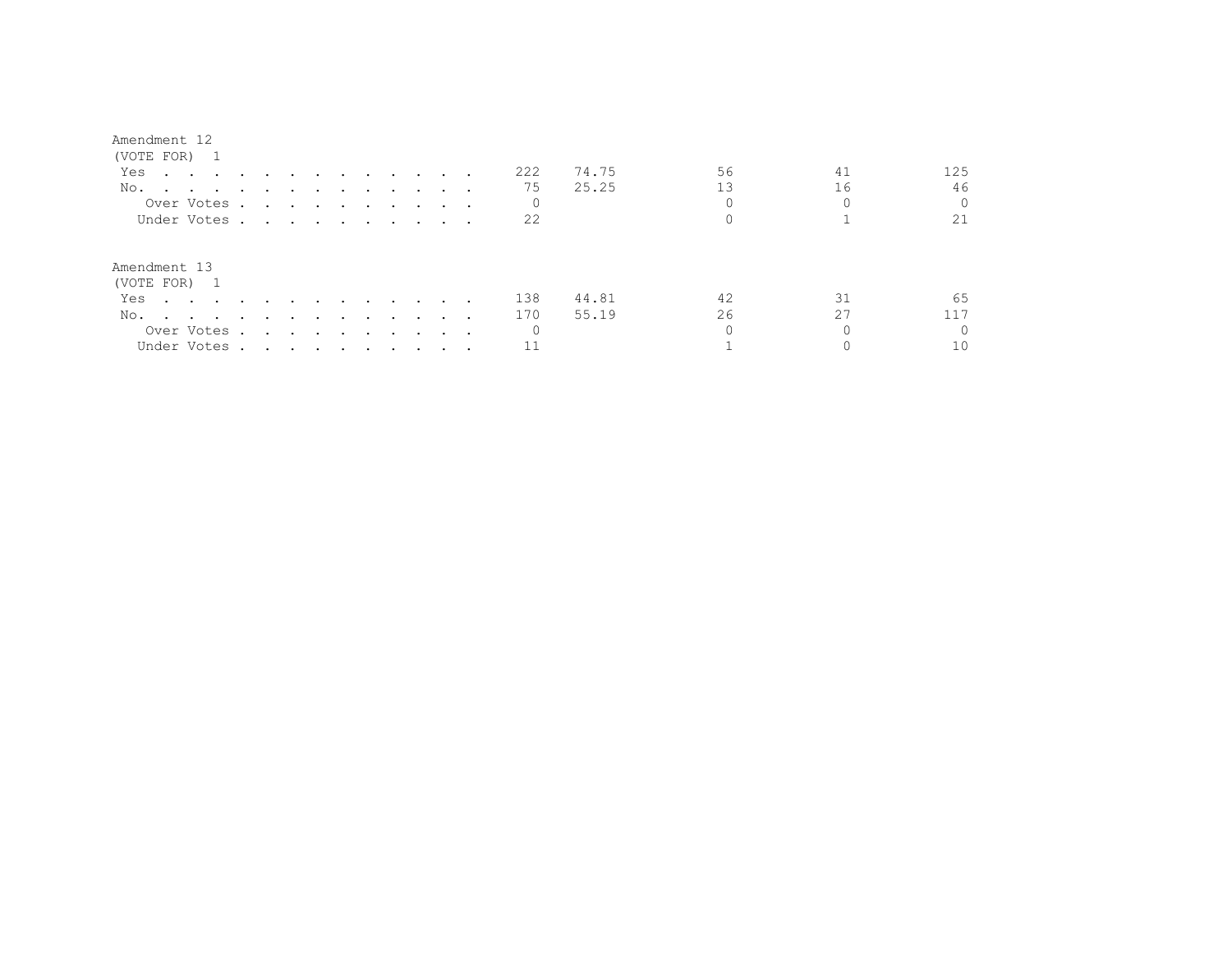## Amendment 12

| (VOTE FOR) 1                                                                                                                                                                                                                          |                                                                                                                                                                                                                               |                                 |                          |           |                                   |               |               |                             |     |       |    |    |          |
|---------------------------------------------------------------------------------------------------------------------------------------------------------------------------------------------------------------------------------------|-------------------------------------------------------------------------------------------------------------------------------------------------------------------------------------------------------------------------------|---------------------------------|--------------------------|-----------|-----------------------------------|---------------|---------------|-----------------------------|-----|-------|----|----|----------|
| Yes<br>$\mathbf{r}$ , and $\mathbf{r}$ , and $\mathbf{r}$ , and $\mathbf{r}$                                                                                                                                                          |                                                                                                                                                                                                                               |                                 | $\sim$ $\sim$            | $\sim$    | and the state of the state of the |               |               |                             | 222 | 74.75 | 56 | 41 | 125      |
| No.<br>$\cdots$                                                                                                                                                                                                                       |                                                                                                                                                                                                                               |                                 |                          |           |                                   |               |               |                             | 75  | 25.25 | 13 | 16 | 46       |
| Over Votes.                                                                                                                                                                                                                           |                                                                                                                                                                                                                               |                                 |                          |           |                                   |               |               |                             | 0   |       |    |    | $\Omega$ |
| Under Votes.                                                                                                                                                                                                                          | the contract of the contract of the contract of the contract of the contract of the contract of the contract of                                                                                                               |                                 |                          |           |                                   |               |               | $\cdot$                     | 22  |       |    |    | 21       |
| Amendment 13<br>(VOTE FOR) 1                                                                                                                                                                                                          |                                                                                                                                                                                                                               |                                 |                          |           |                                   |               |               |                             |     |       |    |    |          |
| Yes<br>$\cdots$                                                                                                                                                                                                                       | $\sim$                                                                                                                                                                                                                        |                                 |                          |           | $\sim$                            | $\sim$ $\sim$ |               | $\cdots$                    | 138 | 44.81 | 42 | 31 | 65       |
| No.<br>and the contract of the contract of the contract of the contract of the contract of the contract of the contract of the contract of the contract of the contract of the contract of the contract of the contract of the contra | $\ddot{\phantom{a}}$                                                                                                                                                                                                          |                                 | $\overline{\phantom{a}}$ | $\bullet$ | $\sim$ $\sim$ $\sim$              |               | $\sim$ $\sim$ |                             | 170 | 55.19 | 26 | 27 |          |
| Over Votes .                                                                                                                                                                                                                          | $\sim$                                                                                                                                                                                                                        | <b>Contract Contract Street</b> |                          | $\sim$    | $\sim$ $\sim$ $\sim$              |               |               | $\sim$ $\sim$ $\sim$ $\sim$ | 0   |       |    |    | $\Omega$ |
| Under Votes .                                                                                                                                                                                                                         | . The contract of the contract of the contract of the contract of the contract of the contract of the contract of the contract of the contract of the contract of the contract of the contract of the contract of the contrac |                                 |                          |           |                                   |               |               |                             |     |       |    |    | 10       |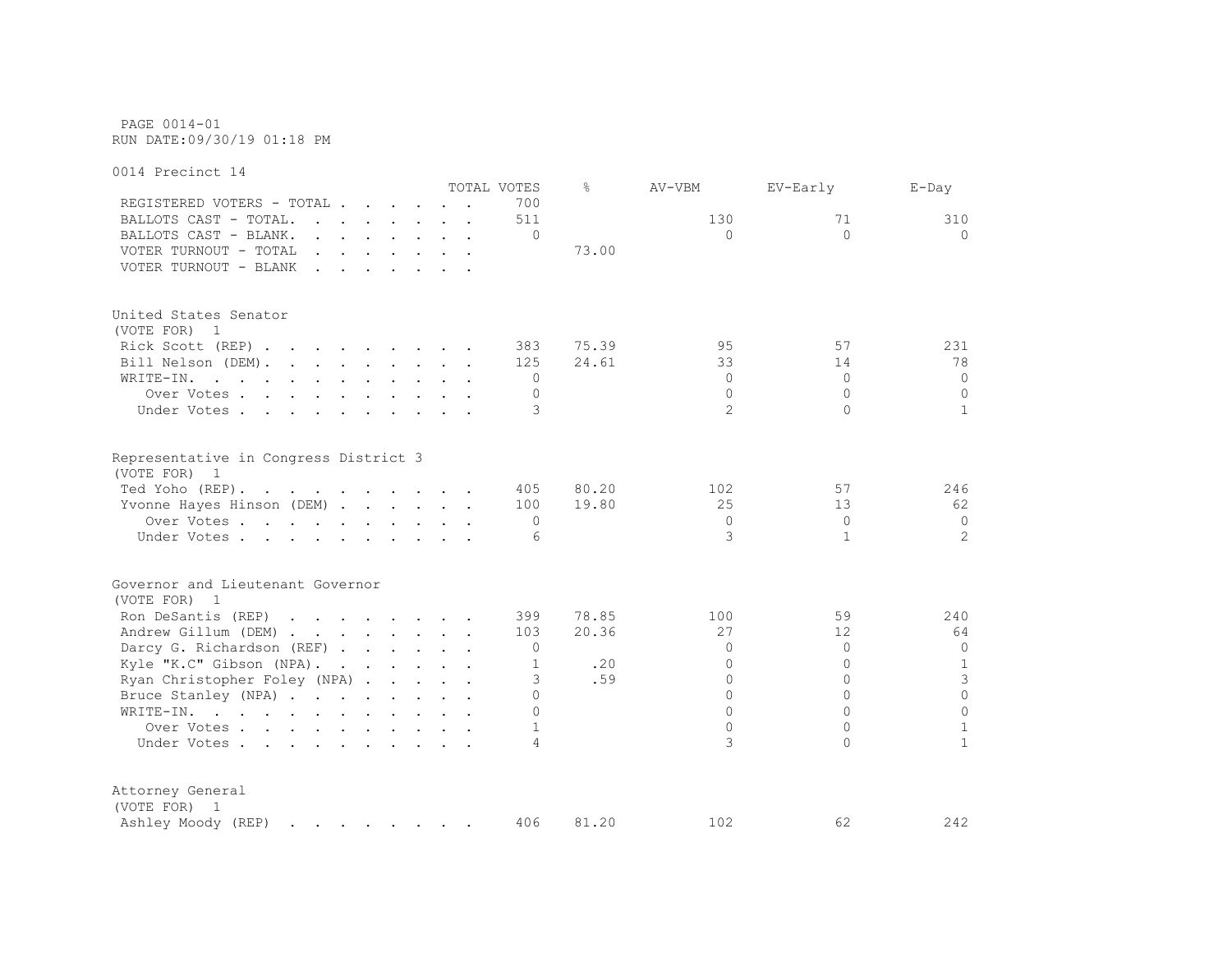PAGE 0014-01 RUN DATE:09/30/19 01:18 PM

0014 Precinct 14 TOTAL VOTES % AV-VBM EV-Early E-Day REGISTERED VOTERS - TOTAL . . . . . . 700 BALLOTS CAST - TOTAL. . . . . . . 511 130 130 71 310 BALLOTS CAST - BLANK. . . . . . . . 0 0 0 0 VOTER TURNOUT - TOTAL . . . . . . . 73.00 VOTER TURNOUT - BLANK . . . . . . . United States Senator (VOTE FOR) 1 Rick Scott (REP) . . . . . . . . 383 75.39 95 57 231 Bill Nelson (DEM). . . . . . . . 125 24.61 33 14 78 WRITE-IN. . . . . . . . . . . . 0 0 0 0 Over Votes . . . . . . . . . . 0 0 0 0 Under Votes . . . . . . . . . . 3 2 0 1 Representative in Congress District 3 (VOTE FOR) 1 Ted Yoho (REP) . . . . . . . . . . 405 80.20 102 57 246 Yvonne Hayes Hinson (DEM) . . . . . 100 19.80 25 13 62 Over Votes . . . . . . . . . . 0 0 0 0 Under Votes . . . . . . . . . . . 6 3 1 2 2 Governor and Lieutenant Governor (VOTE FOR) 1 Ron DeSantis (REP) . . . . . . . 399 78.85 100 59 240 Andrew Gillum (DEM) . . . . . . . 103 20.36 27 27 12 64 Darcy G. Richardson (REF) . . . . . . 0 0 0 0 Kyle "K.C" Gibson (NPA). . . . . . 1 . 20 0 0 1 Ryan Christopher Foley (NPA) . . . . 3 .59 0 0 3 3 Bruce Stanley (NPA) . . . . . . . . 0 0 0 0 WRITE-IN. . . . . . . . . . . . 0 0 0 0 Over Votes . . . . . . . . . . 1 0 0 1 1 Under Votes . . . . . . . . . . . 4 3 0 1 Attorney General (VOTE FOR) 1 Ashley Moody (REP) . . . . . . . 406 81.20 102 62 242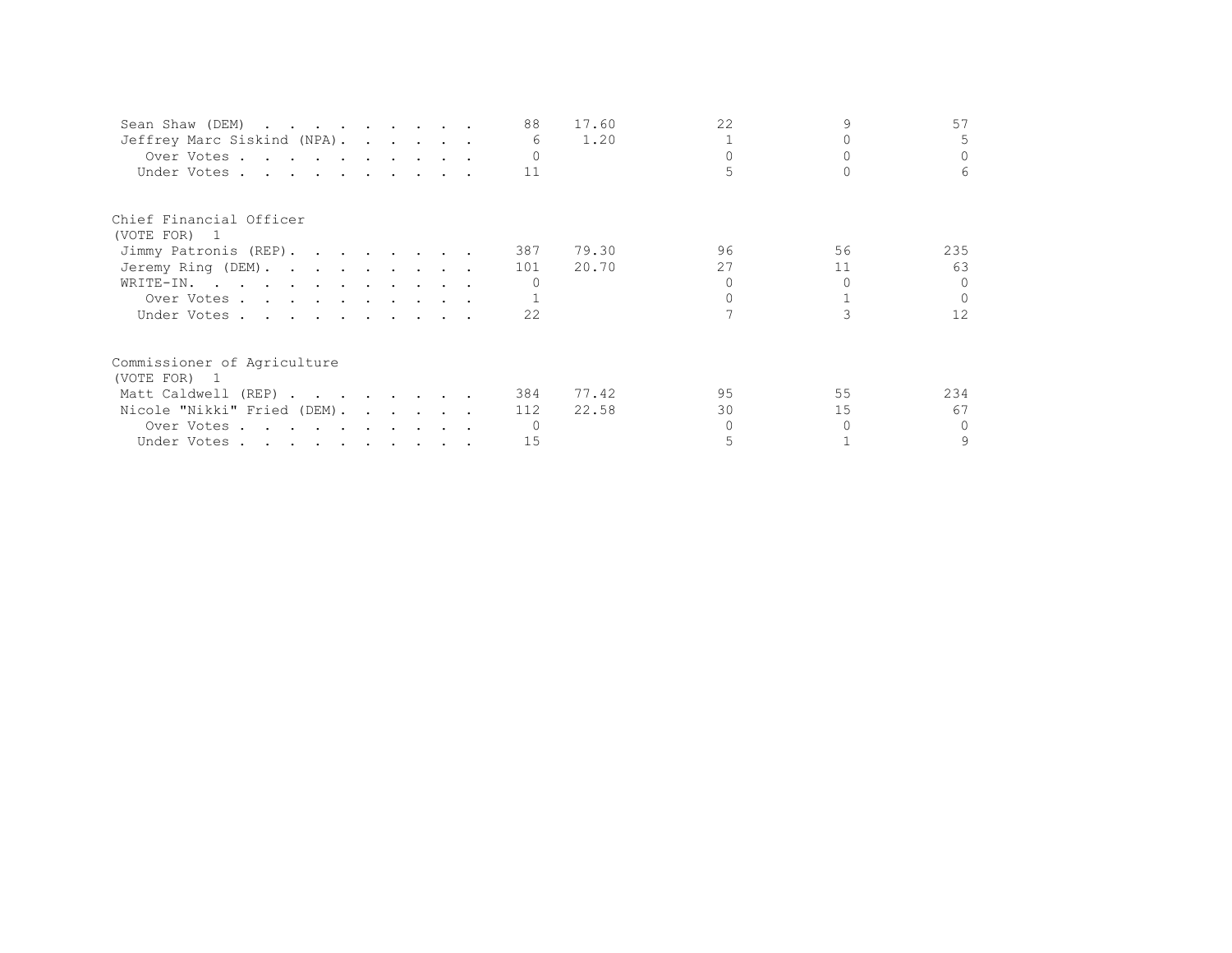| Sean Shaw (DEM)             |  |  | 88  | 17.60 | 22 |    | 57                |
|-----------------------------|--|--|-----|-------|----|----|-------------------|
| Jeffrey Marc Siskind (NPA). |  |  | 6   | 1.20  |    |    | 5.                |
| Over Votes                  |  |  |     |       |    |    | $\Omega$          |
| Under Votes                 |  |  | 11  |       |    |    | 6                 |
| Chief Financial Officer     |  |  |     |       |    |    |                   |
| (VOTE FOR) 1                |  |  |     |       |    |    |                   |
| Jimmy Patronis (REP).       |  |  | 387 | 79.30 | 96 | 56 | 235               |
| Jeremy Ring (DEM).          |  |  | 101 | 20.70 | 27 | 11 | 63                |
| WRITE-IN.                   |  |  |     |       |    |    | $\cap$            |
| Over Votes                  |  |  |     |       |    |    |                   |
| Under Votes                 |  |  | 22  |       |    |    | $12 \overline{ }$ |
| Commissioner of Agriculture |  |  |     |       |    |    |                   |
| (VOTE FOR) 1                |  |  |     |       |    |    |                   |
| Matt Caldwell (REP)         |  |  | 384 | 77.42 | 95 | 55 | 234               |
| Nicole "Nikki" Fried (DEM). |  |  | 112 | 22.58 | 30 | 15 | 67                |
| Over Votes                  |  |  |     |       |    |    | $\Omega$          |
| Under Votes                 |  |  | 15  |       |    |    | 9                 |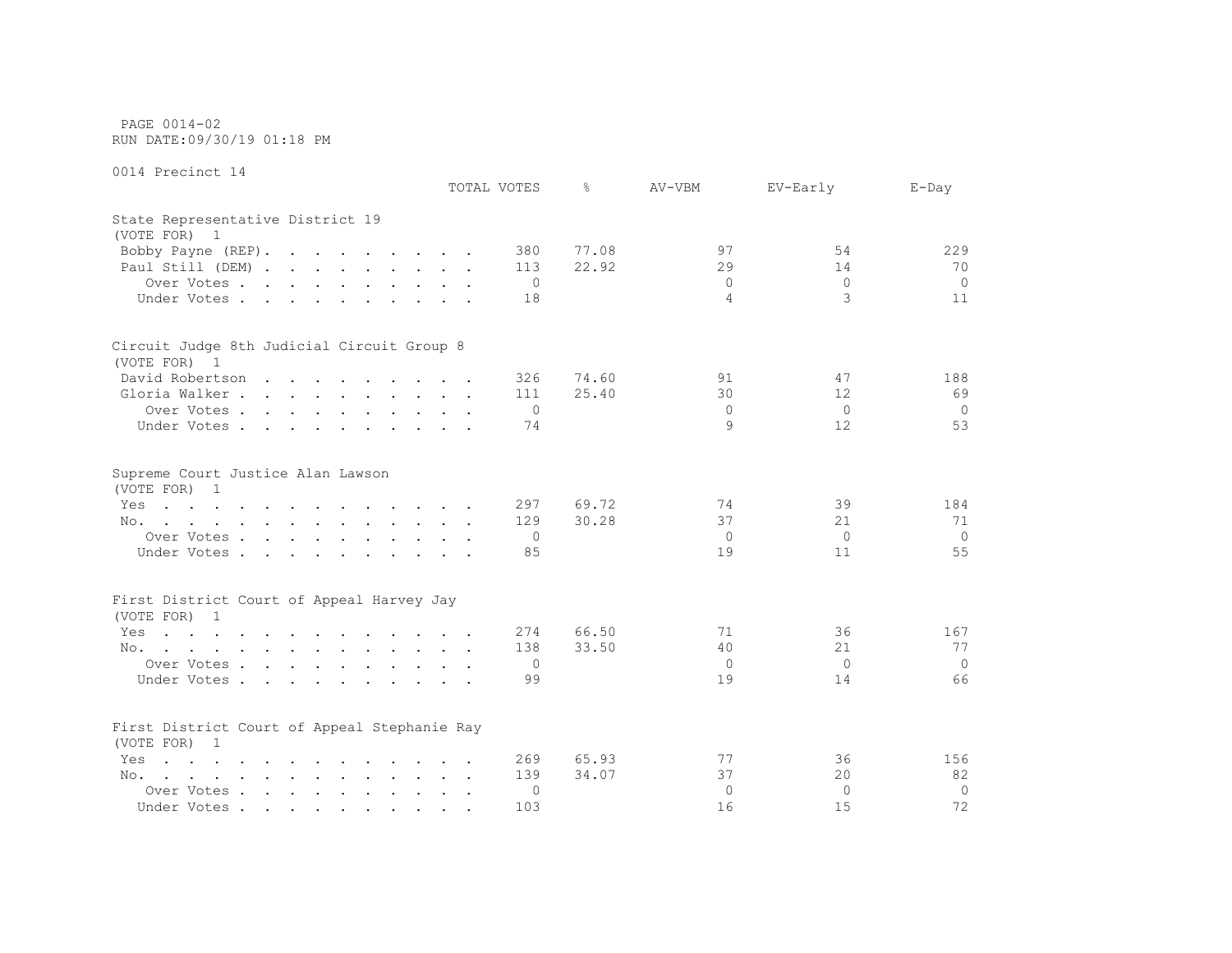PAGE 0014-02 RUN DATE:09/30/19 01:18 PM

0014 Precinct 14

|                                                                                                                        | TOTAL VOTES |                | ⊱     | AV-VBM         | EV-Early        | $E$ -Day       |
|------------------------------------------------------------------------------------------------------------------------|-------------|----------------|-------|----------------|-----------------|----------------|
| State Representative District 19<br>(VOTE FOR) 1                                                                       |             |                |       |                |                 |                |
| Bobby Payne (REP).                                                                                                     |             | 380            | 77.08 | 97             | 54              | 229            |
| Paul Still (DEM)                                                                                                       |             | 113            | 22.92 | 29             | 14              | 70             |
| Over Votes                                                                                                             |             | 0              |       | $\Omega$       | $\Omega$        | $\circ$        |
| Under Votes                                                                                                            |             | 18             |       | 4              | 3               | 11             |
| Circuit Judge 8th Judicial Circuit Group 8                                                                             |             |                |       |                |                 |                |
| (VOTE FOR) 1                                                                                                           |             |                |       |                |                 |                |
| David Robertson                                                                                                        |             | 326            | 74.60 | 91             | 47              | 188            |
| Gloria Walker                                                                                                          |             | 111            | 25.40 | 30             | 12              | 69             |
| Over Votes                                                                                                             |             | $\overline{0}$ |       | $\Omega$       | $\Omega$        | $\overline{0}$ |
| Under Votes                                                                                                            |             | 74             |       | 9              | 12 <sup>°</sup> | 53             |
| Supreme Court Justice Alan Lawson<br>(VOTE FOR) 1                                                                      |             |                |       |                |                 |                |
| the contract of the contract of the contract of the contract of the contract of the contract of the contract of<br>Yes |             | 297            | 69.72 | 74             | 39              | 184            |
| No.                                                                                                                    |             | 129            | 30.28 | 37             | 21              | 71             |
| Over Votes                                                                                                             |             | $\mathbf{0}$   |       | 0              | $\Omega$        | $\circ$        |
| Under Votes                                                                                                            |             | 85             |       | 19             | 11              | 55             |
| First District Court of Appeal Harvey Jay                                                                              |             |                |       |                |                 |                |
| (VOTE FOR) 1                                                                                                           |             |                |       |                |                 |                |
| Yes<br>the contract of the contract of the contract of the contract of the contract of the contract of the contract of |             | 274            | 66.50 | 71             | 36              | 167            |
| No.                                                                                                                    |             | 138            | 33.50 | 40             | 21              | 77             |
| Over Votes                                                                                                             |             | $\mathbf{0}$   |       | $\overline{0}$ | $\Omega$        | $\circ$        |
| Under Votes                                                                                                            |             | 99             |       | 19             | 14              | 66             |
| First District Court of Appeal Stephanie Ray<br>(VOTE FOR) 1                                                           |             |                |       |                |                 |                |
| $\mathbf{r}$ , and $\mathbf{r}$ , and $\mathbf{r}$ , and $\mathbf{r}$ , and $\mathbf{r}$ , and $\mathbf{r}$<br>Yes     |             | 269            | 65.93 | 77             | 36              | 156            |
| No.                                                                                                                    |             | 139            | 34.07 | 37             | 20              | 82             |
| Over Votes                                                                                                             |             | 0              |       | $\Omega$       | $\Omega$        | $\mathbf{0}$   |
| Under Votes                                                                                                            |             | 103            |       | 16             | 15              | 72             |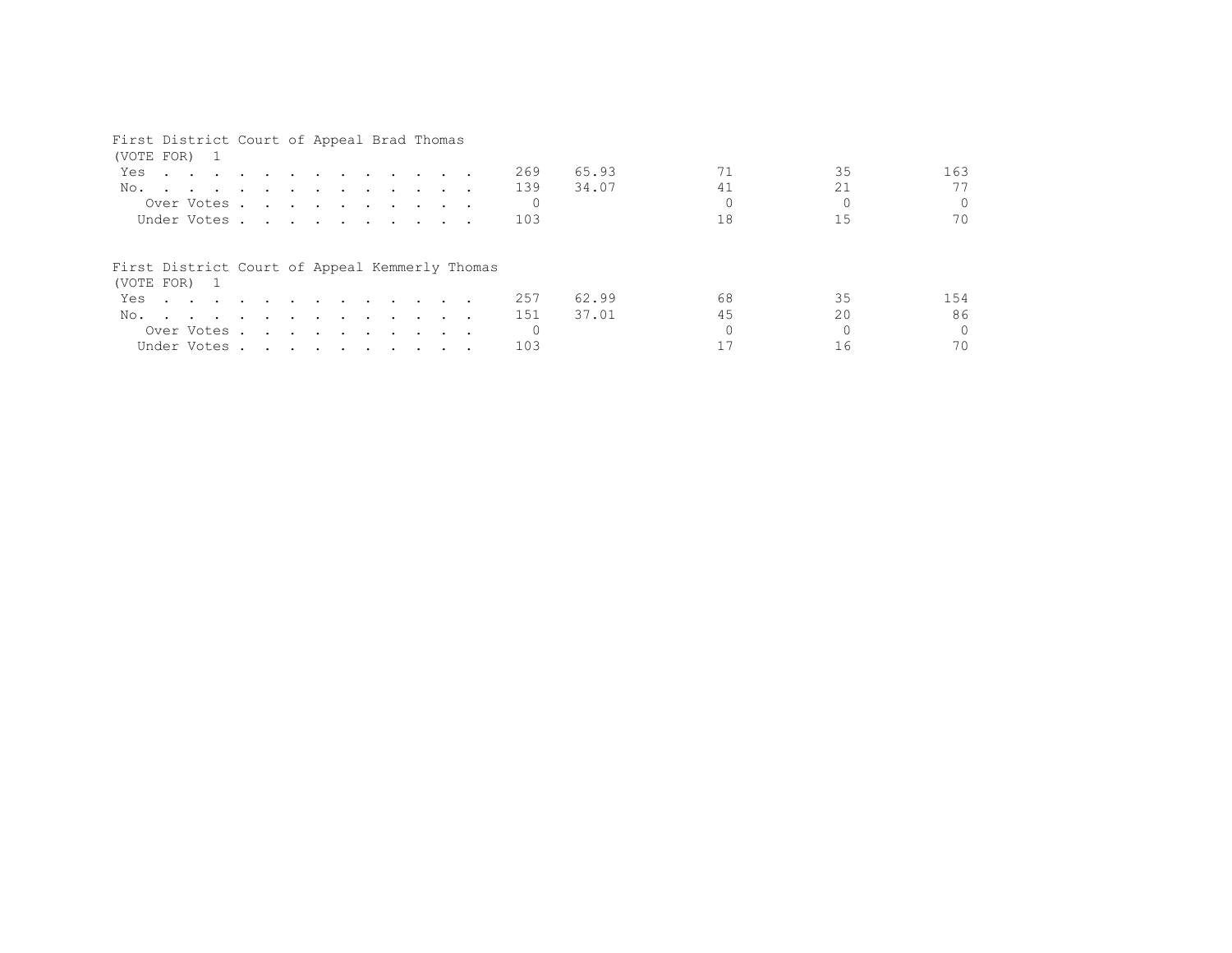## First District Court of Appeal Brad Thomas

| (VOTE FOR) 1                                                                                                                                                                                                                                |  |  |  |  |  |     |       |    |    |          |
|---------------------------------------------------------------------------------------------------------------------------------------------------------------------------------------------------------------------------------------------|--|--|--|--|--|-----|-------|----|----|----------|
| Yes<br><u>in the second contract of the second contract of the second contract of the second contract of the second contract of the second contract of the second contract of the second contract of the second contract of the second </u> |  |  |  |  |  | 269 | 65.93 |    | 35 | 163      |
| No.                                                                                                                                                                                                                                         |  |  |  |  |  | 139 | 34.07 | 41 | 21 | 77       |
| Over Votes                                                                                                                                                                                                                                  |  |  |  |  |  |     |       |    |    | $\Omega$ |
| Under Votes                                                                                                                                                                                                                                 |  |  |  |  |  | 103 |       | 18 | 15 | 70       |
| First District Court of Appeal Kemmerly Thomas<br>(VOTE FOR) 1                                                                                                                                                                              |  |  |  |  |  |     |       |    |    |          |
| Yes                                                                                                                                                                                                                                         |  |  |  |  |  | 257 | 62.99 | 68 | 35 | 154      |
| No.                                                                                                                                                                                                                                         |  |  |  |  |  | 151 | 37.01 | 45 | 20 | 86       |
| Over Votes                                                                                                                                                                                                                                  |  |  |  |  |  |     |       |    |    | $\Omega$ |
| Under Votes                                                                                                                                                                                                                                 |  |  |  |  |  | 103 |       |    | 16 | 70       |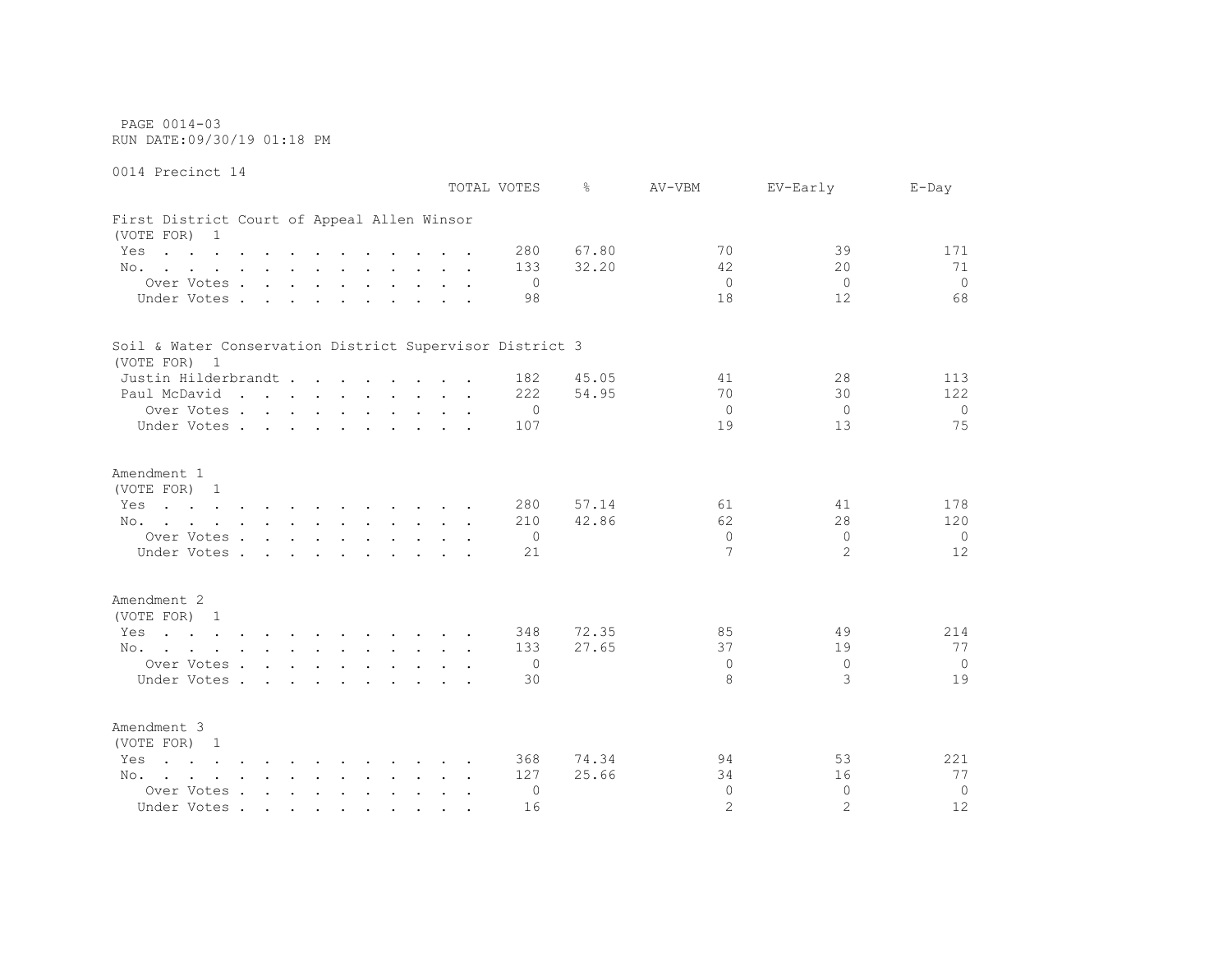PAGE 0014-03 RUN DATE:09/30/19 01:18 PM

0014 Precinct 14 TOTAL VOTES % AV-VBM EV-Early E-Day First District Court of Appeal Allen Winsor (VOTE FOR) 1 Yes . . . . . . . . . . . . 280 67.80 70 39 171 No. . . . . . . . . . . . 133 32.20 42 20 20 71 Over Votes . . . . . . . . . . 0 0 0 0 Under Votes . . . . . . . . . . 98 18 12 68 Soil & Water Conservation District Supervisor District 3 (VOTE FOR) 1 Justin Hilderbrandt . . . . . . 182 45.05 41 28 113 Paul McDavid . . . . . . . . . 222 54.95 70 30 122 Over Votes . . . . . . . . . . 0 0 0 0 Under Votes . . . . . . . . . . 107 19 13 13 75 Amendment 1 (VOTE FOR) 1 Yes . . . . . . . . . . . 280 57.14 61 61 41 178 No. . . . . . . . . . . . 210 42.86 62 28 28 120 Over Votes . . . . . . . . . . 0 0 0 0 Under Votes . . . . . . . . . . 21 2 2 2 12 Amendment 2 (VOTE FOR) 1 Yes . . . . . . . . . . . 348 72.35 85 85 49 214 No. . . . . . . . . . . . 133 27.65 37 19 19 77 Over Votes . . . . . . . . . . 0 0 0 0 Under Votes . . . . . . . . . . 30 3 3 3 19 Amendment 3 (VOTE FOR) 1 Yes . . . . . . . . . . . 368 74.34 94 53 221 No. . . . . . . . . . . . 127 25.66 34 16 77 Over Votes . . . . . . . . . . 0 0 0 0 Under Votes . . . . . . . . . . 16 2 2 2 12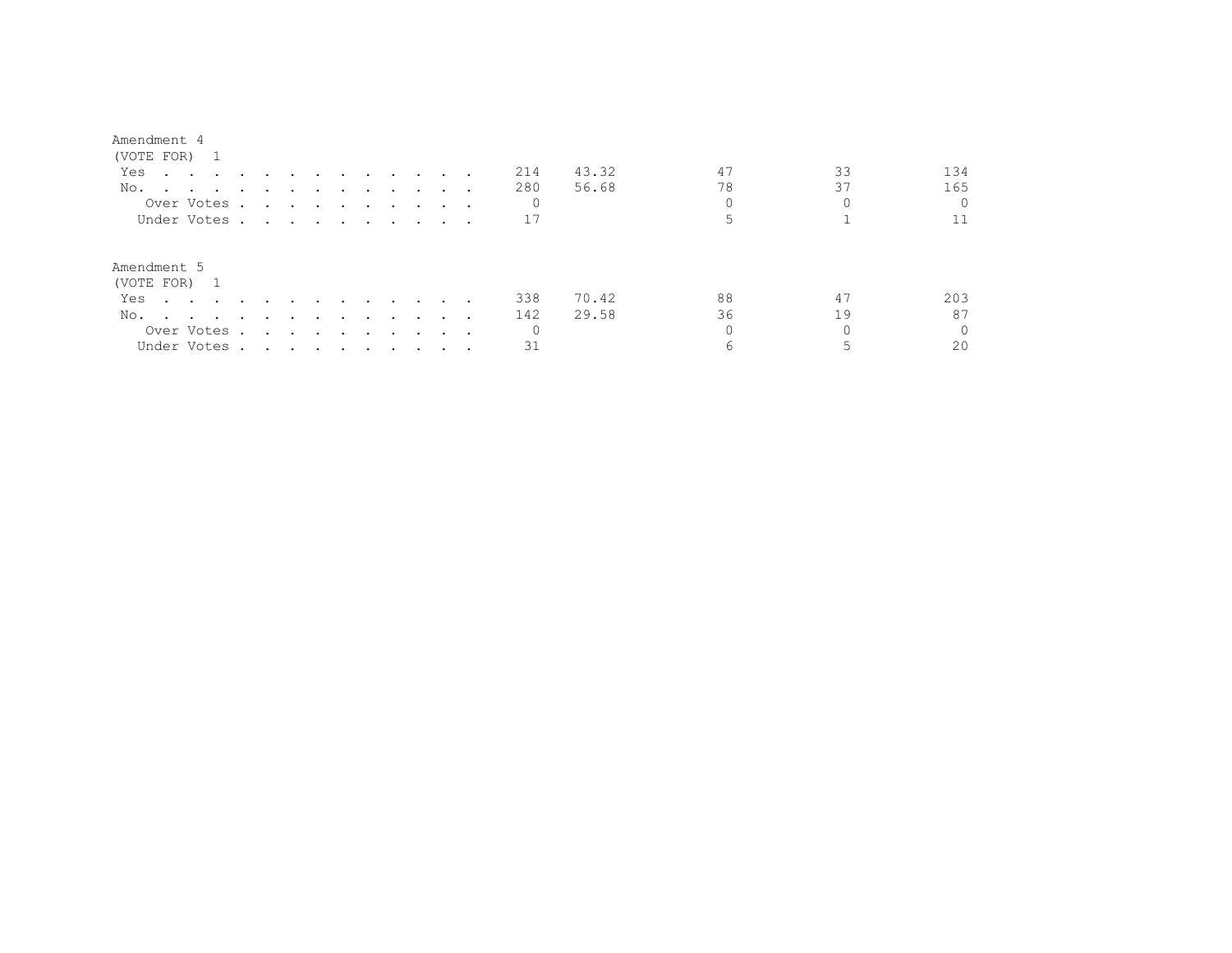## Amendment 4

| (VOTE FOR) 1                                                                           |                                                                                                                 |                                                                                                                 |        |                                   |                 |               |                                 |     |       |    |    |          |
|----------------------------------------------------------------------------------------|-----------------------------------------------------------------------------------------------------------------|-----------------------------------------------------------------------------------------------------------------|--------|-----------------------------------|-----------------|---------------|---------------------------------|-----|-------|----|----|----------|
| Yes<br>$\mathbf{r}$ , and $\mathbf{r}$ , and $\mathbf{r}$ , and $\mathbf{r}$           |                                                                                                                 | $\sim$ $\sim$                                                                                                   | $\sim$ | and the state of the state of the |                 |               |                                 | 214 | 43.32 | 47 | 33 | 134      |
| No.                                                                                    |                                                                                                                 |                                                                                                                 |        |                                   |                 |               |                                 | 280 | 56.68 | 78 | 37 | 165      |
| Over Votes.                                                                            | $\mathbf{r}$ , and $\mathbf{r}$ , and $\mathbf{r}$ , and $\mathbf{r}$                                           |                                                                                                                 |        |                                   |                 |               | $\cdot$ $\cdot$ $\cdot$ $\cdot$ | 0   |       |    |    |          |
| Under Votes.                                                                           | the contract of the contract of the contract of the contract of the contract of the contract of the contract of |                                                                                                                 |        |                                   |                 |               |                                 |     |       |    |    |          |
| Amendment 5<br>(VOTE FOR) 1                                                            |                                                                                                                 |                                                                                                                 |        |                                   |                 |               |                                 |     |       |    |    |          |
| Yes<br>$\sim$ $\sim$ $\sim$ $\sim$ $\sim$                                              |                                                                                                                 |                                                                                                                 |        | <b>Contract Contract</b>          | <b>Contract</b> | $\sim$ $\sim$ |                                 | 338 | 70.42 | 88 | 47 | 203      |
| No.<br>the contract of the contract of the contract of the contract of the contract of |                                                                                                                 | $\sim$ $\sim$                                                                                                   | $\sim$ | <b>Contract Contract</b>          | $\sim$ $\sim$   | $\sim$        |                                 | 142 | 29.58 | 36 | 19 | 87       |
| Over Votes .                                                                           | $\sim$                                                                                                          | the contract of the contract of the contract of the contract of the contract of the contract of the contract of |        |                                   |                 |               | $\cdots$                        | 0   |       |    |    | $\Omega$ |
| Under Votes.                                                                           | the contract of the contract of the contract of the contract of the contract of the contract of the contract of |                                                                                                                 |        |                                   |                 |               |                                 | 31  |       |    |    | 20       |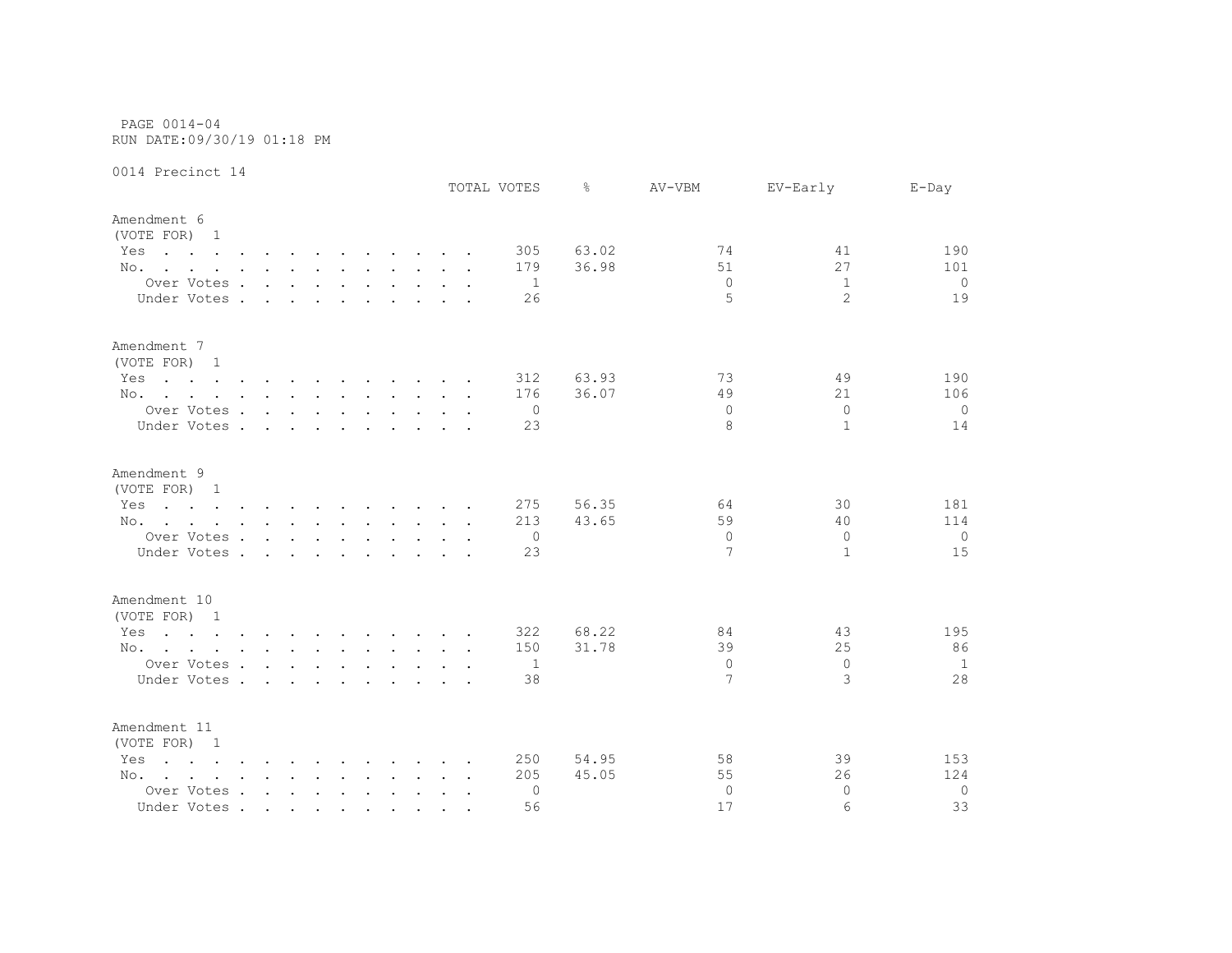PAGE 0014-04 RUN DATE:09/30/19 01:18 PM

0014 Precinct 14

|                                                                                                                        |                                        |        |        |               |                                                           |  |  | TOTAL VOTES  | ⊱     | AV-VBM        | EV-Early       | $E$ -Day       |
|------------------------------------------------------------------------------------------------------------------------|----------------------------------------|--------|--------|---------------|-----------------------------------------------------------|--|--|--------------|-------|---------------|----------------|----------------|
| Amendment 6<br>(VOTE FOR) 1                                                                                            |                                        |        |        |               |                                                           |  |  |              |       |               |                |                |
| Yes<br>the contract of the contract of the contract of the contract of the contract of the contract of the contract of |                                        |        |        |               |                                                           |  |  | 305          | 63.02 | 74            | 41             | 190            |
| No.                                                                                                                    |                                        |        |        |               |                                                           |  |  | 179          | 36.98 | 51            | 27             | 101            |
| Over Votes                                                                                                             |                                        |        |        |               |                                                           |  |  | 1            |       | $\Omega$      | $\mathbf{1}$   | $\overline{0}$ |
| Under Votes .                                                                                                          | $\sim$ $\sim$                          | $\sim$ | $\sim$ | $\sim$        |                                                           |  |  | 26           |       | 5             | $\overline{2}$ | 19             |
| Amendment 7<br>(VOTE FOR) 1                                                                                            |                                        |        |        |               |                                                           |  |  |              |       |               |                |                |
| Yes<br>the contract of the contract of the contract of the contract of the contract of the contract of the contract of |                                        |        |        |               |                                                           |  |  | 312          | 63.93 | 73            | 49             | 190            |
| No.                                                                                                                    |                                        |        |        |               |                                                           |  |  | 176          | 36.07 | 49            | 21             | 106            |
| Over Votes                                                                                                             |                                        |        |        |               |                                                           |  |  | $\mathbf{0}$ |       | $\Omega$      | $\Omega$       | $\overline{0}$ |
| Under Votes                                                                                                            |                                        |        |        |               | $\mathbf{r}$ , $\mathbf{r}$ , $\mathbf{r}$ , $\mathbf{r}$ |  |  | 23           |       | 8             | $\mathbf{1}$   | 14             |
| Amendment 9                                                                                                            |                                        |        |        |               |                                                           |  |  |              |       |               |                |                |
| (VOTE FOR) 1                                                                                                           |                                        |        |        |               |                                                           |  |  |              |       |               |                |                |
| the contract of the contract of the contract of the contract of the contract of the contract of the contract of<br>Yes |                                        |        |        |               |                                                           |  |  | 275          | 56.35 | 64            | 30             | 181            |
| No.                                                                                                                    |                                        |        |        |               |                                                           |  |  | 213          | 43.65 | 59            | 40             | 114            |
| Over Votes                                                                                                             |                                        |        |        |               |                                                           |  |  | 0            |       | $\Omega$<br>7 | $\Omega$       | $\overline{0}$ |
| Under Votes.                                                                                                           | $\mathbf{r}$ . The set of $\mathbf{r}$ |        | $\sim$ | $\sim$ $\sim$ |                                                           |  |  | 23           |       |               | $\mathbf{1}$   | 15             |
| Amendment 10<br>(VOTE FOR) 1                                                                                           |                                        |        |        |               |                                                           |  |  |              |       |               |                |                |
| the contract of the contract of the contract of the contract of the contract of the contract of the contract of<br>Yes |                                        |        |        |               |                                                           |  |  | 322          | 68.22 | 84            | 43             | 195            |
| No.                                                                                                                    |                                        |        |        |               |                                                           |  |  | 150          | 31.78 | 39            | 25             | 86             |
| Over Votes                                                                                                             |                                        |        |        |               |                                                           |  |  | 1            |       | $\Omega$      | $\Omega$       | $\mathbf{1}$   |
| Under Votes                                                                                                            |                                        |        |        |               |                                                           |  |  | 38           |       | 7             | 3              | 28             |
| Amendment 11<br>(VOTE FOR) 1                                                                                           |                                        |        |        |               |                                                           |  |  |              |       |               |                |                |
| $\mathbf{r}$ , and $\mathbf{r}$ , and $\mathbf{r}$ , and $\mathbf{r}$ , and $\mathbf{r}$ , and $\mathbf{r}$<br>Yes     |                                        |        |        |               |                                                           |  |  | 250          | 54.95 | 58            | 39             | 153            |
| No.                                                                                                                    |                                        |        |        |               |                                                           |  |  | 205          | 45.05 | 55            | 26             | 124            |
| Over Votes                                                                                                             |                                        |        |        |               |                                                           |  |  | 0            |       | $\Omega$      | $\Omega$       | $\circ$        |
| Under Votes                                                                                                            |                                        |        |        |               |                                                           |  |  | 56           |       | 17            | 6              | 33             |